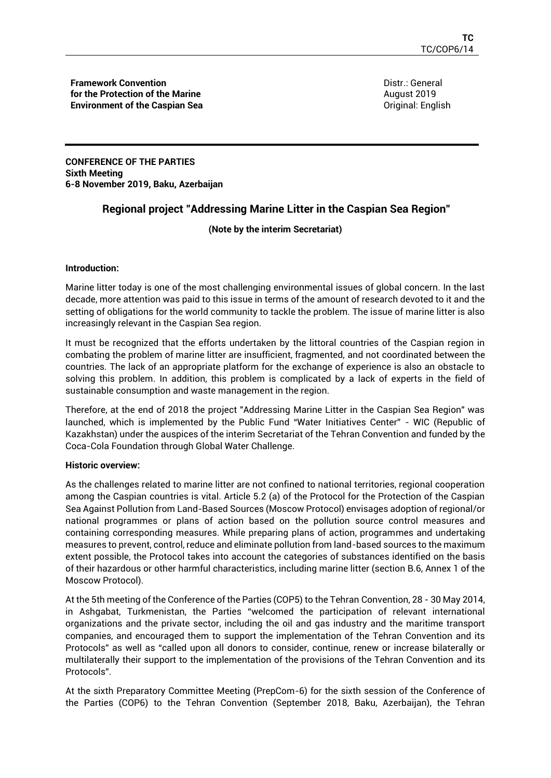**Framework Convention for the Protection of the Marine Environment of the Caspian Sea** Distr.: General August 2019 Original: English

**CONFERENCE OF THE PARTIES Sixth Meeting 6-8 November 2019, Baku, Azerbaijan** 

## **Regional project "Addressing Marine Litter in the Caspian Sea Region"**

## **(Note by the interim Secretariat)**

### **Introduction:**

Marine litter today is one of the most challenging environmental issues of global concern. In the last decade, more attention was paid to this issue in terms of the amount of research devoted to it and the setting of obligations for the world community to tackle the problem. The issue of marine litter is also increasingly relevant in the Caspian Sea region.

It must be recognized that the efforts undertaken by the littoral countries of the Caspian region in combating the problem of marine litter are insufficient, fragmented, and not coordinated between the countries. The lack of an appropriate platform for the exchange of experience is also an obstacle to solving this problem. In addition, this problem is complicated by a lack of experts in the field of sustainable consumption and waste management in the region.

Therefore, at the end of 2018 the project "Addressing Marine Litter in the Caspian Sea Region" was launched, which is implemented by the Public Fund "Water Initiatives Center" - WIC (Republic of Kazakhstan) under the auspices of the interim Secretariat of the Tehran Convention and funded by the Coca-Cola Foundation through Global Water Challenge.

### **Historic overview:**

As the challenges related to marine litter are not confined to national territories, regional cooperation among the Caspian countries is vital. Article 5.2 (a) of the Protocol for the Protection of the Caspian Sea Against Pollution from Land-Based Sources (Moscow Protocol) envisages adoption of regional/or national programmes or plans of action based on the pollution source control measures and containing corresponding measures. While preparing plans of action, programmes and undertaking measures to prevent, control, reduce and eliminate pollution from land-based sources to the maximum extent possible, the Protocol takes into account the categories of substances identified on the basis of their hazardous or other harmful characteristics, including marine litter (section B.6, Annex 1 of the Moscow Protocol).

At the 5th meeting of the Conference of the Parties (COP5) to the Tehran Convention, 28 - 30 May 2014, in Ashgabat, Turkmenistan, the Parties "welcomed the participation of relevant international organizations and the private sector, including the oil and gas industry and the maritime transport companies, and encouraged them to support the implementation of the Tehran Convention and its Protocols" as well as "called upon all donors to consider, continue, renew or increase bilaterally or multilaterally their support to the implementation of the provisions of the Tehran Convention and its Protocols".

At the sixth Preparatory Committee Meeting (PrepCom-6) for the sixth session of the Conference of the Parties (COP6) to the Tehran Convention (September 2018, Baku, Azerbaijan), the Tehran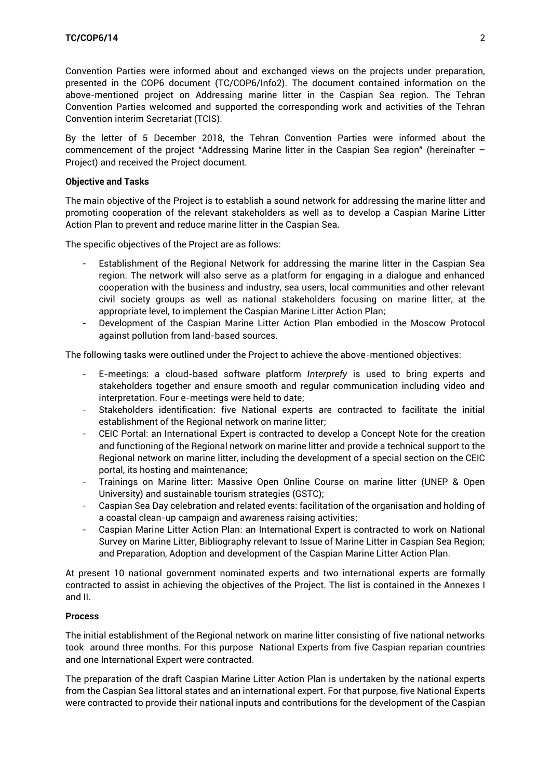Convention Parties were informed about and exchanged views on the projects under preparation, presented in the COP6 document (TC/COP6/Info2). The document contained information on the above-mentioned project on Addressing marine litter in the Caspian Sea region. The Tehran Convention Parties welcomed and supported the corresponding work and activities of the Tehran Convention interim Secretariat (TCIS).

By the letter of 5 December 2018, the Tehran Convention Parties were informed about the commencement of the project "Addressing Marine litter in the Caspian Sea region" (hereinafter – Project) and received the Project document.

#### **Objective and Tasks**

The main objective of the Project is to establish a sound network for addressing the marine litter and promoting cooperation of the relevant stakeholders as well as to develop a Caspian Marine Litter Action Plan to prevent and reduce marine litter in the Caspian Sea.

The specific objectives of the Project are as follows:

- Establishment of the Regional Network for addressing the marine litter in the Caspian Sea region. The network will also serve as a platform for engaging in a dialogue and enhanced cooperation with the business and industry, sea users, local communities and other relevant civil society groups as well as national stakeholders focusing on marine litter, at the appropriate level, to implement the Caspian Marine Litter Action Plan;
- Development of the Caspian Marine Litter Action Plan embodied in the Moscow Protocol against pollution from land-based sources.

The following tasks were outlined under the Project to achieve the above-mentioned objectives:

- E-meetings: a cloud-based software platform *Interprefy* is used to bring experts and stakeholders together and ensure smooth and regular communication including video and interpretation. Four e-meetings were held to date;
- Stakeholders identification: five National experts are contracted to facilitate the initial establishment of the Regional network on marine litter;
- CEIC Portal: an International Expert is contracted to develop a Concept Note for the creation and functioning of the Regional network on marine litter and provide a technical support to the Regional network on marine litter, including the development of a special section on the CEIC portal, its hosting and maintenance;
- Trainings on Marine litter: Massive Open Online Course on marine litter (UNEP & Open University) and sustainable tourism strategies (GSTC);
- Caspian Sea Day celebration and related events: facilitation of the organisation and holding of a coastal clean-up campaign and awareness raising activities;
- Caspian Marine Litter Action Plan: an International Expert is contracted to work on National Survey on Marine Litter, Bibliography relevant to Issue of Marine Litter in Caspian Sea Region; and Preparation, Adoption and development of the Caspian Marine Litter Action Plan.

At present 10 national government nominated experts and two international experts are formally contracted to assist in achieving the objectives of the Project. The list is contained in the Annexes I and II.

#### **Process**

The initial establishment of the Regional network on marine litter consisting of five national networks took around three months. For this purpose National Experts from five Caspian reparian countries and one International Expert were contracted.

The preparation of the draft Caspian Marine Litter Action Plan is undertaken by the national experts from the Caspian Sea littoral states and an international expert. For that purpose, five National Experts were contracted to provide their national inputs and contributions for the development of the Caspian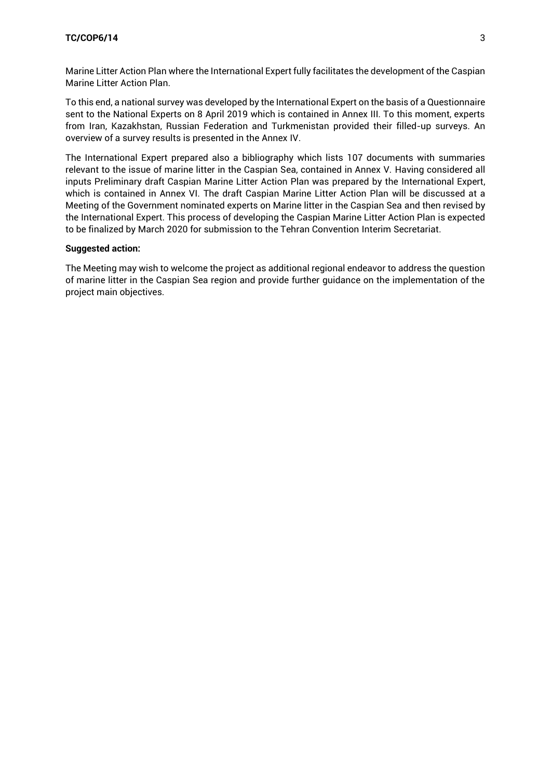#### **TC/COP6/14** 3

Marine Litter Action Plan where the International Expert fully facilitates the development of the Caspian Marine Litter Action Plan.

To this end, a national survey was developed by the International Expert on the basis of a Questionnaire sent to the National Experts on 8 April 2019 which is contained in Annex III. To this moment, experts from Iran, Kazakhstan, Russian Federation and Turkmenistan provided their filled-up surveys. An overview of a survey results is presented in the Annex IV.

The International Expert prepared also a bibliography which lists 107 documents with summaries relevant to the issue of marine litter in the Caspian Sea, contained in Annex V. Having considered all inputs Preliminary draft Caspian Marine Litter Action Plan was prepared by the International Expert, which is contained in Annex VI. The draft Caspian Marine Litter Action Plan will be discussed at a Meeting of the Government nominated experts on Marine litter in the Caspian Sea and then revised by the International Expert. This process of developing the Caspian Marine Litter Action Plan is expected to be finalized by March 2020 for submission to the Tehran Convention Interim Secretariat.

#### **Suggested action:**

The Meeting may wish to welcome the project as additional regional endeavor to address the question of marine litter in the Caspian Sea region and provide further guidance on the implementation of the project main objectives.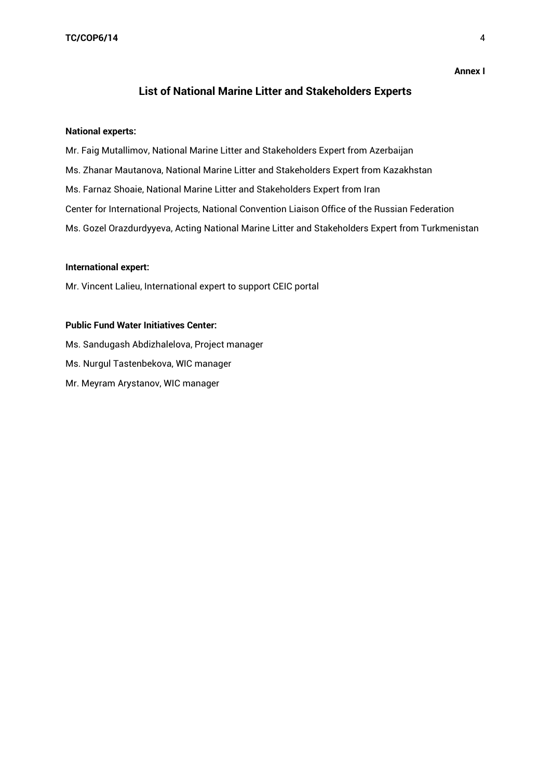#### **Annex I**

## **List of National Marine Litter and Stakeholders Experts**

#### **National experts:**

Mr. Faig Mutallimov, National Marine Litter and Stakeholders Expert from Azerbaijan Ms. Zhanar Mautanova, National Marine Litter and Stakeholders Expert from Kazakhstan Ms. Farnaz Shoaie, National Marine Litter and Stakeholders Expert from Iran Center for International Projects, National Convention Liaison Office of the Russian Federation Ms. Gozel Orazdurdyyeva, Acting National Marine Litter and Stakeholders Expert from Turkmenistan

#### **International expert:**

Mr. Vincent Lalieu, International expert to support CEIC portal

#### **Public Fund Water Initiatives Center:**

Ms. Sandugash Abdizhalelova, Project manager Ms. Nurgul Tastenbekova, WIC manager Mr. Meyram Arystanov, WIC manager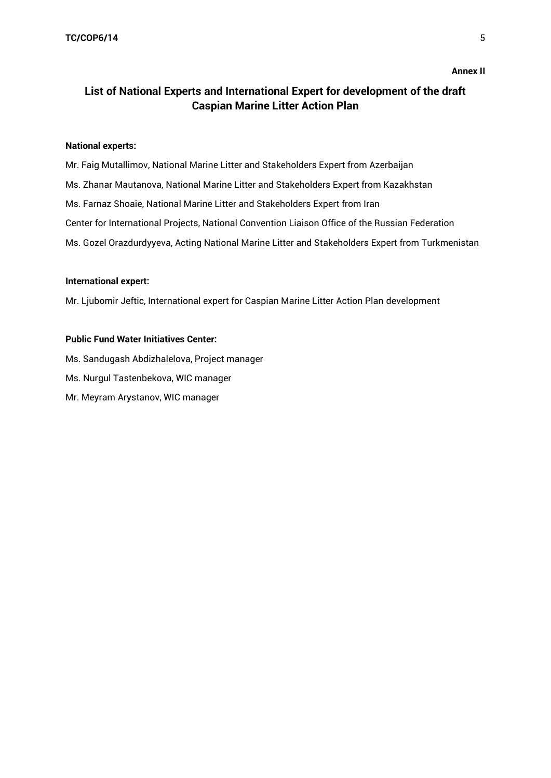# **List of National Experts and International Expert for development of the draft Caspian Marine Litter Action Plan**

#### **National experts:**

Mr. Faig Mutallimov, National Marine Litter and Stakeholders Expert from Azerbaijan Ms. Zhanar Mautanova, National Marine Litter and Stakeholders Expert from Kazakhstan Ms. Farnaz Shoaie, National Marine Litter and Stakeholders Expert from Iran Center for International Projects, National Convention Liaison Office of the Russian Federation Ms. Gozel Orazdurdyyeva, Acting National Marine Litter and Stakeholders Expert from Turkmenistan

#### **International expert:**

Mr. Ljubomir Jeftic, International expert for Caspian Marine Litter Action Plan development

## **Public Fund Water Initiatives Center:**

Ms. Sandugash Abdizhalelova, Project manager Ms. Nurgul Tastenbekova, WIC manager Mr. Meyram Arystanov, WIC manager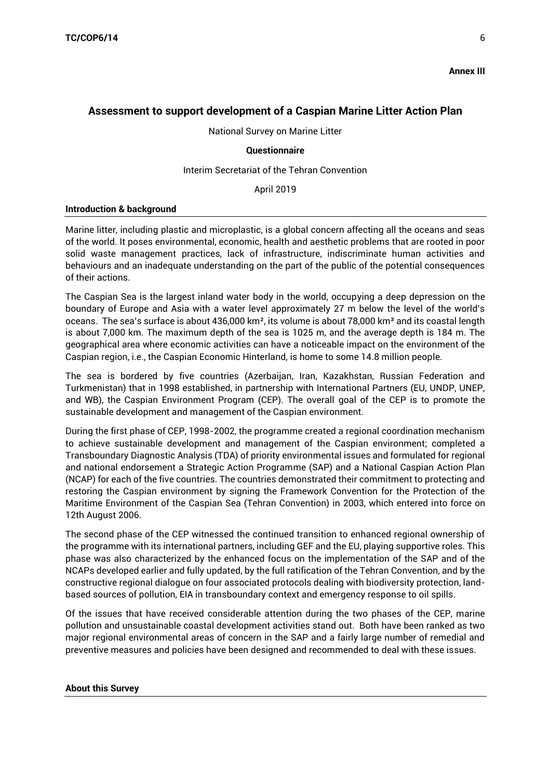**Annex III**

## **Assessment to support development of a Caspian Marine Litter Action Plan**

National Survey on Marine Litter

### **Questionnaire**

## Interim Secretariat of the Tehran Convention

April 2019

### **Introduction & background**

Marine litter, including plastic and microplastic, is a global concern affecting all the oceans and seas of the world. It poses environmental, economic, health and aesthetic problems that are rooted in poor solid waste management practices, lack of infrastructure, indiscriminate human activities and behaviours and an inadequate understanding on the part of the public of the potential consequences of their actions.

The Caspian Sea is the largest inland water body in the world, occupying a deep depression on the boundary of Europe and Asia with a water level approximately 27 m below the level of the world's oceans. The sea's surface is about 436,000 km<sup>2</sup>, its volume is about 78,000 km<sup>3</sup> and its coastal length is about 7,000 km. The maximum depth of the sea is 1025 m, and the average depth is 184 m. The geographical area where economic activities can have a noticeable impact on the environment of the Caspian region, i.e., the Caspian Economic Hinterland, is home to some 14.8 million people.

The sea is bordered by five countries (Azerbaijan, Iran, Kazakhstan, Russian Federation and Turkmenistan) that in 1998 established, in partnership with International Partners (EU, UNDP, UNEP, and WB), the Caspian Environment Program (CEP). The overall goal of the CEP is to promote the sustainable development and management of the Caspian environment.

During the first phase of CEP, 1998-2002, the programme created a regional coordination mechanism to achieve sustainable development and management of the Caspian environment; completed a Transboundary Diagnostic Analysis (TDA) of priority environmental issues and formulated for regional and national endorsement a Strategic Action Programme (SAP) and a National Caspian Action Plan (NCAP) for each of the five countries. The countries demonstrated their commitment to protecting and restoring the Caspian environment by signing the Framework Convention for the Protection of the Maritime Environment of the Caspian Sea (Tehran Convention) in 2003, which entered into force on 12th August 2006.

The second phase of the CEP witnessed the continued transition to enhanced regional ownership of the programme with its international partners, including GEF and the EU, playing supportive roles. This phase was also characterized by the enhanced focus on the implementation of the SAP and of the NCAPs developed earlier and fully updated, by the full ratification of the Tehran Convention, and by the constructive regional dialogue on four associated protocols dealing with biodiversity protection, landbased sources of pollution, EIA in transboundary context and emergency response to oil spills.

Of the issues that have received considerable attention during the two phases of the CEP, marine pollution and unsustainable coastal development activities stand out. Both have been ranked as two major regional environmental areas of concern in the SAP and a fairly large number of remedial and preventive measures and policies have been designed and recommended to deal with these issues.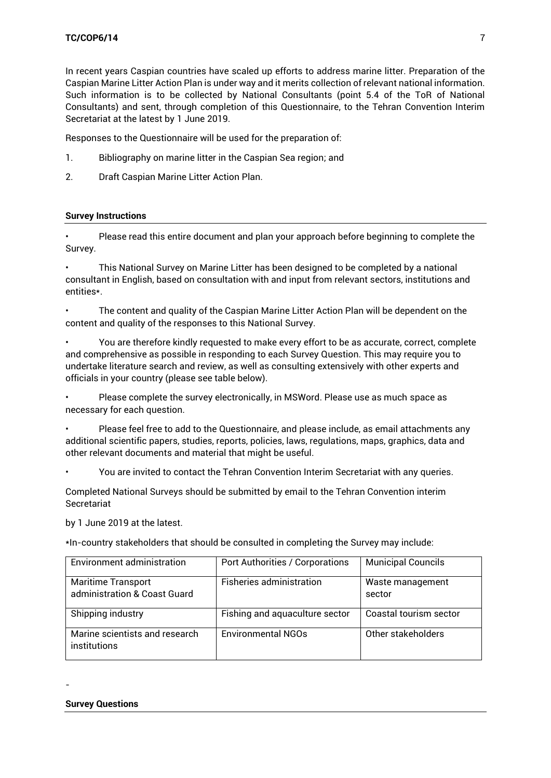In recent years Caspian countries have scaled up efforts to address marine litter. Preparation of the Caspian Marine Litter Action Plan is under way and it merits collection of relevant national information. Such information is to be collected by National Consultants (point 5.4 of the ToR of National Consultants) and sent, through completion of this Questionnaire, to the Tehran Convention Interim Secretariat at the latest by 1 June 2019.

Responses to the Questionnaire will be used for the preparation of:

- 1. Bibliography on marine litter in the Caspian Sea region; and
- 2. Draft Caspian Marine Litter Action Plan.

## **Survey Instructions**

• Please read this entire document and plan your approach before beginning to complete the Survey.

• This National Survey on Marine Litter has been designed to be completed by a national consultant in English, based on consultation with and input from relevant sectors, institutions and entities\*.

• The content and quality of the Caspian Marine Litter Action Plan will be dependent on the content and quality of the responses to this National Survey.

• You are therefore kindly requested to make every effort to be as accurate, correct, complete and comprehensive as possible in responding to each Survey Question. This may require you to undertake literature search and review, as well as consulting extensively with other experts and officials in your country (please see table below).

• Please complete the survey electronically, in MSWord. Please use as much space as necessary for each question.

• Please feel free to add to the Questionnaire, and please include, as email attachments any additional scientific papers, studies, reports, policies, laws, regulations, maps, graphics, data and other relevant documents and material that might be useful.

• You are invited to contact the Tehran Convention Interim Secretariat with any queries.

Completed National Surveys should be submitted by email to the Tehran Convention interim Secretariat

by 1 June 2019 at the latest.

\*In-country stakeholders that should be consulted in completing the Survey may include:

| Environment administration                                | <b>Port Authorities / Corporations</b> | <b>Municipal Councils</b>  |
|-----------------------------------------------------------|----------------------------------------|----------------------------|
| <b>Maritime Transport</b><br>administration & Coast Guard | Fisheries administration               | Waste management<br>sector |
| Shipping industry                                         | Fishing and aquaculture sector         | Coastal tourism sector     |
| Marine scientists and research<br>institutions            | <b>Environmental NGOs</b>              | Other stakeholders         |

-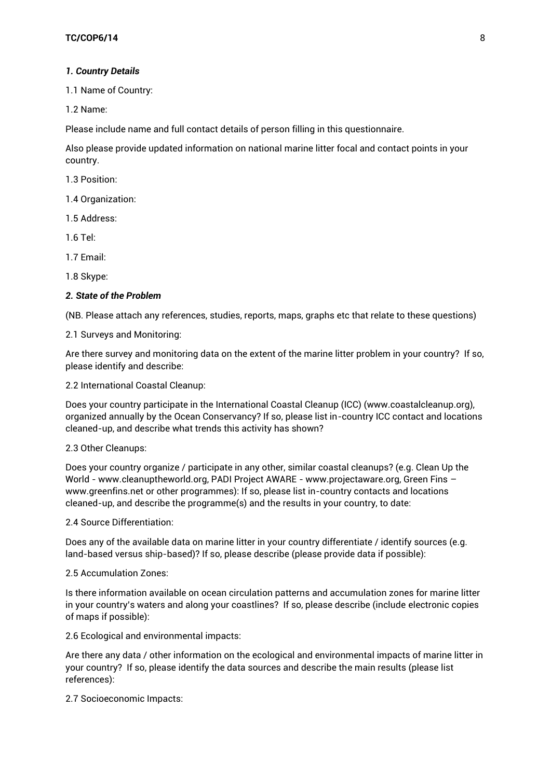### *1. Country Details*

1.1 Name of Country:

1.2 Name:

Please include name and full contact details of person filling in this questionnaire.

Also please provide updated information on national marine litter focal and contact points in your country.

1.3 Position:

1.4 Organization:

1.5 Address:

1.6 Tel:

1.7 Email:

1.8 Skype:

#### *2. State of the Problem*

(NB. Please attach any references, studies, reports, maps, graphs etc that relate to these questions)

2.1 Surveys and Monitoring:

Are there survey and monitoring data on the extent of the marine litter problem in your country? If so, please identify and describe:

2.2 International Coastal Cleanup:

Does your country participate in the International Coastal Cleanup (ICC) (www.coastalcleanup.org), organized annually by the Ocean Conservancy? If so, please list in-country ICC contact and locations cleaned-up, and describe what trends this activity has shown?

#### 2.3 Other Cleanups:

Does your country organize / participate in any other, similar coastal cleanups? (e.g. Clean Up the World - www.cleanuptheworld.org, PADI Project AWARE - www.projectaware.org, Green Fins – www.greenfins.net or other programmes): If so, please list in-country contacts and locations cleaned-up, and describe the programme(s) and the results in your country, to date:

2.4 Source Differentiation:

Does any of the available data on marine litter in your country differentiate / identify sources (e.g. land-based versus ship-based)? If so, please describe (please provide data if possible):

#### 2.5 Accumulation Zones:

Is there information available on ocean circulation patterns and accumulation zones for marine litter in your country's waters and along your coastlines? If so, please describe (include electronic copies of maps if possible):

2.6 Ecological and environmental impacts:

Are there any data / other information on the ecological and environmental impacts of marine litter in your country? If so, please identify the data sources and describe the main results (please list references):

2.7 Socioeconomic Impacts: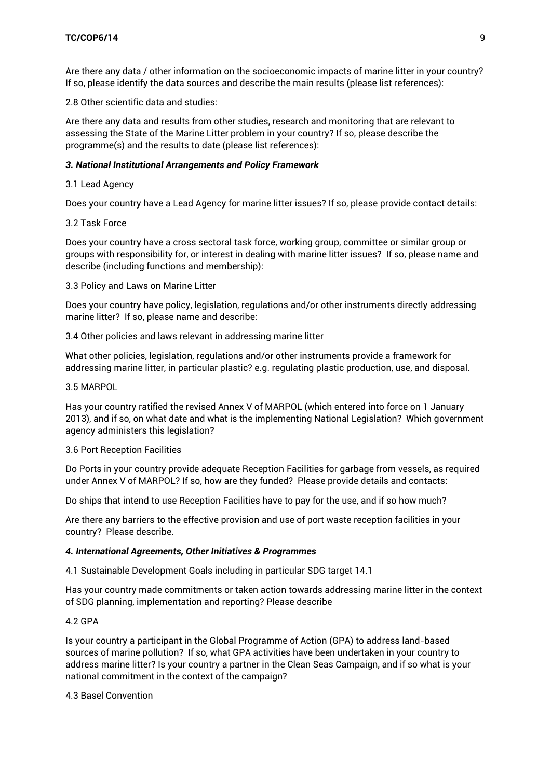Are there any data / other information on the socioeconomic impacts of marine litter in your country? If so, please identify the data sources and describe the main results (please list references):

2.8 Other scientific data and studies:

Are there any data and results from other studies, research and monitoring that are relevant to assessing the State of the Marine Litter problem in your country? If so, please describe the programme(s) and the results to date (please list references):

### *3. National Institutional Arrangements and Policy Framework*

## 3.1 Lead Agency

Does your country have a Lead Agency for marine litter issues? If so, please provide contact details:

### 3.2 Task Force

Does your country have a cross sectoral task force, working group, committee or similar group or groups with responsibility for, or interest in dealing with marine litter issues? If so, please name and describe (including functions and membership):

3.3 Policy and Laws on Marine Litter

Does your country have policy, legislation, regulations and/or other instruments directly addressing marine litter? If so, please name and describe:

3.4 Other policies and laws relevant in addressing marine litter

What other policies, legislation, regulations and/or other instruments provide a framework for addressing marine litter, in particular plastic? e.g. regulating plastic production, use, and disposal.

### 3.5 MARPOL

Has your country ratified the revised Annex V of MARPOL (which entered into force on 1 January 2013), and if so, on what date and what is the implementing National Legislation? Which government agency administers this legislation?

### 3.6 Port Reception Facilities

Do Ports in your country provide adequate Reception Facilities for garbage from vessels, as required under Annex V of MARPOL? If so, how are they funded? Please provide details and contacts:

Do ships that intend to use Reception Facilities have to pay for the use, and if so how much?

Are there any barriers to the effective provision and use of port waste reception facilities in your country? Please describe.

### *4. International Agreements, Other Initiatives & Programmes*

4.1 Sustainable Development Goals including in particular SDG target 14.1

Has your country made commitments or taken action towards addressing marine litter in the context of SDG planning, implementation and reporting? Please describe

### 4.2 GPA

Is your country a participant in the Global Programme of Action (GPA) to address land-based sources of marine pollution? If so, what GPA activities have been undertaken in your country to address marine litter? Is your country a partner in the Clean Seas Campaign, and if so what is your national commitment in the context of the campaign?

4.3 Basel Convention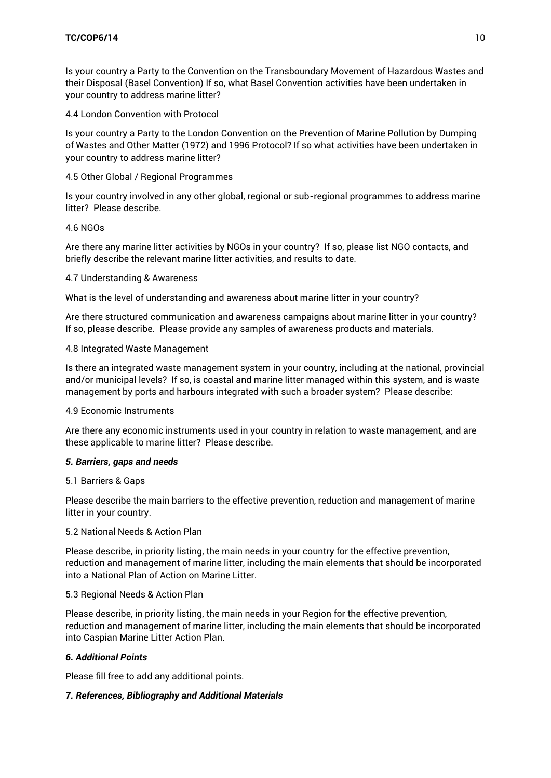Is your country a Party to the Convention on the Transboundary Movement of Hazardous Wastes and their Disposal (Basel Convention) If so, what Basel Convention activities have been undertaken in your country to address marine litter?

4.4 London Convention with Protocol

Is your country a Party to the London Convention on the Prevention of Marine Pollution by Dumping of Wastes and Other Matter (1972) and 1996 Protocol? If so what activities have been undertaken in your country to address marine litter?

4.5 Other Global / Regional Programmes

Is your country involved in any other global, regional or sub-regional programmes to address marine litter? Please describe.

## 4.6 NGOs

Are there any marine litter activities by NGOs in your country? If so, please list NGO contacts, and briefly describe the relevant marine litter activities, and results to date.

## 4.7 Understanding & Awareness

What is the level of understanding and awareness about marine litter in your country?

Are there structured communication and awareness campaigns about marine litter in your country? If so, please describe. Please provide any samples of awareness products and materials.

## 4.8 Integrated Waste Management

Is there an integrated waste management system in your country, including at the national, provincial and/or municipal levels? If so, is coastal and marine litter managed within this system, and is waste management by ports and harbours integrated with such a broader system? Please describe:

### 4.9 Economic Instruments

Are there any economic instruments used in your country in relation to waste management, and are these applicable to marine litter? Please describe.

### *5. Barriers, gaps and needs*

### 5.1 Barriers & Gaps

Please describe the main barriers to the effective prevention, reduction and management of marine litter in your country.

### 5.2 National Needs & Action Plan

Please describe, in priority listing, the main needs in your country for the effective prevention, reduction and management of marine litter, including the main elements that should be incorporated into a National Plan of Action on Marine Litter.

### 5.3 Regional Needs & Action Plan

Please describe, in priority listing, the main needs in your Region for the effective prevention, reduction and management of marine litter, including the main elements that should be incorporated into Caspian Marine Litter Action Plan.

## *6. Additional Points*

Please fill free to add any additional points.

## *7. References, Bibliography and Additional Materials*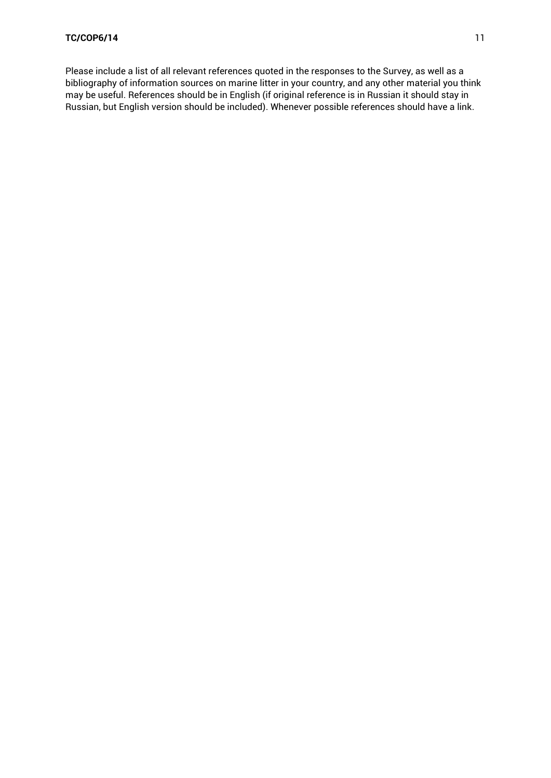Please include a list of all relevant references quoted in the responses to the Survey, as well as a bibliography of information sources on marine litter in your country, and any other material you think may be useful. References should be in English (if original reference is in Russian it should stay in Russian, but English version should be included). Whenever possible references should have a link.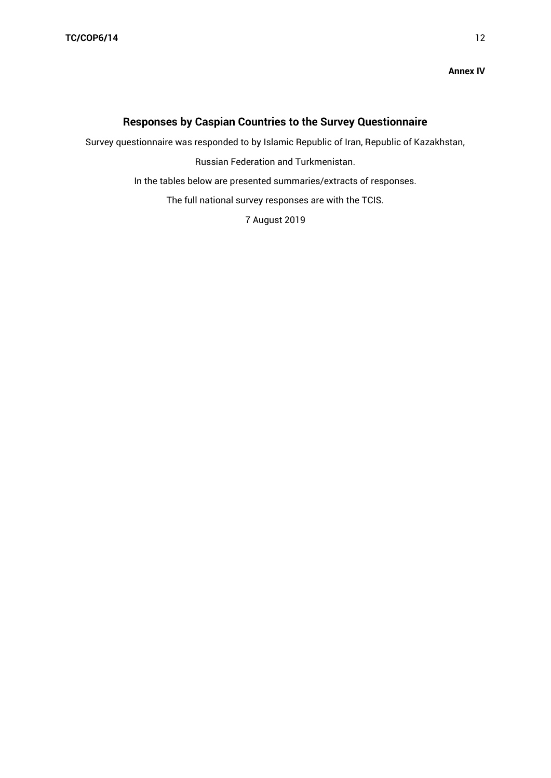#### **Annex IV**

# **Responses by Caspian Countries to the Survey Questionnaire**

Survey questionnaire was responded to by Islamic Republic of Iran, Republic of Kazakhstan,

Russian Federation and Turkmenistan.

In the tables below are presented summaries/extracts of responses.

The full national survey responses are with the TCIS.

7 August 2019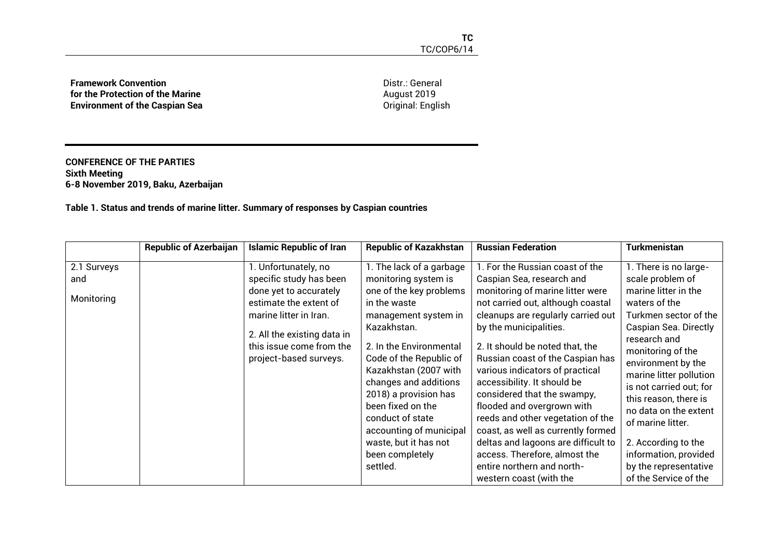**Framework Convention for the Protection of the Marine Environment of the Caspian Sea**

Distr.: General August 2019 Original: English

#### **CONFERENCE OF THE PARTIES Sixth Meeting 6-8 November 2019, Baku, Azerbaijan**

**Table 1. Status and trends of marine litter. Summary of responses by Caspian countries**

|                                  | <b>Republic of Azerbaijan</b> | <b>Islamic Republic of Iran</b>                                                                                                                                                                                    | <b>Republic of Kazakhstan</b>                                                                                                                                                                                                                                                                                                                                                                   | <b>Russian Federation</b>                                                                                                                                                                                                                                                                                                                                                                                                                                                                                                                                                                                               | <b>Turkmenistan</b>                                                                                                                                                                                                                                                                                                                                                                                                            |
|----------------------------------|-------------------------------|--------------------------------------------------------------------------------------------------------------------------------------------------------------------------------------------------------------------|-------------------------------------------------------------------------------------------------------------------------------------------------------------------------------------------------------------------------------------------------------------------------------------------------------------------------------------------------------------------------------------------------|-------------------------------------------------------------------------------------------------------------------------------------------------------------------------------------------------------------------------------------------------------------------------------------------------------------------------------------------------------------------------------------------------------------------------------------------------------------------------------------------------------------------------------------------------------------------------------------------------------------------------|--------------------------------------------------------------------------------------------------------------------------------------------------------------------------------------------------------------------------------------------------------------------------------------------------------------------------------------------------------------------------------------------------------------------------------|
| 2.1 Surveys<br>and<br>Monitoring |                               | l. Unfortunately, no<br>specific study has been<br>done yet to accurately<br>estimate the extent of<br>marine litter in Iran.<br>2. All the existing data in<br>this issue come from the<br>project-based surveys. | 1. The lack of a garbage<br>monitoring system is<br>one of the key problems<br>in the waste<br>management system in<br>Kazakhstan.<br>2. In the Environmental<br>Code of the Republic of<br>Kazakhstan (2007 with<br>changes and additions<br>2018) a provision has<br>been fixed on the<br>conduct of state<br>accounting of municipal<br>waste, but it has not<br>been completely<br>settled. | 1. For the Russian coast of the<br>Caspian Sea, research and<br>monitoring of marine litter were<br>not carried out, although coastal<br>cleanups are regularly carried out<br>by the municipalities.<br>2. It should be noted that, the<br>Russian coast of the Caspian has<br>various indicators of practical<br>accessibility. It should be<br>considered that the swampy,<br>flooded and overgrown with<br>reeds and other vegetation of the<br>coast, as well as currently formed<br>deltas and lagoons are difficult to<br>access. Therefore, almost the<br>entire northern and north-<br>western coast (with the | 1. There is no large-<br>scale problem of<br>marine litter in the<br>waters of the<br>Turkmen sector of the<br>Caspian Sea. Directly<br>research and<br>monitoring of the<br>environment by the<br>marine litter pollution<br>is not carried out; for<br>this reason, there is<br>no data on the extent<br>of marine litter.<br>2. According to the<br>information, provided<br>by the representative<br>of the Service of the |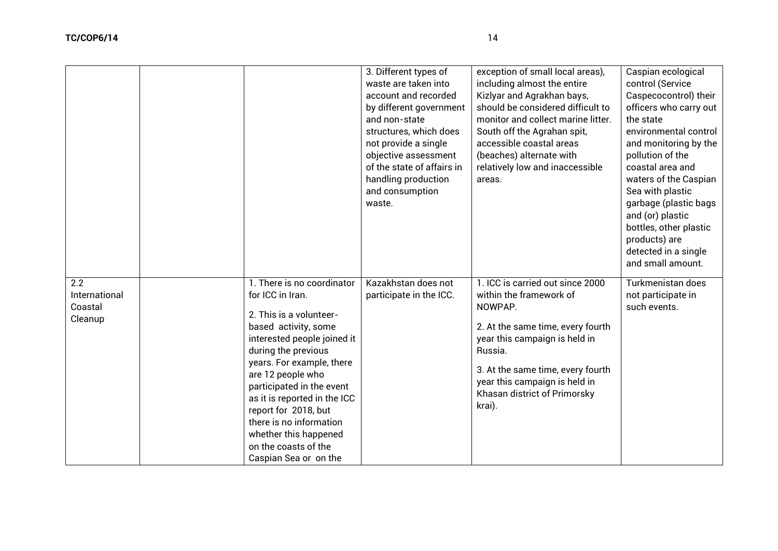|                                            |                                                                                                                                                                                                                                                                                                                                                                                                     | 3. Different types of<br>waste are taken into<br>account and recorded<br>by different government<br>and non-state<br>structures, which does<br>not provide a single<br>objective assessment<br>of the state of affairs in<br>handling production<br>and consumption<br>waste. | exception of small local areas),<br>including almost the entire<br>Kizlyar and Agrakhan bays,<br>should be considered difficult to<br>monitor and collect marine litter.<br>South off the Agrahan spit,<br>accessible coastal areas<br>(beaches) alternate with<br>relatively low and inaccessible<br>areas. | Caspian ecological<br>control (Service<br>Caspecocontrol) their<br>officers who carry out<br>the state<br>environmental control<br>and monitoring by the<br>pollution of the<br>coastal area and<br>waters of the Caspian<br>Sea with plastic<br>garbage (plastic bags<br>and (or) plastic<br>bottles, other plastic<br>products) are<br>detected in a single<br>and small amount. |
|--------------------------------------------|-----------------------------------------------------------------------------------------------------------------------------------------------------------------------------------------------------------------------------------------------------------------------------------------------------------------------------------------------------------------------------------------------------|-------------------------------------------------------------------------------------------------------------------------------------------------------------------------------------------------------------------------------------------------------------------------------|--------------------------------------------------------------------------------------------------------------------------------------------------------------------------------------------------------------------------------------------------------------------------------------------------------------|------------------------------------------------------------------------------------------------------------------------------------------------------------------------------------------------------------------------------------------------------------------------------------------------------------------------------------------------------------------------------------|
| 2.2<br>International<br>Coastal<br>Cleanup | 1. There is no coordinator<br>for ICC in Iran.<br>2. This is a volunteer-<br>based activity, some<br>interested people joined it<br>during the previous<br>years. For example, there<br>are 12 people who<br>participated in the event<br>as it is reported in the ICC<br>report for 2018, but<br>there is no information<br>whether this happened<br>on the coasts of the<br>Caspian Sea or on the | Kazakhstan does not<br>participate in the ICC.                                                                                                                                                                                                                                | 1. ICC is carried out since 2000<br>within the framework of<br>NOWPAP.<br>2. At the same time, every fourth<br>year this campaign is held in<br>Russia.<br>3. At the same time, every fourth<br>year this campaign is held in<br>Khasan district of Primorsky<br>krai).                                      | Turkmenistan does<br>not participate in<br>such events.                                                                                                                                                                                                                                                                                                                            |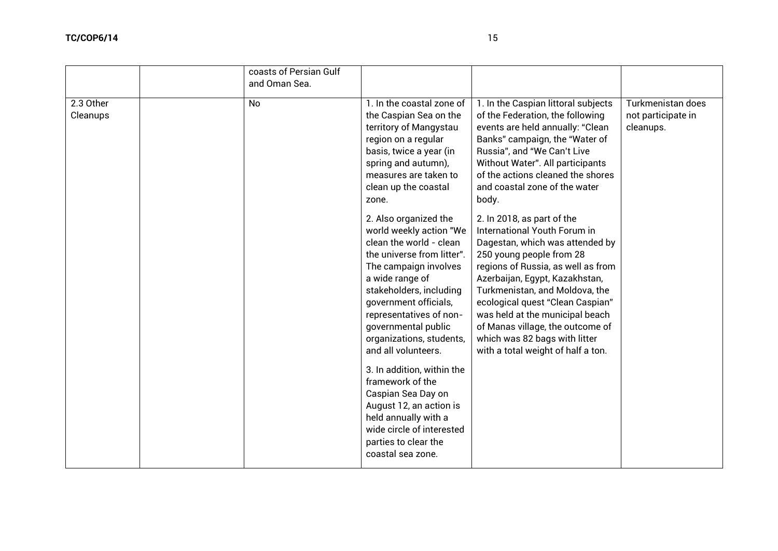|                       | coasts of Persian Gulf<br>and Oman Sea. |                                                                                                                                                                                                                                                                                                                |                                                                                                                                                                                                                                                                                                                                                                                                                       |                                                             |
|-----------------------|-----------------------------------------|----------------------------------------------------------------------------------------------------------------------------------------------------------------------------------------------------------------------------------------------------------------------------------------------------------------|-----------------------------------------------------------------------------------------------------------------------------------------------------------------------------------------------------------------------------------------------------------------------------------------------------------------------------------------------------------------------------------------------------------------------|-------------------------------------------------------------|
| 2.3 Other<br>Cleanups | <b>No</b>                               | 1. In the coastal zone of<br>the Caspian Sea on the<br>territory of Mangystau<br>region on a regular<br>basis, twice a year (in<br>spring and autumn),<br>measures are taken to<br>clean up the coastal<br>zone.                                                                                               | 1. In the Caspian littoral subjects<br>of the Federation, the following<br>events are held annually: "Clean<br>Banks" campaign, the "Water of<br>Russia", and "We Can't Live<br>Without Water". All participants<br>of the actions cleaned the shores<br>and coastal zone of the water<br>body.                                                                                                                       | <b>Turkmenistan does</b><br>not participate in<br>cleanups. |
|                       |                                         | 2. Also organized the<br>world weekly action "We<br>clean the world - clean<br>the universe from litter".<br>The campaign involves<br>a wide range of<br>stakeholders, including<br>government officials,<br>representatives of non-<br>governmental public<br>organizations, students,<br>and all volunteers. | 2. In 2018, as part of the<br>International Youth Forum in<br>Dagestan, which was attended by<br>250 young people from 28<br>regions of Russia, as well as from<br>Azerbaijan, Egypt, Kazakhstan,<br>Turkmenistan, and Moldova, the<br>ecological quest "Clean Caspian"<br>was held at the municipal beach<br>of Manas village, the outcome of<br>which was 82 bags with litter<br>with a total weight of half a ton. |                                                             |
|                       |                                         | 3. In addition, within the<br>framework of the<br>Caspian Sea Day on<br>August 12, an action is<br>held annually with a<br>wide circle of interested<br>parties to clear the<br>coastal sea zone.                                                                                                              |                                                                                                                                                                                                                                                                                                                                                                                                                       |                                                             |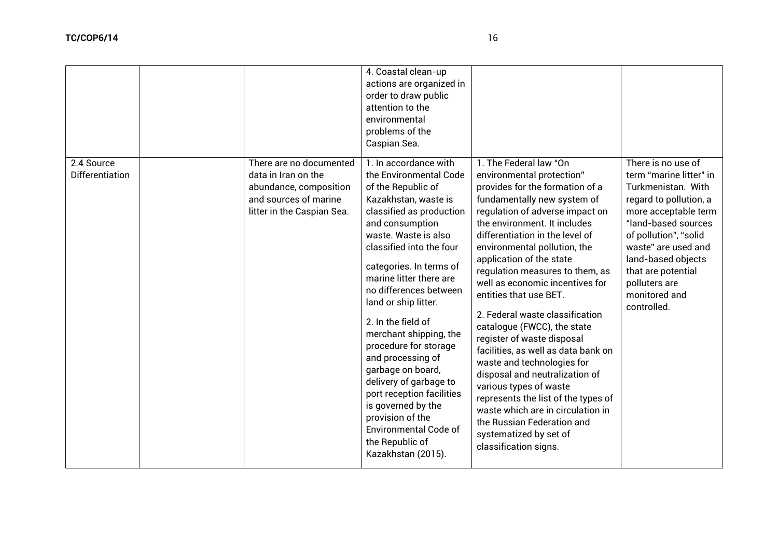|                                      |                                                                                                                                 | 4. Coastal clean-up<br>actions are organized in<br>order to draw public<br>attention to the<br>environmental<br>problems of the<br>Caspian Sea.                                                                                                                                                                                                                                                                                                                                                                                                                                                       |                                                                                                                                                                                                                                                                                                                                                                                                                                                                                                                                                                                                                                                                                                                                                                                       |                                                                                                                                                                                                                                                                                           |
|--------------------------------------|---------------------------------------------------------------------------------------------------------------------------------|-------------------------------------------------------------------------------------------------------------------------------------------------------------------------------------------------------------------------------------------------------------------------------------------------------------------------------------------------------------------------------------------------------------------------------------------------------------------------------------------------------------------------------------------------------------------------------------------------------|---------------------------------------------------------------------------------------------------------------------------------------------------------------------------------------------------------------------------------------------------------------------------------------------------------------------------------------------------------------------------------------------------------------------------------------------------------------------------------------------------------------------------------------------------------------------------------------------------------------------------------------------------------------------------------------------------------------------------------------------------------------------------------------|-------------------------------------------------------------------------------------------------------------------------------------------------------------------------------------------------------------------------------------------------------------------------------------------|
| 2.4 Source<br><b>Differentiation</b> | There are no documented<br>data in Iran on the<br>abundance, composition<br>and sources of marine<br>litter in the Caspian Sea. | 1. In accordance with<br>the Environmental Code<br>of the Republic of<br>Kazakhstan, waste is<br>classified as production<br>and consumption<br>waste. Waste is also<br>classified into the four<br>categories. In terms of<br>marine litter there are<br>no differences between<br>land or ship litter.<br>2. In the field of<br>merchant shipping, the<br>procedure for storage<br>and processing of<br>garbage on board,<br>delivery of garbage to<br>port reception facilities<br>is governed by the<br>provision of the<br><b>Environmental Code of</b><br>the Republic of<br>Kazakhstan (2015). | 1. The Federal law "On<br>environmental protection"<br>provides for the formation of a<br>fundamentally new system of<br>regulation of adverse impact on<br>the environment. It includes<br>differentiation in the level of<br>environmental pollution, the<br>application of the state<br>regulation measures to them, as<br>well as economic incentives for<br>entities that use BET.<br>2. Federal waste classification<br>catalogue (FWCC), the state<br>register of waste disposal<br>facilities, as well as data bank on<br>waste and technologies for<br>disposal and neutralization of<br>various types of waste<br>represents the list of the types of<br>waste which are in circulation in<br>the Russian Federation and<br>systematized by set of<br>classification signs. | There is no use of<br>term "marine litter" in<br>Turkmenistan. With<br>regard to pollution, a<br>more acceptable term<br>"land-based sources<br>of pollution", "solid<br>waste" are used and<br>land-based objects<br>that are potential<br>polluters are<br>monitored and<br>controlled. |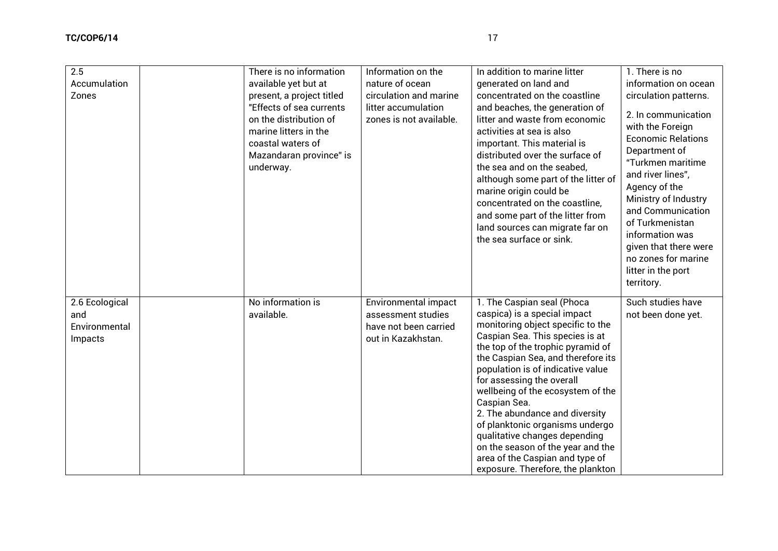| 2.5<br>Accumulation<br>Zones                      | There is no information<br>available yet but at<br>present, a project titled<br>"Effects of sea currents<br>on the distribution of<br>marine litters in the<br>coastal waters of<br>Mazandaran province" is<br>underway. | Information on the<br>nature of ocean<br>circulation and marine<br>litter accumulation<br>zones is not available. | In addition to marine litter<br>generated on land and<br>concentrated on the coastline<br>and beaches, the generation of<br>litter and waste from economic<br>activities at sea is also<br>important. This material is<br>distributed over the surface of<br>the sea and on the seabed,<br>although some part of the litter of<br>marine origin could be<br>concentrated on the coastline,<br>and some part of the litter from<br>land sources can migrate far on<br>the sea surface or sink.                                                           | 1. There is no<br>information on ocean<br>circulation patterns.<br>2. In communication<br>with the Foreign<br><b>Economic Relations</b><br>Department of<br>"Turkmen maritime<br>and river lines",<br>Agency of the<br>Ministry of Industry<br>and Communication<br>of Turkmenistan<br>information was<br>given that there were<br>no zones for marine<br>litter in the port<br>territory. |
|---------------------------------------------------|--------------------------------------------------------------------------------------------------------------------------------------------------------------------------------------------------------------------------|-------------------------------------------------------------------------------------------------------------------|---------------------------------------------------------------------------------------------------------------------------------------------------------------------------------------------------------------------------------------------------------------------------------------------------------------------------------------------------------------------------------------------------------------------------------------------------------------------------------------------------------------------------------------------------------|--------------------------------------------------------------------------------------------------------------------------------------------------------------------------------------------------------------------------------------------------------------------------------------------------------------------------------------------------------------------------------------------|
| 2.6 Ecological<br>and<br>Environmental<br>Impacts | No information is<br>available.                                                                                                                                                                                          | <b>Environmental impact</b><br>assessment studies<br>have not been carried<br>out in Kazakhstan.                  | 1. The Caspian seal (Phoca<br>caspica) is a special impact<br>monitoring object specific to the<br>Caspian Sea. This species is at<br>the top of the trophic pyramid of<br>the Caspian Sea, and therefore its<br>population is of indicative value<br>for assessing the overall<br>wellbeing of the ecosystem of the<br>Caspian Sea.<br>2. The abundance and diversity<br>of planktonic organisms undergo<br>qualitative changes depending<br>on the season of the year and the<br>area of the Caspian and type of<br>exposure. Therefore, the plankton | Such studies have<br>not been done yet.                                                                                                                                                                                                                                                                                                                                                    |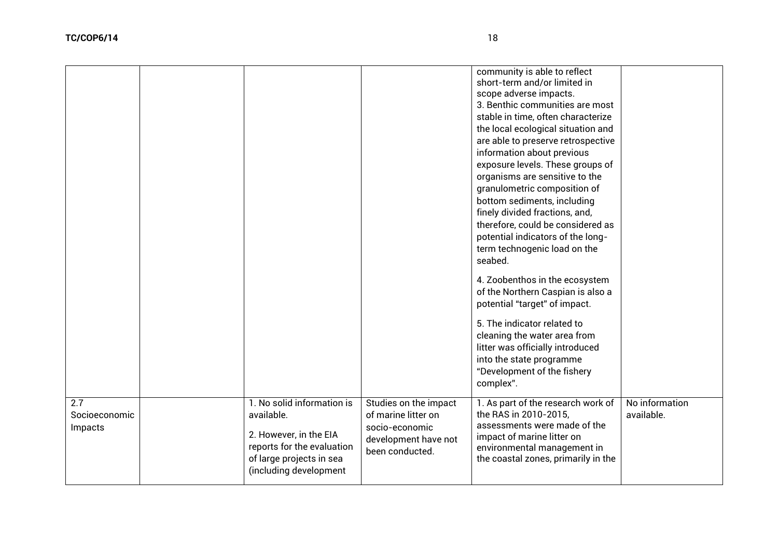|                                 |                                                                                                                                                        |                                                                                                           | community is able to reflect<br>short-term and/or limited in<br>scope adverse impacts.<br>3. Benthic communities are most<br>stable in time, often characterize<br>the local ecological situation and<br>are able to preserve retrospective<br>information about previous<br>exposure levels. These groups of<br>organisms are sensitive to the<br>granulometric composition of<br>bottom sediments, including<br>finely divided fractions, and,<br>therefore, could be considered as<br>potential indicators of the long-<br>term technogenic load on the<br>seabed.<br>4. Zoobenthos in the ecosystem<br>of the Northern Caspian is also a<br>potential "target" of impact.<br>5. The indicator related to<br>cleaning the water area from<br>litter was officially introduced<br>into the state programme<br>"Development of the fishery<br>complex". |                              |
|---------------------------------|--------------------------------------------------------------------------------------------------------------------------------------------------------|-----------------------------------------------------------------------------------------------------------|----------------------------------------------------------------------------------------------------------------------------------------------------------------------------------------------------------------------------------------------------------------------------------------------------------------------------------------------------------------------------------------------------------------------------------------------------------------------------------------------------------------------------------------------------------------------------------------------------------------------------------------------------------------------------------------------------------------------------------------------------------------------------------------------------------------------------------------------------------|------------------------------|
| 2.7<br>Socioeconomic<br>Impacts | 1. No solid information is<br>available.<br>2. However, in the EIA<br>reports for the evaluation<br>of large projects in sea<br>(including development | Studies on the impact<br>of marine litter on<br>socio-economic<br>development have not<br>been conducted. | 1. As part of the research work of<br>the RAS in 2010-2015,<br>assessments were made of the<br>impact of marine litter on<br>environmental management in<br>the coastal zones, primarily in the                                                                                                                                                                                                                                                                                                                                                                                                                                                                                                                                                                                                                                                          | No information<br>available. |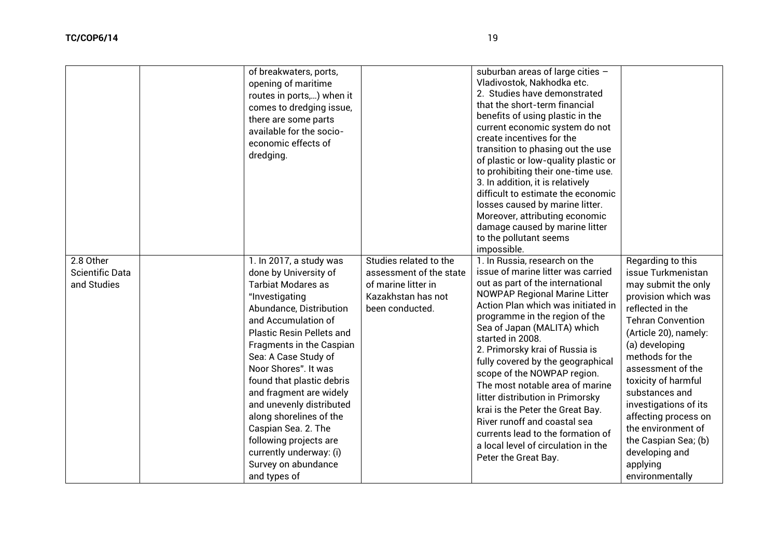|                                                    | of breakwaters, ports,<br>opening of maritime<br>routes in ports,) when it<br>comes to dredging issue,<br>there are some parts<br>available for the socio-<br>economic effects of<br>dredging.                                                                                                                                                                                                                                                                                                      |                                                                                                                   | suburban areas of large cities $-$<br>Vladivostok, Nakhodka etc.<br>2. Studies have demonstrated<br>that the short-term financial<br>benefits of using plastic in the<br>current economic system do not<br>create incentives for the<br>transition to phasing out the use<br>of plastic or low-quality plastic or<br>to prohibiting their one-time use.<br>3. In addition, it is relatively<br>difficult to estimate the economic<br>losses caused by marine litter.<br>Moreover, attributing economic<br>damage caused by marine litter<br>to the pollutant seems<br>impossible.                                               |                                                                                                                                                                                                                                                                                                                                                                                                                   |
|----------------------------------------------------|-----------------------------------------------------------------------------------------------------------------------------------------------------------------------------------------------------------------------------------------------------------------------------------------------------------------------------------------------------------------------------------------------------------------------------------------------------------------------------------------------------|-------------------------------------------------------------------------------------------------------------------|---------------------------------------------------------------------------------------------------------------------------------------------------------------------------------------------------------------------------------------------------------------------------------------------------------------------------------------------------------------------------------------------------------------------------------------------------------------------------------------------------------------------------------------------------------------------------------------------------------------------------------|-------------------------------------------------------------------------------------------------------------------------------------------------------------------------------------------------------------------------------------------------------------------------------------------------------------------------------------------------------------------------------------------------------------------|
| 2.8 Other<br><b>Scientific Data</b><br>and Studies | 1. In 2017, a study was<br>done by University of<br><b>Tarbiat Modares as</b><br>"Investigating<br>Abundance, Distribution<br>and Accumulation of<br><b>Plastic Resin Pellets and</b><br>Fragments in the Caspian<br>Sea: A Case Study of<br>Noor Shores". It was<br>found that plastic debris<br>and fragment are widely<br>and unevenly distributed<br>along shorelines of the<br>Caspian Sea. 2. The<br>following projects are<br>currently underway: (i)<br>Survey on abundance<br>and types of | Studies related to the<br>assessment of the state<br>of marine litter in<br>Kazakhstan has not<br>been conducted. | 1. In Russia, research on the<br>issue of marine litter was carried<br>out as part of the international<br><b>NOWPAP Regional Marine Litter</b><br>Action Plan which was initiated in<br>programme in the region of the<br>Sea of Japan (MALITA) which<br>started in 2008.<br>2. Primorsky krai of Russia is<br>fully covered by the geographical<br>scope of the NOWPAP region.<br>The most notable area of marine<br>litter distribution in Primorsky<br>krai is the Peter the Great Bay.<br>River runoff and coastal sea<br>currents lead to the formation of<br>a local level of circulation in the<br>Peter the Great Bay. | Regarding to this<br>issue Turkmenistan<br>may submit the only<br>provision which was<br>reflected in the<br><b>Tehran Convention</b><br>(Article 20), namely:<br>(a) developing<br>methods for the<br>assessment of the<br>toxicity of harmful<br>substances and<br>investigations of its<br>affecting process on<br>the environment of<br>the Caspian Sea; (b)<br>developing and<br>applying<br>environmentally |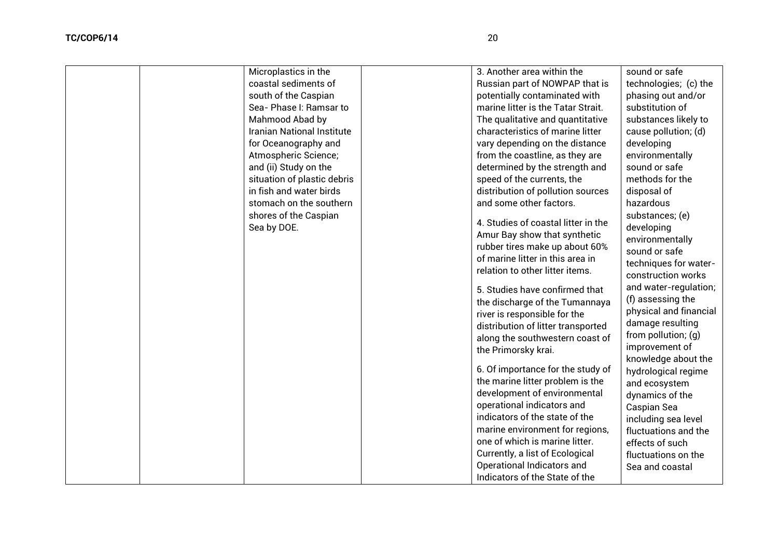| Microplastics in the                 | 3. Another area within the                                                                                                                                                                                                                                                                                  | sound or safe                                                                                                                                                                      |
|--------------------------------------|-------------------------------------------------------------------------------------------------------------------------------------------------------------------------------------------------------------------------------------------------------------------------------------------------------------|------------------------------------------------------------------------------------------------------------------------------------------------------------------------------------|
| coastal sediments of                 | Russian part of NOWPAP that is                                                                                                                                                                                                                                                                              | technologies; (c) the                                                                                                                                                              |
| south of the Caspian                 | potentially contaminated with                                                                                                                                                                                                                                                                               | phasing out and/or                                                                                                                                                                 |
| Sea- Phase I: Ramsar to              | marine litter is the Tatar Strait.                                                                                                                                                                                                                                                                          | substitution of                                                                                                                                                                    |
| Mahmood Abad by                      | The qualitative and quantitative                                                                                                                                                                                                                                                                            | substances likely to                                                                                                                                                               |
| <b>Iranian National Institute</b>    | characteristics of marine litter                                                                                                                                                                                                                                                                            | cause pollution; (d)                                                                                                                                                               |
| for Oceanography and                 | vary depending on the distance                                                                                                                                                                                                                                                                              | developing                                                                                                                                                                         |
| Atmospheric Science;                 | from the coastline, as they are                                                                                                                                                                                                                                                                             | environmentally                                                                                                                                                                    |
| and (ii) Study on the                | determined by the strength and                                                                                                                                                                                                                                                                              | sound or safe                                                                                                                                                                      |
| situation of plastic debris          | speed of the currents, the                                                                                                                                                                                                                                                                                  | methods for the                                                                                                                                                                    |
| in fish and water birds              | distribution of pollution sources                                                                                                                                                                                                                                                                           | disposal of                                                                                                                                                                        |
| stomach on the southern              | and some other factors.                                                                                                                                                                                                                                                                                     | hazardous                                                                                                                                                                          |
| shores of the Caspian<br>Sea by DOE. | 4. Studies of coastal litter in the<br>Amur Bay show that synthetic<br>rubber tires make up about 60%<br>of marine litter in this area in<br>relation to other litter items.                                                                                                                                | substances; (e)<br>developing<br>environmentally<br>sound or safe<br>techniques for water-<br>construction works                                                                   |
|                                      | 5. Studies have confirmed that<br>the discharge of the Tumannaya<br>river is responsible for the<br>distribution of litter transported<br>along the southwestern coast of<br>the Primorsky krai.                                                                                                            | and water-regulation;<br>(f) assessing the<br>physical and financial<br>damage resulting<br>from pollution; (g)<br>improvement of<br>knowledge about the                           |
|                                      | 6. Of importance for the study of<br>the marine litter problem is the<br>development of environmental<br>operational indicators and<br>indicators of the state of the<br>marine environment for regions,<br>one of which is marine litter.<br>Currently, a list of Ecological<br>Operational Indicators and | hydrological regime<br>and ecosystem<br>dynamics of the<br>Caspian Sea<br>including sea level<br>fluctuations and the<br>effects of such<br>fluctuations on the<br>Sea and coastal |
|                                      |                                                                                                                                                                                                                                                                                                             |                                                                                                                                                                                    |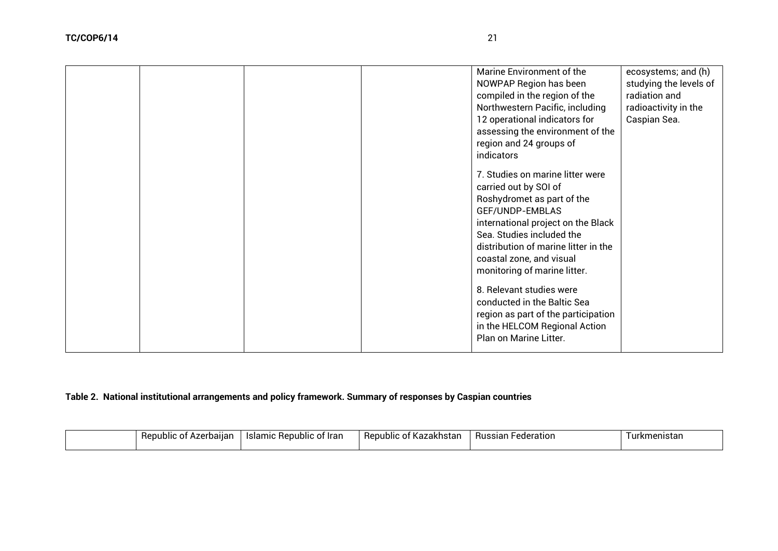|  |  | Marine Environment of the            | ecosystems; and (h)    |
|--|--|--------------------------------------|------------------------|
|  |  | NOWPAP Region has been               | studying the levels of |
|  |  | compiled in the region of the        | radiation and          |
|  |  | Northwestern Pacific, including      | radioactivity in the   |
|  |  | 12 operational indicators for        | Caspian Sea.           |
|  |  | assessing the environment of the     |                        |
|  |  | region and 24 groups of              |                        |
|  |  | indicators                           |                        |
|  |  | 7. Studies on marine litter were     |                        |
|  |  | carried out by SOI of                |                        |
|  |  | Roshydromet as part of the           |                        |
|  |  | GEF/UNDP-EMBLAS                      |                        |
|  |  | international project on the Black   |                        |
|  |  | Sea. Studies included the            |                        |
|  |  | distribution of marine litter in the |                        |
|  |  | coastal zone, and visual             |                        |
|  |  | monitoring of marine litter.         |                        |
|  |  |                                      |                        |
|  |  | 8. Relevant studies were             |                        |
|  |  | conducted in the Baltic Sea          |                        |
|  |  | region as part of the participation  |                        |
|  |  | in the HELCOM Regional Action        |                        |
|  |  | Plan on Marine Litter.               |                        |
|  |  |                                      |                        |

# **Table 2. National institutional arrangements and policy framework. Summary of responses by Caspian countries**

| Jallan -<br>public<br>, n r<br>ւ. | ∵lrar<br>Repub.<br>ו פו סו<br>mıc<br>ΩT<br>isidi<br>. | ⊔ົ<br>nubli<br>ົ<br>izanlıstal<br>ινα.<br>.<br>$\cdot$ | <b>Russ</b><br>.anar<br>iar<br>eratior | nıstar<br>W<br>'KIIIL |
|-----------------------------------|-------------------------------------------------------|--------------------------------------------------------|----------------------------------------|-----------------------|
|                                   |                                                       |                                                        |                                        |                       |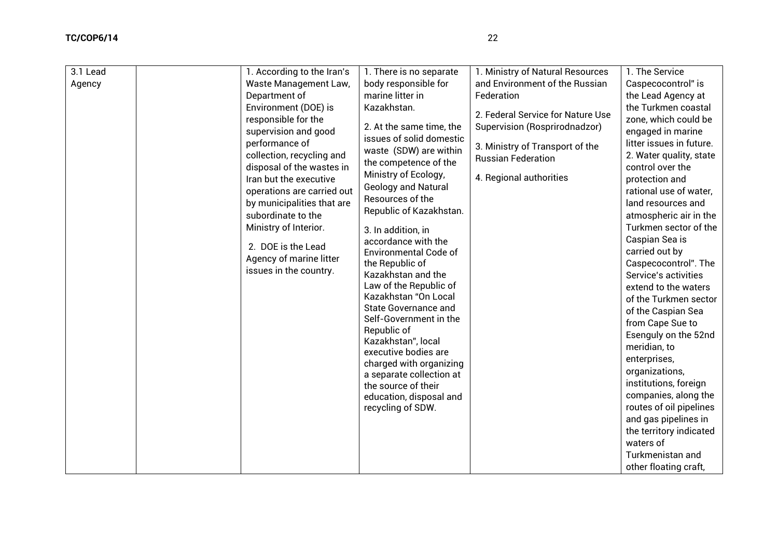| 3.1 Lead<br>Agency | 1. According to the Iran's<br>Waste Management Law,<br>Department of<br>Environment (DOE) is<br>responsible for the<br>supervision and good<br>performance of<br>collection, recycling and<br>disposal of the wastes in<br>Iran but the executive<br>operations are carried out<br>by municipalities that are<br>subordinate to the<br>Ministry of Interior.<br>2. DOE is the Lead<br>Agency of marine litter<br>issues in the country. | 1. There is no separate<br>body responsible for<br>marine litter in<br>Kazakhstan.<br>2. At the same time, the<br>issues of solid domestic<br>waste (SDW) are within<br>the competence of the<br>Ministry of Ecology,<br>Geology and Natural<br>Resources of the<br>Republic of Kazakhstan.<br>3. In addition, in<br>accordance with the<br><b>Environmental Code of</b><br>the Republic of<br>Kazakhstan and the<br>Law of the Republic of<br>Kazakhstan "On Local<br><b>State Governance and</b><br>Self-Government in the<br>Republic of<br>Kazakhstan", local<br>executive bodies are<br>charged with organizing<br>a separate collection at<br>the source of their<br>education, disposal and<br>recycling of SDW. | 1. Ministry of Natural Resources<br>and Environment of the Russian<br>Federation<br>2. Federal Service for Nature Use<br>Supervision (Rosprirodnadzor)<br>3. Ministry of Transport of the<br><b>Russian Federation</b><br>4. Regional authorities | 1. The Service<br>Caspecocontrol" is<br>the Lead Agency at<br>the Turkmen coastal<br>zone, which could be<br>engaged in marine<br>litter issues in future.<br>2. Water quality, state<br>control over the<br>protection and<br>rational use of water,<br>land resources and<br>atmospheric air in the<br>Turkmen sector of the<br>Caspian Sea is<br>carried out by<br>Caspecocontrol". The<br>Service's activities<br>extend to the waters<br>of the Turkmen sector<br>of the Caspian Sea<br>from Cape Sue to<br>Esenguly on the 52nd<br>meridian, to<br>enterprises,<br>organizations,<br>institutions, foreign<br>companies, along the<br>routes of oil pipelines<br>and gas pipelines in<br>the territory indicated<br>waters of<br>Turkmenistan and<br>other floating craft, |
|--------------------|-----------------------------------------------------------------------------------------------------------------------------------------------------------------------------------------------------------------------------------------------------------------------------------------------------------------------------------------------------------------------------------------------------------------------------------------|-------------------------------------------------------------------------------------------------------------------------------------------------------------------------------------------------------------------------------------------------------------------------------------------------------------------------------------------------------------------------------------------------------------------------------------------------------------------------------------------------------------------------------------------------------------------------------------------------------------------------------------------------------------------------------------------------------------------------|---------------------------------------------------------------------------------------------------------------------------------------------------------------------------------------------------------------------------------------------------|----------------------------------------------------------------------------------------------------------------------------------------------------------------------------------------------------------------------------------------------------------------------------------------------------------------------------------------------------------------------------------------------------------------------------------------------------------------------------------------------------------------------------------------------------------------------------------------------------------------------------------------------------------------------------------------------------------------------------------------------------------------------------------|
|--------------------|-----------------------------------------------------------------------------------------------------------------------------------------------------------------------------------------------------------------------------------------------------------------------------------------------------------------------------------------------------------------------------------------------------------------------------------------|-------------------------------------------------------------------------------------------------------------------------------------------------------------------------------------------------------------------------------------------------------------------------------------------------------------------------------------------------------------------------------------------------------------------------------------------------------------------------------------------------------------------------------------------------------------------------------------------------------------------------------------------------------------------------------------------------------------------------|---------------------------------------------------------------------------------------------------------------------------------------------------------------------------------------------------------------------------------------------------|----------------------------------------------------------------------------------------------------------------------------------------------------------------------------------------------------------------------------------------------------------------------------------------------------------------------------------------------------------------------------------------------------------------------------------------------------------------------------------------------------------------------------------------------------------------------------------------------------------------------------------------------------------------------------------------------------------------------------------------------------------------------------------|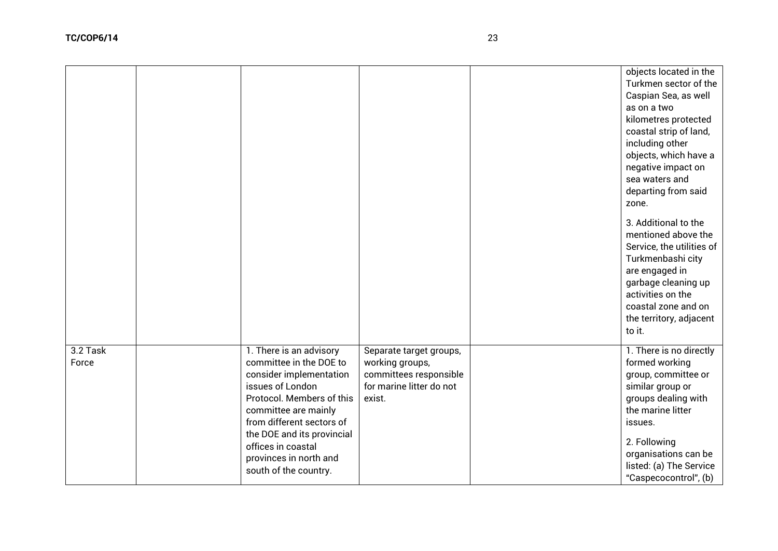|                   |                                                                                                                                                                                                                                                                                            |                                                                                                            | objects located in the<br>Turkmen sector of the<br>Caspian Sea, as well<br>as on a two<br>kilometres protected<br>coastal strip of land,<br>including other<br>objects, which have a<br>negative impact on<br>sea waters and<br>departing from said<br>zone. |
|-------------------|--------------------------------------------------------------------------------------------------------------------------------------------------------------------------------------------------------------------------------------------------------------------------------------------|------------------------------------------------------------------------------------------------------------|--------------------------------------------------------------------------------------------------------------------------------------------------------------------------------------------------------------------------------------------------------------|
|                   |                                                                                                                                                                                                                                                                                            |                                                                                                            | 3. Additional to the<br>mentioned above the<br>Service, the utilities of<br>Turkmenbashi city<br>are engaged in<br>garbage cleaning up<br>activities on the<br>coastal zone and on<br>the territory, adjacent<br>to it.                                      |
| 3.2 Task<br>Force | 1. There is an advisory<br>committee in the DOE to<br>consider implementation<br>issues of London<br>Protocol. Members of this<br>committee are mainly<br>from different sectors of<br>the DOE and its provincial<br>offices in coastal<br>provinces in north and<br>south of the country. | Separate target groups,<br>working groups,<br>committees responsible<br>for marine litter do not<br>exist. | 1. There is no directly<br>formed working<br>group, committee or<br>similar group or<br>groups dealing with<br>the marine litter<br>issues.<br>2. Following<br>organisations can be<br>listed: (a) The Service<br>"Caspecocontrol", (b)                      |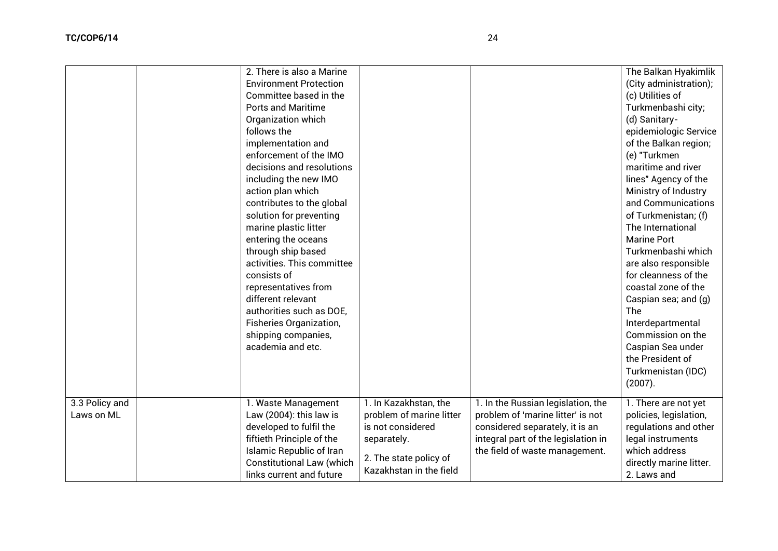|                              | 2. There is also a Marine<br><b>Environment Protection</b><br>Committee based in the<br><b>Ports and Maritime</b><br>Organization which<br>follows the<br>implementation and<br>enforcement of the IMO<br>decisions and resolutions<br>including the new IMO<br>action plan which<br>contributes to the global<br>solution for preventing<br>marine plastic litter<br>entering the oceans<br>through ship based<br>activities. This committee<br>consists of<br>representatives from<br>different relevant<br>authorities such as DOE,<br>Fisheries Organization,<br>shipping companies,<br>academia and etc. |                                                                                                                                            |                                                                                                                                                                                     | The Balkan Hyakimlik<br>(City administration);<br>(c) Utilities of<br>Turkmenbashi city;<br>(d) Sanitary-<br>epidemiologic Service<br>of the Balkan region;<br>(e) "Turkmen<br>maritime and river<br>lines" Agency of the<br>Ministry of Industry<br>and Communications<br>of Turkmenistan; (f)<br>The International<br><b>Marine Port</b><br>Turkmenbashi which<br>are also responsible<br>for cleanness of the<br>coastal zone of the<br>Caspian sea; and (g)<br>The<br>Interdepartmental<br>Commission on the<br>Caspian Sea under<br>the President of<br>Turkmenistan (IDC)<br>(2007). |
|------------------------------|---------------------------------------------------------------------------------------------------------------------------------------------------------------------------------------------------------------------------------------------------------------------------------------------------------------------------------------------------------------------------------------------------------------------------------------------------------------------------------------------------------------------------------------------------------------------------------------------------------------|--------------------------------------------------------------------------------------------------------------------------------------------|-------------------------------------------------------------------------------------------------------------------------------------------------------------------------------------|--------------------------------------------------------------------------------------------------------------------------------------------------------------------------------------------------------------------------------------------------------------------------------------------------------------------------------------------------------------------------------------------------------------------------------------------------------------------------------------------------------------------------------------------------------------------------------------------|
| 3.3 Policy and<br>Laws on ML | 1. Waste Management<br>Law $(2004)$ : this law is<br>developed to fulfil the<br>fiftieth Principle of the<br><b>Islamic Republic of Iran</b><br><b>Constitutional Law (which</b><br>links current and future                                                                                                                                                                                                                                                                                                                                                                                                  | 1. In Kazakhstan, the<br>problem of marine litter<br>is not considered<br>separately.<br>2. The state policy of<br>Kazakhstan in the field | 1. In the Russian legislation, the<br>problem of 'marine litter' is not<br>considered separately, it is an<br>integral part of the legislation in<br>the field of waste management. | 1. There are not yet<br>policies, legislation,<br>regulations and other<br>legal instruments<br>which address<br>directly marine litter.<br>2. Laws and                                                                                                                                                                                                                                                                                                                                                                                                                                    |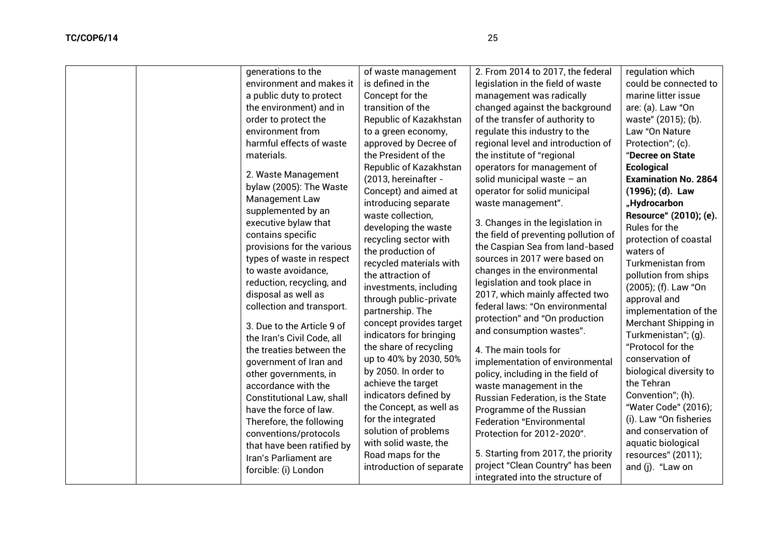| generations to the<br>environment and makes it | of waste management<br>is defined in the | 2. From 2014 to 2017, the federal    | regulation which<br>could be connected to |
|------------------------------------------------|------------------------------------------|--------------------------------------|-------------------------------------------|
|                                                |                                          | legislation in the field of waste    |                                           |
| a public duty to protect                       | Concept for the                          | management was radically             | marine litter issue                       |
| the environment) and in                        | transition of the                        | changed against the background       | are: (a). Law "On                         |
| order to protect the                           | Republic of Kazakhstan                   | of the transfer of authority to      | waste" (2015); (b).                       |
| environment from                               | to a green economy,                      | regulate this industry to the        | Law "On Nature                            |
| harmful effects of waste                       | approved by Decree of                    | regional level and introduction of   | Protection"; (c).                         |
| materials.                                     | the President of the                     | the institute of "regional           | "Decree on State                          |
| 2. Waste Management                            | Republic of Kazakhstan                   | operators for management of          | <b>Ecological</b>                         |
| bylaw (2005): The Waste                        | (2013, hereinafter -                     | solid municipal waste - an           | <b>Examination No. 2864</b>               |
| Management Law                                 | Concept) and aimed at                    | operator for solid municipal         | (1996); (d). Law                          |
| supplemented by an                             | introducing separate                     | waste management".                   | "Hydrocarbon                              |
| executive bylaw that                           | waste collection,                        | 3. Changes in the legislation in     | Resource" (2010); (e).                    |
| contains specific                              | developing the waste                     | the field of preventing pollution of | Rules for the                             |
| provisions for the various                     | recycling sector with                    | the Caspian Sea from land-based      | protection of coastal                     |
| types of waste in respect                      | the production of                        | sources in 2017 were based on        | waters of                                 |
| to waste avoidance,                            | recycled materials with                  | changes in the environmental         | Turkmenistan from                         |
| reduction, recycling, and                      | the attraction of                        | legislation and took place in        | pollution from ships                      |
| disposal as well as                            | investments, including                   | 2017, which mainly affected two      | (2005); (f). Law "On                      |
| collection and transport.                      | through public-private                   | federal laws: "On environmental      | approval and                              |
|                                                | partnership. The                         | protection" and "On production       | implementation of the                     |
| 3. Due to the Article 9 of                     | concept provides target                  | and consumption wastes".             | Merchant Shipping in                      |
| the Iran's Civil Code, all                     | indicators for bringing                  |                                      | Turkmenistan"; (q).                       |
| the treaties between the                       | the share of recycling                   | 4. The main tools for                | "Protocol for the                         |
| government of Iran and                         | up to 40% by 2030, 50%                   | implementation of environmental      | conservation of                           |
| other governments, in                          | by 2050. In order to                     | policy, including in the field of    | biological diversity to                   |
| accordance with the                            | achieve the target                       | waste management in the              | the Tehran                                |
| <b>Constitutional Law, shall</b>               | indicators defined by                    | Russian Federation, is the State     | Convention"; (h).                         |
| have the force of law.                         | the Concept, as well as                  | Programme of the Russian             | "Water Code" (2016);                      |
| Therefore, the following                       | for the integrated                       | <b>Federation "Environmental</b>     | (i). Law "On fisheries                    |
| conventions/protocols                          | solution of problems                     | Protection for 2012-2020".           | and conservation of                       |
| that have been ratified by                     | with solid waste, the                    |                                      | aquatic biological                        |
| Iran's Parliament are                          | Road maps for the                        | 5. Starting from 2017, the priority  | resources" (2011);                        |
| forcible: (i) London                           | introduction of separate                 | project "Clean Country" has been     | and (j). "Law on                          |
|                                                |                                          | integrated into the structure of     |                                           |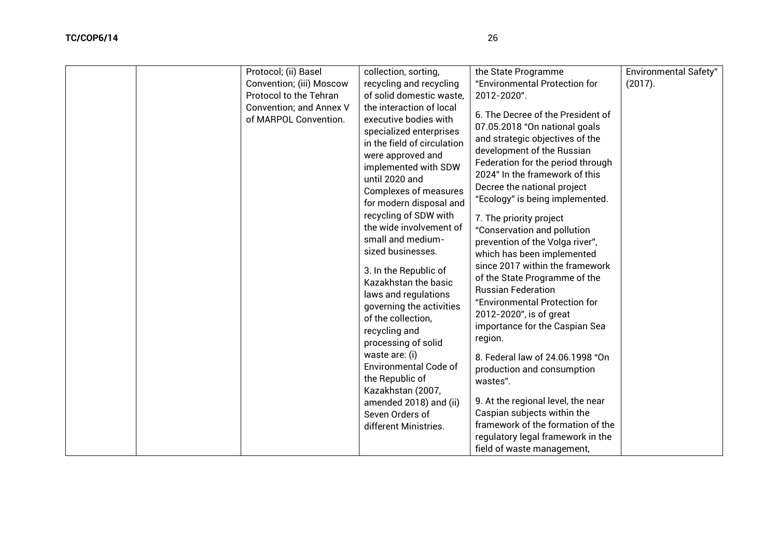| Protocol; (ii) Basel                                                              | collection, sorting,                                                                                                                                                                                                                                                                                                                                                                                                                                                                                                                                                                                                                                                                               | the State Programme                                                                                                                                                                                                                                                                                                                                                                                                                                                                                                                                                                                                                                                                                                                                                                                                                                           | <b>Environmental Safety"</b> |
|-----------------------------------------------------------------------------------|----------------------------------------------------------------------------------------------------------------------------------------------------------------------------------------------------------------------------------------------------------------------------------------------------------------------------------------------------------------------------------------------------------------------------------------------------------------------------------------------------------------------------------------------------------------------------------------------------------------------------------------------------------------------------------------------------|---------------------------------------------------------------------------------------------------------------------------------------------------------------------------------------------------------------------------------------------------------------------------------------------------------------------------------------------------------------------------------------------------------------------------------------------------------------------------------------------------------------------------------------------------------------------------------------------------------------------------------------------------------------------------------------------------------------------------------------------------------------------------------------------------------------------------------------------------------------|------------------------------|
| Convention; (iii) Moscow                                                          | recycling and recycling                                                                                                                                                                                                                                                                                                                                                                                                                                                                                                                                                                                                                                                                            | "Environmental Protection for                                                                                                                                                                                                                                                                                                                                                                                                                                                                                                                                                                                                                                                                                                                                                                                                                                 | (2017).                      |
|                                                                                   |                                                                                                                                                                                                                                                                                                                                                                                                                                                                                                                                                                                                                                                                                                    |                                                                                                                                                                                                                                                                                                                                                                                                                                                                                                                                                                                                                                                                                                                                                                                                                                                               |                              |
| Protocol to the Tehran<br><b>Convention; and Annex V</b><br>of MARPOL Convention. | of solid domestic waste,<br>the interaction of local<br>executive bodies with<br>specialized enterprises<br>in the field of circulation<br>were approved and<br>implemented with SDW<br>until 2020 and<br><b>Complexes of measures</b><br>for modern disposal and<br>recycling of SDW with<br>the wide involvement of<br>small and medium-<br>sized businesses.<br>3. In the Republic of<br>Kazakhstan the basic<br>laws and regulations<br>governing the activities<br>of the collection,<br>recycling and<br>processing of solid<br>waste are: (i)<br><b>Environmental Code of</b><br>the Republic of<br>Kazakhstan (2007,<br>amended 2018) and (ii)<br>Seven Orders of<br>different Ministries. | 2012-2020".<br>6. The Decree of the President of<br>07.05.2018 "On national goals<br>and strategic objectives of the<br>development of the Russian<br>Federation for the period through<br>2024" In the framework of this<br>Decree the national project<br>"Ecology" is being implemented.<br>7. The priority project<br>"Conservation and pollution<br>prevention of the Volga river",<br>which has been implemented<br>since 2017 within the framework<br>of the State Programme of the<br><b>Russian Federation</b><br>"Environmental Protection for<br>2012-2020", is of great<br>importance for the Caspian Sea<br>region.<br>8. Federal law of 24.06.1998 "On<br>production and consumption<br>wastes".<br>9. At the regional level, the near<br>Caspian subjects within the<br>framework of the formation of the<br>regulatory legal framework in the |                              |
|                                                                                   |                                                                                                                                                                                                                                                                                                                                                                                                                                                                                                                                                                                                                                                                                                    | field of waste management,                                                                                                                                                                                                                                                                                                                                                                                                                                                                                                                                                                                                                                                                                                                                                                                                                                    |                              |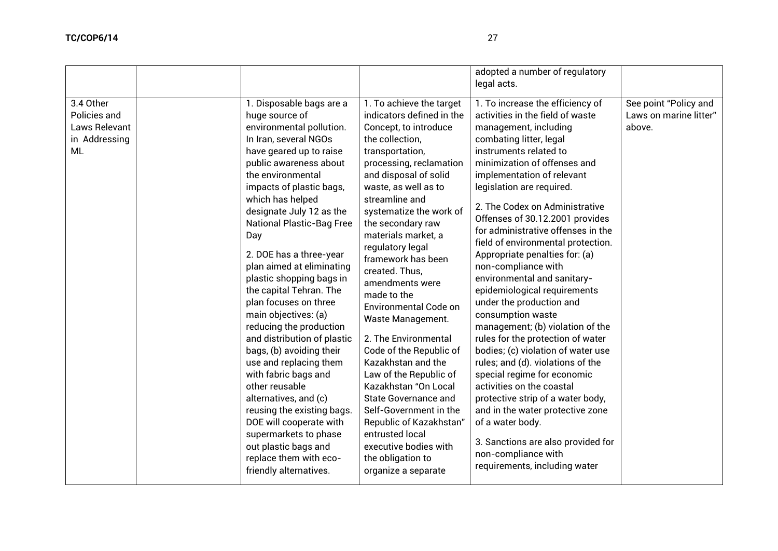|                                                                          |                                                                                                                                                                                                                                                                                                                                                                                                                                                                                                                                                                                                                                                                                                                                                                                                                   |                                                                                                                                                                                                                                                                                                                                                                                                                                                                                                                                                                                                                                                                                                                                                         | adopted a number of regulatory<br>legal acts.                                                                                                                                                                                                                                                                                                                                                                                                                                                                                                                                                                                                                                                                                                                                                                                                                                                                                                                                      |                                                           |
|--------------------------------------------------------------------------|-------------------------------------------------------------------------------------------------------------------------------------------------------------------------------------------------------------------------------------------------------------------------------------------------------------------------------------------------------------------------------------------------------------------------------------------------------------------------------------------------------------------------------------------------------------------------------------------------------------------------------------------------------------------------------------------------------------------------------------------------------------------------------------------------------------------|---------------------------------------------------------------------------------------------------------------------------------------------------------------------------------------------------------------------------------------------------------------------------------------------------------------------------------------------------------------------------------------------------------------------------------------------------------------------------------------------------------------------------------------------------------------------------------------------------------------------------------------------------------------------------------------------------------------------------------------------------------|------------------------------------------------------------------------------------------------------------------------------------------------------------------------------------------------------------------------------------------------------------------------------------------------------------------------------------------------------------------------------------------------------------------------------------------------------------------------------------------------------------------------------------------------------------------------------------------------------------------------------------------------------------------------------------------------------------------------------------------------------------------------------------------------------------------------------------------------------------------------------------------------------------------------------------------------------------------------------------|-----------------------------------------------------------|
| 3.4 Other<br>Policies and<br>Laws Relevant<br>in Addressing<br><b>ML</b> | 1. Disposable bags are a<br>huge source of<br>environmental pollution.<br>In Iran, several NGOs<br>have geared up to raise<br>public awareness about<br>the environmental<br>impacts of plastic bags,<br>which has helped<br>designate July 12 as the<br><b>National Plastic-Bag Free</b><br>Day<br>2. DOE has a three-year<br>plan aimed at eliminating<br>plastic shopping bags in<br>the capital Tehran. The<br>plan focuses on three<br>main objectives: (a)<br>reducing the production<br>and distribution of plastic<br>bags, (b) avoiding their<br>use and replacing them<br>with fabric bags and<br>other reusable<br>alternatives, and (c)<br>reusing the existing bags.<br>DOE will cooperate with<br>supermarkets to phase<br>out plastic bags and<br>replace them with eco-<br>friendly alternatives. | $\overline{1.7}$ achieve the target<br>indicators defined in the<br>Concept, to introduce<br>the collection,<br>transportation,<br>processing, reclamation<br>and disposal of solid<br>waste, as well as to<br>streamline and<br>systematize the work of<br>the secondary raw<br>materials market, a<br>regulatory legal<br>framework has been<br>created. Thus,<br>amendments were<br>made to the<br><b>Environmental Code on</b><br>Waste Management.<br>2. The Environmental<br>Code of the Republic of<br>Kazakhstan and the<br>Law of the Republic of<br>Kazakhstan "On Local<br>State Governance and<br>Self-Government in the<br>Republic of Kazakhstan"<br>entrusted local<br>executive bodies with<br>the obligation to<br>organize a separate | 1. To increase the efficiency of<br>activities in the field of waste<br>management, including<br>combating litter, legal<br>instruments related to<br>minimization of offenses and<br>implementation of relevant<br>legislation are required.<br>2. The Codex on Administrative<br>Offenses of 30.12.2001 provides<br>for administrative offenses in the<br>field of environmental protection.<br>Appropriate penalties for: (a)<br>non-compliance with<br>environmental and sanitary-<br>epidemiological requirements<br>under the production and<br>consumption waste<br>management; (b) violation of the<br>rules for the protection of water<br>bodies; (c) violation of water use<br>rules; and (d). violations of the<br>special regime for economic<br>activities on the coastal<br>protective strip of a water body,<br>and in the water protective zone<br>of a water body.<br>3. Sanctions are also provided for<br>non-compliance with<br>requirements, including water | See point "Policy and<br>Laws on marine litter"<br>above. |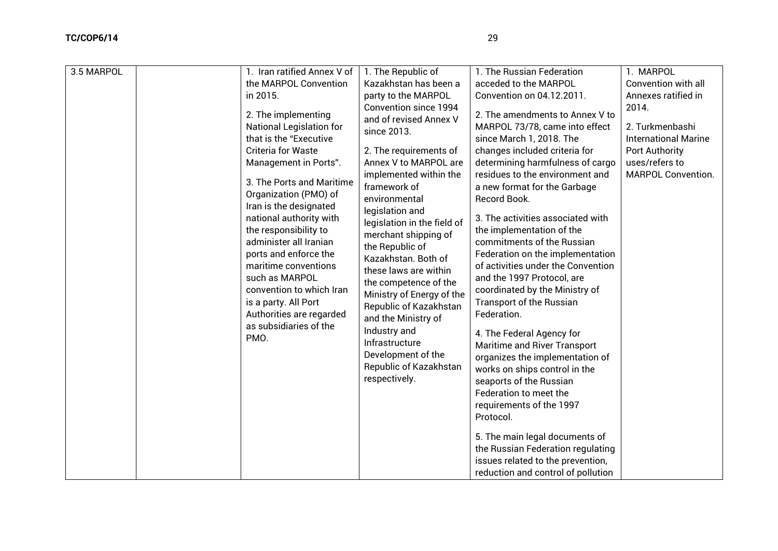| 3.5 MARPOL | 1. Iran ratified Annex V of                                                                                                                                                                                                                                                                                                                                                                                                                                                                           | 1. The Republic of                                                                                                                                                                                                                                                                                                                                                                                                                                                                                                                                                | 1. The Russian Federation                                                                                                                                                                                                                                                                                                                                                                                                                                                                                                                                                                                                                                                                                                                                                                                                                                                                                                 | 1. MARPOL                                                                                                                                       |
|------------|-------------------------------------------------------------------------------------------------------------------------------------------------------------------------------------------------------------------------------------------------------------------------------------------------------------------------------------------------------------------------------------------------------------------------------------------------------------------------------------------------------|-------------------------------------------------------------------------------------------------------------------------------------------------------------------------------------------------------------------------------------------------------------------------------------------------------------------------------------------------------------------------------------------------------------------------------------------------------------------------------------------------------------------------------------------------------------------|---------------------------------------------------------------------------------------------------------------------------------------------------------------------------------------------------------------------------------------------------------------------------------------------------------------------------------------------------------------------------------------------------------------------------------------------------------------------------------------------------------------------------------------------------------------------------------------------------------------------------------------------------------------------------------------------------------------------------------------------------------------------------------------------------------------------------------------------------------------------------------------------------------------------------|-------------------------------------------------------------------------------------------------------------------------------------------------|
|            | the MARPOL Convention                                                                                                                                                                                                                                                                                                                                                                                                                                                                                 | Kazakhstan has been a                                                                                                                                                                                                                                                                                                                                                                                                                                                                                                                                             | acceded to the MARPOL                                                                                                                                                                                                                                                                                                                                                                                                                                                                                                                                                                                                                                                                                                                                                                                                                                                                                                     | Convention with all                                                                                                                             |
|            |                                                                                                                                                                                                                                                                                                                                                                                                                                                                                                       |                                                                                                                                                                                                                                                                                                                                                                                                                                                                                                                                                                   |                                                                                                                                                                                                                                                                                                                                                                                                                                                                                                                                                                                                                                                                                                                                                                                                                                                                                                                           |                                                                                                                                                 |
|            |                                                                                                                                                                                                                                                                                                                                                                                                                                                                                                       |                                                                                                                                                                                                                                                                                                                                                                                                                                                                                                                                                                   |                                                                                                                                                                                                                                                                                                                                                                                                                                                                                                                                                                                                                                                                                                                                                                                                                                                                                                                           |                                                                                                                                                 |
|            | in 2015.<br>2. The implementing<br><b>National Legislation for</b><br>that is the "Executive<br><b>Criteria for Waste</b><br>Management in Ports".<br>3. The Ports and Maritime<br>Organization (PMO) of<br>Iran is the designated<br>national authority with<br>the responsibility to<br>administer all Iranian<br>ports and enforce the<br>maritime conventions<br>such as MARPOL<br>convention to which Iran<br>is a party. All Port<br>Authorities are regarded<br>as subsidiaries of the<br>PMO. | party to the MARPOL<br><b>Convention since 1994</b><br>and of revised Annex V<br>since 2013.<br>2. The requirements of<br>Annex V to MARPOL are<br>implemented within the<br>framework of<br>environmental<br>legislation and<br>legislation in the field of<br>merchant shipping of<br>the Republic of<br>Kazakhstan. Both of<br>these laws are within<br>the competence of the<br>Ministry of Energy of the<br>Republic of Kazakhstan<br>and the Ministry of<br>Industry and<br>Infrastructure<br>Development of the<br>Republic of Kazakhstan<br>respectively. | Convention on 04.12.2011.<br>2. The amendments to Annex V to<br>MARPOL 73/78, came into effect<br>since March 1, 2018. The<br>changes included criteria for<br>determining harmfulness of cargo<br>residues to the environment and<br>a new format for the Garbage<br>Record Book.<br>3. The activities associated with<br>the implementation of the<br>commitments of the Russian<br>Federation on the implementation<br>of activities under the Convention<br>and the 1997 Protocol, are<br>coordinated by the Ministry of<br><b>Transport of the Russian</b><br>Federation.<br>4. The Federal Agency for<br>Maritime and River Transport<br>organizes the implementation of<br>works on ships control in the<br>seaports of the Russian<br>Federation to meet the<br>requirements of the 1997<br>Protocol.<br>5. The main legal documents of<br>the Russian Federation regulating<br>issues related to the prevention, | Annexes ratified in<br>2014.<br>2. Turkmenbashi<br><b>International Marine</b><br><b>Port Authority</b><br>uses/refers to<br>MARPOL Convention. |
|            |                                                                                                                                                                                                                                                                                                                                                                                                                                                                                                       |                                                                                                                                                                                                                                                                                                                                                                                                                                                                                                                                                                   | reduction and control of pollution                                                                                                                                                                                                                                                                                                                                                                                                                                                                                                                                                                                                                                                                                                                                                                                                                                                                                        |                                                                                                                                                 |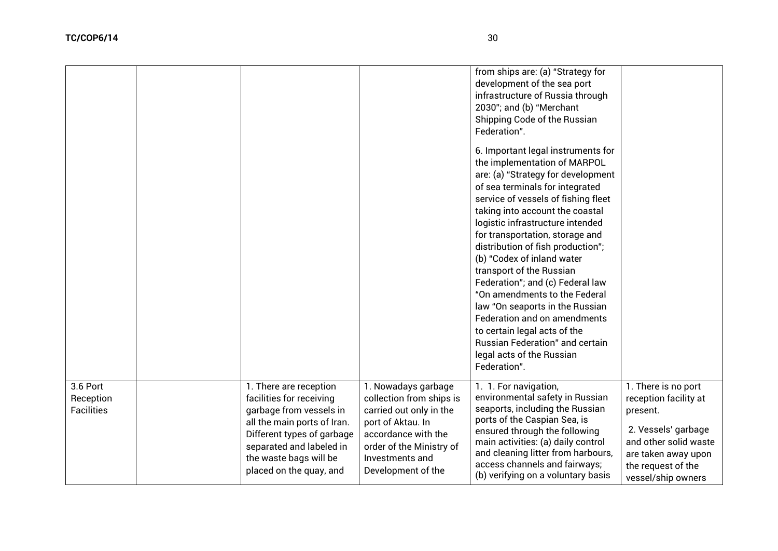|                                            |                                                                                                                                                                                                                             |                                                                                                                                                                                             | from ships are: (a) "Strategy for<br>development of the sea port<br>infrastructure of Russia through<br>2030"; and (b) "Merchant<br>Shipping Code of the Russian<br>Federation".<br>6. Important legal instruments for<br>the implementation of MARPOL<br>are: (a) "Strategy for development<br>of sea terminals for integrated<br>service of vessels of fishing fleet<br>taking into account the coastal<br>logistic infrastructure intended<br>for transportation, storage and<br>distribution of fish production";<br>(b) "Codex of inland water<br>transport of the Russian<br>Federation"; and (c) Federal law<br>"On amendments to the Federal<br>law "On seaports in the Russian<br>Federation and on amendments<br>to certain legal acts of the<br><b>Russian Federation" and certain</b><br>legal acts of the Russian<br>Federation". |                                                                                                                                                                             |
|--------------------------------------------|-----------------------------------------------------------------------------------------------------------------------------------------------------------------------------------------------------------------------------|---------------------------------------------------------------------------------------------------------------------------------------------------------------------------------------------|------------------------------------------------------------------------------------------------------------------------------------------------------------------------------------------------------------------------------------------------------------------------------------------------------------------------------------------------------------------------------------------------------------------------------------------------------------------------------------------------------------------------------------------------------------------------------------------------------------------------------------------------------------------------------------------------------------------------------------------------------------------------------------------------------------------------------------------------|-----------------------------------------------------------------------------------------------------------------------------------------------------------------------------|
| 3.6 Port<br>Reception<br><b>Facilities</b> | 1. There are reception<br>facilities for receiving<br>garbage from vessels in<br>all the main ports of Iran.<br>Different types of garbage<br>separated and labeled in<br>the waste bags will be<br>placed on the quay, and | 1. Nowadays garbage<br>collection from ships is<br>carried out only in the<br>port of Aktau. In<br>accordance with the<br>order of the Ministry of<br>Investments and<br>Development of the | 1. 1. For navigation,<br>environmental safety in Russian<br>seaports, including the Russian<br>ports of the Caspian Sea, is<br>ensured through the following<br>main activities: (a) daily control<br>and cleaning litter from harbours,<br>access channels and fairways;<br>(b) verifying on a voluntary basis                                                                                                                                                                                                                                                                                                                                                                                                                                                                                                                                | 1. There is no port<br>reception facility at<br>present.<br>2. Vessels' garbage<br>and other solid waste<br>are taken away upon<br>the request of the<br>vessel/ship owners |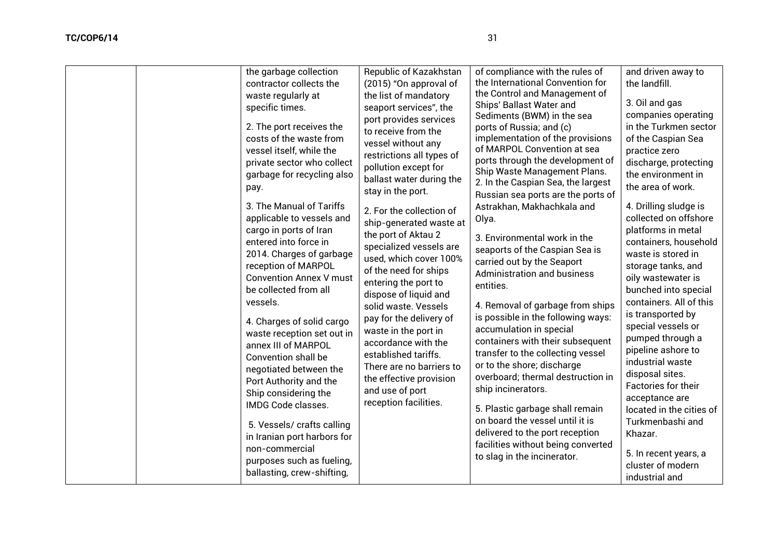| the garbage collection<br>contractor collects the<br>waste regularly at<br>specific times.<br>2. The port receives the<br>costs of the waste from<br>vessel itself, while the<br>private sector who collect<br>garbage for recycling also<br>pay.<br>3. The Manual of Tariffs<br>applicable to vessels and<br>cargo in ports of Iran<br>entered into force in<br>2014. Charges of garbage<br>reception of MARPOL<br><b>Convention Annex V must</b><br>be collected from all<br>vessels.<br>4. Charges of solid cargo<br>waste reception set out in<br>annex III of MARPOL<br><b>Convention shall be</b><br>negotiated between the<br>Port Authority and the<br>Ship considering the<br>IMDG Code classes.<br>5. Vessels/ crafts calling<br>in Iranian port harbors for<br>non-commercial<br>purposes such as fueling,<br>ballasting, crew-shifting, | Republic of Kazakhstan<br>(2015) "On approval of<br>the list of mandatory<br>seaport services", the<br>port provides services<br>to receive from the<br>vessel without any<br>restrictions all types of<br>pollution except for<br>ballast water during the<br>stay in the port.<br>2. For the collection of<br>ship-generated waste at<br>the port of Aktau 2<br>specialized vessels are<br>used, which cover 100%<br>of the need for ships<br>entering the port to<br>dispose of liquid and<br>solid waste. Vessels<br>pay for the delivery of<br>waste in the port in<br>accordance with the<br>established tariffs.<br>There are no barriers to<br>the effective provision<br>and use of port<br>reception facilities. | of compliance with the rules of<br>the International Convention for<br>the Control and Management of<br>Ships' Ballast Water and<br>Sediments (BWM) in the sea<br>ports of Russia; and (c)<br>implementation of the provisions<br>of MARPOL Convention at sea<br>ports through the development of<br>Ship Waste Management Plans.<br>2. In the Caspian Sea, the largest<br>Russian sea ports are the ports of<br>Astrakhan, Makhachkala and<br>Olya.<br>3. Environmental work in the<br>seaports of the Caspian Sea is<br>carried out by the Seaport<br>Administration and business<br>entities.<br>4. Removal of garbage from ships<br>is possible in the following ways:<br>accumulation in special<br>containers with their subsequent<br>transfer to the collecting vessel<br>or to the shore; discharge<br>overboard; thermal destruction in<br>ship incinerators.<br>5. Plastic garbage shall remain<br>on board the vessel until it is<br>delivered to the port reception<br>facilities without being converted<br>to slag in the incinerator. | and driven away to<br>the landfill.<br>3. Oil and gas<br>companies operating<br>in the Turkmen sector<br>of the Caspian Sea<br>practice zero<br>discharge, protecting<br>the environment in<br>the area of work.<br>4. Drilling sludge is<br>collected on offshore<br>platforms in metal<br>containers, household<br>waste is stored in<br>storage tanks, and<br>oily wastewater is<br>bunched into special<br>containers. All of this<br>is transported by<br>special vessels or<br>pumped through a<br>pipeline ashore to<br>industrial waste<br>disposal sites.<br>Factories for their<br>acceptance are<br>located in the cities of<br>Turkmenbashi and<br>Khazar.<br>5. In recent years, a<br>cluster of modern<br>industrial and |
|-----------------------------------------------------------------------------------------------------------------------------------------------------------------------------------------------------------------------------------------------------------------------------------------------------------------------------------------------------------------------------------------------------------------------------------------------------------------------------------------------------------------------------------------------------------------------------------------------------------------------------------------------------------------------------------------------------------------------------------------------------------------------------------------------------------------------------------------------------|----------------------------------------------------------------------------------------------------------------------------------------------------------------------------------------------------------------------------------------------------------------------------------------------------------------------------------------------------------------------------------------------------------------------------------------------------------------------------------------------------------------------------------------------------------------------------------------------------------------------------------------------------------------------------------------------------------------------------|-------------------------------------------------------------------------------------------------------------------------------------------------------------------------------------------------------------------------------------------------------------------------------------------------------------------------------------------------------------------------------------------------------------------------------------------------------------------------------------------------------------------------------------------------------------------------------------------------------------------------------------------------------------------------------------------------------------------------------------------------------------------------------------------------------------------------------------------------------------------------------------------------------------------------------------------------------------------------------------------------------------------------------------------------------|----------------------------------------------------------------------------------------------------------------------------------------------------------------------------------------------------------------------------------------------------------------------------------------------------------------------------------------------------------------------------------------------------------------------------------------------------------------------------------------------------------------------------------------------------------------------------------------------------------------------------------------------------------------------------------------------------------------------------------------|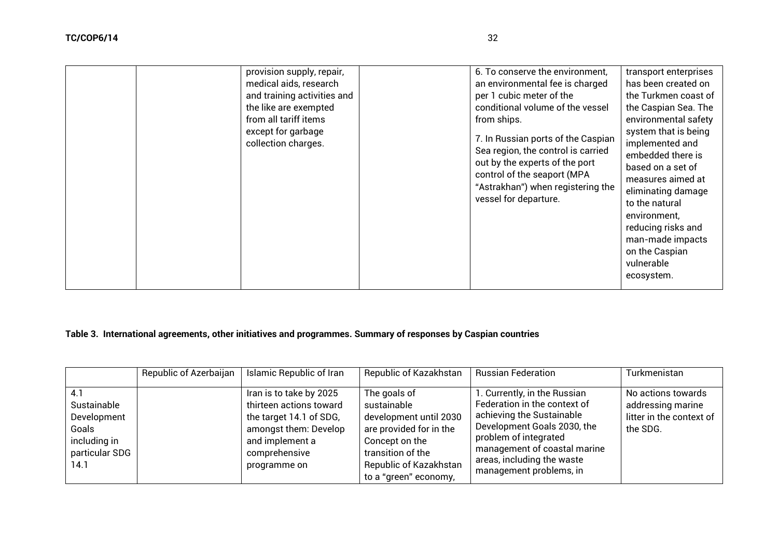|  | provision supply, repair,<br>medical aids, research<br>and training activities and<br>the like are exempted<br>from all tariff items<br>except for garbage<br>collection charges. |  | 6. To conserve the environment,<br>an environmental fee is charged<br>per 1 cubic meter of the<br>conditional volume of the vessel<br>from ships.<br>7. In Russian ports of the Caspian<br>Sea region, the control is carried<br>out by the experts of the port<br>control of the seaport (MPA<br>"Astrakhan") when registering the<br>vessel for departure. | transport enterprises<br>has been created on<br>the Turkmen coast of<br>the Caspian Sea. The<br>environmental safety<br>system that is being<br>implemented and<br>embedded there is<br>based on a set of<br>measures aimed at<br>eliminating damage<br>to the natural<br>environment,<br>reducing risks and<br>man-made impacts<br>on the Caspian<br>vulnerable<br>ecosystem. |
|--|-----------------------------------------------------------------------------------------------------------------------------------------------------------------------------------|--|--------------------------------------------------------------------------------------------------------------------------------------------------------------------------------------------------------------------------------------------------------------------------------------------------------------------------------------------------------------|--------------------------------------------------------------------------------------------------------------------------------------------------------------------------------------------------------------------------------------------------------------------------------------------------------------------------------------------------------------------------------|
|--|-----------------------------------------------------------------------------------------------------------------------------------------------------------------------------------|--|--------------------------------------------------------------------------------------------------------------------------------------------------------------------------------------------------------------------------------------------------------------------------------------------------------------------------------------------------------------|--------------------------------------------------------------------------------------------------------------------------------------------------------------------------------------------------------------------------------------------------------------------------------------------------------------------------------------------------------------------------------|

# **Table 3. International agreements, other initiatives and programmes. Summary of responses by Caspian countries**

|                                                                                      | Republic of Azerbaijan | Islamic Republic of Iran                                                                                                                                   | Republic of Kazakhstan                                                                                                                                                     | <b>Russian Federation</b>                                                                                                                                                                                                                  | Turkmenistan                                                                    |
|--------------------------------------------------------------------------------------|------------------------|------------------------------------------------------------------------------------------------------------------------------------------------------------|----------------------------------------------------------------------------------------------------------------------------------------------------------------------------|--------------------------------------------------------------------------------------------------------------------------------------------------------------------------------------------------------------------------------------------|---------------------------------------------------------------------------------|
| 4.1<br>Sustainable<br>Development<br>Goals<br>including in<br>particular SDG<br>14.1 |                        | Iran is to take by 2025<br>thirteen actions toward<br>the target 14.1 of SDG,<br>amongst them: Develop<br>and implement a<br>comprehensive<br>programme on | The goals of<br>sustainable<br>development until 2030<br>are provided for in the<br>Concept on the<br>transition of the<br>Republic of Kazakhstan<br>to a "green" economy, | 1. Currently, in the Russian<br>Federation in the context of<br>achieving the Sustainable<br>Development Goals 2030, the<br>problem of integrated<br>management of coastal marine<br>areas, including the waste<br>management problems, in | No actions towards<br>addressing marine<br>litter in the context of<br>the SDG. |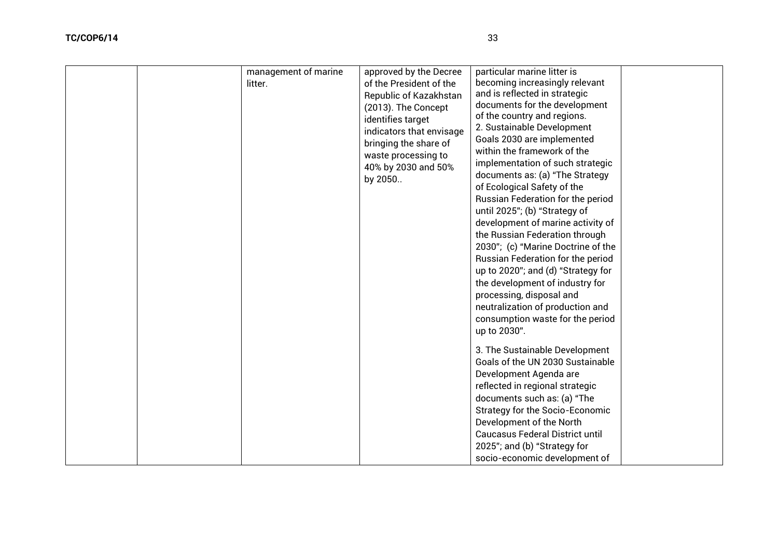| management of marine<br>litter. | particular marine litter is<br>approved by the Decree<br>becoming increasingly relevant<br>of the President of the<br>and is reflected in strategic<br>Republic of Kazakhstan<br>documents for the development<br>(2013). The Concept<br>of the country and regions.<br>identifies target<br>2. Sustainable Development<br>indicators that envisage<br>Goals 2030 are implemented<br>bringing the share of<br>within the framework of the<br>waste processing to<br>implementation of such strategic<br>40% by 2030 and 50%<br>documents as: (a) "The Strategy<br>by 2050<br>of Ecological Safety of the<br>Russian Federation for the period<br>until 2025"; (b) "Strategy of<br>development of marine activity of<br>the Russian Federation through<br>2030"; (c) "Marine Doctrine of the<br>Russian Federation for the period<br>up to 2020"; and (d) "Strategy for<br>the development of industry for<br>processing, disposal and |  |
|---------------------------------|---------------------------------------------------------------------------------------------------------------------------------------------------------------------------------------------------------------------------------------------------------------------------------------------------------------------------------------------------------------------------------------------------------------------------------------------------------------------------------------------------------------------------------------------------------------------------------------------------------------------------------------------------------------------------------------------------------------------------------------------------------------------------------------------------------------------------------------------------------------------------------------------------------------------------------------|--|
|---------------------------------|---------------------------------------------------------------------------------------------------------------------------------------------------------------------------------------------------------------------------------------------------------------------------------------------------------------------------------------------------------------------------------------------------------------------------------------------------------------------------------------------------------------------------------------------------------------------------------------------------------------------------------------------------------------------------------------------------------------------------------------------------------------------------------------------------------------------------------------------------------------------------------------------------------------------------------------|--|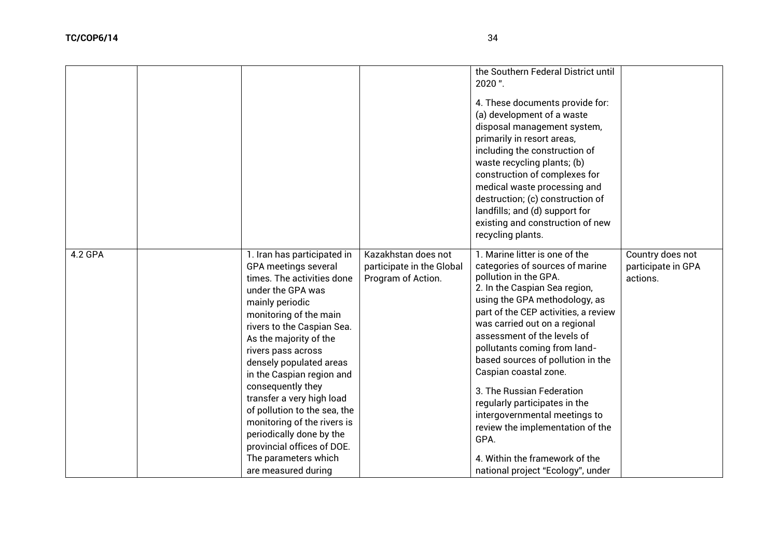|         |                                                                                                                                                                                                                                                                                                                                                                                                                                                                                                                     |                                                                        | the Southern Federal District until<br>2020".<br>4. These documents provide for:<br>(a) development of a waste<br>disposal management system,<br>primarily in resort areas,<br>including the construction of<br>waste recycling plants; (b)<br>construction of complexes for<br>medical waste processing and<br>destruction; (c) construction of<br>landfills; and (d) support for<br>existing and construction of new<br>recycling plants.                                                                                                                                          |                                                    |
|---------|---------------------------------------------------------------------------------------------------------------------------------------------------------------------------------------------------------------------------------------------------------------------------------------------------------------------------------------------------------------------------------------------------------------------------------------------------------------------------------------------------------------------|------------------------------------------------------------------------|--------------------------------------------------------------------------------------------------------------------------------------------------------------------------------------------------------------------------------------------------------------------------------------------------------------------------------------------------------------------------------------------------------------------------------------------------------------------------------------------------------------------------------------------------------------------------------------|----------------------------------------------------|
| 4.2 GPA | 1. Iran has participated in<br>GPA meetings several<br>times. The activities done<br>under the GPA was<br>mainly periodic<br>monitoring of the main<br>rivers to the Caspian Sea.<br>As the majority of the<br>rivers pass across<br>densely populated areas<br>in the Caspian region and<br>consequently they<br>transfer a very high load<br>of pollution to the sea, the<br>monitoring of the rivers is<br>periodically done by the<br>provincial offices of DOE.<br>The parameters which<br>are measured during | Kazakhstan does not<br>participate in the Global<br>Program of Action. | 1. Marine litter is one of the<br>categories of sources of marine<br>pollution in the GPA.<br>2. In the Caspian Sea region,<br>using the GPA methodology, as<br>part of the CEP activities, a review<br>was carried out on a regional<br>assessment of the levels of<br>pollutants coming from land-<br>based sources of pollution in the<br>Caspian coastal zone.<br>3. The Russian Federation<br>regularly participates in the<br>intergovernmental meetings to<br>review the implementation of the<br>GPA.<br>4. Within the framework of the<br>national project "Ecology", under | Country does not<br>participate in GPA<br>actions. |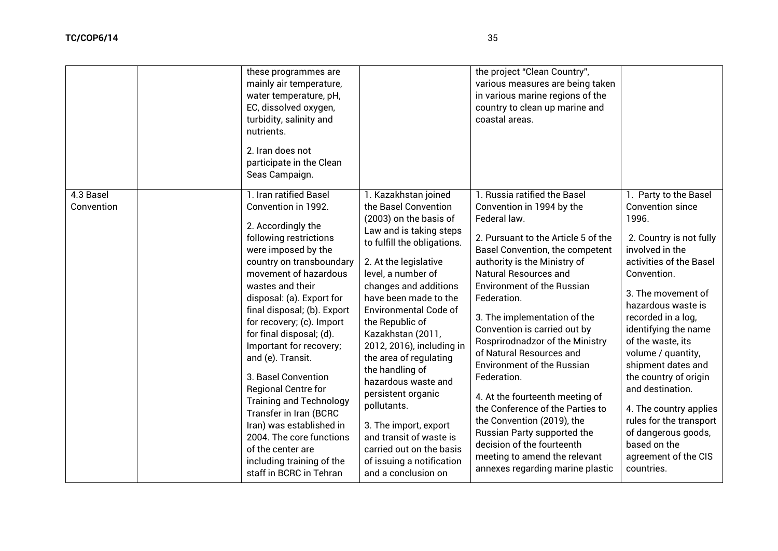|                         | these programmes are<br>mainly air temperature,<br>water temperature, pH,<br>EC, dissolved oxygen,<br>turbidity, salinity and<br>nutrients.<br>2. Iran does not<br>participate in the Clean<br>Seas Campaign.                                                                                                                                                                                                                                                                                                                                                                                                     |                                                                                                                                                                                                                                                                                                                                                                                                                                                                                                                                                                                     | the project "Clean Country",<br>various measures are being taken<br>in various marine regions of the<br>country to clean up marine and<br>coastal areas.                                                                                                                                                                                                                                                                                                                                                                                                                                                                                                                                          |                                                                                                                                                                                                                                                                                                                                                                                                                                                                                             |
|-------------------------|-------------------------------------------------------------------------------------------------------------------------------------------------------------------------------------------------------------------------------------------------------------------------------------------------------------------------------------------------------------------------------------------------------------------------------------------------------------------------------------------------------------------------------------------------------------------------------------------------------------------|-------------------------------------------------------------------------------------------------------------------------------------------------------------------------------------------------------------------------------------------------------------------------------------------------------------------------------------------------------------------------------------------------------------------------------------------------------------------------------------------------------------------------------------------------------------------------------------|---------------------------------------------------------------------------------------------------------------------------------------------------------------------------------------------------------------------------------------------------------------------------------------------------------------------------------------------------------------------------------------------------------------------------------------------------------------------------------------------------------------------------------------------------------------------------------------------------------------------------------------------------------------------------------------------------|---------------------------------------------------------------------------------------------------------------------------------------------------------------------------------------------------------------------------------------------------------------------------------------------------------------------------------------------------------------------------------------------------------------------------------------------------------------------------------------------|
| 4.3 Basel<br>Convention | 1. Iran ratified Basel<br>Convention in 1992.<br>2. Accordingly the<br>following restrictions<br>were imposed by the<br>country on transboundary<br>movement of hazardous<br>wastes and their<br>disposal: (a). Export for<br>final disposal; (b). Export<br>for recovery; (c). Import<br>for final disposal; (d).<br>Important for recovery;<br>and (e). Transit.<br>3. Basel Convention<br>Regional Centre for<br><b>Training and Technology</b><br>Transfer in Iran (BCRC<br>Iran) was established in<br>2004. The core functions<br>of the center are<br>including training of the<br>staff in BCRC in Tehran | 1. Kazakhstan joined<br>the Basel Convention<br>(2003) on the basis of<br>Law and is taking steps<br>to fulfill the obligations.<br>2. At the legislative<br>level, a number of<br>changes and additions<br>have been made to the<br><b>Environmental Code of</b><br>the Republic of<br>Kazakhstan (2011,<br>2012, 2016), including in<br>the area of regulating<br>the handling of<br>hazardous waste and<br>persistent organic<br>pollutants.<br>3. The import, export<br>and transit of waste is<br>carried out on the basis<br>of issuing a notification<br>and a conclusion on | 1. Russia ratified the Basel<br>Convention in 1994 by the<br>Federal law.<br>2. Pursuant to the Article 5 of the<br>Basel Convention, the competent<br>authority is the Ministry of<br><b>Natural Resources and</b><br><b>Environment of the Russian</b><br>Federation.<br>3. The implementation of the<br>Convention is carried out by<br>Rosprirodnadzor of the Ministry<br>of Natural Resources and<br><b>Environment of the Russian</b><br>Federation.<br>4. At the fourteenth meeting of<br>the Conference of the Parties to<br>the Convention (2019), the<br>Russian Party supported the<br>decision of the fourteenth<br>meeting to amend the relevant<br>annexes regarding marine plastic | 1. Party to the Basel<br><b>Convention since</b><br>1996.<br>2. Country is not fully<br>involved in the<br>activities of the Basel<br>Convention.<br>3. The movement of<br>hazardous waste is<br>recorded in a log,<br>identifying the name<br>of the waste, its<br>volume / quantity,<br>shipment dates and<br>the country of origin<br>and destination.<br>4. The country applies<br>rules for the transport<br>of dangerous goods,<br>based on the<br>agreement of the CIS<br>countries. |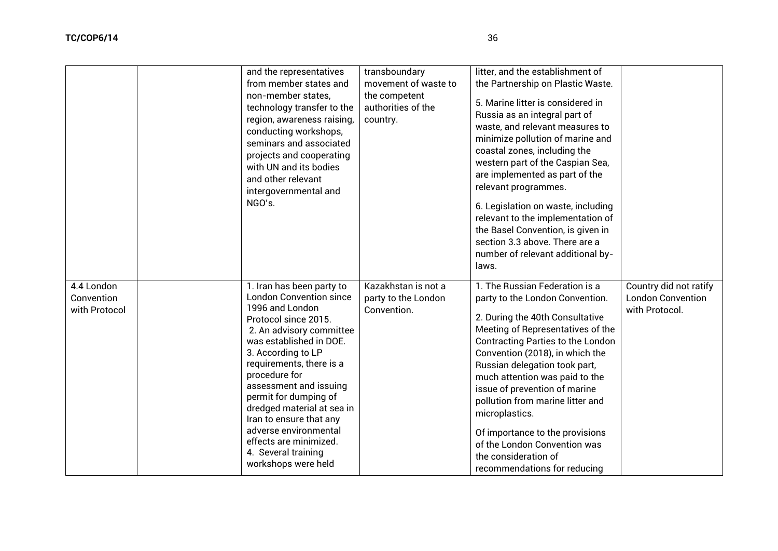|                                           | and the representatives<br>from member states and<br>non-member states,<br>technology transfer to the<br>region, awareness raising,<br>conducting workshops,<br>seminars and associated<br>projects and cooperating<br>with UN and its bodies<br>and other relevant<br>intergovernmental and<br>NGO's.                                                                                                                                        | transboundary<br>movement of waste to<br>the competent<br>authorities of the<br>country. | litter, and the establishment of<br>the Partnership on Plastic Waste.<br>5. Marine litter is considered in<br>Russia as an integral part of<br>waste, and relevant measures to<br>minimize pollution of marine and<br>coastal zones, including the<br>western part of the Caspian Sea,<br>are implemented as part of the<br>relevant programmes.<br>6. Legislation on waste, including<br>relevant to the implementation of<br>the Basel Convention, is given in<br>section 3.3 above. There are a<br>number of relevant additional by-<br>laws. |                                                                      |
|-------------------------------------------|-----------------------------------------------------------------------------------------------------------------------------------------------------------------------------------------------------------------------------------------------------------------------------------------------------------------------------------------------------------------------------------------------------------------------------------------------|------------------------------------------------------------------------------------------|--------------------------------------------------------------------------------------------------------------------------------------------------------------------------------------------------------------------------------------------------------------------------------------------------------------------------------------------------------------------------------------------------------------------------------------------------------------------------------------------------------------------------------------------------|----------------------------------------------------------------------|
| 4.4 London<br>Convention<br>with Protocol | 1. Iran has been party to<br><b>London Convention since</b><br>1996 and London<br>Protocol since 2015.<br>2. An advisory committee<br>was established in DOE.<br>3. According to LP<br>requirements, there is a<br>procedure for<br>assessment and issuing<br>permit for dumping of<br>dredged material at sea in<br>Iran to ensure that any<br>adverse environmental<br>effects are minimized.<br>4. Several training<br>workshops were held | Kazakhstan is not a<br>party to the London<br>Convention.                                | 1. The Russian Federation is a<br>party to the London Convention.<br>2. During the 40th Consultative<br>Meeting of Representatives of the<br><b>Contracting Parties to the London</b><br>Convention (2018), in which the<br>Russian delegation took part,<br>much attention was paid to the<br>issue of prevention of marine<br>pollution from marine litter and<br>microplastics.<br>Of importance to the provisions<br>of the London Convention was<br>the consideration of<br>recommendations for reducing                                    | Country did not ratify<br><b>London Convention</b><br>with Protocol. |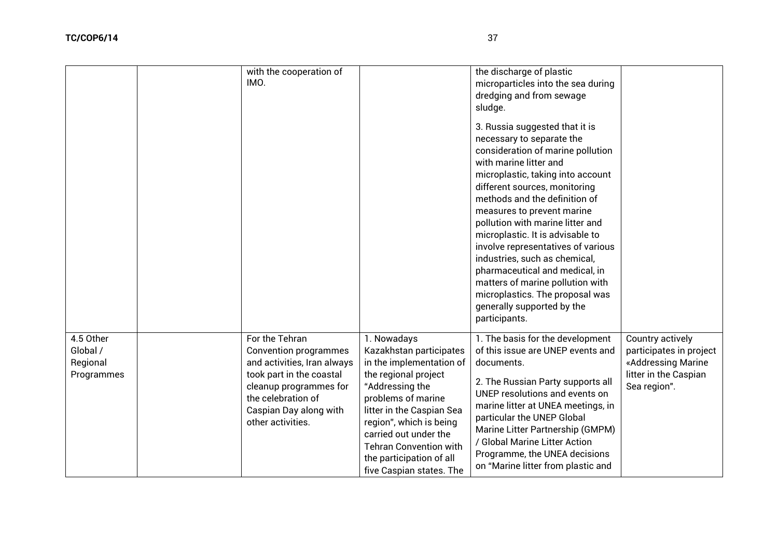|                                                 | with the cooperation of<br>IMO.                                                                                                                                                                          |                                                                                                                                                                                                                                                                                                               | the discharge of plastic<br>microparticles into the sea during<br>dredging and from sewage<br>sludge.<br>3. Russia suggested that it is<br>necessary to separate the<br>consideration of marine pollution<br>with marine litter and<br>microplastic, taking into account<br>different sources, monitoring<br>methods and the definition of<br>measures to prevent marine<br>pollution with marine litter and<br>microplastic. It is advisable to<br>involve representatives of various<br>industries, such as chemical,<br>pharmaceutical and medical, in<br>matters of marine pollution with<br>microplastics. The proposal was<br>generally supported by the<br>participants. |                                                                                                            |
|-------------------------------------------------|----------------------------------------------------------------------------------------------------------------------------------------------------------------------------------------------------------|---------------------------------------------------------------------------------------------------------------------------------------------------------------------------------------------------------------------------------------------------------------------------------------------------------------|---------------------------------------------------------------------------------------------------------------------------------------------------------------------------------------------------------------------------------------------------------------------------------------------------------------------------------------------------------------------------------------------------------------------------------------------------------------------------------------------------------------------------------------------------------------------------------------------------------------------------------------------------------------------------------|------------------------------------------------------------------------------------------------------------|
| 4.5 Other<br>Global /<br>Regional<br>Programmes | For the Tehran<br><b>Convention programmes</b><br>and activities, Iran always<br>took part in the coastal<br>cleanup programmes for<br>the celebration of<br>Caspian Day along with<br>other activities. | 1. Nowadays<br>Kazakhstan participates<br>in the implementation of<br>the regional project<br>"Addressing the<br>problems of marine<br>litter in the Caspian Sea<br>region", which is being<br>carried out under the<br><b>Tehran Convention with</b><br>the participation of all<br>five Caspian states. The | 1. The basis for the development<br>of this issue are UNEP events and<br>documents.<br>2. The Russian Party supports all<br>UNEP resolutions and events on<br>marine litter at UNEA meetings, in<br>particular the UNEP Global<br>Marine Litter Partnership (GMPM)<br>/ Global Marine Litter Action<br>Programme, the UNEA decisions<br>on "Marine litter from plastic and                                                                                                                                                                                                                                                                                                      | Country actively<br>participates in project<br>«Addressing Marine<br>litter in the Caspian<br>Sea region". |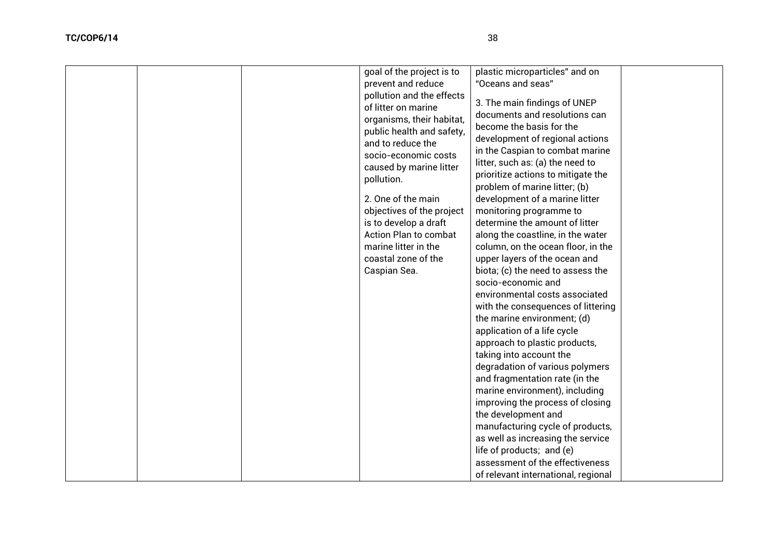| prevent and reduce<br>"Oceans and seas"<br>pollution and the effects<br>3. The main findings of UNEP<br>of litter on marine<br>documents and resolutions can<br>organisms, their habitat,<br>become the basis for the<br>public health and safety,<br>development of regional actions<br>and to reduce the<br>in the Caspian to combat marine<br>socio-economic costs<br>litter, such as: (a) the need to<br>caused by marine litter<br>prioritize actions to mitigate the<br>pollution.<br>problem of marine litter; (b)<br>2. One of the main<br>development of a marine litter<br>objectives of the project<br>monitoring programme to<br>determine the amount of litter<br>is to develop a draft<br>Action Plan to combat<br>along the coastline, in the water<br>marine litter in the<br>column, on the ocean floor, in the<br>coastal zone of the<br>upper layers of the ocean and<br>Caspian Sea.<br>biota; (c) the need to assess the<br>socio-economic and<br>environmental costs associated<br>with the consequences of littering<br>the marine environment; (d)<br>application of a life cycle |  |
|-----------------------------------------------------------------------------------------------------------------------------------------------------------------------------------------------------------------------------------------------------------------------------------------------------------------------------------------------------------------------------------------------------------------------------------------------------------------------------------------------------------------------------------------------------------------------------------------------------------------------------------------------------------------------------------------------------------------------------------------------------------------------------------------------------------------------------------------------------------------------------------------------------------------------------------------------------------------------------------------------------------------------------------------------------------------------------------------------------------|--|
|-----------------------------------------------------------------------------------------------------------------------------------------------------------------------------------------------------------------------------------------------------------------------------------------------------------------------------------------------------------------------------------------------------------------------------------------------------------------------------------------------------------------------------------------------------------------------------------------------------------------------------------------------------------------------------------------------------------------------------------------------------------------------------------------------------------------------------------------------------------------------------------------------------------------------------------------------------------------------------------------------------------------------------------------------------------------------------------------------------------|--|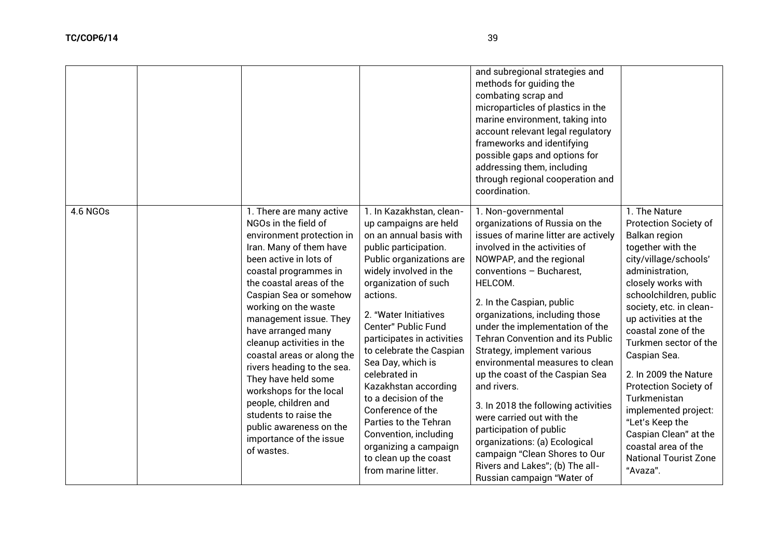|          |                                                                                                                                                                                                                                                                                                                                                                                                                                                                                                                                                           |                                                                                                                                                                                                                                                                                                                                                                                                                                                                                                                                                 | and subregional strategies and<br>methods for guiding the<br>combating scrap and<br>microparticles of plastics in the<br>marine environment, taking into<br>account relevant legal regulatory<br>frameworks and identifying<br>possible gaps and options for<br>addressing them, including<br>through regional cooperation and<br>coordination.                                                                                                                                                                                                                                                                                                                                                      |                                                                                                                                                                                                                                                                                                                                                                                                                                                                                                                           |
|----------|-----------------------------------------------------------------------------------------------------------------------------------------------------------------------------------------------------------------------------------------------------------------------------------------------------------------------------------------------------------------------------------------------------------------------------------------------------------------------------------------------------------------------------------------------------------|-------------------------------------------------------------------------------------------------------------------------------------------------------------------------------------------------------------------------------------------------------------------------------------------------------------------------------------------------------------------------------------------------------------------------------------------------------------------------------------------------------------------------------------------------|------------------------------------------------------------------------------------------------------------------------------------------------------------------------------------------------------------------------------------------------------------------------------------------------------------------------------------------------------------------------------------------------------------------------------------------------------------------------------------------------------------------------------------------------------------------------------------------------------------------------------------------------------------------------------------------------------|---------------------------------------------------------------------------------------------------------------------------------------------------------------------------------------------------------------------------------------------------------------------------------------------------------------------------------------------------------------------------------------------------------------------------------------------------------------------------------------------------------------------------|
| 4.6 NGOs | 1. There are many active<br>NGOs in the field of<br>environment protection in<br>Iran. Many of them have<br>been active in lots of<br>coastal programmes in<br>the coastal areas of the<br>Caspian Sea or somehow<br>working on the waste<br>management issue. They<br>have arranged many<br>cleanup activities in the<br>coastal areas or along the<br>rivers heading to the sea.<br>They have held some<br>workshops for the local<br>people, children and<br>students to raise the<br>public awareness on the<br>importance of the issue<br>of wastes. | 1. In Kazakhstan, clean-<br>up campaigns are held<br>on an annual basis with<br>public participation.<br>Public organizations are<br>widely involved in the<br>organization of such<br>actions.<br>2. "Water Initiatives<br>Center" Public Fund<br>participates in activities<br>to celebrate the Caspian<br>Sea Day, which is<br>celebrated in<br>Kazakhstan according<br>to a decision of the<br>Conference of the<br>Parties to the Tehran<br>Convention, including<br>organizing a campaign<br>to clean up the coast<br>from marine litter. | 1. Non-governmental<br>organizations of Russia on the<br>issues of marine litter are actively<br>involved in the activities of<br>NOWPAP, and the regional<br>conventions - Bucharest,<br>HELCOM.<br>2. In the Caspian, public<br>organizations, including those<br>under the implementation of the<br><b>Tehran Convention and its Public</b><br>Strategy, implement various<br>environmental measures to clean<br>up the coast of the Caspian Sea<br>and rivers.<br>3. In 2018 the following activities<br>were carried out with the<br>participation of public<br>organizations: (a) Ecological<br>campaign "Clean Shores to Our<br>Rivers and Lakes"; (b) The all-<br>Russian campaign "Water of | 1. The Nature<br><b>Protection Society of</b><br><b>Balkan region</b><br>together with the<br>city/village/schools'<br>administration,<br>closely works with<br>schoolchildren, public<br>society, etc. in clean-<br>up activities at the<br>coastal zone of the<br>Turkmen sector of the<br>Caspian Sea.<br>2. In 2009 the Nature<br><b>Protection Society of</b><br>Turkmenistan<br>implemented project:<br>"Let's Keep the<br>Caspian Clean" at the<br>coastal area of the<br><b>National Tourist Zone</b><br>"Avaza". |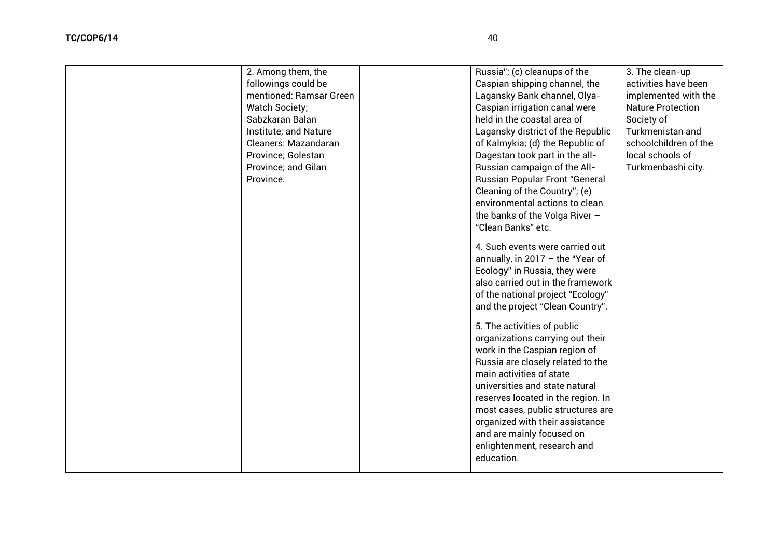| 2. Among them, the      | Russia"; (c) cleanups of the       | 3. The clean-up          |
|-------------------------|------------------------------------|--------------------------|
| followings could be     | Caspian shipping channel, the      | activities have been     |
| mentioned: Ramsar Green | Lagansky Bank channel, Olya-       | implemented with the     |
| <b>Watch Society;</b>   | Caspian irrigation canal were      | <b>Nature Protection</b> |
| Sabzkaran Balan         | held in the coastal area of        | Society of               |
| Institute; and Nature   | Lagansky district of the Republic  | Turkmenistan and         |
| Cleaners: Mazandaran    | of Kalmykia; (d) the Republic of   | schoolchildren of the    |
| Province; Golestan      | Dagestan took part in the all-     | local schools of         |
| Province; and Gilan     | Russian campaign of the All-       | Turkmenbashi city.       |
| Province.               | Russian Popular Front "General     |                          |
|                         | Cleaning of the Country"; (e)      |                          |
|                         | environmental actions to clean     |                          |
|                         | the banks of the Volga River $-$   |                          |
|                         | "Clean Banks" etc.                 |                          |
|                         | 4. Such events were carried out    |                          |
|                         | annually, in $2017 -$ the "Year of |                          |
|                         | Ecology" in Russia, they were      |                          |
|                         | also carried out in the framework  |                          |
|                         | of the national project "Ecology"  |                          |
|                         | and the project "Clean Country".   |                          |
|                         | 5. The activities of public        |                          |
|                         | organizations carrying out their   |                          |
|                         | work in the Caspian region of      |                          |
|                         | Russia are closely related to the  |                          |
|                         | main activities of state           |                          |
|                         | universities and state natural     |                          |
|                         | reserves located in the region. In |                          |
|                         | most cases, public structures are  |                          |
|                         | organized with their assistance    |                          |
|                         | and are mainly focused on          |                          |
|                         | enlightenment, research and        |                          |

education.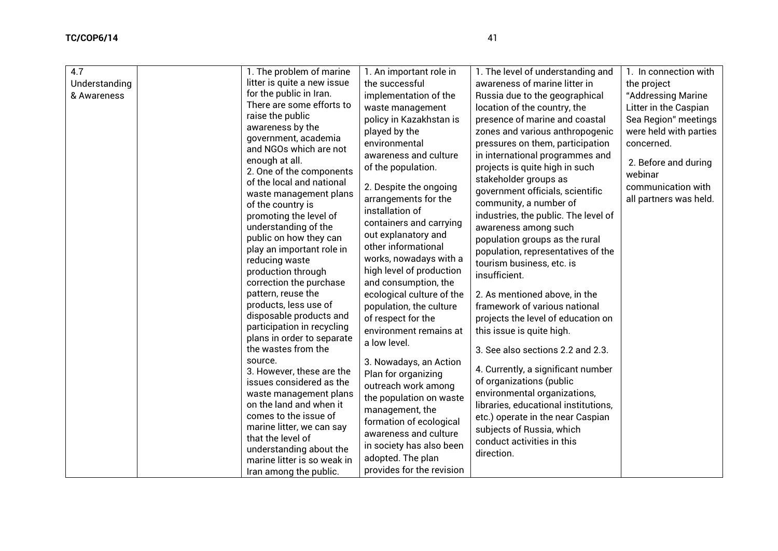| 4.7<br>Understanding<br>& Awareness | 1. The problem of marine<br>litter is quite a new issue<br>for the public in Iran.<br>There are some efforts to<br>raise the public<br>awareness by the<br>government, academia<br>and NGOs which are not<br>enough at all.<br>2. One of the components<br>of the local and national<br>waste management plans<br>of the country is<br>promoting the level of<br>understanding of the<br>public on how they can<br>play an important role in<br>reducing waste<br>production through<br>correction the purchase<br>pattern, reuse the<br>products, less use of<br>disposable products and<br>participation in recycling<br>plans in order to separate<br>the wastes from the<br>source.<br>3. However, these are the<br>issues considered as the<br>waste management plans<br>on the land and when it<br>comes to the issue of<br>marine litter, we can say<br>that the level of<br>understanding about the<br>marine litter is so weak in<br>Iran among the public. | 1. An important role in<br>the successful<br>implementation of the<br>waste management<br>policy in Kazakhstan is<br>played by the<br>environmental<br>awareness and culture<br>of the population.<br>2. Despite the ongoing<br>arrangements for the<br>installation of<br>containers and carrying<br>out explanatory and<br>other informational<br>works, nowadays with a<br>high level of production<br>and consumption, the<br>ecological culture of the<br>population, the culture<br>of respect for the<br>environment remains at<br>a low level.<br>3. Nowadays, an Action<br>Plan for organizing<br>outreach work among<br>the population on waste<br>management, the<br>formation of ecological<br>awareness and culture<br>in society has also been<br>adopted. The plan<br>provides for the revision | 1. The level of understanding and<br>awareness of marine litter in<br>Russia due to the geographical<br>location of the country, the<br>presence of marine and coastal<br>zones and various anthropogenic<br>pressures on them, participation<br>in international programmes and<br>projects is quite high in such<br>stakeholder groups as<br>government officials, scientific<br>community, a number of<br>industries, the public. The level of<br>awareness among such<br>population groups as the rural<br>population, representatives of the<br>tourism business, etc. is<br>insufficient.<br>2. As mentioned above, in the<br>framework of various national<br>projects the level of education on<br>this issue is quite high.<br>3. See also sections 2.2 and 2.3.<br>4. Currently, a significant number<br>of organizations (public<br>environmental organizations,<br>libraries, educational institutions,<br>etc.) operate in the near Caspian<br>subjects of Russia, which<br>conduct activities in this<br>direction. | 1. In connection with<br>the project<br>"Addressing Marine<br>Litter in the Caspian<br>Sea Region" meetings<br>were held with parties<br>concerned.<br>2. Before and during<br>webinar<br>communication with<br>all partners was held. |
|-------------------------------------|----------------------------------------------------------------------------------------------------------------------------------------------------------------------------------------------------------------------------------------------------------------------------------------------------------------------------------------------------------------------------------------------------------------------------------------------------------------------------------------------------------------------------------------------------------------------------------------------------------------------------------------------------------------------------------------------------------------------------------------------------------------------------------------------------------------------------------------------------------------------------------------------------------------------------------------------------------------------|----------------------------------------------------------------------------------------------------------------------------------------------------------------------------------------------------------------------------------------------------------------------------------------------------------------------------------------------------------------------------------------------------------------------------------------------------------------------------------------------------------------------------------------------------------------------------------------------------------------------------------------------------------------------------------------------------------------------------------------------------------------------------------------------------------------|-----------------------------------------------------------------------------------------------------------------------------------------------------------------------------------------------------------------------------------------------------------------------------------------------------------------------------------------------------------------------------------------------------------------------------------------------------------------------------------------------------------------------------------------------------------------------------------------------------------------------------------------------------------------------------------------------------------------------------------------------------------------------------------------------------------------------------------------------------------------------------------------------------------------------------------------------------------------------------------------------------------------------------------|----------------------------------------------------------------------------------------------------------------------------------------------------------------------------------------------------------------------------------------|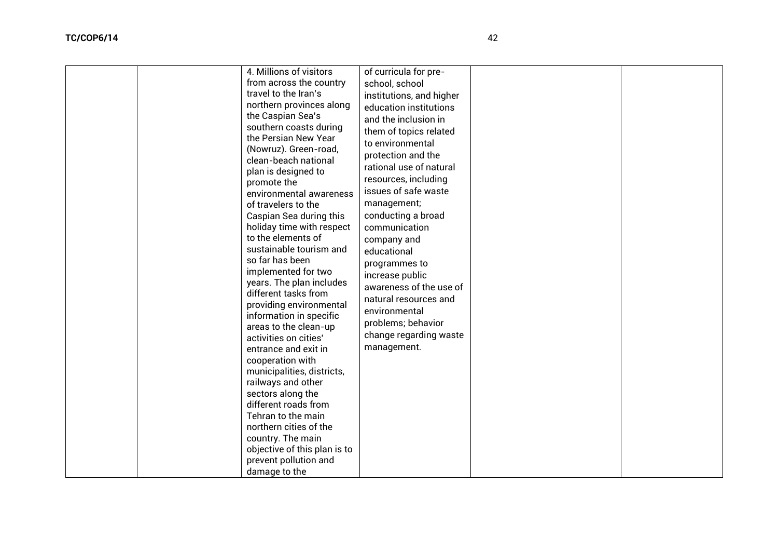| 4. Millions of visitors<br>from across the country<br>travel to the Iran's<br>northern provinces along<br>the Caspian Sea's<br>southern coasts during<br>the Persian New Year<br>(Nowruz). Green-road,<br>clean-beach national<br>plan is designed to<br>promote the<br>environmental awareness<br>of travelers to the<br>Caspian Sea during this<br>holiday time with respect<br>to the elements of<br>sustainable tourism and<br>so far has been<br>implemented for two<br>years. The plan includes<br>different tasks from<br>providing environmental<br>information in specific<br>areas to the clean-up<br>activities on cities'<br>entrance and exit in<br>cooperation with<br>municipalities, districts,<br>railways and other<br>sectors along the<br>different roads from<br>Tehran to the main<br>northern cities of the<br>country. The main<br>objective of this plan is to<br>prevent pollution and<br>damage to the | of curricula for pre-<br>school, school<br>institutions, and higher<br>education institutions<br>and the inclusion in<br>them of topics related<br>to environmental<br>protection and the<br>rational use of natural<br>resources, including<br>issues of safe waste<br>management;<br>conducting a broad<br>communication<br>company and<br>educational<br>programmes to<br>increase public<br>awareness of the use of<br>natural resources and<br>environmental<br>problems; behavior<br>change regarding waste<br>management. |  |
|-----------------------------------------------------------------------------------------------------------------------------------------------------------------------------------------------------------------------------------------------------------------------------------------------------------------------------------------------------------------------------------------------------------------------------------------------------------------------------------------------------------------------------------------------------------------------------------------------------------------------------------------------------------------------------------------------------------------------------------------------------------------------------------------------------------------------------------------------------------------------------------------------------------------------------------|----------------------------------------------------------------------------------------------------------------------------------------------------------------------------------------------------------------------------------------------------------------------------------------------------------------------------------------------------------------------------------------------------------------------------------------------------------------------------------------------------------------------------------|--|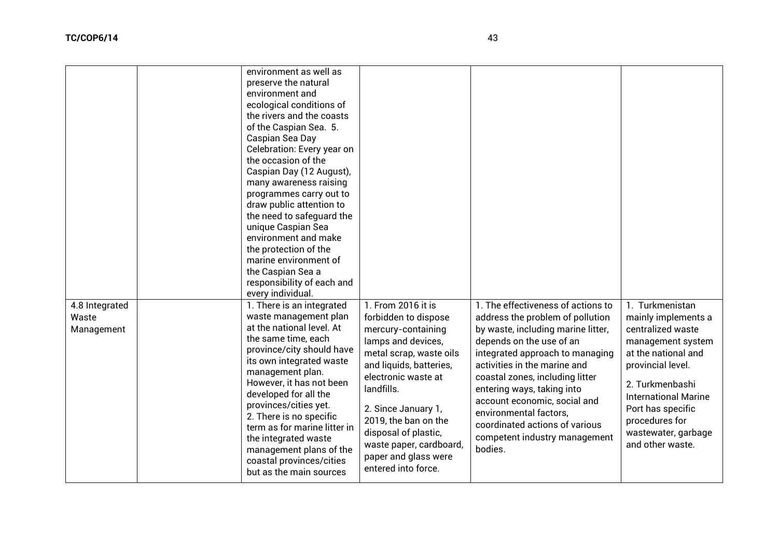|                                       | environment as well as<br>preserve the natural<br>environment and<br>ecological conditions of<br>the rivers and the coasts<br>of the Caspian Sea. 5.<br>Caspian Sea Day<br>Celebration: Every year on<br>the occasion of the<br>Caspian Day (12 August),<br>many awareness raising<br>programmes carry out to<br>draw public attention to<br>the need to safeguard the<br>unique Caspian Sea<br>environment and make<br>the protection of the<br>marine environment of<br>the Caspian Sea a<br>responsibility of each and<br>every individual. |                                                                                                                                                                                                                                                                                                                                    |                                                                                                                                                                                                                                                                                                                                                                                                                      |                                                                                                                                                                                                                                                                  |
|---------------------------------------|------------------------------------------------------------------------------------------------------------------------------------------------------------------------------------------------------------------------------------------------------------------------------------------------------------------------------------------------------------------------------------------------------------------------------------------------------------------------------------------------------------------------------------------------|------------------------------------------------------------------------------------------------------------------------------------------------------------------------------------------------------------------------------------------------------------------------------------------------------------------------------------|----------------------------------------------------------------------------------------------------------------------------------------------------------------------------------------------------------------------------------------------------------------------------------------------------------------------------------------------------------------------------------------------------------------------|------------------------------------------------------------------------------------------------------------------------------------------------------------------------------------------------------------------------------------------------------------------|
| 4.8 Integrated<br>Waste<br>Management | 1. There is an integrated<br>waste management plan<br>at the national level. At<br>the same time, each<br>province/city should have<br>its own integrated waste<br>management plan.<br>However, it has not been<br>developed for all the<br>provinces/cities yet.<br>2. There is no specific<br>term as for marine litter in<br>the integrated waste<br>management plans of the<br>coastal provinces/cities<br>but as the main sources                                                                                                         | 1. From 2016 it is<br>forbidden to dispose<br>mercury-containing<br>lamps and devices,<br>metal scrap, waste oils<br>and liquids, batteries,<br>electronic waste at<br>landfills.<br>2. Since January 1,<br>2019, the ban on the<br>disposal of plastic,<br>waste paper, cardboard,<br>paper and glass were<br>entered into force. | 1. The effectiveness of actions to<br>address the problem of pollution<br>by waste, including marine litter,<br>depends on the use of an<br>integrated approach to managing<br>activities in the marine and<br>coastal zones, including litter<br>entering ways, taking into<br>account economic, social and<br>environmental factors,<br>coordinated actions of various<br>competent industry management<br>bodies. | 1. Turkmenistan<br>mainly implements a<br>centralized waste<br>management system<br>at the national and<br>provincial level.<br>2. Turkmenbashi<br><b>International Marine</b><br>Port has specific<br>procedures for<br>wastewater, garbage<br>and other waste. |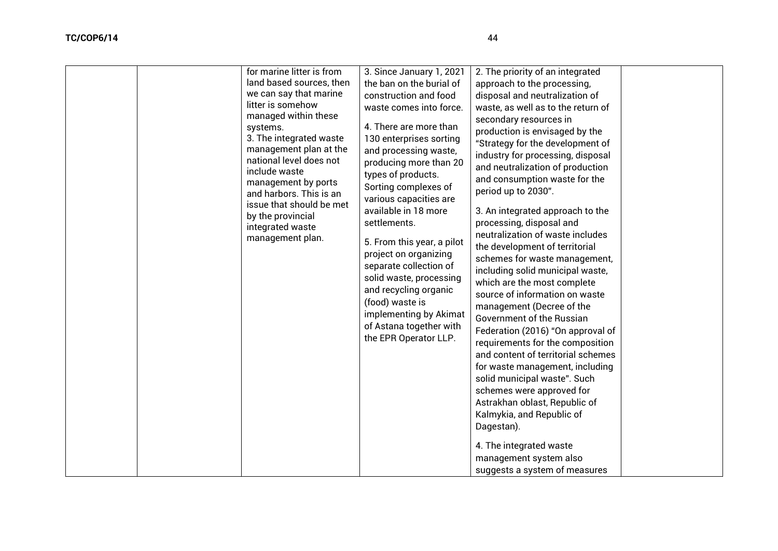| for marine litter is from<br>land based sources, then<br>we can say that marine<br>litter is somehow<br>managed within these<br>systems.<br>3. The integrated waste<br>management plan at the<br>national level does not<br>include waste<br>management by ports<br>and harbors. This is an<br>issue that should be met<br>by the provincial<br>integrated waste<br>management plan. | 3. Since January 1, 2021<br>the ban on the burial of<br>construction and food<br>waste comes into force.<br>4. There are more than<br>130 enterprises sorting<br>and processing waste,<br>producing more than 20<br>types of products.<br>Sorting complexes of<br>various capacities are<br>available in 18 more<br>settlements.<br>5. From this year, a pilot<br>project on organizing<br>separate collection of<br>solid waste, processing<br>and recycling organic<br>(food) waste is<br>implementing by Akimat<br>of Astana together with<br>the EPR Operator LLP. | 2. The priority of an integrated<br>approach to the processing,<br>disposal and neutralization of<br>waste, as well as to the return of<br>secondary resources in<br>production is envisaged by the<br>"Strategy for the development of<br>industry for processing, disposal<br>and neutralization of production<br>and consumption waste for the<br>period up to 2030".<br>3. An integrated approach to the<br>processing, disposal and<br>neutralization of waste includes<br>the development of territorial<br>schemes for waste management,<br>including solid municipal waste,<br>which are the most complete<br>source of information on waste<br>management (Decree of the<br>Government of the Russian<br>Federation (2016) "On approval of<br>requirements for the composition<br>and content of territorial schemes<br>for waste management, including<br>solid municipal waste". Such<br>schemes were approved for<br>Astrakhan oblast, Republic of<br>Kalmykia, and Republic of<br>Dagestan).<br>4. The integrated waste<br>management system also<br>suggests a system of measures |  |
|--------------------------------------------------------------------------------------------------------------------------------------------------------------------------------------------------------------------------------------------------------------------------------------------------------------------------------------------------------------------------------------|------------------------------------------------------------------------------------------------------------------------------------------------------------------------------------------------------------------------------------------------------------------------------------------------------------------------------------------------------------------------------------------------------------------------------------------------------------------------------------------------------------------------------------------------------------------------|-------------------------------------------------------------------------------------------------------------------------------------------------------------------------------------------------------------------------------------------------------------------------------------------------------------------------------------------------------------------------------------------------------------------------------------------------------------------------------------------------------------------------------------------------------------------------------------------------------------------------------------------------------------------------------------------------------------------------------------------------------------------------------------------------------------------------------------------------------------------------------------------------------------------------------------------------------------------------------------------------------------------------------------------------------------------------------------------------|--|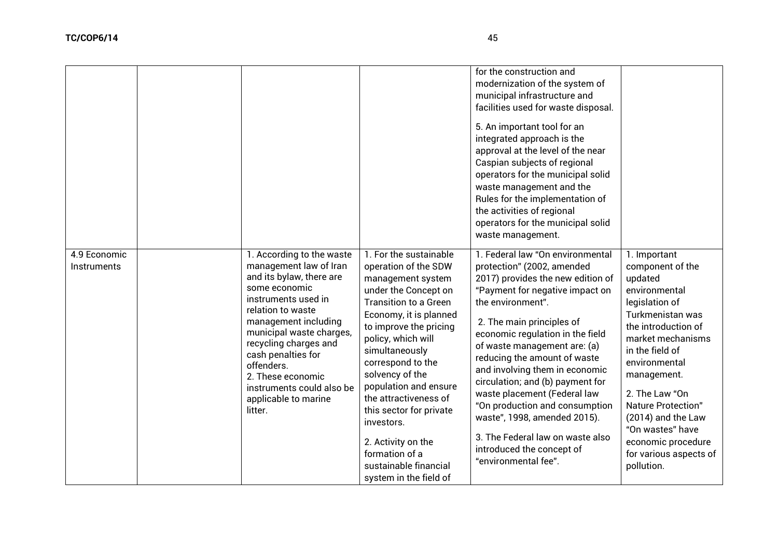|                             |                                                                                                                                                                                                                                                                                                                                                    |                                                                                                                                                                                                                                                                                                                                                                                                                                                       | for the construction and<br>modernization of the system of<br>municipal infrastructure and<br>facilities used for waste disposal.<br>5. An important tool for an<br>integrated approach is the<br>approval at the level of the near<br>Caspian subjects of regional<br>operators for the municipal solid<br>waste management and the<br>Rules for the implementation of<br>the activities of regional<br>operators for the municipal solid<br>waste management.                                                                                               |                                                                                                                                                                                                                                                                                                                                                   |
|-----------------------------|----------------------------------------------------------------------------------------------------------------------------------------------------------------------------------------------------------------------------------------------------------------------------------------------------------------------------------------------------|-------------------------------------------------------------------------------------------------------------------------------------------------------------------------------------------------------------------------------------------------------------------------------------------------------------------------------------------------------------------------------------------------------------------------------------------------------|---------------------------------------------------------------------------------------------------------------------------------------------------------------------------------------------------------------------------------------------------------------------------------------------------------------------------------------------------------------------------------------------------------------------------------------------------------------------------------------------------------------------------------------------------------------|---------------------------------------------------------------------------------------------------------------------------------------------------------------------------------------------------------------------------------------------------------------------------------------------------------------------------------------------------|
| 4.9 Economic<br>Instruments | 1. According to the waste<br>management law of Iran<br>and its bylaw, there are<br>some economic<br>instruments used in<br>relation to waste<br>management including<br>municipal waste charges,<br>recycling charges and<br>cash penalties for<br>offenders.<br>2. These economic<br>instruments could also be<br>applicable to marine<br>litter. | 1. For the sustainable<br>operation of the SDW<br>management system<br>under the Concept on<br><b>Transition to a Green</b><br>Economy, it is planned<br>to improve the pricing<br>policy, which will<br>simultaneously<br>correspond to the<br>solvency of the<br>population and ensure<br>the attractiveness of<br>this sector for private<br>investors.<br>2. Activity on the<br>formation of a<br>sustainable financial<br>system in the field of | 1. Federal law "On environmental<br>protection" (2002, amended<br>2017) provides the new edition of<br>"Payment for negative impact on<br>the environment".<br>2. The main principles of<br>economic regulation in the field<br>of waste management are: (a)<br>reducing the amount of waste<br>and involving them in economic<br>circulation; and (b) payment for<br>waste placement (Federal law<br>"On production and consumption<br>waste", 1998, amended 2015).<br>3. The Federal law on waste also<br>introduced the concept of<br>"environmental fee". | 1. Important<br>component of the<br>updated<br>environmental<br>legislation of<br>Turkmenistan was<br>the introduction of<br>market mechanisms<br>in the field of<br>environmental<br>management.<br>2. The Law "On<br>Nature Protection"<br>(2014) and the Law<br>"On wastes" have<br>economic procedure<br>for various aspects of<br>pollution. |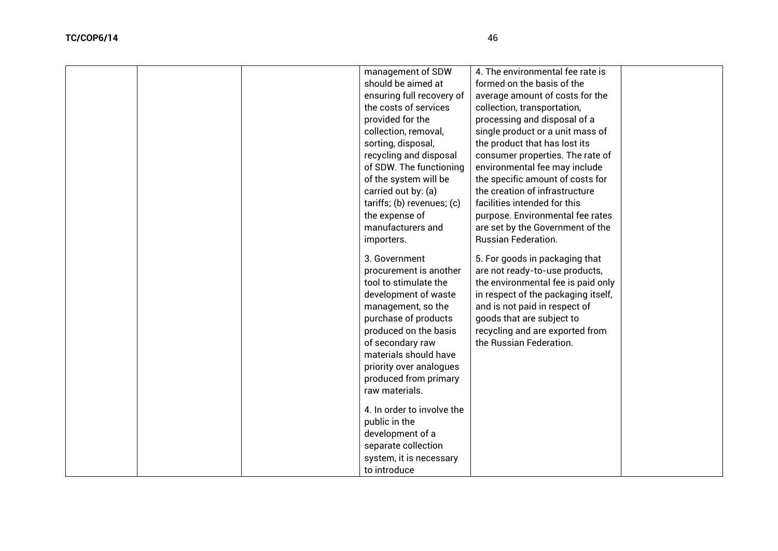|  | management of SDW<br>should be aimed at<br>ensuring full recovery of<br>the costs of services<br>provided for the<br>collection, removal,<br>sorting, disposal,<br>recycling and disposal<br>of SDW. The functioning<br>of the system will be<br>carried out by: (a)<br>tariffs; (b) revenues; (c)<br>the expense of<br>manufacturers and<br>importers. | 4. The environmental fee rate is<br>formed on the basis of the<br>average amount of costs for the<br>collection, transportation,<br>processing and disposal of a<br>single product or a unit mass of<br>the product that has lost its<br>consumer properties. The rate of<br>environmental fee may include<br>the specific amount of costs for<br>the creation of infrastructure<br>facilities intended for this<br>purpose. Environmental fee rates<br>are set by the Government of the<br><b>Russian Federation.</b> |  |
|--|---------------------------------------------------------------------------------------------------------------------------------------------------------------------------------------------------------------------------------------------------------------------------------------------------------------------------------------------------------|------------------------------------------------------------------------------------------------------------------------------------------------------------------------------------------------------------------------------------------------------------------------------------------------------------------------------------------------------------------------------------------------------------------------------------------------------------------------------------------------------------------------|--|
|  | 3. Government<br>procurement is another<br>tool to stimulate the<br>development of waste<br>management, so the<br>purchase of products<br>produced on the basis<br>of secondary raw<br>materials should have<br>priority over analogues<br>produced from primary<br>raw materials.<br>4. In order to involve the<br>public in the<br>development of a   | 5. For goods in packaging that<br>are not ready-to-use products,<br>the environmental fee is paid only<br>in respect of the packaging itself,<br>and is not paid in respect of<br>goods that are subject to<br>recycling and are exported from<br>the Russian Federation.                                                                                                                                                                                                                                              |  |
|  | separate collection<br>system, it is necessary<br>to introduce                                                                                                                                                                                                                                                                                          |                                                                                                                                                                                                                                                                                                                                                                                                                                                                                                                        |  |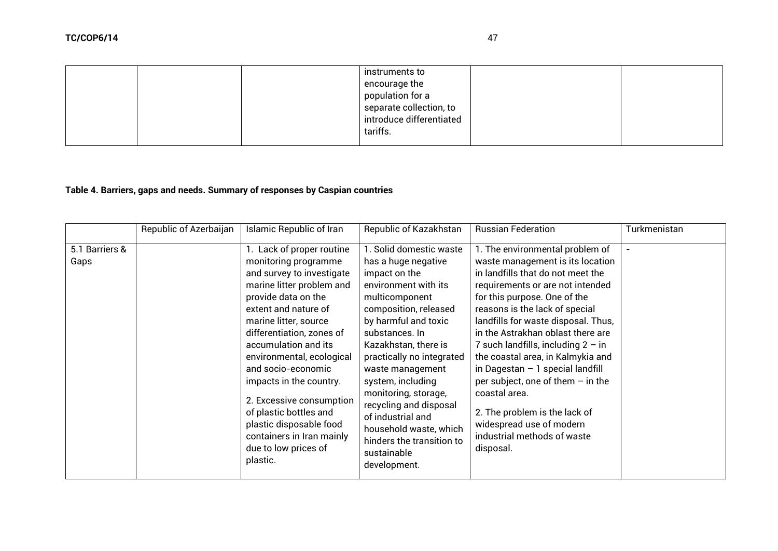# **Table 4. Barriers, gaps and needs. Summary of responses by Caspian countries**

|                        | Republic of Azerbaijan | <b>Islamic Republic of Iran</b>                                                                                                                                                                                                                                                                                                                                                                                                                                          | Republic of Kazakhstan                                                                                                                                                                                                                                                                                                                                                                                                                  | <b>Russian Federation</b>                                                                                                                                                                                                                                                                                                                                                                                                                                                                                                                                                     | Turkmenistan |
|------------------------|------------------------|--------------------------------------------------------------------------------------------------------------------------------------------------------------------------------------------------------------------------------------------------------------------------------------------------------------------------------------------------------------------------------------------------------------------------------------------------------------------------|-----------------------------------------------------------------------------------------------------------------------------------------------------------------------------------------------------------------------------------------------------------------------------------------------------------------------------------------------------------------------------------------------------------------------------------------|-------------------------------------------------------------------------------------------------------------------------------------------------------------------------------------------------------------------------------------------------------------------------------------------------------------------------------------------------------------------------------------------------------------------------------------------------------------------------------------------------------------------------------------------------------------------------------|--------------|
| 5.1 Barriers &<br>Gaps |                        | 1. Lack of proper routine<br>monitoring programme<br>and survey to investigate<br>marine litter problem and<br>provide data on the<br>extent and nature of<br>marine litter, source<br>differentiation, zones of<br>accumulation and its<br>environmental, ecological<br>and socio-economic<br>impacts in the country.<br>2. Excessive consumption<br>of plastic bottles and<br>plastic disposable food<br>containers in Iran mainly<br>due to low prices of<br>plastic. | 1. Solid domestic waste<br>has a huge negative<br>impact on the<br>environment with its<br>multicomponent<br>composition, released<br>by harmful and toxic<br>substances. In<br>Kazakhstan, there is<br>practically no integrated<br>waste management<br>system, including<br>monitoring, storage,<br>recycling and disposal<br>of industrial and<br>household waste, which<br>hinders the transition to<br>sustainable<br>development. | 1. The environmental problem of<br>waste management is its location<br>in landfills that do not meet the<br>requirements or are not intended<br>for this purpose. One of the<br>reasons is the lack of special<br>landfills for waste disposal. Thus,<br>in the Astrakhan oblast there are<br>7 such landfills, including $2 - in$<br>the coastal area, in Kalmykia and<br>in Dagestan $-1$ special landfill<br>per subject, one of them $-$ in the<br>coastal area.<br>2. The problem is the lack of<br>widespread use of modern<br>industrial methods of waste<br>disposal. |              |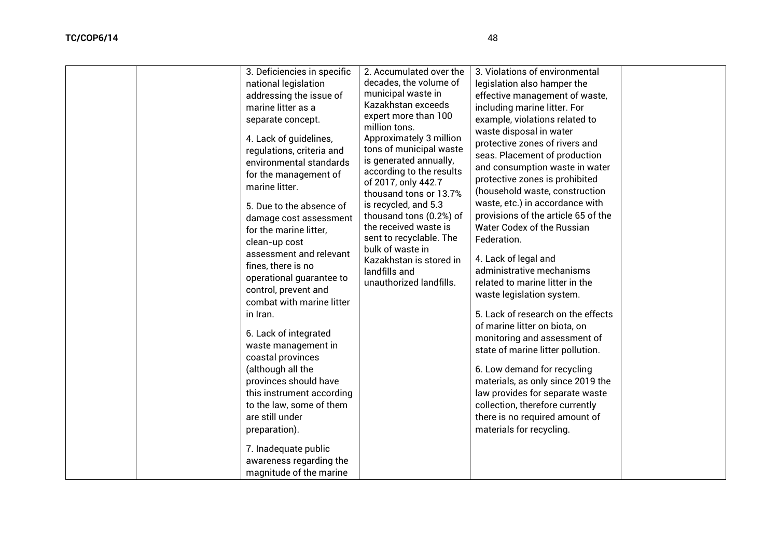| 3. Deficiencies in specific<br>national legislation<br>addressing the issue of<br>marine litter as a<br>separate concept.<br>4. Lack of guidelines,<br>regulations, criteria and<br>environmental standards<br>for the management of<br>marine litter.<br>5. Due to the absence of<br>damage cost assessment<br>for the marine litter,<br>clean-up cost<br>assessment and relevant<br>fines, there is no<br>operational guarantee to<br>control, prevent and<br>combat with marine litter<br>in Iran.<br>6. Lack of integrated<br>waste management in<br>coastal provinces<br>(although all the<br>provinces should have<br>this instrument according<br>to the law, some of them<br>are still under<br>preparation).<br>7. Inadequate public<br>awareness regarding the<br>magnitude of the marine | 2. Accumulated over the<br>decades, the volume of<br>municipal waste in<br>Kazakhstan exceeds<br>expert more than 100<br>million tons.<br>Approximately 3 million<br>tons of municipal waste<br>is generated annually,<br>according to the results<br>of 2017, only 442.7<br>thousand tons or 13.7%<br>is recycled, and 5.3<br>thousand tons (0.2%) of<br>the received waste is<br>sent to recyclable. The<br>bulk of waste in<br>Kazakhstan is stored in<br>landfills and<br>unauthorized landfills. | 3. Violations of environmental<br>legislation also hamper the<br>effective management of waste,<br>including marine litter. For<br>example, violations related to<br>waste disposal in water<br>protective zones of rivers and<br>seas. Placement of production<br>and consumption waste in water<br>protective zones is prohibited<br>(household waste, construction<br>waste, etc.) in accordance with<br>provisions of the article 65 of the<br>Water Codex of the Russian<br>Federation.<br>4. Lack of legal and<br>administrative mechanisms<br>related to marine litter in the<br>waste legislation system.<br>5. Lack of research on the effects<br>of marine litter on biota, on<br>monitoring and assessment of<br>state of marine litter pollution.<br>6. Low demand for recycling<br>materials, as only since 2019 the<br>law provides for separate waste<br>collection, therefore currently<br>there is no required amount of<br>materials for recycling. |  |
|-----------------------------------------------------------------------------------------------------------------------------------------------------------------------------------------------------------------------------------------------------------------------------------------------------------------------------------------------------------------------------------------------------------------------------------------------------------------------------------------------------------------------------------------------------------------------------------------------------------------------------------------------------------------------------------------------------------------------------------------------------------------------------------------------------|-------------------------------------------------------------------------------------------------------------------------------------------------------------------------------------------------------------------------------------------------------------------------------------------------------------------------------------------------------------------------------------------------------------------------------------------------------------------------------------------------------|-----------------------------------------------------------------------------------------------------------------------------------------------------------------------------------------------------------------------------------------------------------------------------------------------------------------------------------------------------------------------------------------------------------------------------------------------------------------------------------------------------------------------------------------------------------------------------------------------------------------------------------------------------------------------------------------------------------------------------------------------------------------------------------------------------------------------------------------------------------------------------------------------------------------------------------------------------------------------|--|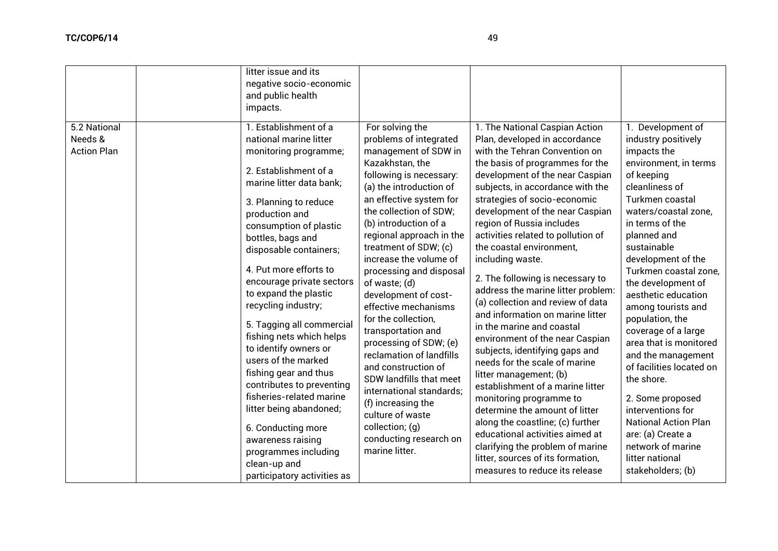| 5.2 National                  | litter issue and its<br>negative socio-economic<br>and public health<br>impacts.<br>1. Establishment of a                                                                                                                                                                                                                                                                                                                                                                                                                                                                                                                                                               | For solving the                                                                                                                                                                                                                                                                                                                                                                                                                                                                                                                                                                                                                                                            | 1. The National Caspian Action                                                                                                                                                                                                                                                                                                                                                                                                                                                                                                                                                                                                                                                                                                                                                                                                                                                                                                                                    | 1. Development of                                                                                                                                                                                                                                                                                                                                                                                                                                                                                                                                                                                       |
|-------------------------------|-------------------------------------------------------------------------------------------------------------------------------------------------------------------------------------------------------------------------------------------------------------------------------------------------------------------------------------------------------------------------------------------------------------------------------------------------------------------------------------------------------------------------------------------------------------------------------------------------------------------------------------------------------------------------|----------------------------------------------------------------------------------------------------------------------------------------------------------------------------------------------------------------------------------------------------------------------------------------------------------------------------------------------------------------------------------------------------------------------------------------------------------------------------------------------------------------------------------------------------------------------------------------------------------------------------------------------------------------------------|-------------------------------------------------------------------------------------------------------------------------------------------------------------------------------------------------------------------------------------------------------------------------------------------------------------------------------------------------------------------------------------------------------------------------------------------------------------------------------------------------------------------------------------------------------------------------------------------------------------------------------------------------------------------------------------------------------------------------------------------------------------------------------------------------------------------------------------------------------------------------------------------------------------------------------------------------------------------|---------------------------------------------------------------------------------------------------------------------------------------------------------------------------------------------------------------------------------------------------------------------------------------------------------------------------------------------------------------------------------------------------------------------------------------------------------------------------------------------------------------------------------------------------------------------------------------------------------|
| Needs &<br><b>Action Plan</b> | national marine litter<br>monitoring programme;<br>2. Establishment of a<br>marine litter data bank;<br>3. Planning to reduce<br>production and<br>consumption of plastic<br>bottles, bags and<br>disposable containers;<br>4. Put more efforts to<br>encourage private sectors<br>to expand the plastic<br>recycling industry;<br>5. Tagging all commercial<br>fishing nets which helps<br>to identify owners or<br>users of the marked<br>fishing gear and thus<br>contributes to preventing<br>fisheries-related marine<br>litter being abandoned;<br>6. Conducting more<br>awareness raising<br>programmes including<br>clean-up and<br>participatory activities as | problems of integrated<br>management of SDW in<br>Kazakhstan, the<br>following is necessary:<br>(a) the introduction of<br>an effective system for<br>the collection of SDW;<br>(b) introduction of a<br>regional approach in the<br>treatment of SDW; (c)<br>increase the volume of<br>processing and disposal<br>of waste; (d)<br>development of cost-<br>effective mechanisms<br>for the collection,<br>transportation and<br>processing of SDW; (e)<br>reclamation of landfills<br>and construction of<br>SDW landfills that meet<br>international standards;<br>(f) increasing the<br>culture of waste<br>collection; (q)<br>conducting research on<br>marine litter. | Plan, developed in accordance<br>with the Tehran Convention on<br>the basis of programmes for the<br>development of the near Caspian<br>subjects, in accordance with the<br>strategies of socio-economic<br>development of the near Caspian<br>region of Russia includes<br>activities related to pollution of<br>the coastal environment.<br>including waste.<br>2. The following is necessary to<br>address the marine litter problem:<br>(a) collection and review of data<br>and information on marine litter<br>in the marine and coastal<br>environment of the near Caspian<br>subjects, identifying gaps and<br>needs for the scale of marine<br>litter management; (b)<br>establishment of a marine litter<br>monitoring programme to<br>determine the amount of litter<br>along the coastline; (c) further<br>educational activities aimed at<br>clarifying the problem of marine<br>litter, sources of its formation,<br>measures to reduce its release | industry positively<br>impacts the<br>environment, in terms<br>of keeping<br>cleanliness of<br>Turkmen coastal<br>waters/coastal zone,<br>in terms of the<br>planned and<br>sustainable<br>development of the<br>Turkmen coastal zone,<br>the development of<br>aesthetic education<br>among tourists and<br>population, the<br>coverage of a large<br>area that is monitored<br>and the management<br>of facilities located on<br>the shore.<br>2. Some proposed<br>interventions for<br><b>National Action Plan</b><br>are: (a) Create a<br>network of marine<br>litter national<br>stakeholders; (b) |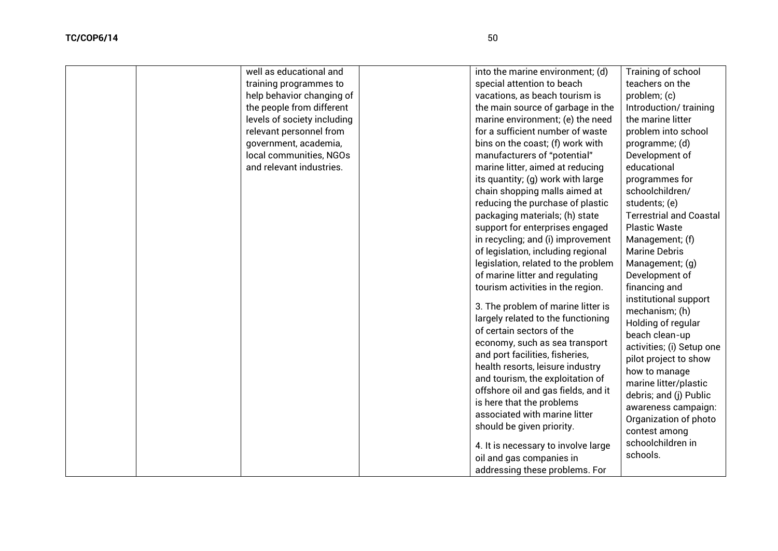| well as educational and     | into the marine environment; (d)                                  | Training of school             |
|-----------------------------|-------------------------------------------------------------------|--------------------------------|
| training programmes to      | special attention to beach                                        | teachers on the                |
| help behavior changing of   | vacations, as beach tourism is                                    | problem; (c)                   |
| the people from different   | the main source of garbage in the                                 | Introduction/training          |
| levels of society including | marine environment; (e) the need                                  | the marine litter              |
| relevant personnel from     | for a sufficient number of waste                                  | problem into school            |
| government, academia,       | bins on the coast; (f) work with                                  | programme; (d)                 |
| local communities, NGOs     | manufacturers of "potential"                                      | Development of                 |
| and relevant industries.    | marine litter, aimed at reducing                                  | educational                    |
|                             | its quantity; (g) work with large                                 | programmes for                 |
|                             | chain shopping malls aimed at                                     | schoolchildren/                |
|                             | reducing the purchase of plastic                                  | students; (e)                  |
|                             | packaging materials; (h) state                                    | <b>Terrestrial and Coastal</b> |
|                             | support for enterprises engaged                                   | <b>Plastic Waste</b>           |
|                             | in recycling; and (i) improvement                                 | Management; (f)                |
|                             | of legislation, including regional                                | <b>Marine Debris</b>           |
|                             | legislation, related to the problem                               | Management; (g)                |
|                             | of marine litter and regulating                                   | Development of                 |
|                             | tourism activities in the region.                                 | financing and                  |
|                             | 3. The problem of marine litter is                                | institutional support          |
|                             | largely related to the functioning                                | mechanism; (h)                 |
|                             | of certain sectors of the                                         | Holding of regular             |
|                             |                                                                   | beach clean-up                 |
|                             | economy, such as sea transport<br>and port facilities, fisheries, | activities; (i) Setup one      |
|                             | health resorts, leisure industry                                  | pilot project to show          |
|                             | and tourism, the exploitation of                                  | how to manage                  |
|                             | offshore oil and gas fields, and it                               | marine litter/plastic          |
|                             | is here that the problems                                         | debris; and (j) Public         |
|                             | associated with marine litter                                     | awareness campaign:            |
|                             |                                                                   | Organization of photo          |
|                             | should be given priority.                                         | contest among                  |
|                             | 4. It is necessary to involve large                               | schoolchildren in              |
|                             | oil and gas companies in                                          | schools.                       |
|                             | addressing these problems. For                                    |                                |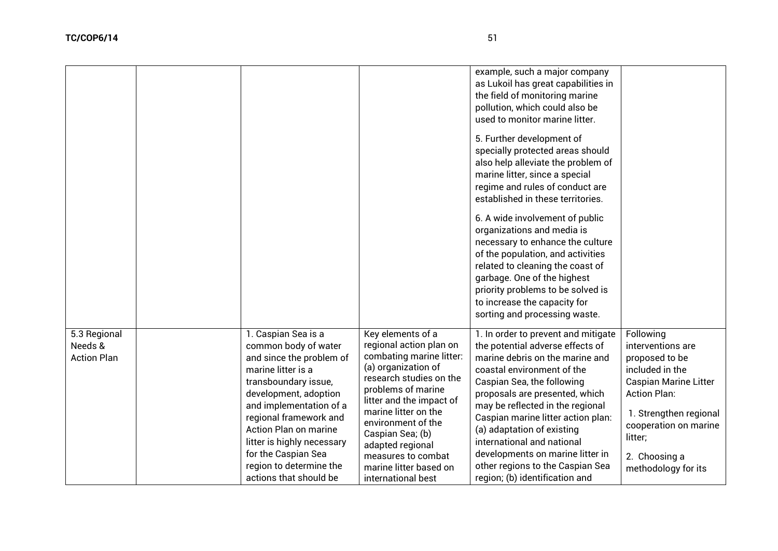|                                               |                                                                                                                                                                                                                                                                                                                                        |                                                                                                                                                                                                                                                                                                                                          | example, such a major company<br>as Lukoil has great capabilities in<br>the field of monitoring marine<br>pollution, which could also be<br>used to monitor marine litter.<br>5. Further development of<br>specially protected areas should<br>also help alleviate the problem of<br>marine litter, since a special<br>regime and rules of conduct are<br>established in these territories.<br>6. A wide involvement of public<br>organizations and media is<br>necessary to enhance the culture<br>of the population, and activities<br>related to cleaning the coast of<br>garbage. One of the highest<br>priority problems to be solved is<br>to increase the capacity for<br>sorting and processing waste. |                                                                                                                                                                                                                                  |
|-----------------------------------------------|----------------------------------------------------------------------------------------------------------------------------------------------------------------------------------------------------------------------------------------------------------------------------------------------------------------------------------------|------------------------------------------------------------------------------------------------------------------------------------------------------------------------------------------------------------------------------------------------------------------------------------------------------------------------------------------|----------------------------------------------------------------------------------------------------------------------------------------------------------------------------------------------------------------------------------------------------------------------------------------------------------------------------------------------------------------------------------------------------------------------------------------------------------------------------------------------------------------------------------------------------------------------------------------------------------------------------------------------------------------------------------------------------------------|----------------------------------------------------------------------------------------------------------------------------------------------------------------------------------------------------------------------------------|
| 5.3 Regional<br>Needs &<br><b>Action Plan</b> | 1. Caspian Sea is a<br>common body of water<br>and since the problem of<br>marine litter is a<br>transboundary issue,<br>development, adoption<br>and implementation of a<br>regional framework and<br>Action Plan on marine<br>litter is highly necessary<br>for the Caspian Sea<br>region to determine the<br>actions that should be | Key elements of a<br>regional action plan on<br>combating marine litter:<br>(a) organization of<br>research studies on the<br>problems of marine<br>litter and the impact of<br>marine litter on the<br>environment of the<br>Caspian Sea; (b)<br>adapted regional<br>measures to combat<br>marine litter based on<br>international best | 1. In order to prevent and mitigate<br>the potential adverse effects of<br>marine debris on the marine and<br>coastal environment of the<br>Caspian Sea, the following<br>proposals are presented, which<br>may be reflected in the regional<br>Caspian marine litter action plan:<br>(a) adaptation of existing<br>international and national<br>developments on marine litter in<br>other regions to the Caspian Sea<br>region; (b) identification and                                                                                                                                                                                                                                                       | Following<br>interventions are<br>proposed to be<br>included in the<br><b>Caspian Marine Litter</b><br><b>Action Plan:</b><br>1. Strengthen regional<br>cooperation on marine<br>litter;<br>2. Choosing a<br>methodology for its |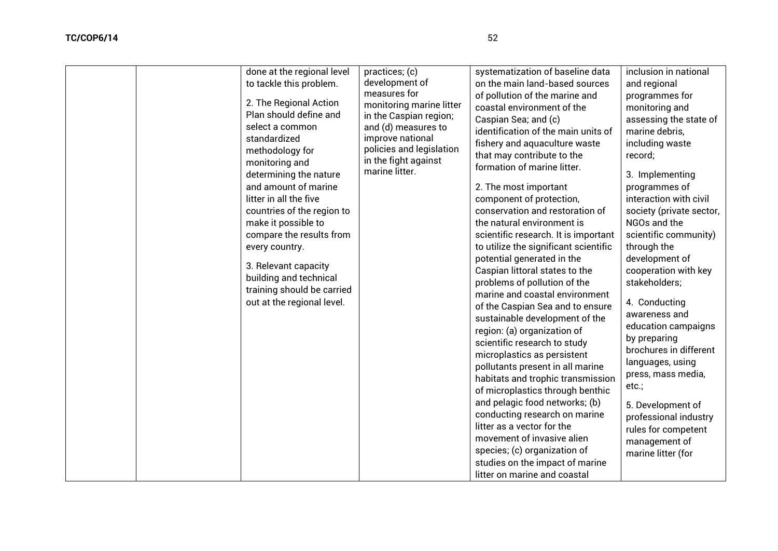| done at the regional level<br>to tackle this problem.<br>2. The Regional Action<br>Plan should define and<br>select a common<br>standardized<br>methodology for<br>monitoring and<br>determining the nature<br>and amount of marine<br>litter in all the five<br>countries of the region to<br>make it possible to<br>compare the results from<br>every country.<br>3. Relevant capacity<br>building and technical<br>training should be carried<br>out at the regional level. | practices; (c)<br>development of<br>measures for<br>monitoring marine litter<br>in the Caspian region;<br>and (d) measures to<br>improve national<br>policies and legislation<br>in the fight against<br>marine litter. | systematization of baseline data<br>on the main land-based sources<br>of pollution of the marine and<br>coastal environment of the<br>Caspian Sea; and (c)<br>identification of the main units of<br>fishery and aquaculture waste<br>that may contribute to the<br>formation of marine litter.<br>2. The most important<br>component of protection,<br>conservation and restoration of<br>the natural environment is<br>scientific research. It is important<br>to utilize the significant scientific<br>potential generated in the<br>Caspian littoral states to the<br>problems of pollution of the<br>marine and coastal environment<br>of the Caspian Sea and to ensure<br>sustainable development of the<br>region: (a) organization of<br>scientific research to study<br>microplastics as persistent<br>pollutants present in all marine | inclusion in national<br>and regional<br>programmes for<br>monitoring and<br>assessing the state of<br>marine debris,<br>including waste<br>record;<br>3. Implementing<br>programmes of<br>interaction with civil<br>society (private sector,<br>NGOs and the<br>scientific community)<br>through the<br>development of<br>cooperation with key<br>stakeholders;<br>4. Conducting<br>awareness and<br>education campaigns<br>by preparing<br>brochures in different<br>languages, using |
|--------------------------------------------------------------------------------------------------------------------------------------------------------------------------------------------------------------------------------------------------------------------------------------------------------------------------------------------------------------------------------------------------------------------------------------------------------------------------------|-------------------------------------------------------------------------------------------------------------------------------------------------------------------------------------------------------------------------|--------------------------------------------------------------------------------------------------------------------------------------------------------------------------------------------------------------------------------------------------------------------------------------------------------------------------------------------------------------------------------------------------------------------------------------------------------------------------------------------------------------------------------------------------------------------------------------------------------------------------------------------------------------------------------------------------------------------------------------------------------------------------------------------------------------------------------------------------|-----------------------------------------------------------------------------------------------------------------------------------------------------------------------------------------------------------------------------------------------------------------------------------------------------------------------------------------------------------------------------------------------------------------------------------------------------------------------------------------|

habitats and trophic transmission of microplastics through benthic and pelagic food networks; (b) conducting research on marine litter as a vector for the movement of invasive alien species; (c) organization of studies on the impact of marine press, mass media, etc.; 5. Development of professional industry rules for competent management of marine litter (for

litter on marine and coastal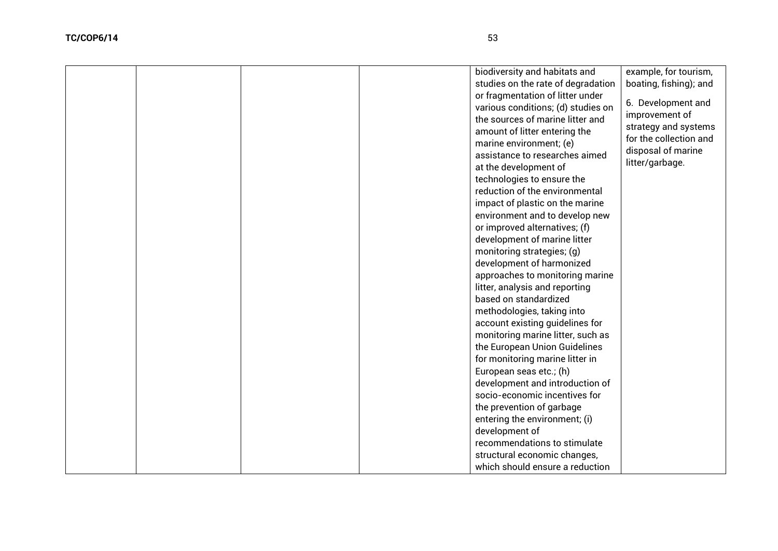| biodiversity and habitats and      | example, for tourism,  |
|------------------------------------|------------------------|
| studies on the rate of degradation | boating, fishing); and |
| or fragmentation of litter under   | 6. Development and     |
| various conditions; (d) studies on |                        |
| the sources of marine litter and   | improvement of         |
| amount of litter entering the      | strategy and systems   |
| marine environment; (e)            | for the collection and |
| assistance to researches aimed     | disposal of marine     |
| at the development of              | litter/garbage.        |
| technologies to ensure the         |                        |
| reduction of the environmental     |                        |
| impact of plastic on the marine    |                        |
| environment and to develop new     |                        |
| or improved alternatives; (f)      |                        |
| development of marine litter       |                        |
| monitoring strategies; (g)         |                        |
| development of harmonized          |                        |
| approaches to monitoring marine    |                        |
| litter, analysis and reporting     |                        |
| based on standardized              |                        |
| methodologies, taking into         |                        |
| account existing guidelines for    |                        |
| monitoring marine litter, such as  |                        |
| the European Union Guidelines      |                        |
| for monitoring marine litter in    |                        |
| European seas etc.; (h)            |                        |
| development and introduction of    |                        |
| socio-economic incentives for      |                        |
| the prevention of garbage          |                        |
| entering the environment; (i)      |                        |
| development of                     |                        |
| recommendations to stimulate       |                        |
| structural economic changes,       |                        |
| which should ensure a reduction    |                        |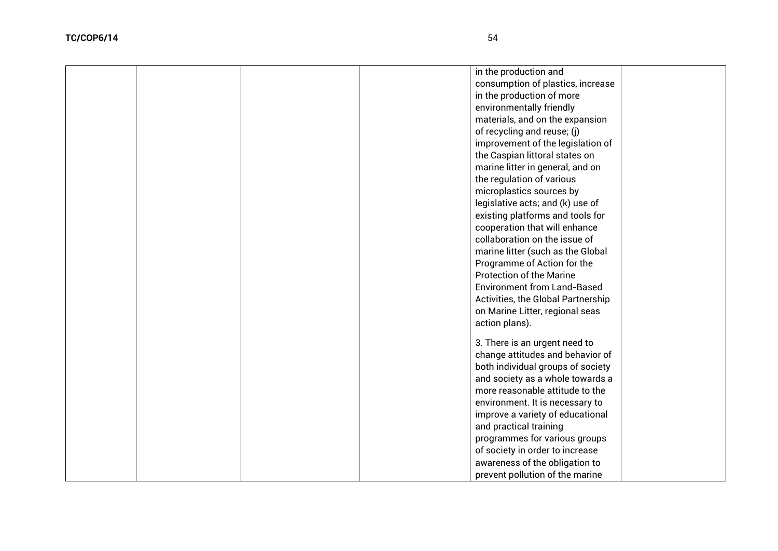|  |  | in the production and              |  |
|--|--|------------------------------------|--|
|  |  | consumption of plastics, increase  |  |
|  |  | in the production of more          |  |
|  |  | environmentally friendly           |  |
|  |  | materials, and on the expansion    |  |
|  |  | of recycling and reuse; (j)        |  |
|  |  | improvement of the legislation of  |  |
|  |  | the Caspian littoral states on     |  |
|  |  | marine litter in general, and on   |  |
|  |  | the regulation of various          |  |
|  |  | microplastics sources by           |  |
|  |  | legislative acts; and (k) use of   |  |
|  |  | existing platforms and tools for   |  |
|  |  | cooperation that will enhance      |  |
|  |  | collaboration on the issue of      |  |
|  |  | marine litter (such as the Global  |  |
|  |  | Programme of Action for the        |  |
|  |  | <b>Protection of the Marine</b>    |  |
|  |  | <b>Environment from Land-Based</b> |  |
|  |  | Activities, the Global Partnership |  |
|  |  | on Marine Litter, regional seas    |  |
|  |  | action plans).                     |  |
|  |  |                                    |  |
|  |  | 3. There is an urgent need to      |  |
|  |  | change attitudes and behavior of   |  |
|  |  | both individual groups of society  |  |
|  |  | and society as a whole towards a   |  |
|  |  | more reasonable attitude to the    |  |
|  |  | environment. It is necessary to    |  |
|  |  | improve a variety of educational   |  |
|  |  | and practical training             |  |
|  |  | programmes for various groups      |  |
|  |  | of society in order to increase    |  |
|  |  | awareness of the obligation to     |  |
|  |  | prevent pollution of the marine    |  |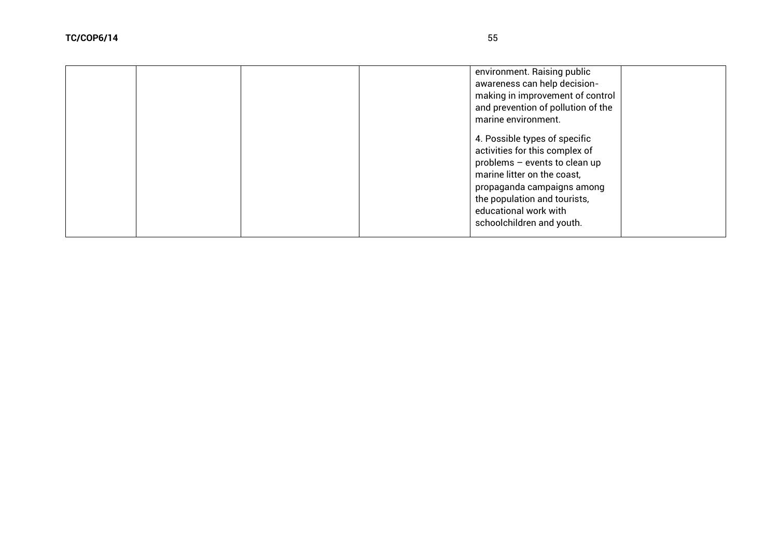|  |  | environment. Raising public<br>awareness can help decision-<br>making in improvement of control<br>and prevention of pollution of the<br>marine environment.<br>4. Possible types of specific<br>activities for this complex of<br>problems - events to clean up<br>marine litter on the coast,<br>propaganda campaigns among<br>the population and tourists,<br>educational work with<br>schoolchildren and youth. |  |
|--|--|---------------------------------------------------------------------------------------------------------------------------------------------------------------------------------------------------------------------------------------------------------------------------------------------------------------------------------------------------------------------------------------------------------------------|--|
|  |  |                                                                                                                                                                                                                                                                                                                                                                                                                     |  |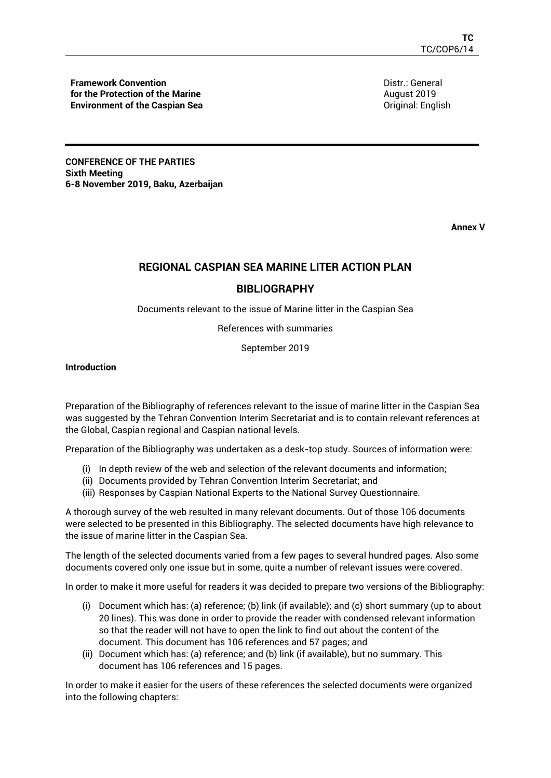**Framework Convention for the Protection of the Marine Environment of the Caspian Sea** Distr.: General August 2019 Original: English

**CONFERENCE OF THE PARTIES Sixth Meeting 6-8 November 2019, Baku, Azerbaijan** 

**Annex V**

# **REGIONAL CASPIAN SEA MARINE LITER ACTION PLAN**

## **BIBLIOGRAPHY**

Documents relevant to the issue of Marine litter in the Caspian Sea

References with summaries

September 2019

**Introduction**

Preparation of the Bibliography of references relevant to the issue of marine litter in the Caspian Sea was suggested by the Tehran Convention Interim Secretariat and is to contain relevant references at the Global, Caspian regional and Caspian national levels.

Preparation of the Bibliography was undertaken as a desk-top study. Sources of information were:

- (i) In depth review of the web and selection of the relevant documents and information;
- (ii) Documents provided by Tehran Convention Interim Secretariat; and
- (iii) Responses by Caspian National Experts to the National Survey Questionnaire.

A thorough survey of the web resulted in many relevant documents. Out of those 106 documents were selected to be presented in this Bibliography. The selected documents have high relevance to the issue of marine litter in the Caspian Sea.

The length of the selected documents varied from a few pages to several hundred pages. Also some documents covered only one issue but in some, quite a number of relevant issues were covered.

In order to make it more useful for readers it was decided to prepare two versions of the Bibliography:

- (i) Document which has: (a) reference; (b) link (if available); and (c) short summary (up to about 20 lines). This was done in order to provide the reader with condensed relevant information so that the reader will not have to open the link to find out about the content of the document. This document has 106 references and 57 pages; and
- (ii) Document which has: (a) reference; and (b) link (if available), but no summary. This document has 106 references and 15 pages.

In order to make it easier for the users of these references the selected documents were organized into the following chapters: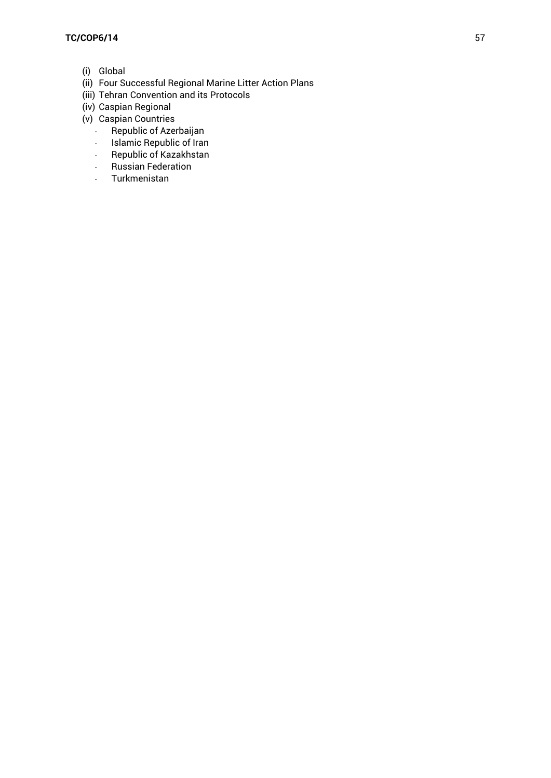- (i) Global
- (ii) Four Successful Regional Marine Litter Action Plans
- (iii) Tehran Convention and its Protocols
- (iv) Caspian Regional
- (v) Caspian Countries
	- Republic of Azerbaijan
	- Islamic Republic of Iran
	- Republic of Kazakhstan
	- Russian Federation
	- Turkmenistan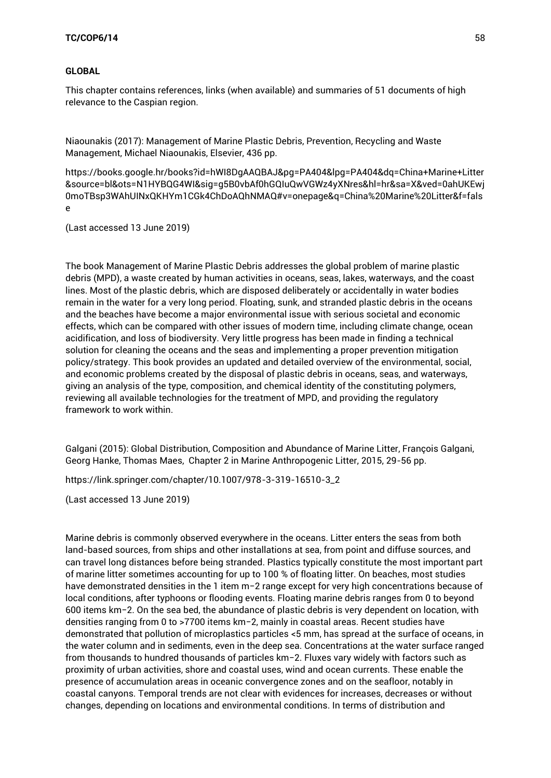### **GLOBAL**

This chapter contains references, links (when available) and summaries of 51 documents of high relevance to the Caspian region.

Niaounakis (2017): Management of Marine Plastic Debris, Prevention, Recycling and Waste Management, Michael Niaounakis, Elsevier, 436 pp.

[https://books.google.hr/books?id=hWI8DgAAQBAJ&pg=PA404&lpg=PA404&dq=China+Marine+Litter](https://books.google.hr/books?id=hWI8DgAAQBAJ&pg=PA404&lpg=PA404&dq=China+Marine+Litter&source=bl&ots=N1HYBQG4WI&sig=g5B0vbAf0hGQIuQwVGWz4yXNres&hl=hr&sa=X&ved=0ahUKEwj0moTBsp3WAhUINxQKHYm1CGk4ChDoAQhNMAQ#v=onepage&q=China%20Marine%20Litter&f=false) [&source=bl&ots=N1HYBQG4WI&sig=g5B0vbAf0hGQIuQwVGWz4yXNres&hl=hr&sa=X&ved=0ahUKEwj](https://books.google.hr/books?id=hWI8DgAAQBAJ&pg=PA404&lpg=PA404&dq=China+Marine+Litter&source=bl&ots=N1HYBQG4WI&sig=g5B0vbAf0hGQIuQwVGWz4yXNres&hl=hr&sa=X&ved=0ahUKEwj0moTBsp3WAhUINxQKHYm1CGk4ChDoAQhNMAQ#v=onepage&q=China%20Marine%20Litter&f=false) [0moTBsp3WAhUINxQKHYm1CGk4ChDoAQhNMAQ#v=onepage&q=China%20Marine%20Litter&f=fals](https://books.google.hr/books?id=hWI8DgAAQBAJ&pg=PA404&lpg=PA404&dq=China+Marine+Litter&source=bl&ots=N1HYBQG4WI&sig=g5B0vbAf0hGQIuQwVGWz4yXNres&hl=hr&sa=X&ved=0ahUKEwj0moTBsp3WAhUINxQKHYm1CGk4ChDoAQhNMAQ#v=onepage&q=China%20Marine%20Litter&f=false) [e](https://books.google.hr/books?id=hWI8DgAAQBAJ&pg=PA404&lpg=PA404&dq=China+Marine+Litter&source=bl&ots=N1HYBQG4WI&sig=g5B0vbAf0hGQIuQwVGWz4yXNres&hl=hr&sa=X&ved=0ahUKEwj0moTBsp3WAhUINxQKHYm1CGk4ChDoAQhNMAQ#v=onepage&q=China%20Marine%20Litter&f=false)

(Last accessed 13 June 2019)

The book Management of Marine Plastic Debris addresses the global problem of marine plastic debris (MPD), a waste created by human activities in oceans, seas, lakes, waterways, and the coast lines. Most of the plastic debris, which are disposed deliberately or accidentally in water bodies remain in the water for a very long period. Floating, sunk, and stranded plastic debris in the oceans and the beaches have become a major environmental issue with serious societal and economic effects, which can be compared with other issues of modern time, including climate change, ocean acidification, and loss of biodiversity. Very little progress has been made in finding a technical solution for cleaning the oceans and the seas and implementing a proper prevention mitigation policy/strategy. This book provides an updated and detailed overview of the environmental, social, and economic problems created by the disposal of plastic debris in oceans, seas, and waterways, giving an analysis of the type, composition, and chemical identity of the constituting polymers, reviewing all available technologies for the treatment of MPD, and providing the regulatory framework to work within.

Galgani (2015): Global Distribution, Composition and Abundance of Marine Litter, François Galgani, Georg Hanke, Thomas Maes, Chapter 2 in Marine Anthropogenic Litter, 2015, 29-56 pp.

[https://link.springer.com/chapter/10.1007/978-3-319-16510-3\\_2](https://link.springer.com/chapter/10.1007/978-3-319-16510-3_2)

(Last accessed 13 June 2019)

Marine debris is commonly observed everywhere in the oceans. Litter enters the seas from both land-based sources, from ships and other installations at sea, from point and diffuse sources, and can travel long distances before being stranded. Plastics typically constitute the most important part of marine litter sometimes accounting for up to 100 % of floating litter. On beaches, most studies have demonstrated densities in the 1 item m−2 range except for very high concentrations because of local conditions, after typhoons or flooding events. Floating marine debris ranges from 0 to beyond 600 items km−2. On the sea bed, the abundance of plastic debris is very dependent on location, with densities ranging from 0 to >7700 items km−2, mainly in coastal areas. Recent studies have demonstrated that pollution of microplastics particles <5 mm, has spread at the surface of oceans, in the water column and in sediments, even in the deep sea. Concentrations at the water surface ranged from thousands to hundred thousands of particles km−2. Fluxes vary widely with factors such as proximity of urban activities, shore and coastal uses, wind and ocean currents. These enable the presence of accumulation areas in oceanic convergence zones and on the seafloor, notably in coastal canyons. Temporal trends are not clear with evidences for increases, decreases or without changes, depending on locations and environmental conditions. In terms of distribution and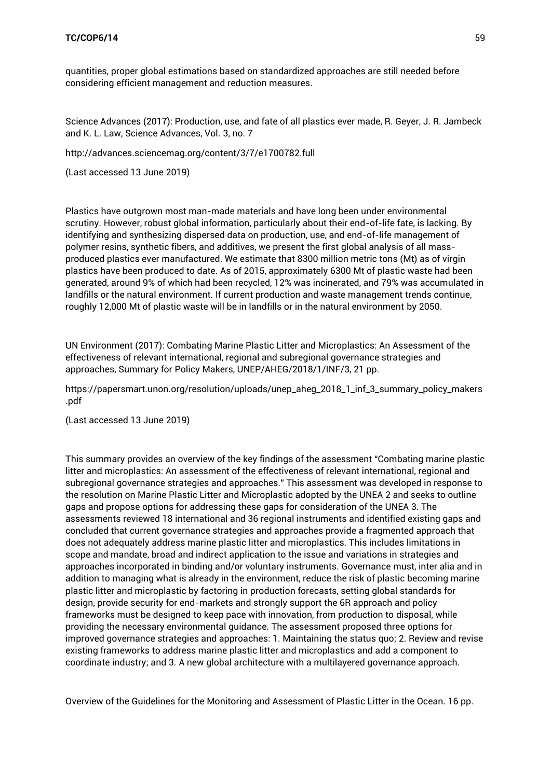quantities, proper global estimations based on standardized approaches are still needed before considering efficient management and reduction measures.

Science Advances (2017): Production, use, and fate of all plastics ever made, R. Geyer, J. R. Jambeck and K. L. Law, Science Advances, Vol. 3, no. 7

<http://advances.sciencemag.org/content/3/7/e1700782.full>

(Last accessed 13 June 2019)

Plastics have outgrown most man-made materials and have long been under environmental scrutiny. However, robust global information, particularly about their end-of-life fate, is lacking. By identifying and synthesizing dispersed data on production, use, and end-of-life management of polymer resins, synthetic fibers, and additives, we present the first global analysis of all massproduced plastics ever manufactured. We estimate that 8300 million metric tons (Mt) as of virgin plastics have been produced to date. As of 2015, approximately 6300 Mt of plastic waste had been generated, around 9% of which had been recycled, 12% was incinerated, and 79% was accumulated in landfills or the natural environment. If current production and waste management trends continue, roughly 12,000 Mt of plastic waste will be in landfills or in the natural environment by 2050.

UN Environment (2017): Combating Marine Plastic Litter and Microplastics: An Assessment of the effectiveness of relevant international, regional and subregional governance strategies and approaches, Summary for Policy Makers, UNEP/AHEG/2018/1/INF/3, 21 pp.

[https://papersmart.unon.org/resolution/uploads/unep\\_aheg\\_2018\\_1\\_inf\\_3\\_summary\\_policy\\_makers](https://papersmart.unon.org/resolution/uploads/unep_aheg_2018_1_inf_3_summary_policy_makers.pdf) [.pdf](https://papersmart.unon.org/resolution/uploads/unep_aheg_2018_1_inf_3_summary_policy_makers.pdf)

(Last accessed 13 June 2019)

This summary provides an overview of the key findings of the assessment "Combating marine plastic litter and microplastics: An assessment of the effectiveness of relevant international, regional and subregional governance strategies and approaches." This assessment was developed in response to the resolution on Marine Plastic Litter and Microplastic adopted by the UNEA 2 and seeks to outline gaps and propose options for addressing these gaps for consideration of the UNEA 3. The assessments reviewed 18 international and 36 regional instruments and identified existing gaps and concluded that current governance strategies and approaches provide a fragmented approach that does not adequately address marine plastic litter and microplastics. This includes limitations in scope and mandate, broad and indirect application to the issue and variations in strategies and approaches incorporated in binding and/or voluntary instruments. Governance must, inter alia and in addition to managing what is already in the environment, reduce the risk of plastic becoming marine plastic litter and microplastic by factoring in production forecasts, setting global standards for design, provide security for end-markets and strongly support the 6R approach and policy frameworks must be designed to keep pace with innovation, from production to disposal, while providing the necessary environmental guidance. The assessment proposed three options for improved governance strategies and approaches: 1. Maintaining the status quo; 2. Review and revise existing frameworks to address marine plastic litter and microplastics and add a component to coordinate industry; and 3. A new global architecture with a multilayered governance approach.

Overview of the Guidelines for the Monitoring and Assessment of Plastic Litter in the Ocean. 16 pp.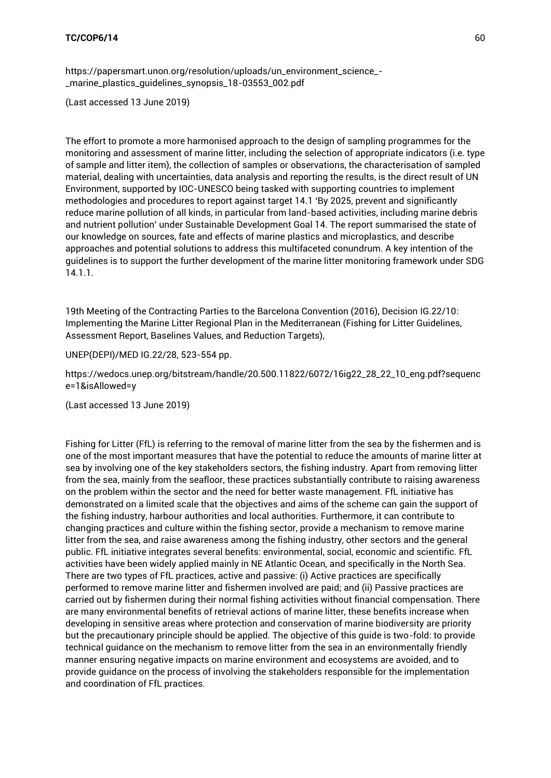[https://papersmart.unon.org/resolution/uploads/un\\_environment\\_science\\_-](https://papersmart.unon.org/resolution/uploads/un_environment_science_-_marine_plastics_guidelines_synopsis_18-03553_002.pdf) [\\_marine\\_plastics\\_guidelines\\_synopsis\\_18-03553\\_002.pdf](https://papersmart.unon.org/resolution/uploads/un_environment_science_-_marine_plastics_guidelines_synopsis_18-03553_002.pdf)

(Last accessed 13 June 2019)

The effort to promote a more harmonised approach to the design of sampling programmes for the monitoring and assessment of marine litter, including the selection of appropriate indicators (i.e. type of sample and litter item), the collection of samples or observations, the characterisation of sampled material, dealing with uncertainties, data analysis and reporting the results, is the direct result of UN Environment, supported by IOC-UNESCO being tasked with supporting countries to implement methodologies and procedures to report against target 14.1 'By 2025, prevent and significantly reduce marine pollution of all kinds, in particular from land-based activities, including marine debris and nutrient pollution' under Sustainable Development Goal 14. The report summarised the state of our knowledge on sources, fate and effects of marine plastics and microplastics, and describe approaches and potential solutions to address this multifaceted conundrum. A key intention of the guidelines is to support the further development of the marine litter monitoring framework under SDG 14.1.1.

19th Meeting of the Contracting Parties to the Barcelona Convention (2016), Decision IG.22/10: Implementing the Marine Litter Regional Plan in the Mediterranean (Fishing for Litter Guidelines, Assessment Report, Baselines Values, and Reduction Targets),

UNEP(DEPI)/MED IG.22/28, 523-554 pp.

[https://wedocs.unep.org/bitstream/handle/20.500.11822/6072/16ig22\\_28\\_22\\_10\\_eng.pdf?sequenc](https://wedocs.unep.org/bitstream/handle/20.500.11822/6072/16ig22_28_22_10_eng.pdf?sequence=1&isAllowed=y) [e=1&isAllowed=y](https://wedocs.unep.org/bitstream/handle/20.500.11822/6072/16ig22_28_22_10_eng.pdf?sequence=1&isAllowed=y)

(Last accessed 13 June 2019)

Fishing for Litter (FfL) is referring to the removal of marine litter from the sea by the fishermen and is one of the most important measures that have the potential to reduce the amounts of marine litter at sea by involving one of the key stakeholders sectors, the fishing industry. Apart from removing litter from the sea, mainly from the seafloor, these practices substantially contribute to raising awareness on the problem within the sector and the need for better waste management. FfL initiative has demonstrated on a limited scale that the objectives and aims of the scheme can gain the support of the fishing industry, harbour authorities and local authorities. Furthermore, it can contribute to changing practices and culture within the fishing sector, provide a mechanism to remove marine litter from the sea, and raise awareness among the fishing industry, other sectors and the general public. FfL initiative integrates several benefits: environmental, social, economic and scientific. FfL activities have been widely applied mainly in NE Atlantic Ocean, and specifically in the North Sea. There are two types of FfL practices, active and passive: (i) Active practices are specifically performed to remove marine litter and fishermen involved are paid; and (ii) Passive practices are carried out by fishermen during their normal fishing activities without financial compensation. There are many environmental benefits of retrieval actions of marine litter, these benefits increase when developing in sensitive areas where protection and conservation of marine biodiversity are priority but the precautionary principle should be applied. The objective of this guide is two-fold: to provide technical guidance on the mechanism to remove litter from the sea in an environmentally friendly manner ensuring negative impacts on marine environment and ecosystems are avoided, and to provide guidance on the process of involving the stakeholders responsible for the implementation and coordination of FfL practices.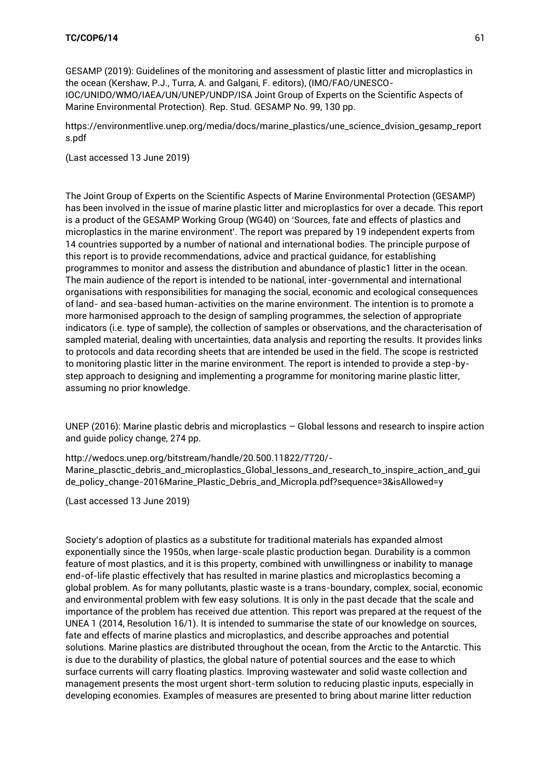GESAMP (2019): Guidelines of the monitoring and assessment of plastic litter and microplastics in the ocean (Kershaw, P.J., Turra, A. and Galgani, F. editors), (IMO/FAO/UNESCO-IOC/UNIDO/WMO/IAEA/UN/UNEP/UNDP/ISA Joint Group of Experts on the Scientific Aspects of Marine Environmental Protection). Rep. Stud. GESAMP No. 99, 130 pp.

[https://environmentlive.unep.org/media/docs/marine\\_plastics/une\\_science\\_dvision\\_gesamp\\_report](https://environmentlive.unep.org/media/docs/marine_plastics/une_science_dvision_gesamp_reports.pdf) [s.pdf](https://environmentlive.unep.org/media/docs/marine_plastics/une_science_dvision_gesamp_reports.pdf)

(Last accessed 13 June 2019)

The Joint Group of Experts on the Scientific Aspects of Marine Environmental Protection (GESAMP) has been involved in the issue of marine plastic litter and microplastics for over a decade. This report is a product of the GESAMP Working Group (WG40) on 'Sources, fate and effects of plastics and microplastics in the marine environment'. The report was prepared by 19 independent experts from 14 countries supported by a number of national and international bodies. The principle purpose of this report is to provide recommendations, advice and practical guidance, for establishing programmes to monitor and assess the distribution and abundance of plastic1 litter in the ocean. The main audience of the report is intended to be national, inter-governmental and international organisations with responsibilities for managing the social, economic and ecological consequences of land- and sea-based human-activities on the marine environment. The intention is to promote a more harmonised approach to the design of sampling programmes, the selection of appropriate indicators (i.e. type of sample), the collection of samples or observations, and the characterisation of sampled material, dealing with uncertainties, data analysis and reporting the results. It provides links to protocols and data recording sheets that are intended be used in the field. The scope is restricted to monitoring plastic litter in the marine environment. The report is intended to provide a step-bystep approach to designing and implementing a programme for monitoring marine plastic litter, assuming no prior knowledge.

UNEP (2016): Marine plastic debris and microplastics – Global lessons and research to inspire action and guide policy change, 274 pp.

[http://wedocs.unep.org/bitstream/handle/20.500.11822/7720/-](http://wedocs.unep.org/bitstream/handle/20.500.11822/7720/-Marine_plasctic_debris_and_microplastics_Global_lessons_and_research_to_inspire_action_and_guide_policy_change-2016Marine_Plastic_Debris_and_Micropla.pdf?sequence=3&isAllowed=y)

[Marine\\_plasctic\\_debris\\_and\\_microplastics\\_Global\\_lessons\\_and\\_research\\_to\\_inspire\\_action\\_and\\_gui](http://wedocs.unep.org/bitstream/handle/20.500.11822/7720/-Marine_plasctic_debris_and_microplastics_Global_lessons_and_research_to_inspire_action_and_guide_policy_change-2016Marine_Plastic_Debris_and_Micropla.pdf?sequence=3&isAllowed=y) [de\\_policy\\_change-2016Marine\\_Plastic\\_Debris\\_and\\_Micropla.pdf?sequence=3&isAllowed=y](http://wedocs.unep.org/bitstream/handle/20.500.11822/7720/-Marine_plasctic_debris_and_microplastics_Global_lessons_and_research_to_inspire_action_and_guide_policy_change-2016Marine_Plastic_Debris_and_Micropla.pdf?sequence=3&isAllowed=y)

(Last accessed 13 June 2019)

Society's adoption of plastics as a substitute for traditional materials has expanded almost exponentially since the 1950s, when large-scale plastic production began. Durability is a common feature of most plastics, and it is this property, combined with unwillingness or inability to manage end-of-life plastic effectively that has resulted in marine plastics and microplastics becoming a global problem. As for many pollutants, plastic waste is a trans-boundary, complex, social, economic and environmental problem with few easy solutions. It is only in the past decade that the scale and importance of the problem has received due attention. This report was prepared at the request of the UNEA 1 (2014, Resolution 16/1). It is intended to summarise the state of our knowledge on sources, fate and effects of marine plastics and microplastics, and describe approaches and potential solutions. Marine plastics are distributed throughout the ocean, from the Arctic to the Antarctic. This is due to the durability of plastics, the global nature of potential sources and the ease to which surface currents will carry floating plastics. Improving wastewater and solid waste collection and management presents the most urgent short-term solution to reducing plastic inputs, especially in developing economies. Examples of measures are presented to bring about marine litter reduction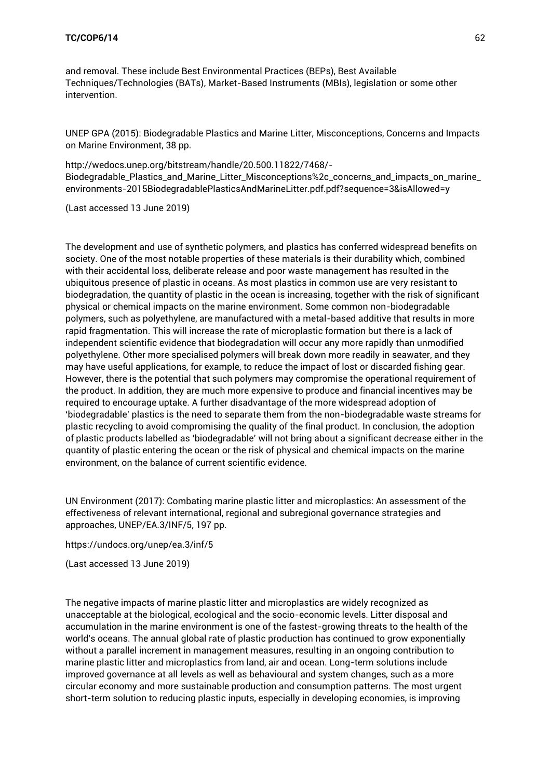and removal. These include Best Environmental Practices (BEPs), Best Available Techniques/Technologies (BATs), Market-Based Instruments (MBIs), legislation or some other intervention.

UNEP GPA (2015): Biodegradable Plastics and Marine Litter, Misconceptions, Concerns and Impacts on Marine Environment, 38 pp.

[http://wedocs.unep.org/bitstream/handle/20.500.11822/7468/-](http://wedocs.unep.org/bitstream/handle/20.500.11822/7468/-Biodegradable_Plastics_and_Marine_Litter_Misconceptions%2c_concerns_and_impacts_on_marine_environments-2015BiodegradablePlasticsAndMarineLitter.pdf.pdf?sequence=3&isAllowed=y) [Biodegradable\\_Plastics\\_and\\_Marine\\_Litter\\_Misconceptions%2c\\_concerns\\_and\\_impacts\\_on\\_marine\\_](http://wedocs.unep.org/bitstream/handle/20.500.11822/7468/-Biodegradable_Plastics_and_Marine_Litter_Misconceptions%2c_concerns_and_impacts_on_marine_environments-2015BiodegradablePlasticsAndMarineLitter.pdf.pdf?sequence=3&isAllowed=y) [environments-2015BiodegradablePlasticsAndMarineLitter.pdf.pdf?sequence=3&isAllowed=y](http://wedocs.unep.org/bitstream/handle/20.500.11822/7468/-Biodegradable_Plastics_and_Marine_Litter_Misconceptions%2c_concerns_and_impacts_on_marine_environments-2015BiodegradablePlasticsAndMarineLitter.pdf.pdf?sequence=3&isAllowed=y)

(Last accessed 13 June 2019)

The development and use of synthetic polymers, and plastics has conferred widespread benefits on society. One of the most notable properties of these materials is their durability which, combined with their accidental loss, deliberate release and poor waste management has resulted in the ubiquitous presence of plastic in oceans. As most plastics in common use are very resistant to biodegradation, the quantity of plastic in the ocean is increasing, together with the risk of significant physical or chemical impacts on the marine environment. Some common non-biodegradable polymers, such as polyethylene, are manufactured with a metal-based additive that results in more rapid fragmentation. This will increase the rate of microplastic formation but there is a lack of independent scientific evidence that biodegradation will occur any more rapidly than unmodified polyethylene. Other more specialised polymers will break down more readily in seawater, and they may have useful applications, for example, to reduce the impact of lost or discarded fishing gear. However, there is the potential that such polymers may compromise the operational requirement of the product. In addition, they are much more expensive to produce and financial incentives may be required to encourage uptake. A further disadvantage of the more widespread adoption of 'biodegradable' plastics is the need to separate them from the non-biodegradable waste streams for plastic recycling to avoid compromising the quality of the final product. In conclusion, the adoption of plastic products labelled as 'biodegradable' will not bring about a significant decrease either in the quantity of plastic entering the ocean or the risk of physical and chemical impacts on the marine environment, on the balance of current scientific evidence.

UN Environment (2017): Combating marine plastic litter and microplastics: An assessment of the effectiveness of relevant international, regional and subregional governance strategies and approaches, UNEP/EA.3/INF/5, 197 pp.

<https://undocs.org/unep/ea.3/inf/5>

(Last accessed 13 June 2019)

The negative impacts of marine plastic litter and microplastics are widely recognized as unacceptable at the biological, ecological and the socio-economic levels. Litter disposal and accumulation in the marine environment is one of the fastest-growing threats to the health of the world's oceans. The annual global rate of plastic production has continued to grow exponentially without a parallel increment in management measures, resulting in an ongoing contribution to marine plastic litter and microplastics from land, air and ocean. Long-term solutions include improved governance at all levels as well as behavioural and system changes, such as a more circular economy and more sustainable production and consumption patterns. The most urgent short-term solution to reducing plastic inputs, especially in developing economies, is improving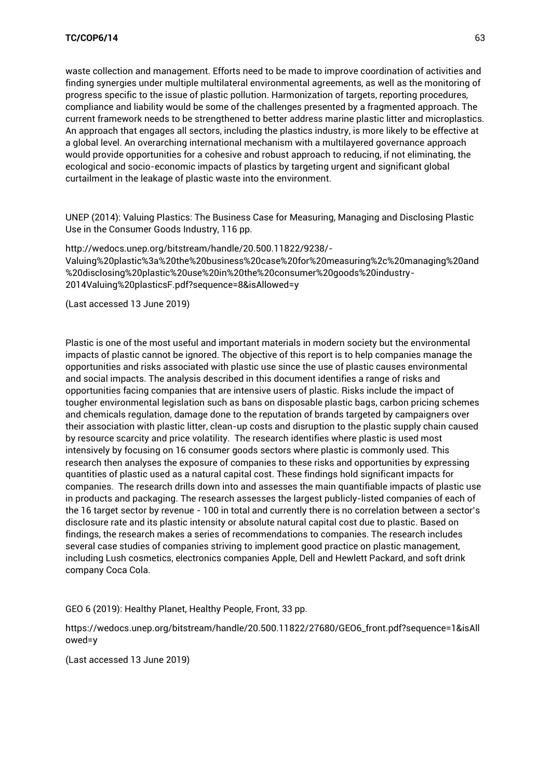waste collection and management. Efforts need to be made to improve coordination of activities and finding synergies under multiple multilateral environmental agreements, as well as the monitoring of progress specific to the issue of plastic pollution. Harmonization of targets, reporting procedures, compliance and liability would be some of the challenges presented by a fragmented approach. The current framework needs to be strengthened to better address marine plastic litter and microplastics. An approach that engages all sectors, including the plastics industry, is more likely to be effective at a global level. An overarching international mechanism with a multilayered governance approach would provide opportunities for a cohesive and robust approach to reducing, if not eliminating, the ecological and socio-economic impacts of plastics by targeting urgent and significant global curtailment in the leakage of plastic waste into the environment.

UNEP (2014): Valuing Plastics: The Business Case for Measuring, Managing and Disclosing Plastic Use in the Consumer Goods Industry, 116 pp.

[http://wedocs.unep.org/bitstream/handle/20.500.11822/9238/-](http://wedocs.unep.org/bitstream/handle/20.500.11822/9238/-Valuing%20plastic%3a%20the%20business%20case%20for%20measuring%2c%20managing%20and%20disclosing%20plastic%20use%20in%20the%20consumer%20goods%20industry-2014Valuing%20plasticsF.pdf?sequence=8&isAllowed=y) [Valuing%20plastic%3a%20the%20business%20case%20for%20measuring%2c%20managing%20and](http://wedocs.unep.org/bitstream/handle/20.500.11822/9238/-Valuing%20plastic%3a%20the%20business%20case%20for%20measuring%2c%20managing%20and%20disclosing%20plastic%20use%20in%20the%20consumer%20goods%20industry-2014Valuing%20plasticsF.pdf?sequence=8&isAllowed=y) [%20disclosing%20plastic%20use%20in%20the%20consumer%20goods%20industry-](http://wedocs.unep.org/bitstream/handle/20.500.11822/9238/-Valuing%20plastic%3a%20the%20business%20case%20for%20measuring%2c%20managing%20and%20disclosing%20plastic%20use%20in%20the%20consumer%20goods%20industry-2014Valuing%20plasticsF.pdf?sequence=8&isAllowed=y)[2014Valuing%20plasticsF.pdf?sequence=8&isAllowed=y](http://wedocs.unep.org/bitstream/handle/20.500.11822/9238/-Valuing%20plastic%3a%20the%20business%20case%20for%20measuring%2c%20managing%20and%20disclosing%20plastic%20use%20in%20the%20consumer%20goods%20industry-2014Valuing%20plasticsF.pdf?sequence=8&isAllowed=y)

(Last accessed 13 June 2019)

Plastic is one of the most useful and important materials in modern society but the environmental impacts of plastic cannot be ignored. The objective of this report is to help companies manage the opportunities and risks associated with plastic use since the use of plastic causes environmental and social impacts. The analysis described in this document identifies a range of risks and opportunities facing companies that are intensive users of plastic. Risks include the impact of tougher environmental legislation such as bans on disposable plastic bags, carbon pricing schemes and chemicals regulation, damage done to the reputation of brands targeted by campaigners over their association with plastic litter, clean-up costs and disruption to the plastic supply chain caused by resource scarcity and price volatility. The research identifies where plastic is used most intensively by focusing on 16 consumer goods sectors where plastic is commonly used. This research then analyses the exposure of companies to these risks and opportunities by expressing quantities of plastic used as a natural capital cost. These findings hold significant impacts for companies. The research drills down into and assesses the main quantifiable impacts of plastic use in products and packaging. The research assesses the largest publicly-listed companies of each of the 16 target sector by revenue - 100 in total and currently there is no correlation between a sector's disclosure rate and its plastic intensity or absolute natural capital cost due to plastic. Based on findings, the research makes a series of recommendations to companies. The research includes several case studies of companies striving to implement good practice on plastic management, including Lush cosmetics, electronics companies Apple, Dell and Hewlett Packard, and soft drink company Coca Cola.

GEO 6 (2019): Healthy Planet, Healthy People, Front, 33 pp.

[https://wedocs.unep.org/bitstream/handle/20.500.11822/27680/GEO6\\_front.pdf?sequence=1&isAll](https://wedocs.unep.org/bitstream/handle/20.500.11822/27680/GEO6_front.pdf?sequence=1&isAllowed=y) [owed=y](https://wedocs.unep.org/bitstream/handle/20.500.11822/27680/GEO6_front.pdf?sequence=1&isAllowed=y)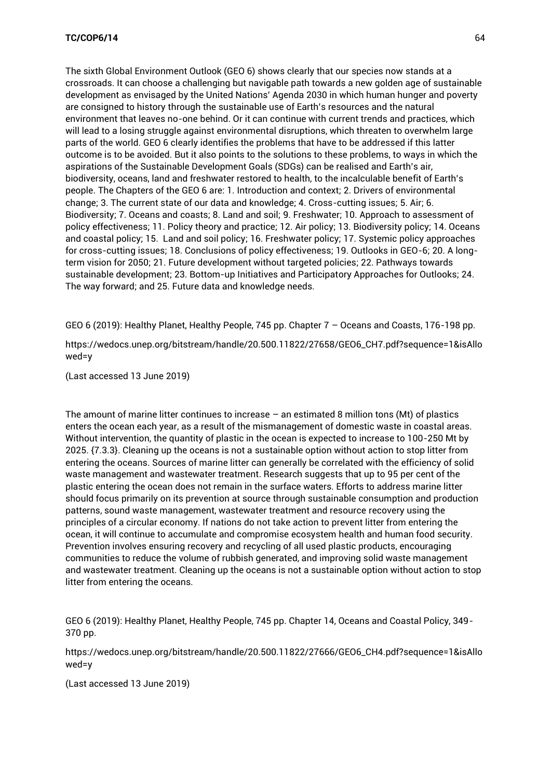The sixth Global Environment Outlook (GEO 6) shows clearly that our species now stands at a crossroads. It can choose a challenging but navigable path towards a new golden age of sustainable development as envisaged by the United Nations' Agenda 2030 in which human hunger and poverty are consigned to history through the sustainable use of Earth's resources and the natural environment that leaves no-one behind. Or it can continue with current trends and practices, which will lead to a losing struggle against environmental disruptions, which threaten to overwhelm large parts of the world. GEO 6 clearly identifies the problems that have to be addressed if this latter outcome is to be avoided. But it also points to the solutions to these problems, to ways in which the aspirations of the Sustainable Development Goals (SDGs) can be realised and Earth's air, biodiversity, oceans, land and freshwater restored to health, to the incalculable benefit of Earth's people. The Chapters of the GEO 6 are: 1. Introduction and context; 2. Drivers of environmental change; 3. The current state of our data and knowledge; 4. Cross-cutting issues; 5. Air; 6. Biodiversity; 7. Oceans and coasts; 8. Land and soil; 9. Freshwater; 10. Approach to assessment of policy effectiveness; 11. Policy theory and practice; 12. Air policy; 13. Biodiversity policy; 14. Oceans and coastal policy; 15. Land and soil policy; 16. Freshwater policy; 17. Systemic policy approaches for cross-cutting issues; 18. Conclusions of policy effectiveness; 19. Outlooks in GEO-6; 20. A longterm vision for 2050; 21. Future development without targeted policies; 22. Pathways towards sustainable development; 23. Bottom-up Initiatives and Participatory Approaches for Outlooks; 24. The way forward; and 25. Future data and knowledge needs.

GEO 6 (2019): Healthy Planet, Healthy People, 745 pp. Chapter 7 – Oceans and Coasts, 176-198 pp.

[https://wedocs.unep.org/bitstream/handle/20.500.11822/27658/GEO6\\_CH7.pdf?sequence=1&isAllo](https://wedocs.unep.org/bitstream/handle/20.500.11822/27658/GEO6_CH7.pdf?sequence=1&isAllowed=y) [wed=y](https://wedocs.unep.org/bitstream/handle/20.500.11822/27658/GEO6_CH7.pdf?sequence=1&isAllowed=y)

(Last accessed 13 June 2019)

The amount of marine litter continues to increase – an estimated 8 million tons (Mt) of plastics enters the ocean each year, as a result of the mismanagement of domestic waste in coastal areas. Without intervention, the quantity of plastic in the ocean is expected to increase to 100-250 Mt by 2025. {7.3.3}. Cleaning up the oceans is not a sustainable option without action to stop litter from entering the oceans. Sources of marine litter can generally be correlated with the efficiency of solid waste management and wastewater treatment. Research suggests that up to 95 per cent of the plastic entering the ocean does not remain in the surface waters. Efforts to address marine litter should focus primarily on its prevention at source through sustainable consumption and production patterns, sound waste management, wastewater treatment and resource recovery using the principles of a circular economy. If nations do not take action to prevent litter from entering the ocean, it will continue to accumulate and compromise ecosystem health and human food security. Prevention involves ensuring recovery and recycling of all used plastic products, encouraging communities to reduce the volume of rubbish generated, and improving solid waste management and wastewater treatment. Cleaning up the oceans is not a sustainable option without action to stop litter from entering the oceans.

GEO 6 (2019): Healthy Planet, Healthy People, 745 pp. Chapter 14, Oceans and Coastal Policy, 349- 370 pp.

[https://wedocs.unep.org/bitstream/handle/20.500.11822/27666/GEO6\\_CH4.pdf?sequence=1&isAllo](https://wedocs.unep.org/bitstream/handle/20.500.11822/27666/GEO6_CH4.pdf?sequence=1&isAllowed=y) [wed=y](https://wedocs.unep.org/bitstream/handle/20.500.11822/27666/GEO6_CH4.pdf?sequence=1&isAllowed=y)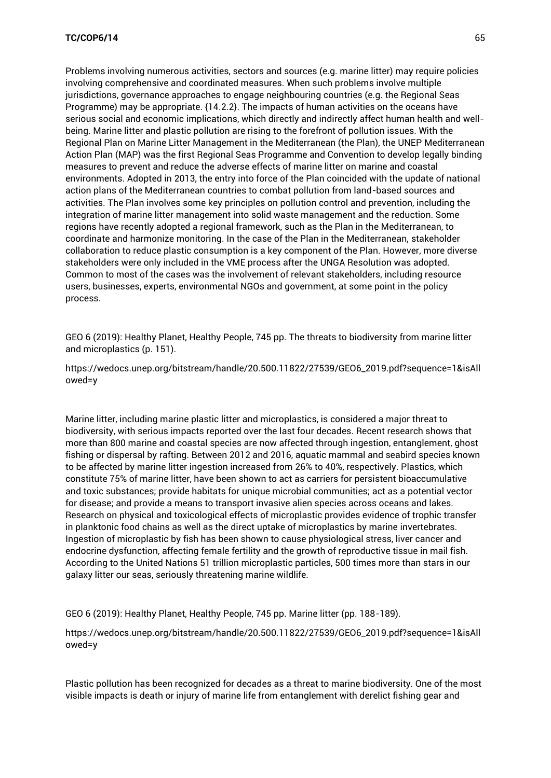Problems involving numerous activities, sectors and sources (e.g. marine litter) may require policies involving comprehensive and coordinated measures. When such problems involve multiple jurisdictions, governance approaches to engage neighbouring countries (e.g. the Regional Seas Programme) may be appropriate. {14.2.2}. The impacts of human activities on the oceans have serious social and economic implications, which directly and indirectly affect human health and wellbeing. Marine litter and plastic pollution are rising to the forefront of pollution issues. With the Regional Plan on Marine Litter Management in the Mediterranean (the Plan), the UNEP Mediterranean Action Plan (MAP) was the first Regional Seas Programme and Convention to develop legally binding measures to prevent and reduce the adverse effects of marine litter on marine and coastal environments. Adopted in 2013, the entry into force of the Plan coincided with the update of national action plans of the Mediterranean countries to combat pollution from land-based sources and activities. The Plan involves some key principles on pollution control and prevention, including the integration of marine litter management into solid waste management and the reduction. Some regions have recently adopted a regional framework, such as the Plan in the Mediterranean, to coordinate and harmonize monitoring. In the case of the Plan in the Mediterranean, stakeholder collaboration to reduce plastic consumption is a key component of the Plan. However, more diverse stakeholders were only included in the VME process after the UNGA Resolution was adopted. Common to most of the cases was the involvement of relevant stakeholders, including resource users, businesses, experts, environmental NGOs and government, at some point in the policy process.

GEO 6 (2019): Healthy Planet, Healthy People, 745 pp. The threats to biodiversity from marine litter and microplastics (p. 151).

[https://wedocs.unep.org/bitstream/handle/20.500.11822/27539/GEO6\\_2019.pdf?sequence=1&isAll](https://wedocs.unep.org/bitstream/handle/20.500.11822/27539/GEO6_2019.pdf?sequence=1&isAllowed=y) [owed=y](https://wedocs.unep.org/bitstream/handle/20.500.11822/27539/GEO6_2019.pdf?sequence=1&isAllowed=y)

Marine litter, including marine plastic litter and microplastics, is considered a major threat to biodiversity, with serious impacts reported over the last four decades. Recent research shows that more than 800 marine and coastal species are now affected through ingestion, entanglement, ghost fishing or dispersal by rafting. Between 2012 and 2016, aquatic mammal and seabird species known to be affected by marine litter ingestion increased from 26% to 40%, respectively. Plastics, which constitute 75% of marine litter, have been shown to act as carriers for persistent bioaccumulative and toxic substances; provide habitats for unique microbial communities; act as a potential vector for disease; and provide a means to transport invasive alien species across oceans and lakes. Research on physical and toxicological effects of microplastic provides evidence of trophic transfer in planktonic food chains as well as the direct uptake of microplastics by marine invertebrates. Ingestion of microplastic by fish has been shown to cause physiological stress, liver cancer and endocrine dysfunction, affecting female fertility and the growth of reproductive tissue in mail fish. According to the United Nations 51 trillion microplastic particles, 500 times more than stars in our galaxy litter our seas, seriously threatening marine wildlife.

GEO 6 (2019): Healthy Planet, Healthy People, 745 pp. Marine litter (pp. 188-189).

[https://wedocs.unep.org/bitstream/handle/20.500.11822/27539/GEO6\\_2019.pdf?sequence=1&isAll](https://wedocs.unep.org/bitstream/handle/20.500.11822/27539/GEO6_2019.pdf?sequence=1&isAllowed=y) [owed=y](https://wedocs.unep.org/bitstream/handle/20.500.11822/27539/GEO6_2019.pdf?sequence=1&isAllowed=y)

Plastic pollution has been recognized for decades as a threat to marine biodiversity. One of the most visible impacts is death or injury of marine life from entanglement with derelict fishing gear and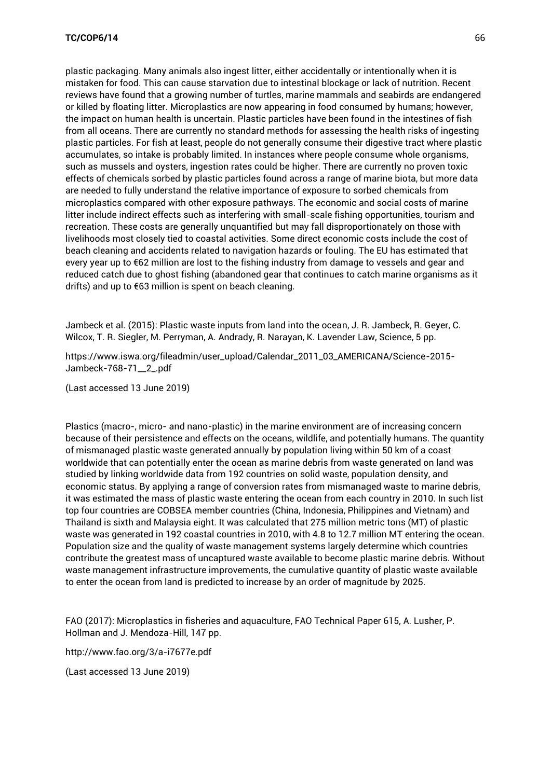plastic packaging. Many animals also ingest litter, either accidentally or intentionally when it is mistaken for food. This can cause starvation due to intestinal blockage or lack of nutrition. Recent reviews have found that a growing number of turtles, marine mammals and seabirds are endangered or killed by floating litter. Microplastics are now appearing in food consumed by humans; however, the impact on human health is uncertain. Plastic particles have been found in the intestines of fish from all oceans. There are currently no standard methods for assessing the health risks of ingesting plastic particles. For fish at least, people do not generally consume their digestive tract where plastic accumulates, so intake is probably limited. In instances where people consume whole organisms, such as mussels and oysters, ingestion rates could be higher. There are currently no proven toxic effects of chemicals sorbed by plastic particles found across a range of marine biota, but more data are needed to fully understand the relative importance of exposure to sorbed chemicals from microplastics compared with other exposure pathways. The economic and social costs of marine litter include indirect effects such as interfering with small-scale fishing opportunities, tourism and recreation. These costs are generally unquantified but may fall disproportionately on those with livelihoods most closely tied to coastal activities. Some direct economic costs include the cost of beach cleaning and accidents related to navigation hazards or fouling. The EU has estimated that every year up to €62 million are lost to the fishing industry from damage to vessels and gear and reduced catch due to ghost fishing (abandoned gear that continues to catch marine organisms as it drifts) and up to €63 million is spent on beach cleaning.

Jambeck et al. (2015): Plastic waste inputs from land into the ocean, J. R. Jambeck, R. Geyer, C. Wilcox, T. R. Siegler, M. Perryman, A. Andrady, R. Narayan, K. Lavender Law, Science, 5 pp.

[https://www.iswa.org/fileadmin/user\\_upload/Calendar\\_2011\\_03\\_AMERICANA/Science-2015-](https://www.iswa.org/fileadmin/user_upload/Calendar_2011_03_AMERICANA/Science-2015-Jambeck-768-71__2_.pdf) [Jambeck-768-71\\_\\_2\\_.pdf](https://www.iswa.org/fileadmin/user_upload/Calendar_2011_03_AMERICANA/Science-2015-Jambeck-768-71__2_.pdf)

(Last accessed 13 June 2019)

Plastics (macro-, micro- and nano-plastic) in the marine environment are of increasing concern because of their persistence and effects on the oceans, wildlife, and potentially humans. The quantity of mismanaged plastic waste generated annually by population living within 50 km of a coast worldwide that can potentially enter the ocean as marine debris from waste generated on land was studied by linking worldwide data from 192 countries on solid waste, population density, and economic status. By applying a range of conversion rates from mismanaged waste to marine debris, it was estimated the mass of plastic waste entering the ocean from each country in 2010. In such list top four countries are COBSEA member countries (China, Indonesia, Philippines and Vietnam) and Thailand is sixth and Malaysia eight. It was calculated that 275 million metric tons (MT) of plastic waste was generated in 192 coastal countries in 2010, with 4.8 to 12.7 million MT entering the ocean. Population size and the quality of waste management systems largely determine which countries contribute the greatest mass of uncaptured waste available to become plastic marine debris. Without waste management infrastructure improvements, the cumulative quantity of plastic waste available to enter the ocean from land is predicted to increase by an order of magnitude by 2025.

FAO (2017): Microplastics in fisheries and aquaculture, FAO Technical Paper 615, A. Lusher, P. Hollman and J. Mendoza-Hill, 147 pp.

<http://www.fao.org/3/a-i7677e.pdf>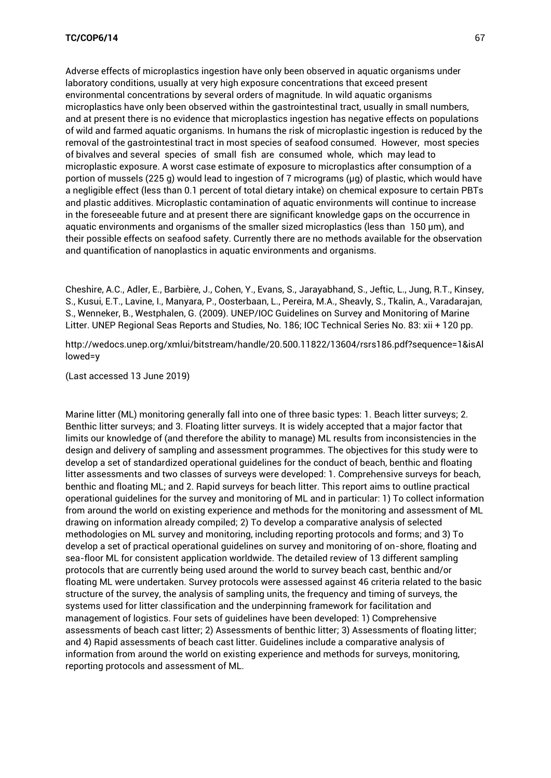Adverse effects of microplastics ingestion have only been observed in aquatic organisms under laboratory conditions, usually at very high exposure concentrations that exceed present environmental concentrations by several orders of magnitude. In wild aquatic organisms microplastics have only been observed within the gastrointestinal tract, usually in small numbers, and at present there is no evidence that microplastics ingestion has negative effects on populations of wild and farmed aquatic organisms. In humans the risk of microplastic ingestion is reduced by the removal of the gastrointestinal tract in most species of seafood consumed. However, most species of bivalves and several species of small fish are consumed whole, which may lead to microplastic exposure. A worst case estimate of exposure to microplastics after consumption of a portion of mussels (225 g) would lead to ingestion of 7 micrograms (µg) of plastic, which would have a negligible effect (less than 0.1 percent of total dietary intake) on chemical exposure to certain PBTs and plastic additives. Microplastic contamination of aquatic environments will continue to increase in the foreseeable future and at present there are significant knowledge gaps on the occurrence in aquatic environments and organisms of the smaller sized microplastics (less than 150 µm), and their possible effects on seafood safety. Currently there are no methods available for the observation and quantification of nanoplastics in aquatic environments and organisms.

Cheshire, A.C., Adler, E., Barbière, J., Cohen, Y., Evans, S., Jarayabhand, S., Jeftic, L., Jung, R.T., Kinsey, S., Kusui, E.T., Lavine, I., Manyara, P., Oosterbaan, L., Pereira, M.A., Sheavly, S., Tkalin, A., Varadarajan, S., Wenneker, B., Westphalen, G. (2009). UNEP/IOC Guidelines on Survey and Monitoring of Marine Litter. UNEP Regional Seas Reports and Studies, No. 186; IOC Technical Series No. 83: xii + 120 pp.

[http://wedocs.unep.org/xmlui/bitstream/handle/20.500.11822/13604/rsrs186.pdf?sequence=1&isAl](http://wedocs.unep.org/xmlui/bitstream/handle/20.500.11822/13604/rsrs186.pdf?sequence=1&isAllowed=y) [lowed=y](http://wedocs.unep.org/xmlui/bitstream/handle/20.500.11822/13604/rsrs186.pdf?sequence=1&isAllowed=y)

(Last accessed 13 June 2019)

Marine litter (ML) monitoring generally fall into one of three basic types: 1. Beach litter surveys; 2. Benthic litter surveys; and 3. Floating litter surveys. It is widely accepted that a major factor that limits our knowledge of (and therefore the ability to manage) ML results from inconsistencies in the design and delivery of sampling and assessment programmes. The objectives for this study were to develop a set of standardized operational guidelines for the conduct of beach, benthic and floating litter assessments and two classes of surveys were developed: 1. Comprehensive surveys for beach, benthic and floating ML; and 2. Rapid surveys for beach litter. This report aims to outline practical operational guidelines for the survey and monitoring of ML and in particular: 1) To collect information from around the world on existing experience and methods for the monitoring and assessment of ML drawing on information already compiled; 2) To develop a comparative analysis of selected methodologies on ML survey and monitoring, including reporting protocols and forms; and 3) To develop a set of practical operational guidelines on survey and monitoring of on-shore, floating and sea-floor ML for consistent application worldwide. The detailed review of 13 different sampling protocols that are currently being used around the world to survey beach cast, benthic and/or floating ML were undertaken. Survey protocols were assessed against 46 criteria related to the basic structure of the survey, the analysis of sampling units, the frequency and timing of surveys, the systems used for litter classification and the underpinning framework for facilitation and management of logistics. Four sets of guidelines have been developed: 1) Comprehensive assessments of beach cast litter; 2) Assessments of benthic litter; 3) Assessments of floating litter; and 4) Rapid assessments of beach cast litter. Guidelines include a comparative analysis of information from around the world on existing experience and methods for surveys, monitoring, reporting protocols and assessment of ML.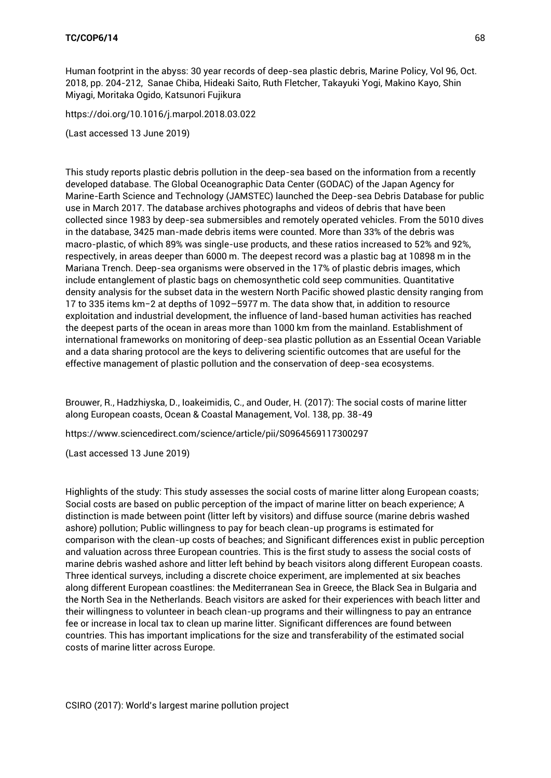Human footprint in the abyss: 30 year records of deep-sea plastic debris, Marine Policy, Vol 96, Oct. 2018, pp. 204-212, Sanae Chiba, [Hideaki Saito, Ruth Fletcher, Takayuki Yogi, Makino Kayo, Shin](https://www.sciencedirect.com/science/article/pii/S0308597X17305195?via%3Dihub#!)  [Miyagi, Moritaka Ogido, Katsunori Fujikura](https://www.sciencedirect.com/science/article/pii/S0308597X17305195?via%3Dihub#!) 

<https://doi.org/10.1016/j.marpol.2018.03.022>

(Last accessed 13 June 2019)

This study reports plastic debris pollution in the deep-sea based on the information from a recently developed database. The Global Oceanographic Data Center (GODAC) of the Japan Agency for Marine-Earth Science and Technology (JAMSTEC) launched the Deep-sea Debris Database for public use in March 2017. The database archives photographs and videos of debris that have been collected since 1983 by deep-sea submersibles and remotely operated vehicles. From the 5010 dives in the database, 3425 man-made debris items were counted. More than 33% of the debris was macro-plastic, of which 89% was single-use products, and these ratios increased to 52% and 92%, respectively, in areas deeper than 6000 m. The deepest record was a plastic bag at 10898 m in the Mariana Trench. Deep-sea organisms were observed in the 17% of plastic debris images, which include entanglement of plastic bags on chemosynthetic cold seep communities. Quantitative density analysis for the subset data in the western North Pacific showed plastic density ranging from 17 to 335 items km−2 at depths of 1092–5977 m. The data show that, in addition to resource exploitation and industrial development, the influence of land-based human activities has reached the deepest parts of the ocean in areas more than 1000 km from the mainland. Establishment of international frameworks on monitoring of deep-sea plastic pollution as an Essential Ocean Variable and a data sharing protocol are the keys to delivering scientific outcomes that are useful for the effective management of plastic pollution and the conservation of deep-sea ecosystems.

Brouwer, R., Hadzhiyska, D., Ioakeimidis, C., and Ouder, H. (2017): The social costs of marine litter along European coasts, Ocean & Coastal Management, Vol. 138, pp. 38-49

<https://www.sciencedirect.com/science/article/pii/S0964569117300297>

(Last accessed 13 June 2019)

Highlights of the study: This study assesses the social costs of marine litter along European coasts; Social costs are based on public perception of the impact of marine litter on beach experience; A distinction is made between point (litter left by visitors) and diffuse source (marine debris washed ashore) pollution; Public willingness to pay for beach clean-up programs is estimated for comparison with the clean-up costs of beaches; and Significant differences exist in public perception and valuation across three European countries. This is the first study to assess the social costs of marine debris washed ashore and litter left behind by beach visitors along different European coasts. Three identical surveys, including a discrete choice experiment, are implemented at six beaches along different European coastlines: the Mediterranean Sea in Greece, the Black Sea in Bulgaria and the North Sea in the Netherlands. Beach visitors are asked for their experiences with beach litter and their willingness to volunteer in beach clean-up programs and their willingness to pay an entrance fee or increase in local tax to clean up marine litter. Significant differences are found between countries. This has important implications for the size and transferability of the estimated social costs of marine litter across Europe.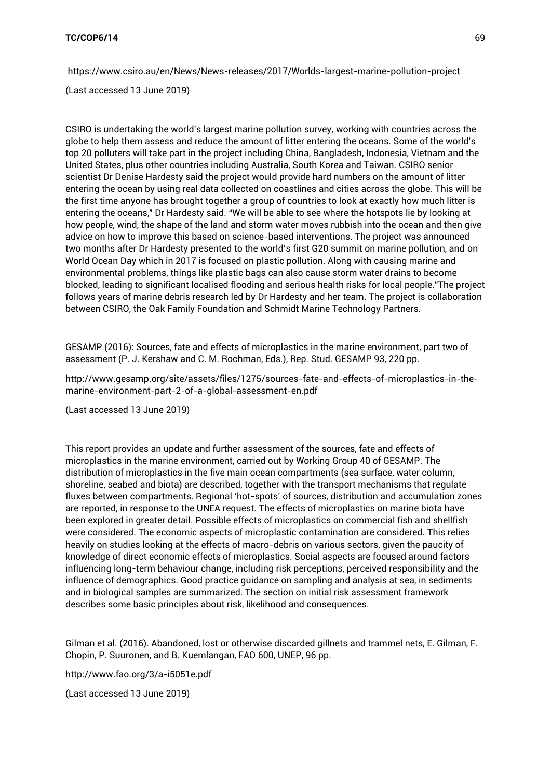<https://www.csiro.au/en/News/News-releases/2017/Worlds-largest-marine-pollution-project>

(Last accessed 13 June 2019)

CSIRO is undertaking the world's largest marine pollution survey, working with countries across the globe to help them assess and reduce the amount of litter entering the oceans. Some of the world's top 20 polluters will take part in the project including China, Bangladesh, Indonesia, Vietnam and the United States, plus other countries including Australia, South Korea and Taiwan. CSIRO senior scientist Dr Denise Hardesty said the project would provide hard numbers on the amount of litter entering the ocean by using real data collected on coastlines and cities across the globe. This will be the first time anyone has brought together a group of countries to look at exactly how much litter is entering the oceans," Dr Hardesty said. "We will be able to see where the hotspots lie by looking at how people, wind, the shape of the land and storm water moves rubbish into the ocean and then give advice on how to improve this based on science-based interventions. The project was announced two months after Dr Hardesty presented to the world's first G20 summit on marine pollution, and on World Ocean Day which in 2017 is focused on plastic pollution. Along with causing marine and environmental problems, things like plastic bags can also cause storm water drains to become blocked, leading to significant localised flooding and serious health risks for local people."The project follows years of marine debris research led by Dr Hardesty and her team. The project is collaboration between CSIRO, the Oak Family Foundation and Schmidt Marine Technology Partners.

GESAMP (2016): Sources, fate and effects of microplastics in the marine environment, part two of assessment (P. J. Kershaw and C. M. Rochman, Eds.), Rep. Stud. GESAMP 93, 220 pp.

[http://www.gesamp.org/site/assets/files/1275/sources-fate-and-effects-of-microplastics-in-the](http://www.gesamp.org/site/assets/files/1275/sources-fate-and-effects-of-microplastics-in-the-marine-environment-part-2-of-a-global-assessment-en.pdf)[marine-environment-part-2-of-a-global-assessment-en.pdf](http://www.gesamp.org/site/assets/files/1275/sources-fate-and-effects-of-microplastics-in-the-marine-environment-part-2-of-a-global-assessment-en.pdf)

(Last accessed 13 June 2019)

This report provides an update and further assessment of the sources, fate and effects of microplastics in the marine environment, carried out by Working Group 40 of GESAMP. The distribution of microplastics in the five main ocean compartments (sea surface, water column, shoreline, seabed and biota) are described, together with the transport mechanisms that regulate fluxes between compartments. Regional 'hot-spots' of sources, distribution and accumulation zones are reported, in response to the UNEA request. The effects of microplastics on marine biota have been explored in greater detail. Possible effects of microplastics on commercial fish and shellfish were considered. The economic aspects of microplastic contamination are considered. This relies heavily on studies looking at the effects of macro-debris on various sectors, given the paucity of knowledge of direct economic effects of microplastics. Social aspects are focused around factors influencing long-term behaviour change, including risk perceptions, perceived responsibility and the influence of demographics. Good practice guidance on sampling and analysis at sea, in sediments and in biological samples are summarized. The section on initial risk assessment framework describes some basic principles about risk, likelihood and consequences.

Gilman et al. (2016). Abandoned, lost or otherwise discarded gillnets and trammel nets, E. Gilman, F. Chopin, P. Suuronen, and B. Kuemlangan, FAO 600, UNEP, 96 pp.

<http://www.fao.org/3/a-i5051e.pdf>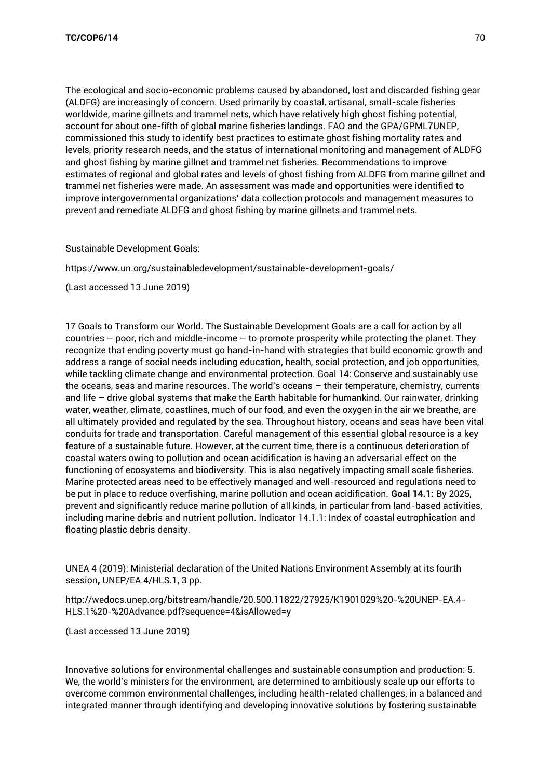The ecological and socio-economic problems caused by abandoned, lost and discarded fishing gear (ALDFG) are increasingly of concern. Used primarily by coastal, artisanal, small-scale fisheries worldwide, marine gillnets and trammel nets, which have relatively high ghost fishing potential, account for about one-fifth of global marine fisheries landings. FAO and the GPA/GPML7UNEP, commissioned this study to identify best practices to estimate ghost fishing mortality rates and levels, priority research needs, and the status of international monitoring and management of ALDFG and ghost fishing by marine gillnet and trammel net fisheries. Recommendations to improve estimates of regional and global rates and levels of ghost fishing from ALDFG from marine gillnet and trammel net fisheries were made. An assessment was made and opportunities were identified to improve intergovernmental organizations' data collection protocols and management measures to prevent and remediate ALDFG and ghost fishing by marine gillnets and trammel nets.

Sustainable Development Goals:

<https://www.un.org/sustainabledevelopment/sustainable-development-goals/>

(Last accessed 13 June 2019)

17 Goals to Transform our World. The Sustainable Development Goals are a call for action by all countries  $-$  poor, rich and middle-income  $-$  to promote prosperity while protecting the planet. They recognize that ending poverty must go hand-in-hand with strategies that build economic growth and address a range of social needs including education, health, social protection, and job opportunities, while tackling climate change and environmental protection. Goal 14: Conserve and sustainably use the oceans, seas and marine resources. The world's oceans – their temperature, chemistry, currents and life – drive global systems that make the Earth habitable for humankind. Our rainwater, drinking water, weather, climate, coastlines, much of our food, and even the oxygen in the air we breathe, are all ultimately provided and regulated by the sea. Throughout history, oceans and seas have been vital conduits for trade and transportation. Careful management of this essential global resource is a key feature of a sustainable future. However, at the current time, there is a continuous deterioration of coastal waters owing to pollution and ocean acidification is having an adversarial effect on the functioning of ecosystems and biodiversity. This is also negatively impacting small scale fisheries. Marine protected areas need to be effectively managed and well-resourced and regulations need to be put in place to reduce overfishing, marine pollution and ocean acidification. **Goal 14.1:** By 2025, prevent and significantly reduce marine pollution of all kinds, in particular from land-based activities, including marine debris and nutrient pollution. Indicator 14.1.1: Index of coastal eutrophication and floating plastic debris density.

UNEA 4 (2019): Ministerial declaration of the United Nations Environment Assembly at its fourth session**,** UNEP/EA.4/HLS.1, 3 pp.

[http://wedocs.unep.org/bitstream/handle/20.500.11822/27925/K1901029%20-%20UNEP-EA.4-](http://wedocs.unep.org/bitstream/handle/20.500.11822/27925/K1901029%20-%20UNEP-EA.4-HLS.1%20-%20Advance.pdf?sequence=4&isAllowed=y) [HLS.1%20-%20Advance.pdf?sequence=4&isAllowed=y](http://wedocs.unep.org/bitstream/handle/20.500.11822/27925/K1901029%20-%20UNEP-EA.4-HLS.1%20-%20Advance.pdf?sequence=4&isAllowed=y)

(Last accessed 13 June 2019)

Innovative solutions for environmental challenges and sustainable consumption and production: 5. We, the world's ministers for the environment, are determined to ambitiously scale up our efforts to overcome common environmental challenges, including health-related challenges, in a balanced and integrated manner through identifying and developing innovative solutions by fostering sustainable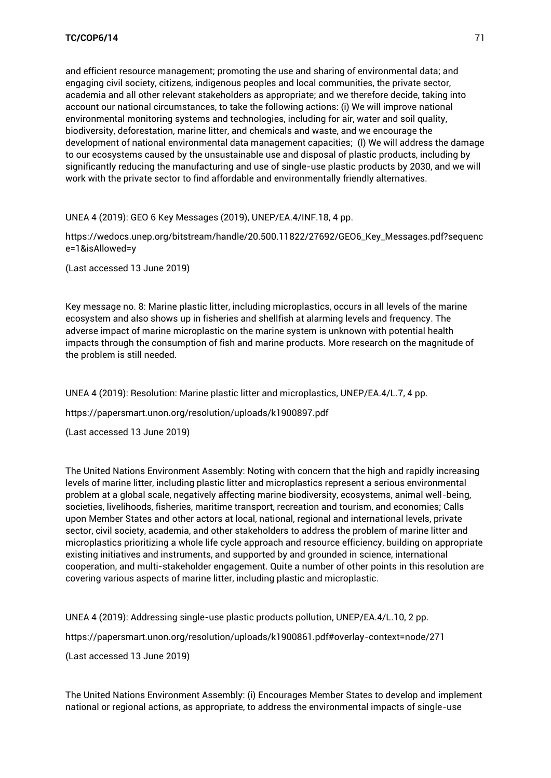and efficient resource management; promoting the use and sharing of environmental data; and engaging civil society, citizens, indigenous peoples and local communities, the private sector, academia and all other relevant stakeholders as appropriate; and we therefore decide, taking into account our national circumstances, to take the following actions: (i) We will improve national environmental monitoring systems and technologies, including for air, water and soil quality, biodiversity, deforestation, marine litter, and chemicals and waste, and we encourage the development of national environmental data management capacities; (l) We will address the damage to our ecosystems caused by the unsustainable use and disposal of plastic products, including by significantly reducing the manufacturing and use of single-use plastic products by 2030, and we will work with the private sector to find affordable and environmentally friendly alternatives.

UNEA 4 (2019): GEO 6 Key Messages (2019), UNEP/EA.4/INF.18, 4 pp.

[https://wedocs.unep.org/bitstream/handle/20.500.11822/27692/GEO6\\_Key\\_Messages.pdf?sequenc](https://wedocs.unep.org/bitstream/handle/20.500.11822/27692/GEO6_Key_Messages.pdf?sequence=1&isAllowed=y) [e=1&isAllowed=y](https://wedocs.unep.org/bitstream/handle/20.500.11822/27692/GEO6_Key_Messages.pdf?sequence=1&isAllowed=y)

(Last accessed 13 June 2019)

Key message no. 8: Marine plastic litter, including microplastics, occurs in all levels of the marine ecosystem and also shows up in fisheries and shellfish at alarming levels and frequency. The adverse impact of marine microplastic on the marine system is unknown with potential health impacts through the consumption of fish and marine products. More research on the magnitude of the problem is still needed.

UNEA 4 (2019): Resolution: Marine plastic litter and microplastics, UNEP/EA.4/L.7, 4 pp.

<https://papersmart.unon.org/resolution/uploads/k1900897.pdf>

(Last accessed 13 June 2019)

The United Nations Environment Assembly: Noting with concern that the high and rapidly increasing levels of marine litter, including plastic litter and microplastics represent a serious environmental problem at a global scale, negatively affecting marine biodiversity, ecosystems, animal well-being, societies, livelihoods, fisheries, maritime transport, recreation and tourism, and economies; Calls upon Member States and other actors at local, national, regional and international levels, private sector, civil society, academia, and other stakeholders to address the problem of marine litter and microplastics prioritizing a whole life cycle approach and resource efficiency, building on appropriate existing initiatives and instruments, and supported by and grounded in science, international cooperation, and multi-stakeholder engagement. Quite a number of other points in this resolution are covering various aspects of marine litter, including plastic and microplastic.

UNEA 4 (2019): Addressing single-use plastic products pollution, UNEP/EA.4/L.10, 2 pp. <https://papersmart.unon.org/resolution/uploads/k1900861.pdf#overlay-context=node/271> (Last accessed 13 June 2019)

The United Nations Environment Assembly: (i) Encourages Member States to develop and implement national or regional actions, as appropriate, to address the environmental impacts of single-use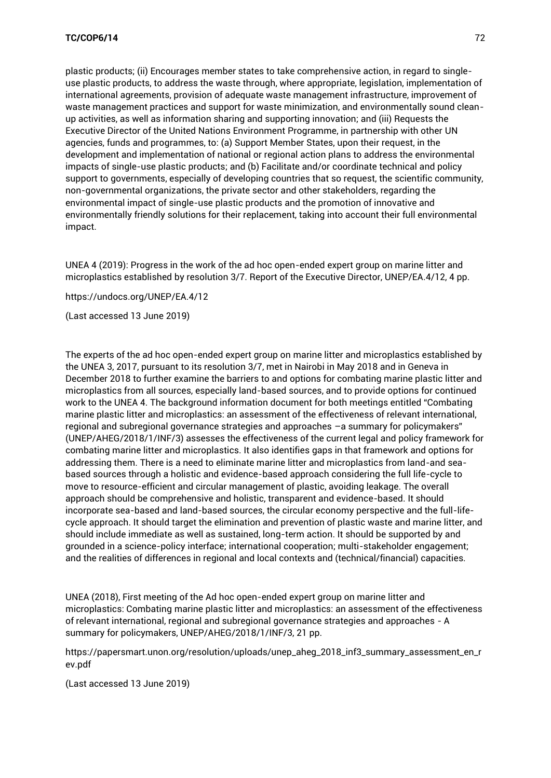plastic products; (ii) Encourages member states to take comprehensive action, in regard to singleuse plastic products, to address the waste through, where appropriate, legislation, implementation of international agreements, provision of adequate waste management infrastructure, improvement of waste management practices and support for waste minimization, and environmentally sound cleanup activities, as well as information sharing and supporting innovation; and (iii) Requests the Executive Director of the United Nations Environment Programme, in partnership with other UN agencies, funds and programmes, to: (a) Support Member States, upon their request, in the development and implementation of national or regional action plans to address the environmental impacts of single-use plastic products; and (b) Facilitate and/or coordinate technical and policy support to governments, especially of developing countries that so request, the scientific community, non-governmental organizations, the private sector and other stakeholders, regarding the environmental impact of single-use plastic products and the promotion of innovative and environmentally friendly solutions for their replacement, taking into account their full environmental impact.

UNEA 4 (2019): Progress in the work of the ad hoc open-ended expert group on marine litter and microplastics established by resolution 3/7. Report of the Executive Director, UNEP/EA.4/12, 4 pp.

<https://undocs.org/UNEP/EA.4/12>

(Last accessed 13 June 2019)

The experts of the ad hoc open-ended expert group on marine litter and microplastics established by the UNEA 3, 2017, pursuant to its resolution 3/7, met in Nairobi in May 2018 and in Geneva in December 2018 to further examine the barriers to and options for combating marine plastic litter and microplastics from all sources, especially land-based sources, and to provide options for continued work to the UNEA 4. The background information document for both meetings entitled "Combating marine plastic litter and microplastics: an assessment of the effectiveness of relevant international, regional and subregional governance strategies and approaches –a summary for policymakers" (UNEP/AHEG/2018/1/INF/3) assesses the effectiveness of the current legal and policy framework for combating marine litter and microplastics. It also identifies gaps in that framework and options for addressing them. There is a need to eliminate marine litter and microplastics from land-and seabased sources through a holistic and evidence-based approach considering the full life-cycle to move to resource-efficient and circular management of plastic, avoiding leakage. The overall approach should be comprehensive and holistic, transparent and evidence-based. It should incorporate sea-based and land-based sources, the circular economy perspective and the full-lifecycle approach. It should target the elimination and prevention of plastic waste and marine litter, and should include immediate as well as sustained, long-term action. It should be supported by and grounded in a science-policy interface; international cooperation; multi-stakeholder engagement; and the realities of differences in regional and local contexts and (technical/financial) capacities.

UNEA (2018), First meeting of the Ad hoc open-ended expert group on marine litter and microplastics: Combating marine plastic litter and microplastics: an assessment of the effectiveness of relevant international, regional and subregional governance strategies and approaches - A summary for policymakers, UNEP/AHEG/2018/1/INF/3, 21 pp.

[https://papersmart.unon.org/resolution/uploads/unep\\_aheg\\_2018\\_inf3\\_summary\\_assessment\\_en\\_r](https://papersmart.unon.org/resolution/uploads/unep_aheg_2018_inf3_summary_assessment_en_rev.pdf) [ev.pdf](https://papersmart.unon.org/resolution/uploads/unep_aheg_2018_inf3_summary_assessment_en_rev.pdf)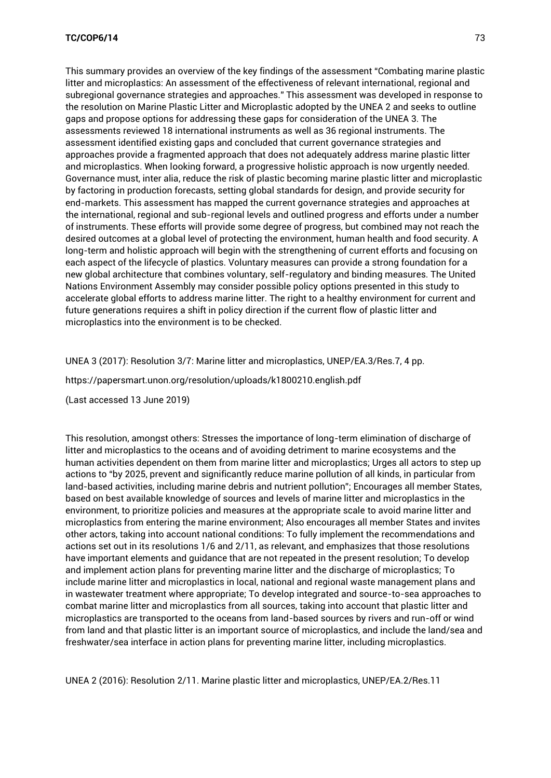This summary provides an overview of the key findings of the assessment "Combating marine plastic litter and microplastics: An assessment of the effectiveness of relevant international, regional and subregional governance strategies and approaches." This assessment was developed in response to the resolution on Marine Plastic Litter and Microplastic adopted by the UNEA 2 and seeks to outline gaps and propose options for addressing these gaps for consideration of the UNEA 3. The assessments reviewed 18 international instruments as well as 36 regional instruments. The assessment identified existing gaps and concluded that current governance strategies and approaches provide a fragmented approach that does not adequately address marine plastic litter and microplastics. When looking forward, a progressive holistic approach is now urgently needed. Governance must, inter alia, reduce the risk of plastic becoming marine plastic litter and microplastic by factoring in production forecasts, setting global standards for design, and provide security for end-markets. This assessment has mapped the current governance strategies and approaches at the international, regional and sub-regional levels and outlined progress and efforts under a number of instruments. These efforts will provide some degree of progress, but combined may not reach the desired outcomes at a global level of protecting the environment, human health and food security. A long-term and holistic approach will begin with the strengthening of current efforts and focusing on each aspect of the lifecycle of plastics. Voluntary measures can provide a strong foundation for a new global architecture that combines voluntary, self-regulatory and binding measures. The United Nations Environment Assembly may consider possible policy options presented in this study to accelerate global efforts to address marine litter. The right to a healthy environment for current and future generations requires a shift in policy direction if the current flow of plastic litter and microplastics into the environment is to be checked.

UNEA 3 (2017): Resolution 3/7: Marine litter and microplastics, UNEP/EA.3/Res.7, 4 pp.

<https://papersmart.unon.org/resolution/uploads/k1800210.english.pdf>

(Last accessed 13 June 2019)

This resolution, amongst others: Stresses the importance of long-term elimination of discharge of litter and microplastics to the oceans and of avoiding detriment to marine ecosystems and the human activities dependent on them from marine litter and microplastics; Urges all actors to step up actions to "by 2025, prevent and significantly reduce marine pollution of all kinds, in particular from land-based activities, including marine debris and nutrient pollution"; Encourages all member States, based on best available knowledge of sources and levels of marine litter and microplastics in the environment, to prioritize policies and measures at the appropriate scale to avoid marine litter and microplastics from entering the marine environment; Also encourages all member States and invites other actors, taking into account national conditions: To fully implement the recommendations and actions set out in its resolutions 1/6 and 2/11, as relevant, and emphasizes that those resolutions have important elements and guidance that are not repeated in the present resolution; To develop and implement action plans for preventing marine litter and the discharge of microplastics; To include marine litter and microplastics in local, national and regional waste management plans and in wastewater treatment where appropriate; To develop integrated and source-to-sea approaches to combat marine litter and microplastics from all sources, taking into account that plastic litter and microplastics are transported to the oceans from land-based sources by rivers and run-off or wind from land and that plastic litter is an important source of microplastics, and include the land/sea and freshwater/sea interface in action plans for preventing marine litter, including microplastics.

UNEA 2 (2016): Resolution 2/11. Marine plastic litter and microplastics, UNEP/EA.2/Res.11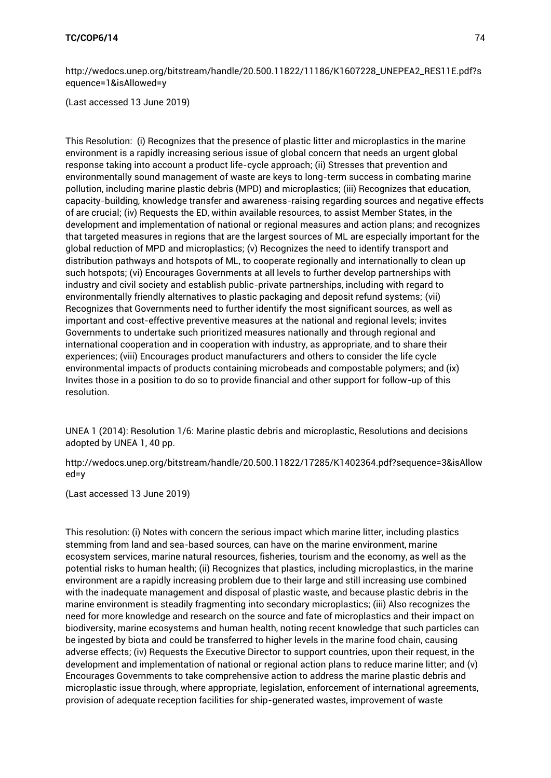[http://wedocs.unep.org/bitstream/handle/20.500.11822/11186/K1607228\\_UNEPEA2\\_RES11E.pdf?s](http://wedocs.unep.org/bitstream/handle/20.500.11822/11186/K1607228_UNEPEA2_RES11E.pdf?sequence=1&isAllowed=y) [equence=1&isAllowed=y](http://wedocs.unep.org/bitstream/handle/20.500.11822/11186/K1607228_UNEPEA2_RES11E.pdf?sequence=1&isAllowed=y)

(Last accessed 13 June 2019)

This Resolution: (i) Recognizes that the presence of plastic litter and microplastics in the marine environment is a rapidly increasing serious issue of global concern that needs an urgent global response taking into account a product life-cycle approach; (ii) Stresses that prevention and environmentally sound management of waste are keys to long-term success in combating marine pollution, including marine plastic debris (MPD) and microplastics; (iii) Recognizes that education, capacity-building, knowledge transfer and awareness-raising regarding sources and negative effects of are crucial; (iv) Requests the ED, within available resources, to assist Member States, in the development and implementation of national or regional measures and action plans; and recognizes that targeted measures in regions that are the largest sources of ML are especially important for the global reduction of MPD and microplastics; (v) Recognizes the need to identify transport and distribution pathways and hotspots of ML, to cooperate regionally and internationally to clean up such hotspots; (vi) Encourages Governments at all levels to further develop partnerships with industry and civil society and establish public-private partnerships, including with regard to environmentally friendly alternatives to plastic packaging and deposit refund systems; (vii) Recognizes that Governments need to further identify the most significant sources, as well as important and cost-effective preventive measures at the national and regional levels; invites Governments to undertake such prioritized measures nationally and through regional and international cooperation and in cooperation with industry, as appropriate, and to share their experiences; (viii) Encourages product manufacturers and others to consider the life cycle environmental impacts of products containing microbeads and compostable polymers; and (ix) Invites those in a position to do so to provide financial and other support for follow-up of this resolution.

UNEA 1 (2014): Resolution 1/6: Marine plastic debris and microplastic, Resolutions and decisions adopted by UNEA 1, 40 pp.

[http://wedocs.unep.org/bitstream/handle/20.500.11822/17285/K1402364.pdf?sequence=3&isAllow](http://wedocs.unep.org/bitstream/handle/20.500.11822/17285/K1402364.pdf?sequence=3&isAllowed=y) [ed=y](http://wedocs.unep.org/bitstream/handle/20.500.11822/17285/K1402364.pdf?sequence=3&isAllowed=y)

(Last accessed 13 June 2019)

This resolution: (i) Notes with concern the serious impact which marine litter, including plastics stemming from land and sea-based sources, can have on the marine environment, marine ecosystem services, marine natural resources, fisheries, tourism and the economy, as well as the potential risks to human health; (ii) Recognizes that plastics, including microplastics, in the marine environment are a rapidly increasing problem due to their large and still increasing use combined with the inadequate management and disposal of plastic waste, and because plastic debris in the marine environment is steadily fragmenting into secondary microplastics; (iii) Also recognizes the need for more knowledge and research on the source and fate of microplastics and their impact on biodiversity, marine ecosystems and human health, noting recent knowledge that such particles can be ingested by biota and could be transferred to higher levels in the marine food chain, causing adverse effects; (iv) Requests the Executive Director to support countries, upon their request, in the development and implementation of national or regional action plans to reduce marine litter; and (v) Encourages Governments to take comprehensive action to address the marine plastic debris and microplastic issue through, where appropriate, legislation, enforcement of international agreements, provision of adequate reception facilities for ship-generated wastes, improvement of waste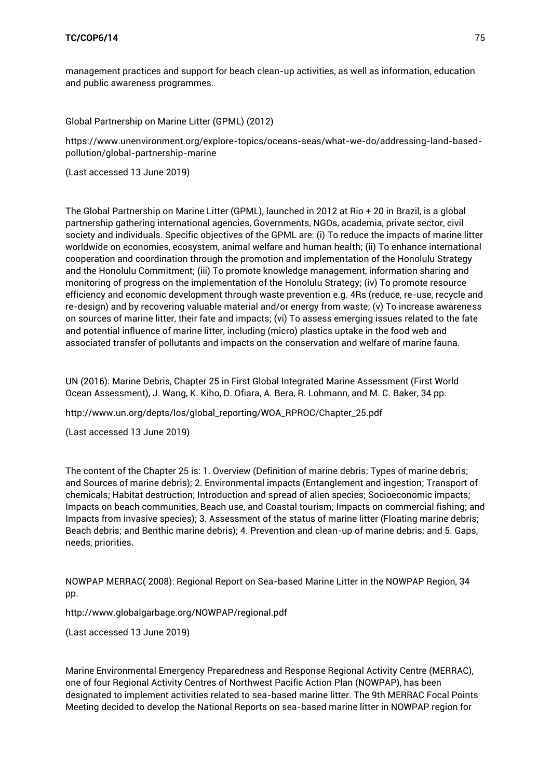management practices and support for beach clean-up activities, as well as information, education and public awareness programmes.

Global Partnership on Marine Litter (GPML) (2012)

[https://www.unenvironment.org/explore-topics/oceans-seas/what-we-do/addressing-land-based](https://www.unenvironment.org/explore-topics/oceans-seas/what-we-do/addressing-land-based-pollution/global-partnership-marine)[pollution/global-partnership-marine](https://www.unenvironment.org/explore-topics/oceans-seas/what-we-do/addressing-land-based-pollution/global-partnership-marine)

(Last accessed 13 June 2019)

The Global Partnership on Marine Litter (GPML), launched in 2012 at Rio + 20 in Brazil, is a global partnership gathering international agencies, Governments, NGOs, academia, private sector, civil society and individuals. Specific objectives of the GPML are: (i) To reduce the impacts of marine litter worldwide on economies, ecosystem, animal welfare and human health; (ii) To enhance international cooperation and coordination through the promotion and implementation of the Honolulu Strategy and the Honolulu Commitment; (iii) To promote knowledge management, information sharing and monitoring of progress on the implementation of the Honolulu Strategy; (iv) To promote resource efficiency and economic development through waste prevention e.g. 4Rs (reduce, re-use, recycle and re-design) and by recovering valuable material and/or energy from waste; (v) To increase awareness on sources of marine litter, their fate and impacts; (vi) To assess emerging issues related to the fate and potential influence of marine litter, including (micro) plastics uptake in the food web and associated transfer of pollutants and impacts on the conservation and welfare of marine fauna.

UN (2016): Marine Debris, Chapter 25 in First Global Integrated Marine Assessment (First World Ocean Assessment), J. Wang, K. Kiho, D. Ofiara, A. Bera, R. Lohmann, and M. C. Baker, 34 pp.

[http://www.un.org/depts/los/global\\_reporting/WOA\\_RPROC/Chapter\\_25.pdf](http://www.un.org/depts/los/global_reporting/WOA_RPROC/Chapter_25.pdf)

(Last accessed 13 June 2019)

The content of the Chapter 25 is: 1. Overview (Definition of marine debris; Types of marine debris; and Sources of marine debris); 2. Environmental impacts (Entanglement and ingestion; Transport of chemicals; Habitat destruction; Introduction and spread of alien species; Socioeconomic impacts; Impacts on beach communities, Beach use, and Coastal tourism; Impacts on commercial fishing; and Impacts from invasive species); 3. Assessment of the status of marine litter (Floating marine debris; Beach debris; and Benthic marine debris); 4. Prevention and clean-up of marine debris; and 5. Gaps, needs, priorities.

NOWPAP MERRAC( 2008): Regional Report on Sea-based Marine Litter in the NOWPAP Region, 34 pp.

<http://www.globalgarbage.org/NOWPAP/regional.pdf>

(Last accessed 13 June 2019)

Marine Environmental Emergency Preparedness and Response Regional Activity Centre (MERRAC), one of four Regional Activity Centres of Northwest Pacific Action Plan (NOWPAP), has been designated to implement activities related to sea-based marine litter. The 9th MERRAC Focal Points Meeting decided to develop the National Reports on sea-based marine litter in NOWPAP region for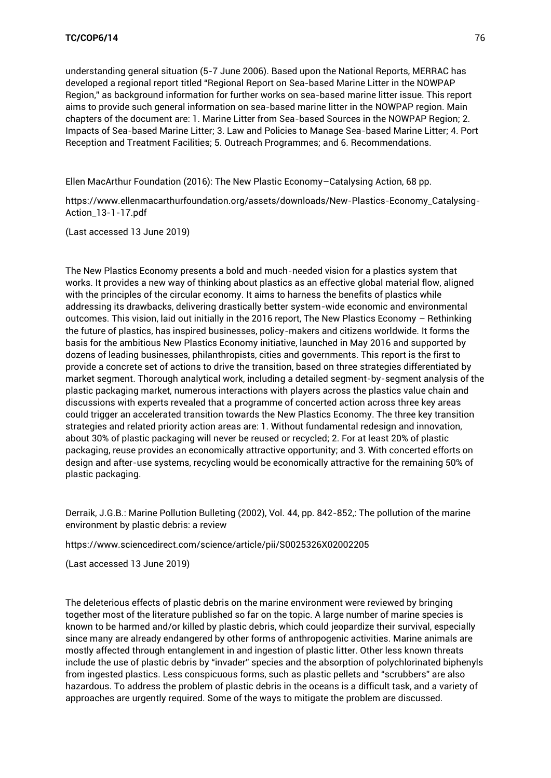understanding general situation (5-7 June 2006). Based upon the National Reports, MERRAC has developed a regional report titled "Regional Report on Sea-based Marine Litter in the NOWPAP Region," as background information for further works on sea-based marine litter issue. This report aims to provide such general information on sea-based marine litter in the NOWPAP region. Main chapters of the document are: 1. Marine Litter from Sea-based Sources in the NOWPAP Region; 2. Impacts of Sea-based Marine Litter; 3. Law and Policies to Manage Sea-based Marine Litter; 4. Port Reception and Treatment Facilities; 5. Outreach Programmes; and 6. Recommendations.

Ellen MacArthur Foundation (2016): The New Plastic Economy–Catalysing Action, 68 pp.

[https://www.ellenmacarthurfoundation.org/assets/downloads/New-Plastics-Economy\\_Catalysing-](https://www.ellenmacarthurfoundation.org/assets/downloads/New-Plastics-Economy_Catalysing-Action_13-1-17.pdf)[Action\\_13-1-17.pdf](https://www.ellenmacarthurfoundation.org/assets/downloads/New-Plastics-Economy_Catalysing-Action_13-1-17.pdf)

(Last accessed 13 June 2019)

The New Plastics Economy presents a bold and much-needed vision for a plastics system that works. It provides a new way of thinking about plastics as an effective global material flow, aligned with the principles of the circular economy. It aims to harness the benefits of plastics while addressing its drawbacks, delivering drastically better system-wide economic and environmental outcomes. This vision, laid out initially in the 2016 report, The New Plastics Economy – Rethinking the future of plastics, has inspired businesses, policy-makers and citizens worldwide. It forms the basis for the ambitious New Plastics Economy initiative, launched in May 2016 and supported by dozens of leading businesses, philanthropists, cities and governments. This report is the first to provide a concrete set of actions to drive the transition, based on three strategies differentiated by market segment. Thorough analytical work, including a detailed segment-by-segment analysis of the plastic packaging market, numerous interactions with players across the plastics value chain and discussions with experts revealed that a programme of concerted action across three key areas could trigger an accelerated transition towards the New Plastics Economy. The three key transition strategies and related priority action areas are: 1. Without fundamental redesign and innovation, about 30% of plastic packaging will never be reused or recycled; 2. For at least 20% of plastic packaging, reuse provides an economically attractive opportunity; and 3. With concerted efforts on design and after-use systems, recycling would be economically attractive for the remaining 50% of plastic packaging.

Derraik, J.G.B.: Marine Pollution Bulleting (2002), Vol. 44, pp. 842-852,: The pollution of the marine environment by plastic debris: a review

<https://www.sciencedirect.com/science/article/pii/S0025326X02002205>

(Last accessed 13 June 2019)

The deleterious effects of plastic debris on the marine environment were reviewed by bringing together most of the literature published so far on the topic. A large number of marine species is known to be harmed and/or killed by plastic debris, which could jeopardize their survival, especially since many are already endangered by other forms of anthropogenic activities. Marine animals are mostly affected through entanglement in and ingestion of plastic litter. Other less known threats include the use of plastic debris by "invader" species and the absorption of polychlorinated biphenyls from ingested plastics. Less conspicuous forms, such as plastic pellets and "scrubbers" are also hazardous. To address the problem of plastic debris in the oceans is a difficult task, and a variety of approaches are urgently required. Some of the ways to mitigate the problem are discussed.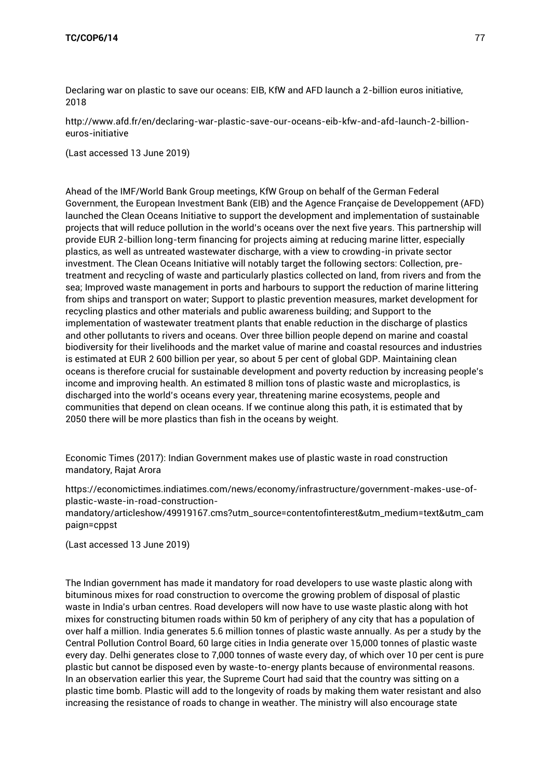[Declaring war on plastic to save our oceans: EIB, KfW and AFD launch a 2-billion euros initiative,](http://www.afd.fr/en/declaring-war-plastic-save-our-oceans-eib-kfw-and-afd-launch-2-billion-euros-initiative)  2018

[http://www.afd.fr/en/declaring-war-plastic-save-our-oceans-eib-kfw-and-afd-launch-2-billion](http://www.afd.fr/en/declaring-war-plastic-save-our-oceans-eib-kfw-and-afd-launch-2-billion-euros-initiative)[euros-initiative](http://www.afd.fr/en/declaring-war-plastic-save-our-oceans-eib-kfw-and-afd-launch-2-billion-euros-initiative)

(Last accessed 13 June 2019)

Ahead of the IMF/World Bank Group meetings, KfW Group on behalf of the German Federal Government, the European Investment Bank (EIB) and the Agence Française de Developpement (AFD) launched the Clean Oceans Initiative to support the development and implementation of sustainable projects that will reduce pollution in the world's oceans over the next five years. This partnership will provide EUR 2-billion long-term financing for projects aiming at reducing marine litter, especially plastics, as well as untreated wastewater discharge, with a view to crowding-in private sector investment. The Clean Oceans Initiative will notably target the following sectors: Collection, pretreatment and recycling of waste and particularly plastics collected on land, from rivers and from the sea; Improved waste management in ports and harbours to support the reduction of marine littering from ships and transport on water; Support to plastic prevention measures, market development for recycling plastics and other materials and public awareness building; and Support to the implementation of wastewater treatment plants that enable reduction in the discharge of plastics and other pollutants to rivers and oceans. Over three billion people depend on marine and coastal biodiversity for their livelihoods and the market value of marine and coastal resources and industries is estimated at EUR 2 600 billion per year, so about 5 per cent of global GDP. Maintaining clean oceans is therefore crucial for sustainable development and poverty reduction by increasing people's income and improving health. An estimated 8 million tons of plastic waste and microplastics, is discharged into the world's oceans every year, threatening marine ecosystems, people and communities that depend on clean oceans. If we continue along this path, it is estimated that by 2050 there will be more plastics than fish in the oceans by weight.

Economic Times (2017): Indian Government makes use of plastic waste in road construction mandatory, Rajat Arora

[https://economictimes.indiatimes.com/news/economy/infrastructure/government-makes-use-of](https://economictimes.indiatimes.com/news/economy/infrastructure/government-makes-use-of-plastic-waste-in-road-construction-mandatory/articleshow/49919167.cms?utm_source=contentofinterest&utm_medium=text&utm_campaign=cppst)[plastic-waste-in-road-construction-](https://economictimes.indiatimes.com/news/economy/infrastructure/government-makes-use-of-plastic-waste-in-road-construction-mandatory/articleshow/49919167.cms?utm_source=contentofinterest&utm_medium=text&utm_campaign=cppst)

[mandatory/articleshow/49919167.cms?utm\\_source=contentofinterest&utm\\_medium=text&utm\\_cam](https://economictimes.indiatimes.com/news/economy/infrastructure/government-makes-use-of-plastic-waste-in-road-construction-mandatory/articleshow/49919167.cms?utm_source=contentofinterest&utm_medium=text&utm_campaign=cppst) [paign=cppst](https://economictimes.indiatimes.com/news/economy/infrastructure/government-makes-use-of-plastic-waste-in-road-construction-mandatory/articleshow/49919167.cms?utm_source=contentofinterest&utm_medium=text&utm_campaign=cppst)

(Last accessed 13 June 2019)

The Indian government has made it mandatory for road developers to use waste plastic along with bituminous mixes for road construction to overcome the growing problem of disposal of plastic waste in India's urban centres. Road developers will now have to use waste plastic along with hot mixes for constructing bitumen roads within 50 km of periphery of any city that has a population of over half a million. India generates 5.6 million tonnes of plastic waste annually. As per a study by the Central Pollution Control Board, 60 large cities in India generate over 15,000 tonnes of plastic waste every day. Delhi generates close to 7,000 tonnes of waste every day, of which over 10 per cent is pure plastic but cannot be disposed even by waste-to-energy plants because of environmental reasons. In an observation earlier this year, the Supreme Court had said that the country was sitting on a plastic time bomb. Plastic will add to the longevity of roads by making them water resistant and also increasing the resistance of roads to change in weather. The ministry will also encourage state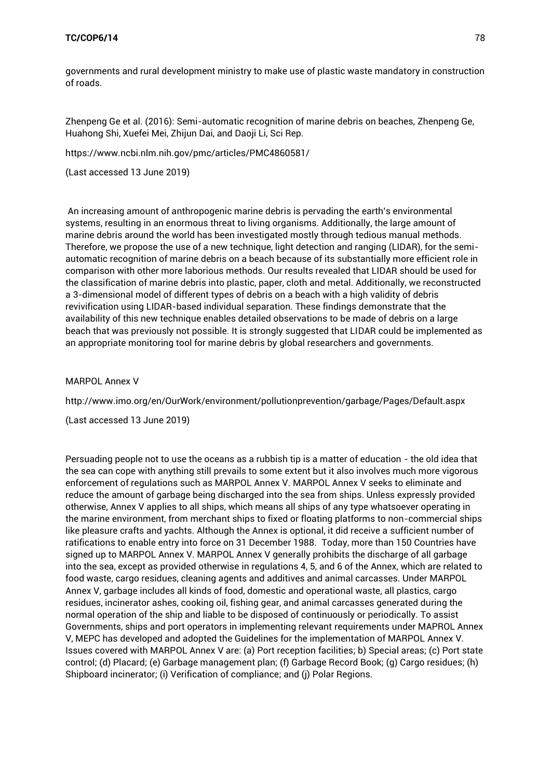governments and rural development ministry to make use of plastic waste mandatory in construction of roads.

[Zhenpeng Ge](https://www.ncbi.nlm.nih.gov/pubmed/?term=Ge%20Z%5BAuthor%5D&cauthor=true&cauthor_uid=27156433) et al. (2016): Semi-automatic recognition of marine debris on beaches, [Zhenpeng Ge,](https://www.ncbi.nlm.nih.gov/pubmed/?term=Ge%20Z%5BAuthor%5D&cauthor=true&cauthor_uid=27156433)  [Huahong Shi,](https://www.ncbi.nlm.nih.gov/pubmed/?term=Shi%20H%5BAuthor%5D&cauthor=true&cauthor_uid=27156433) [Xuefei Mei,](https://www.ncbi.nlm.nih.gov/pubmed/?term=Mei%20X%5BAuthor%5D&cauthor=true&cauthor_uid=27156433) [Zhijun Dai,](https://www.ncbi.nlm.nih.gov/pubmed/?term=Dai%20Z%5BAuthor%5D&cauthor=true&cauthor_uid=27156433) and [Daoji Li,](https://www.ncbi.nlm.nih.gov/pubmed/?term=Li%20D%5BAuthor%5D&cauthor=true&cauthor_uid=27156433) Sci Rep.

<https://www.ncbi.nlm.nih.gov/pmc/articles/PMC4860581/>

(Last accessed 13 June 2019)

An increasing amount of anthropogenic marine debris is pervading the earth's environmental systems, resulting in an enormous threat to living organisms. Additionally, the large amount of marine debris around the world has been investigated mostly through tedious manual methods. Therefore, we propose the use of a new technique, light detection and ranging (LIDAR), for the semiautomatic recognition of marine debris on a beach because of its substantially more efficient role in comparison with other more laborious methods. Our results revealed that LIDAR should be used for the classification of marine debris into plastic, paper, cloth and metal. Additionally, we reconstructed a 3-dimensional model of different types of debris on a beach with a high validity of debris revivification using LIDAR-based individual separation. These findings demonstrate that the availability of this new technique enables detailed observations to be made of debris on a large beach that was previously not possible. It is strongly suggested that LIDAR could be implemented as an appropriate monitoring tool for marine debris by global researchers and governments.

#### MARPOL Annex V

<http://www.imo.org/en/OurWork/environment/pollutionprevention/garbage/Pages/Default.aspx>

(Last accessed 13 June 2019)

Persuading people not to use the oceans as a rubbish tip is a matter of education - the old idea that the sea can cope with anything still prevails to some extent but it also involves much more vigorous enforcement of regulations such as MARPOL Annex V. MARPOL Annex V seeks to eliminate and reduce the amount of garbage being discharged into the sea from ships. Unless expressly provided otherwise, Annex V applies to all ships, which means all ships of any type whatsoever operating in the marine environment, from merchant ships to fixed or floating platforms to non-commercial ships like pleasure crafts and yachts. Although the Annex is optional, it did receive a sufficient number of ratifications to enable entry into force on 31 December 1988. Today, more than 150 Countries have signed up to MARPOL Annex V. MARPOL Annex V generally prohibits the discharge of all garbage into the sea, except as provided otherwise in regulations 4, 5, and 6 of the Annex, which are related to food waste, cargo residues, cleaning agents and additives and animal carcasses. Under MARPOL Annex V, garbage includes all kinds of food, domestic and operational waste, all plastics, cargo residues, incinerator ashes, cooking oil, fishing gear, and animal carcasses generated during the normal operation of the ship and liable to be disposed of continuously or periodically. To assist Governments, ships and port operators in implementing relevant requirements under MAPROL Annex V, MEPC has developed and adopted the Guidelines for the implementation of MARPOL Annex V. Issues covered with MARPOL Annex V are: (a) Port reception facilities; b) Special areas; (c) Port state control; (d) Placard; (e) Garbage management plan; (f) Garbage Record Book; (g) Cargo residues; (h) Shipboard incinerator; (i) Verification of compliance; and (j) Polar Regions.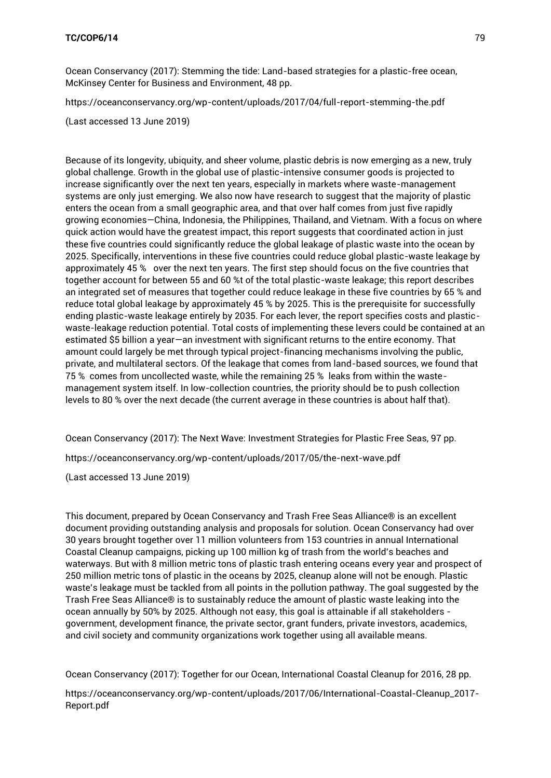Ocean Conservancy (2017): Stemming the tide: Land-based strategies for a plastic-free ocean, McKinsey Center for Business and Environment, 48 pp.

<https://oceanconservancy.org/wp-content/uploads/2017/04/full-report-stemming-the.pdf>

(Last accessed 13 June 2019)

Because of its longevity, ubiquity, and sheer volume, plastic debris is now emerging as a new, truly global challenge. Growth in the global use of plastic-intensive consumer goods is projected to increase significantly over the next ten years, especially in markets where waste-management systems are only just emerging. We also now have research to suggest that the majority of plastic enters the ocean from a small geographic area, and that over half comes from just five rapidly growing economies—China, Indonesia, the Philippines, Thailand, and Vietnam. With a focus on where quick action would have the greatest impact, this report suggests that coordinated action in just these five countries could significantly reduce the global leakage of plastic waste into the ocean by 2025. Specifically, interventions in these five countries could reduce global plastic-waste leakage by approximately 45 % over the next ten years. The first step should focus on the five countries that together account for between 55 and 60 %t of the total plastic-waste leakage; this report describes an integrated set of measures that together could reduce leakage in these five countries by 65 % and reduce total global leakage by approximately 45 % by 2025. This is the prerequisite for successfully ending plastic-waste leakage entirely by 2035. For each lever, the report specifies costs and plasticwaste-leakage reduction potential. Total costs of implementing these levers could be contained at an estimated \$5 billion a year—an investment with significant returns to the entire economy. That amount could largely be met through typical project-financing mechanisms involving the public, private, and multilateral sectors. Of the leakage that comes from land-based sources, we found that 75 % comes from uncollected waste, while the remaining 25 % leaks from within the wastemanagement system itself. In low-collection countries, the priority should be to push collection levels to 80 % over the next decade (the current average in these countries is about half that).

Ocean Conservancy (2017): The Next Wave: Investment Strategies for Plastic Free Seas, 97 pp. <https://oceanconservancy.org/wp-content/uploads/2017/05/the-next-wave.pdf>

(Last accessed 13 June 2019)

This document, prepared by Ocean Conservancy and Trash Free Seas Alliance® is an excellent document providing outstanding analysis and proposals for solution. Ocean Conservancy had over 30 years brought together over 11 million volunteers from 153 countries in annual International Coastal Cleanup campaigns, picking up 100 million kg of trash from the world's beaches and waterways. But with 8 million metric tons of plastic trash entering oceans every year and prospect of 250 million metric tons of plastic in the oceans by 2025, cleanup alone will not be enough. Plastic waste's leakage must be tackled from all points in the pollution pathway. The goal suggested by the Trash Free Seas Alliance® is to sustainably reduce the amount of plastic waste leaking into the ocean annually by 50% by 2025. Although not easy, this goal is attainable if all stakeholders government, development finance, the private sector, grant funders, private investors, academics, and civil society and community organizations work together using all available means.

Ocean Conservancy (2017): Together for our Ocean, International Coastal Cleanup for 2016, 28 pp.

[https://oceanconservancy.org/wp-content/uploads/2017/06/International-Coastal-Cleanup\\_2017-](https://oceanconservancy.org/wp-content/uploads/2017/06/International-Coastal-Cleanup_2017-Report.pdf) [Report.pdf](https://oceanconservancy.org/wp-content/uploads/2017/06/International-Coastal-Cleanup_2017-Report.pdf)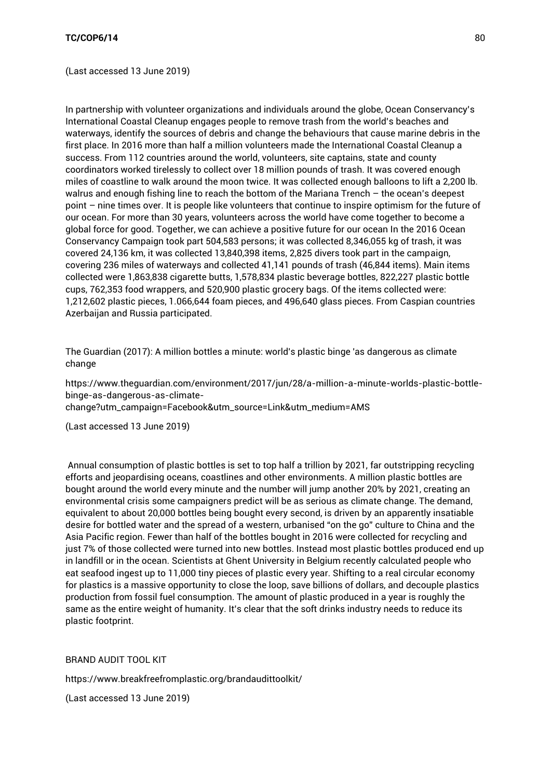(Last accessed 13 June 2019)

In partnership with volunteer organizations and individuals around the globe, Ocean Conservancy's International Coastal Cleanup engages people to remove trash from the world's beaches and waterways, identify the sources of debris and change the behaviours that cause marine debris in the first place. In 2016 more than half a million volunteers made the International Coastal Cleanup a success. From 112 countries around the world, volunteers, site captains, state and county coordinators worked tirelessly to collect over 18 million pounds of trash. It was covered enough miles of coastline to walk around the moon twice. It was collected enough balloons to lift a 2,200 lb. walrus and enough fishing line to reach the bottom of the Mariana Trench – the ocean's deepest point – nine times over. It is people like volunteers that continue to inspire optimism for the future of our ocean. For more than 30 years, volunteers across the world have come together to become a global force for good. Together, we can achieve a positive future for our ocean In the 2016 Ocean Conservancy Campaign took part 504,583 persons; it was collected 8,346,055 kg of trash, it was covered 24,136 km, it was collected 13,840,398 items, 2,825 divers took part in the campaign, covering 236 miles of waterways and collected 41,141 pounds of trash (46,844 items). Main items collected were 1,863,838 cigarette butts, 1,578,834 plastic beverage bottles, 822,227 plastic bottle cups, 762,353 food wrappers, and 520,900 plastic grocery bags. Of the items collected were: 1,212,602 plastic pieces, 1.066,644 foam pieces, and 496,640 glass pieces. From Caspian countries Azerbaijan and Russia participated.

The Guardian (2017): A million bottles a minute: world's plastic binge 'as dangerous as climate change

[https://www.theguardian.com/environment/2017/jun/28/a-million-a-minute-worlds-plastic-bottle](https://www.theguardian.com/environment/2017/jun/28/a-million-a-minute-worlds-plastic-bottle-binge-as-dangerous-as-climate-change?utm_campaign=Facebook&utm_source=Link&utm_medium=AMS)[binge-as-dangerous-as-climate](https://www.theguardian.com/environment/2017/jun/28/a-million-a-minute-worlds-plastic-bottle-binge-as-dangerous-as-climate-change?utm_campaign=Facebook&utm_source=Link&utm_medium=AMS)[change?utm\\_campaign=Facebook&utm\\_source=Link&utm\\_medium=AMS](https://www.theguardian.com/environment/2017/jun/28/a-million-a-minute-worlds-plastic-bottle-binge-as-dangerous-as-climate-change?utm_campaign=Facebook&utm_source=Link&utm_medium=AMS)

(Last accessed 13 June 2019)

Annual consumption of plastic bottles is set to top half a trillion by 2021, far outstripping recycling efforts and jeopardising oceans, coastlines and other environments. A million plastic bottles are bought around the world every minute and the number will jump another 20% by 2021, creating an environmental crisis some campaigners predict will be as serious as climate change. The demand, equivalent to about 20,000 bottles being bought every second, is driven by an apparently insatiable desire for bottled water and the spread of a western, urbanised "on the go" culture to China and the Asia Pacific region. Fewer than half of the bottles bought in 2016 were collected for recycling and just 7% of those collected were turned into new bottles. Instead most plastic bottles produced end up in landfill or in the ocean. Scientists at Ghent University in Belgium recently calculated people who eat seafood ingest up to 11,000 tiny pieces of plastic every year. Shifting to a real circular economy for plastics is a massive opportunity to close the loop, save billions of dollars, and decouple plastics production from fossil fuel consumption. The amount of plastic produced in a year is roughly the same as the entire weight of humanity. It's clear that the soft drinks industry needs to reduce its plastic footprint.

BRAND AUDIT TOOL KIT

<https://www.breakfreefromplastic.org/brandaudittoolkit/>

(Last accessed 13 June 2019)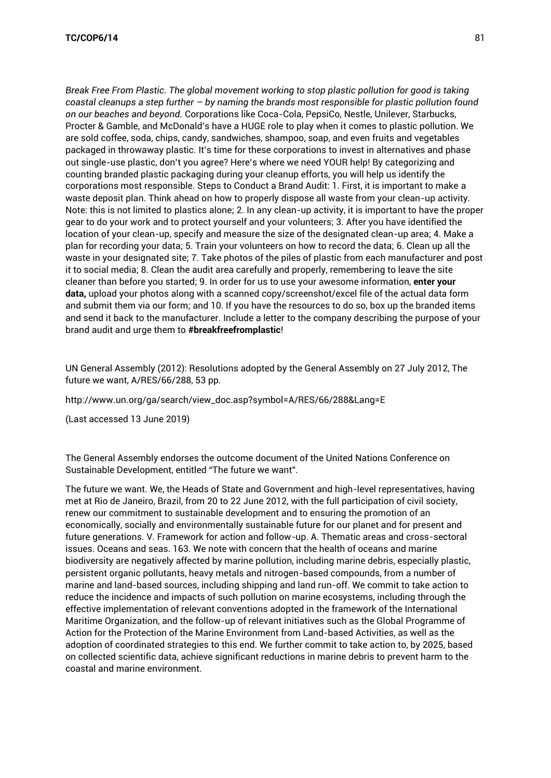*Break Free From Plastic. The global movement working to stop plastic pollution for good is taking coastal cleanups a step further – by naming the brands most responsible for plastic pollution found on our beaches and beyond.* Corporations like Coca-Cola, PepsiCo, Nestle, Unilever, Starbucks, Procter & Gamble, and McDonald's have a HUGE role to play when it comes to plastic pollution. We are sold coffee, soda, chips, candy, sandwiches, shampoo, soap, and even fruits and vegetables packaged in throwaway plastic. It's time for these corporations to invest in alternatives and phase out single-use plastic, don't you agree? Here's where we need YOUR help! By categorizing and counting branded plastic packaging during your cleanup efforts, you will help us identify the corporations most responsible. Steps to Conduct a Brand Audit: 1. First, it is important to make a waste deposit plan. Think ahead on how to properly dispose all waste from your clean-up activity. Note: this is not limited to plastics alone; 2. In any clean-up activity, it is important to have the proper gear to do your work and to protect yourself and your volunteers; 3. After you have identified the location of your clean-up, specify and measure the size of the designated clean-up area; 4. Make a plan for recording your data; 5. Train your volunteers on how to record the data; 6. Clean up all the waste in your designated site; 7. Take photos of the piles of plastic from each manufacturer and post it to social media; 8. Clean the audit area carefully and properly, remembering to leave the site cleaner than before you started; 9. In order for us to use your awesome information, **enter your data,** upload your photos along with a scanned copy/screenshot/excel file of the actual data form and submit them via our form; and 10. If you have the resources to do so, box up the branded items and send it back to the manufacturer. Include a letter to the company describing the purpose of your brand audit and urge them to **#breakfreefromplastic**!

UN General Assembly (2012): Resolutions adopted by the General Assembly on 27 July 2012, The future we want, A/RES/66/288, 53 pp.

[http://www.un.org/ga/search/view\\_doc.asp?symbol=A/RES/66/288&Lang=E](http://www.un.org/ga/search/view_doc.asp?symbol=A/RES/66/288&Lang=E)

(Last accessed 13 June 2019)

The General Assembly endorses the outcome document of the United Nations Conference on Sustainable Development, entitled "The future we want".

The future we want. We, the Heads of State and Government and high-level representatives, having met at Rio de Janeiro, Brazil, from 20 to 22 June 2012, with the full participation of civil society, renew our commitment to sustainable development and to ensuring the promotion of an economically, socially and environmentally sustainable future for our planet and for present and future generations. V. Framework for action and follow-up. A. Thematic areas and cross-sectoral issues. Oceans and seas. 163. We note with concern that the health of oceans and marine biodiversity are negatively affected by marine pollution, including marine debris, especially plastic, persistent organic pollutants, heavy metals and nitrogen-based compounds, from a number of marine and land-based sources, including shipping and land run-off. We commit to take action to reduce the incidence and impacts of such pollution on marine ecosystems, including through the effective implementation of relevant conventions adopted in the framework of the International Maritime Organization, and the follow-up of relevant initiatives such as the Global Programme of Action for the Protection of the Marine Environment from Land-based Activities, as well as the adoption of coordinated strategies to this end. We further commit to take action to, by 2025, based on collected scientific data, achieve significant reductions in marine debris to prevent harm to the coastal and marine environment.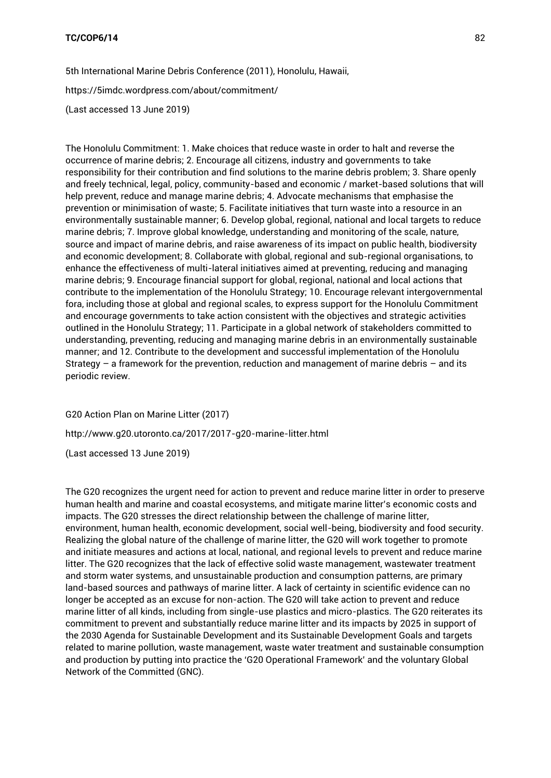5th International Marine Debris Conference (2011), Honolulu, Hawaii,

<https://5imdc.wordpress.com/about/commitment/>

(Last accessed 13 June 2019)

The Honolulu Commitment: 1. Make choices that reduce waste in order to halt and reverse the occurrence of marine debris; 2. Encourage all citizens, industry and governments to take responsibility for their contribution and find solutions to the marine debris problem; 3. Share openly and freely technical, legal, policy, community-based and economic / market-based solutions that will help prevent, reduce and manage marine debris; 4. Advocate mechanisms that emphasise the prevention or minimisation of waste; 5. Facilitate initiatives that turn waste into a resource in an environmentally sustainable manner; 6. Develop global, regional, national and local targets to reduce marine debris; 7. Improve global knowledge, understanding and monitoring of the scale, nature, source and impact of marine debris, and raise awareness of its impact on public health, biodiversity and economic development; 8. Collaborate with global, regional and sub-regional organisations, to enhance the effectiveness of multi-lateral initiatives aimed at preventing, reducing and managing marine debris; 9. Encourage financial support for global, regional, national and local actions that contribute to the implementation of the Honolulu Strategy; 10. Encourage relevant intergovernmental fora, including those at global and regional scales, to express support for the Honolulu Commitment and encourage governments to take action consistent with the objectives and strategic activities outlined in the Honolulu Strategy; 11. Participate in a global network of stakeholders committed to understanding, preventing, reducing and managing marine debris in an environmentally sustainable manner; and 12. Contribute to the development and successful implementation of the Honolulu Strategy – a framework for the prevention, reduction and management of marine debris – and its periodic review.

G20 Action Plan on Marine Litter (2017) <http://www.g20.utoronto.ca/2017/2017-g20-marine-litter.html> (Last accessed 13 June 2019)

The G20 recognizes the urgent need for action to prevent and reduce marine litter in order to preserve human health and marine and coastal ecosystems, and mitigate marine litter's economic costs and impacts. The G20 stresses the direct relationship between the challenge of marine litter, environment, human health, economic development, social well-being, biodiversity and food security. Realizing the global nature of the challenge of marine litter, the G20 will work together to promote and initiate measures and actions at local, national, and regional levels to prevent and reduce marine litter. The G20 recognizes that the lack of effective solid waste management, wastewater treatment and storm water systems, and unsustainable production and consumption patterns, are primary land-based sources and pathways of marine litter. A lack of certainty in scientific evidence can no longer be accepted as an excuse for non-action. The G20 will take action to prevent and reduce marine litter of all kinds, including from single-use plastics and micro-plastics. The G20 reiterates its commitment to prevent and substantially reduce marine litter and its impacts by 2025 in support of the 2030 Agenda for Sustainable Development and its Sustainable Development Goals and targets related to marine pollution, waste management, waste water treatment and sustainable consumption and production by putting into practice the 'G20 Operational Framework' and the voluntary Global Network of the Committed (GNC).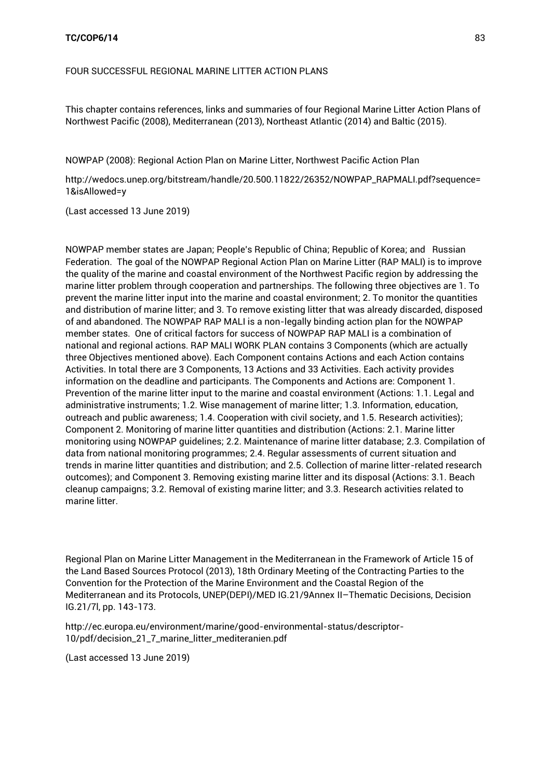# FOUR SUCCESSFUL REGIONAL MARINE LITTER ACTION PLANS

This chapter contains references, links and summaries of four Regional Marine Litter Action Plans of Northwest Pacific (2008), Mediterranean (2013), Northeast Atlantic (2014) and Baltic (2015).

NOWPAP (2008): Regional Action Plan on Marine Litter, Northwest Pacific Action Plan

[http://wedocs.unep.org/bitstream/handle/20.500.11822/26352/NOWPAP\\_RAPMALI.pdf?sequence=](http://wedocs.unep.org/bitstream/handle/20.500.11822/26352/NOWPAP_RAPMALI.pdf?sequence=1&isAllowed=y) [1&isAllowed=y](http://wedocs.unep.org/bitstream/handle/20.500.11822/26352/NOWPAP_RAPMALI.pdf?sequence=1&isAllowed=y)

(Last accessed 13 June 2019)

NOWPAP member states are Japan; People's Republic of China; Republic of Korea; and Russian Federation. The goal of the NOWPAP Regional Action Plan on Marine Litter (RAP MALI) is to improve the quality of the marine and coastal environment of the Northwest Pacific region by addressing the marine litter problem through cooperation and partnerships. The following three objectives are 1. To prevent the marine litter input into the marine and coastal environment; 2. To monitor the quantities and distribution of marine litter; and 3. To remove existing litter that was already discarded, disposed of and abandoned. The NOWPAP RAP MALI is a non-legally binding action plan for the NOWPAP member states. One of critical factors for success of NOWPAP RAP MALI is a combination of national and regional actions. RAP MALI WORK PLAN contains 3 Components (which are actually three Objectives mentioned above). Each Component contains Actions and each Action contains Activities. In total there are 3 Components, 13 Actions and 33 Activities. Each activity provides information on the deadline and participants. The Components and Actions are: Component 1. Prevention of the marine litter input to the marine and coastal environment (Actions: 1.1. Legal and administrative instruments; 1.2. Wise management of marine litter; 1.3. Information, education, outreach and public awareness; 1.4. Cooperation with civil society, and 1.5. Research activities); Component 2. Monitoring of marine litter quantities and distribution (Actions: 2.1. Marine litter monitoring using NOWPAP guidelines; 2.2. Maintenance of marine litter database; 2.3. Compilation of data from national monitoring programmes; 2.4. Regular assessments of current situation and trends in marine litter quantities and distribution; and 2.5. Collection of marine litter-related research outcomes); and Component 3. Removing existing marine litter and its disposal (Actions: 3.1. Beach cleanup campaigns; 3.2. Removal of existing marine litter; and 3.3. Research activities related to marine litter.

Regional Plan on Marine Litter Management in the Mediterranean in the Framework of Article 15 of the Land Based Sources Protocol (2013), 18th Ordinary Meeting of the Contracting Parties to the Convention for the Protection of the Marine Environment and the Coastal Region of the Mediterranean and its Protocols, UNEP(DEPI)/MED IG.21/9Annex II–Thematic Decisions, Decision IG.21/7l, pp. 143-173.

[http://ec.europa.eu/environment/marine/good-environmental-status/descriptor-](http://ec.europa.eu/environment/marine/good-environmental-status/descriptor-10/pdf/decision_21_7_marine_litter_mediteranien.pdf)[10/pdf/decision\\_21\\_7\\_marine\\_litter\\_mediteranien.pdf](http://ec.europa.eu/environment/marine/good-environmental-status/descriptor-10/pdf/decision_21_7_marine_litter_mediteranien.pdf)

(Last accessed 13 June 2019)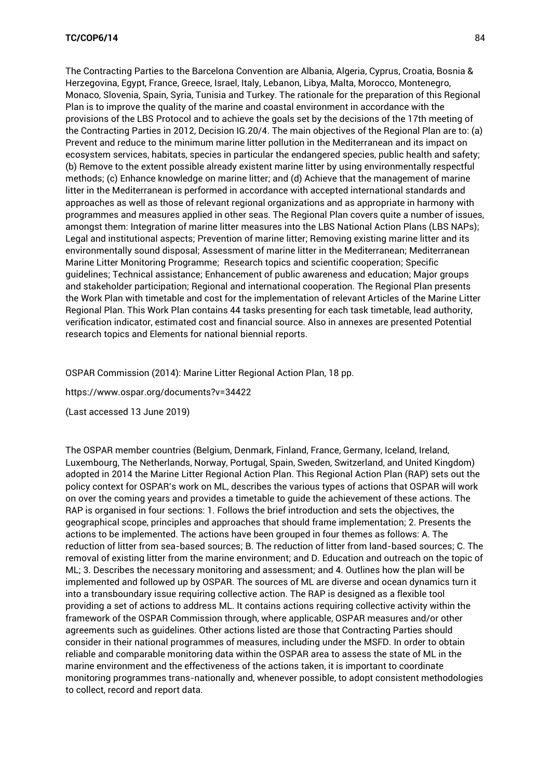The Contracting Parties to the Barcelona Convention are Albania, Algeria, Cyprus, Croatia, Bosnia & Herzegovina, Egypt, France, Greece, Israel, Italy, Lebanon, Libya, Malta, Morocco, Montenegro, Monaco, Slovenia, Spain, Syria, Tunisia and Turkey. The rationale for the preparation of this Regional Plan is to improve the quality of the marine and coastal environment in accordance with the provisions of the LBS Protocol and to achieve the goals set by the decisions of the 17th meeting of the Contracting Parties in 2012, Decision IG.20/4. The main objectives of the Regional Plan are to: (a) Prevent and reduce to the minimum marine litter pollution in the Mediterranean and its impact on ecosystem services, habitats, species in particular the endangered species, public health and safety; (b) Remove to the extent possible already existent marine litter by using environmentally respectful methods; (c) Enhance knowledge on marine litter; and (d) Achieve that the management of marine litter in the Mediterranean is performed in accordance with accepted international standards and approaches as well as those of relevant regional organizations and as appropriate in harmony with programmes and measures applied in other seas. The Regional Plan covers quite a number of issues, amongst them: Integration of marine litter measures into the LBS National Action Plans (LBS NAPs); Legal and institutional aspects; Prevention of marine litter; Removing existing marine litter and its environmentally sound disposal; Assessment of marine litter in the Mediterranean; Mediterranean Marine Litter Monitoring Programme; Research topics and scientific cooperation; Specific guidelines; Technical assistance; Enhancement of public awareness and education; Major groups and stakeholder participation; Regional and international cooperation. The Regional Plan presents the Work Plan with timetable and cost for the implementation of relevant Articles of the Marine Litter Regional Plan. This Work Plan contains 44 tasks presenting for each task timetable, lead authority, verification indicator, estimated cost and financial source. Also in annexes are presented Potential research topics and Elements for national biennial reports.

#### OSPAR Commission (2014): Marine Litter Regional Action Plan, 18 pp.

<https://www.ospar.org/documents?v=34422>

(Last accessed 13 June 2019)

The OSPAR member countries (Belgium, Denmark, Finland, France, Germany, Iceland, Ireland, Luxembourg, The Netherlands, Norway, Portugal, Spain, Sweden, Switzerland, and United Kingdom) adopted in 2014 the Marine Litter Regional Action Plan. This Regional Action Plan (RAP) sets out the policy context for OSPAR's work on ML, describes the various types of actions that OSPAR will work on over the coming years and provides a timetable to guide the achievement of these actions. The RAP is organised in four sections: 1. Follows the brief introduction and sets the objectives, the geographical scope, principles and approaches that should frame implementation; 2. Presents the actions to be implemented. The actions have been grouped in four themes as follows: A. The reduction of litter from sea-based sources; B. The reduction of litter from land-based sources; C. The removal of existing litter from the marine environment; and D. Education and outreach on the topic of ML; 3. Describes the necessary monitoring and assessment; and 4. Outlines how the plan will be implemented and followed up by OSPAR. The sources of ML are diverse and ocean dynamics turn it into a transboundary issue requiring collective action. The RAP is designed as a flexible tool providing a set of actions to address ML. It contains actions requiring collective activity within the framework of the OSPAR Commission through, where applicable, OSPAR measures and/or other agreements such as guidelines. Other actions listed are those that Contracting Parties should consider in their national programmes of measures, including under the MSFD. In order to obtain reliable and comparable monitoring data within the OSPAR area to assess the state of ML in the marine environment and the effectiveness of the actions taken, it is important to coordinate monitoring programmes trans-nationally and, whenever possible, to adopt consistent methodologies to collect, record and report data.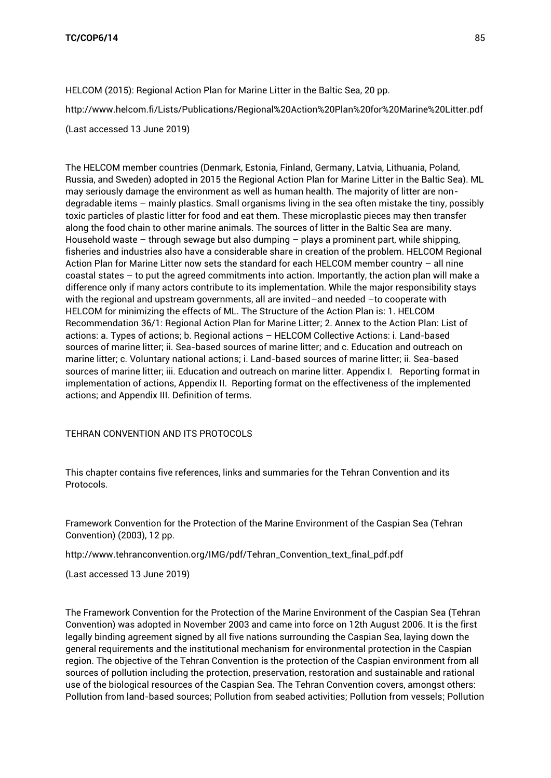HELCOM (2015): Regional Action Plan for Marine Litter in the Baltic Sea, 20 pp. <http://www.helcom.fi/Lists/Publications/Regional%20Action%20Plan%20for%20Marine%20Litter.pdf> (Last accessed 13 June 2019)

The HELCOM member countries (Denmark, Estonia, Finland, Germany, Latvia, Lithuania, Poland, Russia, and Sweden) adopted in 2015 the Regional Action Plan for Marine Litter in the Baltic Sea). ML may seriously damage the environment as well as human health. The majority of litter are nondegradable items – mainly plastics. Small organisms living in the sea often mistake the tiny, possibly toxic particles of plastic litter for food and eat them. These microplastic pieces may then transfer along the food chain to other marine animals. The sources of litter in the Baltic Sea are many. Household waste – through sewage but also dumping – plays a prominent part, while shipping, fisheries and industries also have a considerable share in creation of the problem. HELCOM Regional Action Plan for Marine Litter now sets the standard for each HELCOM member country – all nine coastal states – to put the agreed commitments into action. Importantly, the action plan will make a difference only if many actors contribute to its implementation. While the major responsibility stays with the regional and upstream governments, all are invited–and needed –to cooperate with HELCOM for minimizing the effects of ML. The Structure of the Action Plan is: 1. HELCOM Recommendation 36/1: Regional Action Plan for Marine Litter; 2. Annex to the Action Plan: List of actions: a. Types of actions; b. Regional actions – HELCOM Collective Actions: i. Land-based sources of marine litter; ii. Sea-based sources of marine litter; and c. Education and outreach on marine litter; c. Voluntary national actions; i. Land-based sources of marine litter; ii. Sea-based sources of marine litter; iii. Education and outreach on marine litter. Appendix I. Reporting format in implementation of actions, Appendix II. Reporting format on the effectiveness of the implemented actions; and Appendix III. Definition of terms.

# TEHRAN CONVENTION AND ITS PROTOCOLS

This chapter contains five references, links and summaries for the Tehran Convention and its Protocols.

Framework Convention for the Protection of the Marine Environment of the Caspian Sea (Tehran Convention) (2003), 12 pp.

[http://www.tehranconvention.org/IMG/pdf/Tehran\\_Convention\\_text\\_final\\_pdf.pdf](http://www.tehranconvention.org/IMG/pdf/Tehran_Convention_text_final_pdf.pdf)

(Last accessed 13 June 2019)

The Framework Convention for the Protection of the Marine Environment of the Caspian Sea (Tehran Convention) was adopted in November 2003 and came into force on 12th August 2006. It is the first legally binding agreement signed by all five nations surrounding the Caspian Sea, laying down the general requirements and the institutional mechanism for environmental protection in the Caspian region. The objective of the Tehran Convention is the protection of the Caspian environment from all sources of pollution including the protection, preservation, restoration and sustainable and rational use of the biological resources of the Caspian Sea. The Tehran Convention covers, amongst others: Pollution from land-based sources; Pollution from seabed activities; Pollution from vessels; Pollution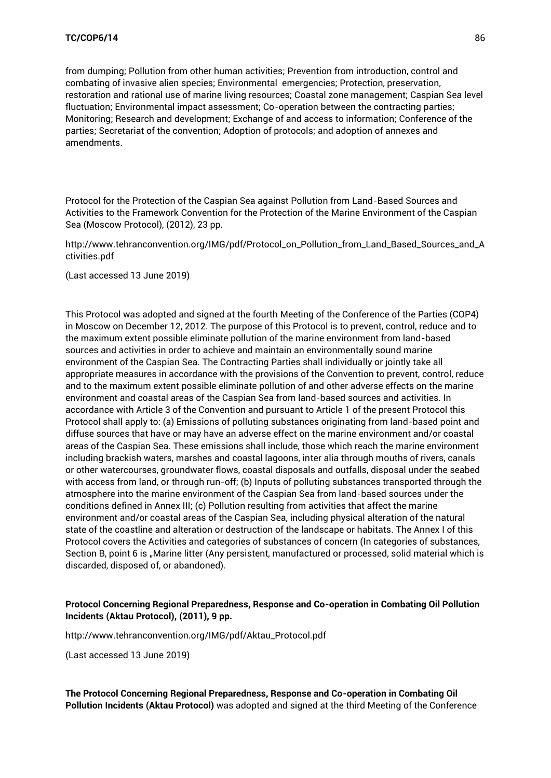from dumping; Pollution from other human activities; Prevention from introduction, control and combating of invasive alien species; Environmental emergencies; Protection, preservation, restoration and rational use of marine living resources; Coastal zone management; Caspian Sea level fluctuation; Environmental impact assessment; Co-operation between the contracting parties; Monitoring; Research and development; Exchange of and access to information; Conference of the parties; Secretariat of the convention; Adoption of protocols; and adoption of annexes and amendments.

Protocol for the Protection of the Caspian Sea against Pollution from Land-Based Sources and Activities to the Framework Convention for the Protection of the Marine Environment of the Caspian Sea (Moscow Protocol), (2012), 23 pp.

[http://www.tehranconvention.org/IMG/pdf/Protocol\\_on\\_Pollution\\_from\\_Land\\_Based\\_Sources\\_and\\_A](http://www.tehranconvention.org/IMG/pdf/Protocol_on_Pollution_from_Land_Based_Sources_and_Activities.pdf) [ctivities.pdf](http://www.tehranconvention.org/IMG/pdf/Protocol_on_Pollution_from_Land_Based_Sources_and_Activities.pdf)

(Last accessed 13 June 2019)

This Protocol was adopted and signed at the fourth Meeting of the Conference of the Parties (COP4) in Moscow on December 12, 2012. The purpose of this Protocol is to prevent, control, reduce and to the maximum extent possible eliminate pollution of the marine environment from land-based sources and activities in order to achieve and maintain an environmentally sound marine environment of the Caspian Sea. The Contracting Parties shall individually or jointly take all appropriate measures in accordance with the provisions of the Convention to prevent, control, reduce and to the maximum extent possible eliminate pollution of and other adverse effects on the marine environment and coastal areas of the Caspian Sea from land-based sources and activities. In accordance with Article 3 of the Convention and pursuant to Article 1 of the present Protocol this Protocol shall apply to: (a) Emissions of polluting substances originating from land-based point and diffuse sources that have or may have an adverse effect on the marine environment and/or coastal areas of the Caspian Sea. These emissions shall include, those which reach the marine environment including brackish waters, marshes and coastal lagoons, inter alia through mouths of rivers, canals or other watercourses, groundwater flows, coastal disposals and outfalls, disposal under the seabed with access from land, or through run-off; (b) Inputs of polluting substances transported through the atmosphere into the marine environment of the Caspian Sea from land-based sources under the conditions defined in Annex III; (c) Pollution resulting from activities that affect the marine environment and/or coastal areas of the Caspian Sea, including physical alteration of the natural state of the coastline and alteration or destruction of the landscape or habitats. The Annex I of this Protocol covers the Activities and categories of substances of concern (In categories of substances, Section B, point 6 is "Marine litter (Any persistent, manufactured or processed, solid material which is discarded, disposed of, or abandoned).

## **Protocol Concerning Regional Preparedness, Response and Co-operation in Combating Oil Pollution Incidents (Aktau Protocol), (2011), 9 pp.**

[http://www.tehranconvention.org/IMG/pdf/Aktau\\_Protocol.pdf](http://www.tehranconvention.org/IMG/pdf/Aktau_Protocol.pdf)

(Last accessed 13 June 2019)

**The Protocol Concerning Regional Preparedness, Response and Co-operation in Combating Oil Pollution Incidents (Aktau Protocol)** was adopted and signed at the third Meeting of the Conference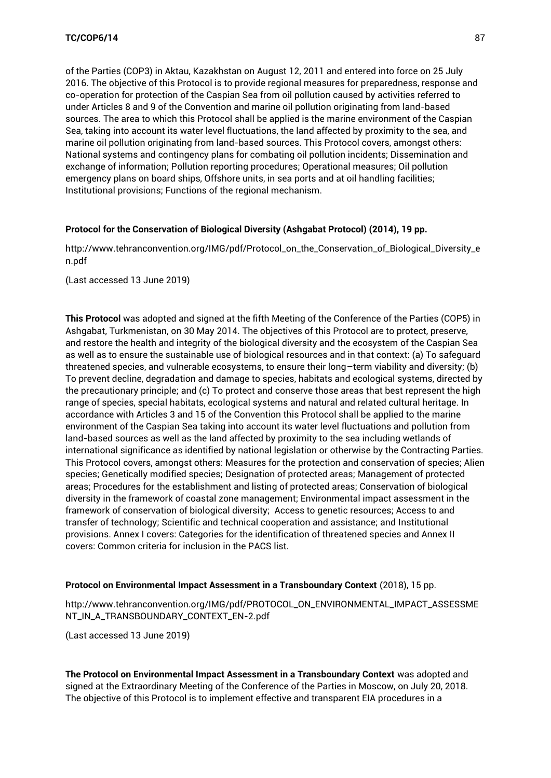of the Parties (COP3) in Aktau, Kazakhstan on August 12, 2011 and entered into force on 25 July 2016. The objective of this Protocol is to provide regional measures for preparedness, response and co-operation for protection of the Caspian Sea from oil pollution caused by activities referred to under Articles 8 and 9 of the Convention and marine oil pollution originating from land-based sources. The area to which this Protocol shall be applied is the marine environment of the Caspian Sea, taking into account its water level fluctuations, the land affected by proximity to the sea, and marine oil pollution originating from land-based sources. This Protocol covers, amongst others: National systems and contingency plans for combating oil pollution incidents; Dissemination and exchange of information; Pollution reporting procedures; Operational measures; Oil pollution emergency plans on board ships, Offshore units, in sea ports and at oil handling facilities; Institutional provisions; Functions of the regional mechanism.

#### **Protocol for the Conservation of Biological Diversity (Ashgabat Protocol) (2014), 19 pp.**

[http://www.tehranconvention.org/IMG/pdf/Protocol\\_on\\_the\\_Conservation\\_of\\_Biological\\_Diversity\\_e](http://www.tehranconvention.org/IMG/pdf/Protocol_on_the_Conservation_of_Biological_Diversity_en.pdf) [n.pdf](http://www.tehranconvention.org/IMG/pdf/Protocol_on_the_Conservation_of_Biological_Diversity_en.pdf)

(Last accessed 13 June 2019)

**This Protocol** was adopted and signed at the fifth Meeting of the Conference of the Parties (COP5) in Ashgabat, Turkmenistan, on 30 May 2014. The objectives of this Protocol are to protect, preserve, and restore the health and integrity of the biological diversity and the ecosystem of the Caspian Sea as well as to ensure the sustainable use of biological resources and in that context: (a) To safeguard threatened species, and vulnerable ecosystems, to ensure their long–term viability and diversity; (b) To prevent decline, degradation and damage to species, habitats and ecological systems, directed by the precautionary principle; and (c) To protect and conserve those areas that best represent the high range of species, special habitats, ecological systems and natural and related cultural heritage. In accordance with Articles 3 and 15 of the Convention this Protocol shall be applied to the marine environment of the Caspian Sea taking into account its water level fluctuations and pollution from land-based sources as well as the land affected by proximity to the sea including wetlands of international significance as identified by national legislation or otherwise by the Contracting Parties. This Protocol covers, amongst others: Measures for the protection and conservation of species; Alien species; Genetically modified species; Designation of protected areas; Management of protected areas; Procedures for the establishment and listing of protected areas; Conservation of biological diversity in the framework of coastal zone management; Environmental impact assessment in the framework of conservation of biological diversity; Access to genetic resources; Access to and transfer of technology; Scientific and technical cooperation and assistance; and Institutional provisions. Annex I covers: Categories for the identification of threatened species and Annex II covers: Common criteria for inclusion in the PACS list.

#### **Protocol on Environmental Impact Assessment in a Transboundary Context** (2018), 15 pp.

[http://www.tehranconvention.org/IMG/pdf/PROTOCOL\\_ON\\_ENVIRONMENTAL\\_IMPACT\\_ASSESSME](http://www.tehranconvention.org/IMG/pdf/PROTOCOL_ON_ENVIRONMENTAL_IMPACT_ASSESSMENT_IN_A_TRANSBOUNDARY_CONTEXT_EN-2.pdf) [NT\\_IN\\_A\\_TRANSBOUNDARY\\_CONTEXT\\_EN-2.pdf](http://www.tehranconvention.org/IMG/pdf/PROTOCOL_ON_ENVIRONMENTAL_IMPACT_ASSESSMENT_IN_A_TRANSBOUNDARY_CONTEXT_EN-2.pdf)

(Last accessed 13 June 2019)

**The Protocol on Environmental Impact Assessment in a Transboundary Context** was adopted and signed at the Extraordinary Meeting of the Conference of the Parties in Moscow, on July 20, 2018. The objective of this Protocol is to implement effective and transparent EIA procedures in a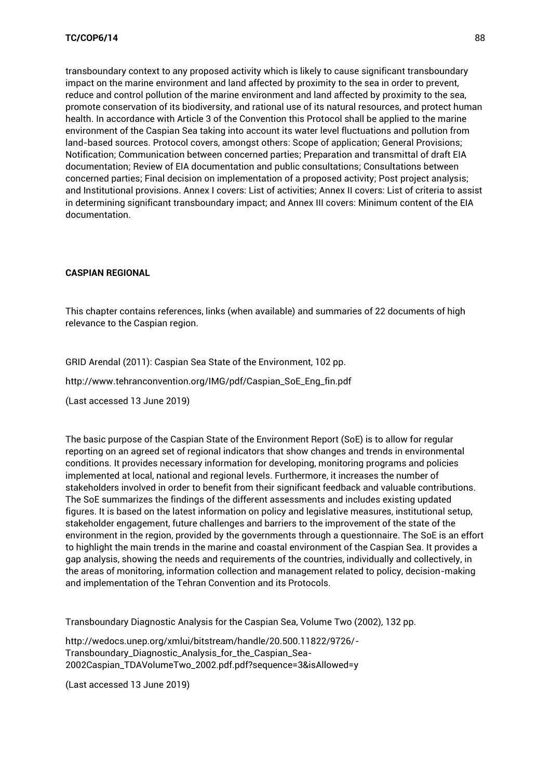transboundary context to any proposed activity which is likely to cause significant transboundary impact on the marine environment and land affected by proximity to the sea in order to prevent, reduce and control pollution of the marine environment and land affected by proximity to the sea, promote conservation of its biodiversity, and rational use of its natural resources, and protect human health. In accordance with Article 3 of the Convention this Protocol shall be applied to the marine environment of the Caspian Sea taking into account its water level fluctuations and pollution from land-based sources. Protocol covers, amongst others: Scope of application; General Provisions; Notification; Communication between concerned parties; Preparation and transmittal of draft EIA documentation; Review of EIA documentation and public consultations; Consultations between concerned parties; Final decision on implementation of a proposed activity; Post project analysis; and Institutional provisions. Annex I covers: List of activities; Annex II covers: List of criteria to assist in determining significant transboundary impact; and Annex III covers: Minimum content of the EIA documentation.

## **CASPIAN REGIONAL**

This chapter contains references, links (when available) and summaries of 22 documents of high relevance to the Caspian region.

GRID Arendal (2011): Caspian Sea State of the Environment, 102 pp.

[http://www.tehranconvention.org/IMG/pdf/Caspian\\_SoE\\_Eng\\_fin.pdf](http://www.tehranconvention.org/IMG/pdf/Caspian_SoE_Eng_fin.pdf)

(Last accessed 13 June 2019)

The basic purpose of the Caspian State of the Environment Report (SoE) is to allow for regular reporting on an agreed set of regional indicators that show changes and trends in environmental conditions. It provides necessary information for developing, monitoring programs and policies implemented at local, national and regional levels. Furthermore, it increases the number of stakeholders involved in order to benefit from their significant feedback and valuable contributions. The SoE summarizes the findings of the different assessments and includes existing updated figures. It is based on the latest information on policy and legislative measures, institutional setup, stakeholder engagement, future challenges and barriers to the improvement of the state of the environment in the region, provided by the governments through a questionnaire. The SoE is an effort to highlight the main trends in the marine and coastal environment of the Caspian Sea. It provides a gap analysis, showing the needs and requirements of the countries, individually and collectively, in the areas of monitoring, information collection and management related to policy, decision-making and implementation of the Tehran Convention and its Protocols.

Transboundary Diagnostic Analysis for the Caspian Sea, Volume Two (2002), 132 pp.

[http://wedocs.unep.org/xmlui/bitstream/handle/20.500.11822/9726/-](http://wedocs.unep.org/xmlui/bitstream/handle/20.500.11822/9726/-Transboundary_Diagnostic_Analysis_for_the_Caspian_Sea-2002Caspian_TDAVolumeTwo_2002.pdf.pdf?sequence=3&isAllowed=y) [Transboundary\\_Diagnostic\\_Analysis\\_for\\_the\\_Caspian\\_Sea-](http://wedocs.unep.org/xmlui/bitstream/handle/20.500.11822/9726/-Transboundary_Diagnostic_Analysis_for_the_Caspian_Sea-2002Caspian_TDAVolumeTwo_2002.pdf.pdf?sequence=3&isAllowed=y)[2002Caspian\\_TDAVolumeTwo\\_2002.pdf.pdf?sequence=3&isAllowed=y](http://wedocs.unep.org/xmlui/bitstream/handle/20.500.11822/9726/-Transboundary_Diagnostic_Analysis_for_the_Caspian_Sea-2002Caspian_TDAVolumeTwo_2002.pdf.pdf?sequence=3&isAllowed=y)

(Last accessed 13 June 2019)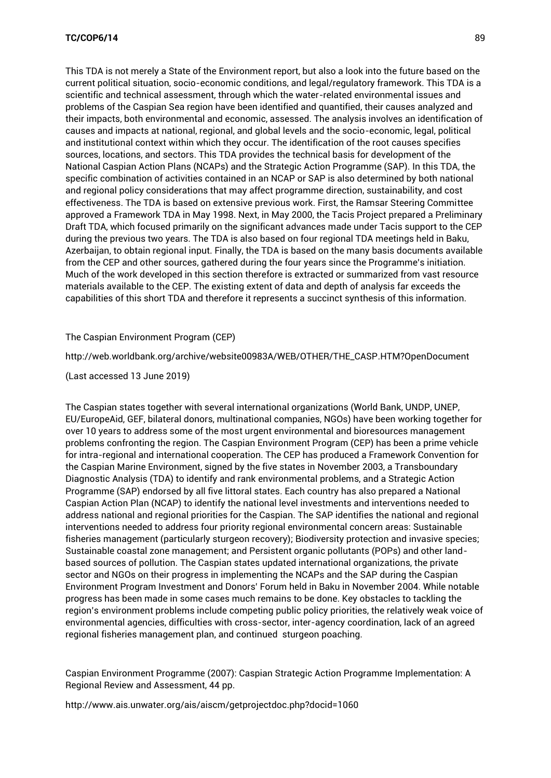This TDA is not merely a State of the Environment report, but also a look into the future based on the current political situation, socio-economic conditions, and legal/regulatory framework. This TDA is a scientific and technical assessment, through which the water-related environmental issues and problems of the Caspian Sea region have been identified and quantified, their causes analyzed and their impacts, both environmental and economic, assessed. The analysis involves an identification of causes and impacts at national, regional, and global levels and the socio-economic, legal, political and institutional context within which they occur. The identification of the root causes specifies sources, locations, and sectors. This TDA provides the technical basis for development of the National Caspian Action Plans (NCAPs) and the Strategic Action Programme (SAP). In this TDA, the specific combination of activities contained in an NCAP or SAP is also determined by both national and regional policy considerations that may affect programme direction, sustainability, and cost effectiveness. The TDA is based on extensive previous work. First, the Ramsar Steering Committee approved a Framework TDA in May 1998. Next, in May 2000, the Tacis Project prepared a Preliminary Draft TDA, which focused primarily on the significant advances made under Tacis support to the CEP during the previous two years. The TDA is also based on four regional TDA meetings held in Baku, Azerbaijan, to obtain regional input. Finally, the TDA is based on the many basis documents available from the CEP and other sources, gathered during the four years since the Programme's initiation. Much of the work developed in this section therefore is extracted or summarized from vast resource materials available to the CEP. The existing extent of data and depth of analysis far exceeds the capabilities of this short TDA and therefore it represents a succinct synthesis of this information.

The Caspian Environment Program (CEP)

[http://web.worldbank.org/archive/website00983A/WEB/OTHER/THE\\_CASP.HTM?OpenDocument](http://web.worldbank.org/archive/website00983A/WEB/OTHER/THE_CASP.HTM?OpenDocument)

(Last accessed 13 June 2019)

The Caspian states together with several international organizations (World Bank, UNDP, UNEP, EU/EuropeAid, GEF, bilateral donors, multinational companies, NGOs) have been working together for over 10 years to address some of the most urgent environmental and bioresources management problems confronting the region. The Caspian Environment Program (CEP) has been a prime vehicle for intra-regional and international cooperation. The CEP has produced a Framework Convention for the Caspian Marine Environment, signed by the five states in November 2003, a Transboundary Diagnostic Analysis (TDA) to identify and rank environmental problems, and a Strategic Action Programme (SAP) endorsed by all five littoral states. Each country has also prepared a National Caspian Action Plan (NCAP) to identify the national level investments and interventions needed to address national and regional priorities for the Caspian. The SAP identifies the national and regional interventions needed to address four priority regional environmental concern areas: Sustainable fisheries management (particularly sturgeon recovery); Biodiversity protection and invasive species; Sustainable coastal zone management; and Persistent organic pollutants (POPs) and other landbased sources of pollution. The Caspian states updated international organizations, the private sector and NGOs on their progress in implementing the NCAPs and the SAP during the Caspian Environment Program Investment and Donors' Forum held in Baku in November 2004. While notable progress has been made in some cases much remains to be done. Key obstacles to tackling the region's environment problems include competing public policy priorities, the relatively weak voice of environmental agencies, difficulties with cross-sector, inter-agency coordination, lack of an agreed regional fisheries management plan, and continued sturgeon poaching.

Caspian Environment Programme (2007): Caspian Strategic Action Programme Implementation: A Regional Review and Assessment, 44 pp.

<http://www.ais.unwater.org/ais/aiscm/getprojectdoc.php?docid=1060>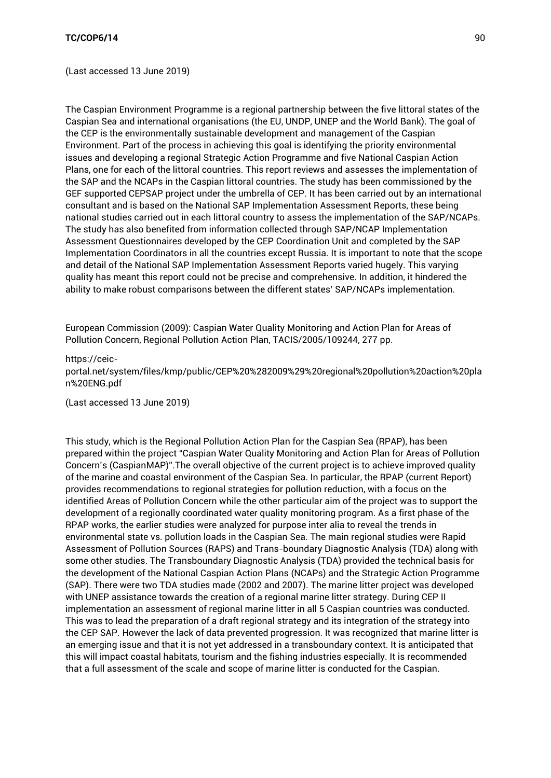(Last accessed 13 June 2019)

The Caspian Environment Programme is a regional partnership between the five littoral states of the Caspian Sea and international organisations (the EU, UNDP, UNEP and the World Bank). The goal of the CEP is the environmentally sustainable development and management of the Caspian Environment. Part of the process in achieving this goal is identifying the priority environmental issues and developing a regional Strategic Action Programme and five National Caspian Action Plans, one for each of the littoral countries. This report reviews and assesses the implementation of the SAP and the NCAPs in the Caspian littoral countries. The study has been commissioned by the GEF supported CEPSAP project under the umbrella of CEP. It has been carried out by an international consultant and is based on the National SAP Implementation Assessment Reports, these being national studies carried out in each littoral country to assess the implementation of the SAP/NCAPs. The study has also benefited from information collected through SAP/NCAP Implementation Assessment Questionnaires developed by the CEP Coordination Unit and completed by the SAP Implementation Coordinators in all the countries except Russia. It is important to note that the scope and detail of the National SAP Implementation Assessment Reports varied hugely. This varying quality has meant this report could not be precise and comprehensive. In addition, it hindered the ability to make robust comparisons between the different states' SAP/NCAPs implementation.

European Commission (2009): Caspian Water Quality Monitoring and Action Plan for Areas of Pollution Concern, Regional Pollution Action Plan, TACIS/2005/109244, 277 pp.

#### [https://ceic-](https://ceic-portal.net/system/files/kmp/public/CEP%20%282009%29%20regional%20pollution%20action%20plan%20ENG.pdf)

[portal.net/system/files/kmp/public/CEP%20%282009%29%20regional%20pollution%20action%20pla](https://ceic-portal.net/system/files/kmp/public/CEP%20%282009%29%20regional%20pollution%20action%20plan%20ENG.pdf) [n%20ENG.pdf](https://ceic-portal.net/system/files/kmp/public/CEP%20%282009%29%20regional%20pollution%20action%20plan%20ENG.pdf)

(Last accessed 13 June 2019)

This study, which is the Regional Pollution Action Plan for the Caspian Sea (RPAP), has been prepared within the project "Caspian Water Quality Monitoring and Action Plan for Areas of Pollution Concern's (CaspianMAP)".The overall objective of the current project is to achieve improved quality of the marine and coastal environment of the Caspian Sea. In particular, the RPAP (current Report) provides recommendations to regional strategies for pollution reduction, with a focus on the identified Areas of Pollution Concern while the other particular aim of the project was to support the development of a regionally coordinated water quality monitoring program. As a first phase of the RPAP works, the earlier studies were analyzed for purpose inter alia to reveal the trends in environmental state vs. pollution loads in the Caspian Sea. The main regional studies were Rapid Assessment of Pollution Sources (RAPS) and Trans-boundary Diagnostic Analysis (TDA) along with some other studies. The Transboundary Diagnostic Analysis (TDA) provided the technical basis for the development of the National Caspian Action Plans (NCAPs) and the Strategic Action Programme (SAP). There were two TDA studies made (2002 and 2007). The marine litter project was developed with UNEP assistance towards the creation of a regional marine litter strategy. During CEP II implementation an assessment of regional marine litter in all 5 Caspian countries was conducted. This was to lead the preparation of a draft regional strategy and its integration of the strategy into the CEP SAP. However the lack of data prevented progression. It was recognized that marine litter is an emerging issue and that it is not yet addressed in a transboundary context. It is anticipated that this will impact coastal habitats, tourism and the fishing industries especially. It is recommended that a full assessment of the scale and scope of marine litter is conducted for the Caspian.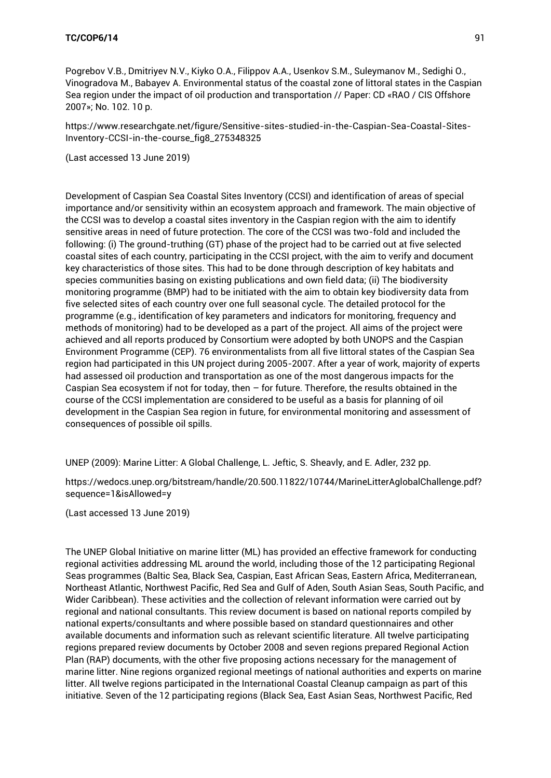[https://www.researchgate.net/figure/Sensitive-sites-studied-in-the-Caspian-Sea-Coastal-Sites-](https://www.researchgate.net/figure/Sensitive-sites-studied-in-the-Caspian-Sea-Coastal-Sites-Inventory-CCSI-in-the-course_fig8_275348325)[Inventory-CCSI-in-the-course\\_fig8\\_275348325](https://www.researchgate.net/figure/Sensitive-sites-studied-in-the-Caspian-Sea-Coastal-Sites-Inventory-CCSI-in-the-course_fig8_275348325)

(Last accessed 13 June 2019)

Development of Caspian Sea Coastal Sites Inventory (CCSI) and identification of areas of special importance and/or sensitivity within an ecosystem approach and framework. The main objective of the CCSI was to develop a coastal sites inventory in the Caspian region with the aim to identify sensitive areas in need of future protection. The core of the CCSI was two-fold and included the following: (i) The ground-truthing (GT) phase of the project had to be carried out at five selected coastal sites of each country, participating in the CCSI project, with the aim to verify and document key characteristics of those sites. This had to be done through description of key habitats and species communities basing on existing publications and own field data; (ii) The biodiversity monitoring programme (BMP) had to be initiated with the aim to obtain key biodiversity data from five selected sites of each country over one full seasonal cycle. The detailed protocol for the programme (e.g., identification of key parameters and indicators for monitoring, frequency and methods of monitoring) had to be developed as a part of the project. All aims of the project were achieved and all reports produced by Consortium were adopted by both UNOPS and the Caspian Environment Programme (CEP). 76 environmentalists from all five littoral states of the Caspian Sea region had participated in this UN project during 2005-2007. After a year of work, majority of experts had assessed oil production and transportation as one of the most dangerous impacts for the Caspian Sea ecosystem if not for today, then – for future. Therefore, the results obtained in the course of the CCSI implementation are considered to be useful as a basis for planning of oil development in the Caspian Sea region in future, for environmental monitoring and assessment of consequences of possible oil spills.

UNEP (2009): Marine Litter: A Global Challenge, L. Jeftic, S. Sheavly, and E. Adler, 232 pp.

[https://wedocs.unep.org/bitstream/handle/20.500.11822/10744/MarineLitterAglobalChallenge.pdf?](https://wedocs.unep.org/bitstream/handle/20.500.11822/10744/MarineLitterAglobalChallenge.pdf?sequence=1&isAllowed=y) [sequence=1&isAllowed=y](https://wedocs.unep.org/bitstream/handle/20.500.11822/10744/MarineLitterAglobalChallenge.pdf?sequence=1&isAllowed=y)

(Last accessed 13 June 2019)

The UNEP Global Initiative on marine litter (ML) has provided an effective framework for conducting regional activities addressing ML around the world, including those of the 12 participating Regional Seas programmes (Baltic Sea, Black Sea, Caspian, East African Seas, Eastern Africa, Mediterranean, Northeast Atlantic, Northwest Pacific, Red Sea and Gulf of Aden, South Asian Seas, South Pacific, and Wider Caribbean). These activities and the collection of relevant information were carried out by regional and national consultants. This review document is based on national reports compiled by national experts/consultants and where possible based on standard questionnaires and other available documents and information such as relevant scientific literature. All twelve participating regions prepared review documents by October 2008 and seven regions prepared Regional Action Plan (RAP) documents, with the other five proposing actions necessary for the management of marine litter. Nine regions organized regional meetings of national authorities and experts on marine litter. All twelve regions participated in the International Coastal Cleanup campaign as part of this initiative. Seven of the 12 participating regions (Black Sea, East Asian Seas, Northwest Pacific, Red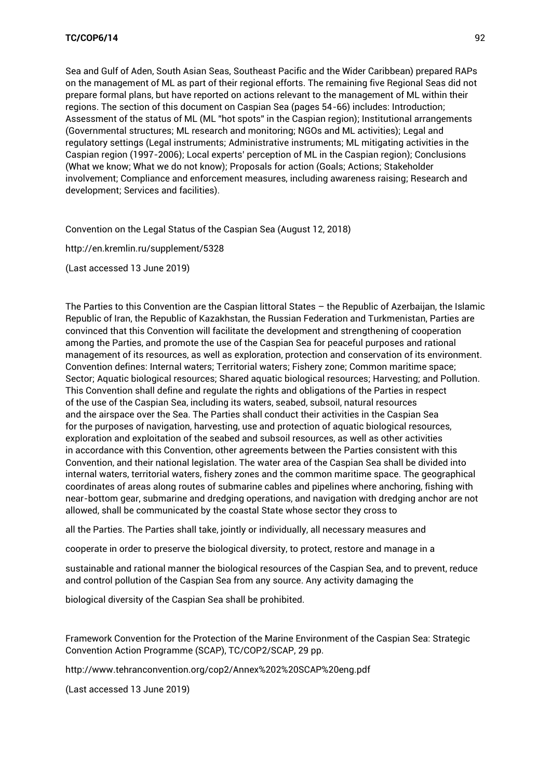Sea and Gulf of Aden, South Asian Seas, Southeast Pacific and the Wider Caribbean) prepared RAPs on the management of ML as part of their regional efforts. The remaining five Regional Seas did not prepare formal plans, but have reported on actions relevant to the management of ML within their regions. The section of this document on Caspian Sea (pages 54-66) includes: Introduction; Assessment of the status of ML (ML "hot spots" in the Caspian region); Institutional arrangements (Governmental structures; ML research and monitoring; NGOs and ML activities); Legal and regulatory settings (Legal instruments; Administrative instruments; ML mitigating activities in the Caspian region (1997-2006); Local experts' perception of ML in the Caspian region); Conclusions (What we know; What we do not know); Proposals for action (Goals; Actions; Stakeholder involvement; Compliance and enforcement measures, including awareness raising; Research and development; Services and facilities).

Convention on the Legal Status of the Caspian Sea (August 12, 2018)

<http://en.kremlin.ru/supplement/5328>

(Last accessed 13 June 2019)

The Parties to this Convention are the Caspian littoral States – the Republic of Azerbaijan, the Islamic Republic of Iran, the Republic of Kazakhstan, the Russian Federation and Turkmenistan, Parties are convinced that this Convention will facilitate the development and strengthening of cooperation among the Parties, and promote the use of the Caspian Sea for peaceful purposes and rational management of its resources, as well as exploration, protection and conservation of its environment. Convention defines: Internal waters; Territorial waters; Fishery zone; Common maritime space; Sector; Aquatic biological resources; Shared aquatic biological resources; Harvesting; and Pollution. This Convention shall define and regulate the rights and obligations of the Parties in respect of the use of the Caspian Sea, including its waters, seabed, subsoil, natural resources and the airspace over the Sea. The Parties shall conduct their activities in the Caspian Sea for the purposes of navigation, harvesting, use and protection of aquatic biological resources, exploration and exploitation of the seabed and subsoil resources, as well as other activities in accordance with this Convention, other agreements between the Parties consistent with this Convention, and their national legislation. The water area of the Caspian Sea shall be divided into internal waters, territorial waters, fishery zones and the common maritime space. The geographical coordinates of areas along routes of submarine cables and pipelines where anchoring, fishing with near-bottom gear, submarine and dredging operations, and navigation with dredging anchor are not allowed, shall be communicated by the coastal State whose sector they cross to

all the Parties. The Parties shall take, jointly or individually, all necessary measures and

cooperate in order to preserve the biological diversity, to protect, restore and manage in a

sustainable and rational manner the biological resources of the Caspian Sea, and to prevent, reduce and control pollution of the Caspian Sea from any source. Any activity damaging the

biological diversity of the Caspian Sea shall be prohibited.

Framework Convention for the Protection of the Marine Environment of the Caspian Sea: Strategic Convention Action Programme (SCAP), TC/COP2/SCAP, 29 pp.

<http://www.tehranconvention.org/cop2/Annex%202%20SCAP%20eng.pdf>

(Last accessed 13 June 2019)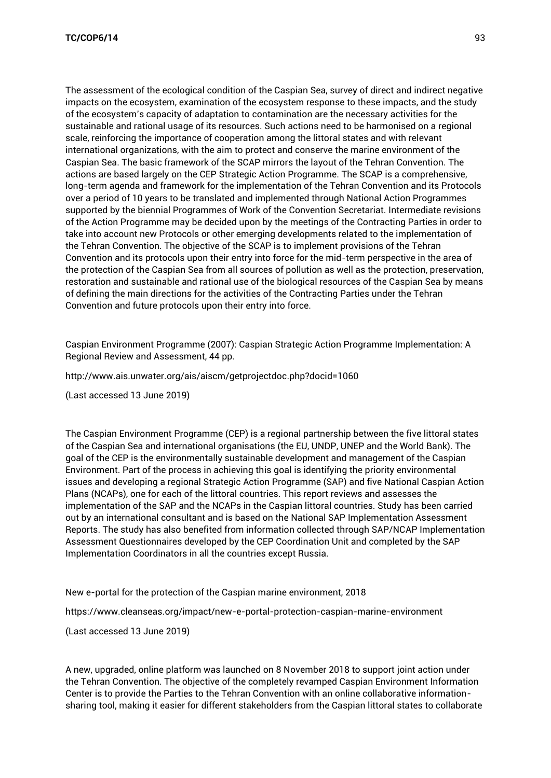The assessment of the ecological condition of the Caspian Sea, survey of direct and indirect negative impacts on the ecosystem, examination of the ecosystem response to these impacts, and the study of the ecosystem's capacity of adaptation to contamination are the necessary activities for the sustainable and rational usage of its resources. Such actions need to be harmonised on a regional scale, reinforcing the importance of cooperation among the littoral states and with relevant international organizations, with the aim to protect and conserve the marine environment of the Caspian Sea. The basic framework of the SCAP mirrors the layout of the Tehran Convention. The actions are based largely on the CEP Strategic Action Programme. The SCAP is a comprehensive, long-term agenda and framework for the implementation of the Tehran Convention and its Protocols over a period of 10 years to be translated and implemented through National Action Programmes supported by the biennial Programmes of Work of the Convention Secretariat. Intermediate revisions of the Action Programme may be decided upon by the meetings of the Contracting Parties in order to take into account new Protocols or other emerging developments related to the implementation of the Tehran Convention. The objective of the SCAP is to implement provisions of the Tehran Convention and its protocols upon their entry into force for the mid-term perspective in the area of the protection of the Caspian Sea from all sources of pollution as well as the protection, preservation, restoration and sustainable and rational use of the biological resources of the Caspian Sea by means of defining the main directions for the activities of the Contracting Parties under the Tehran Convention and future protocols upon their entry into force.

Caspian Environment Programme (2007): Caspian Strategic Action Programme Implementation: A Regional Review and Assessment, 44 pp.

<http://www.ais.unwater.org/ais/aiscm/getprojectdoc.php?docid=1060>

(Last accessed 13 June 2019)

The Caspian Environment Programme (CEP) is a regional partnership between the five littoral states of the Caspian Sea and international organisations (the EU, UNDP, UNEP and the World Bank). The goal of the CEP is the environmentally sustainable development and management of the Caspian Environment. Part of the process in achieving this goal is identifying the priority environmental issues and developing a regional Strategic Action Programme (SAP) and five National Caspian Action Plans (NCAPs), one for each of the littoral countries. This report reviews and assesses the implementation of the SAP and the NCAPs in the Caspian littoral countries. Study has been carried out by an international consultant and is based on the National SAP Implementation Assessment Reports. The study has also benefited from information collected through SAP/NCAP Implementation Assessment Questionnaires developed by the CEP Coordination Unit and completed by the SAP Implementation Coordinators in all the countries except Russia.

New e-portal for the protection of the Caspian marine environment, 2018

<https://www.cleanseas.org/impact/new-e-portal-protection-caspian-marine-environment>

(Last accessed 13 June 2019)

A new, upgraded, online platform was launched on 8 November 2018 to support joint action under the Tehran Convention. The objective of the completely revamped Caspian Environment Information Center is to provide the Parties to the Tehran Convention with an online collaborative informationsharing tool, making it easier for different stakeholders from the Caspian littoral states to collaborate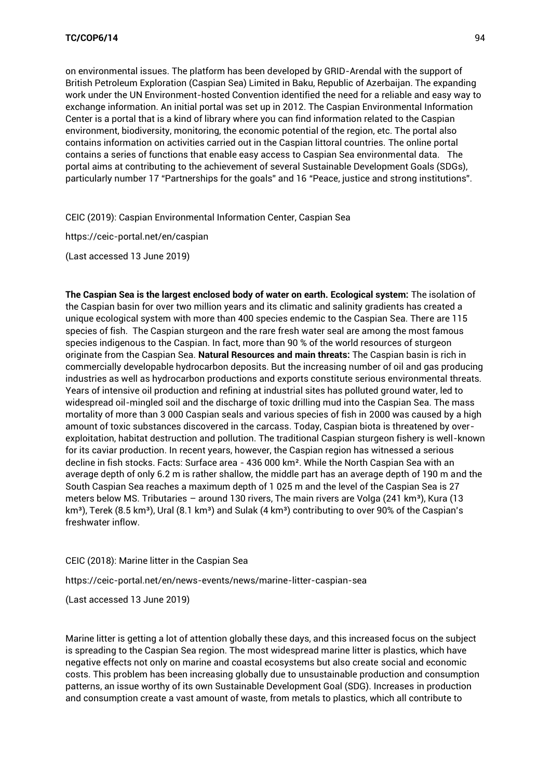on environmental issues. The platform has been developed by GRID-Arendal with the support of British Petroleum Exploration (Caspian Sea) Limited in Baku, Republic of Azerbaijan. The expanding work under the UN Environment-hosted Convention identified the need for a reliable and easy way to exchange information. An initial portal was set up in 2012. The Caspian Environmental Information Center is a portal that is a kind of library where you can find information related to the Caspian environment, biodiversity, monitoring, the economic potential of the region, etc. The portal also contains information on activities carried out in the Caspian littoral countries. The online portal contains a series of functions that enable easy access to Caspian Sea environmental data. The portal aims at contributing to the achievement of several Sustainable Development Goals (SDGs), particularly number 17 "Partnerships for the goals" and 16 "Peace, justice and strong institutions".

CEIC (2019): Caspian Environmental Information Center, Caspian Sea

<https://ceic-portal.net/en/caspian>

(Last accessed 13 June 2019)

**The Caspian Sea is the largest enclosed body of water on earth. Ecological system:** The isolation of the Caspian basin for over two million years and its climatic and salinity gradients has created a unique ecological system with more than 400 species endemic to the Caspian Sea. There are 115 species of fish. The Caspian sturgeon and the rare fresh water seal are among the most famous species indigenous to the Caspian. In fact, more than 90 % of the world resources of sturgeon originate from the Caspian Sea. **Natural Resources and main threats:** The Caspian basin is rich in commercially developable hydrocarbon deposits. But the increasing number of oil and gas producing industries as well as hydrocarbon productions and exports constitute serious environmental threats. Years of intensive oil production and refining at industrial sites has polluted ground water, led to widespread oil-mingled soil and the discharge of toxic drilling mud into the Caspian Sea. The mass mortality of more than 3 000 Caspian seals and various species of fish in 2000 was caused by a high amount of toxic substances discovered in the carcass. Today, Caspian biota is threatened by overexploitation, habitat destruction and pollution. The traditional Caspian sturgeon fishery is well-known for its caviar production. In recent years, however, the Caspian region has witnessed a serious decline in fish stocks. Facts: Surface area - 436 000 km². While the North Caspian Sea with an average depth of only 6.2 m is rather shallow, the middle part has an average depth of 190 m and the South Caspian Sea reaches a maximum depth of 1 025 m and the level of the Caspian Sea is 27 meters below MS. Tributaries - around 130 rivers, The main rivers are Volga (241 km<sup>3</sup>), Kura (13 km<sup>3</sup>), Terek (8.5 km<sup>3</sup>), Ural (8.1 km<sup>3</sup>) and Sulak (4 km<sup>3</sup>) contributing to over 90% of the Caspian's freshwater inflow.

# CEIC (2018): Marine litter in the Caspian Sea

<https://ceic-portal.net/en/news-events/news/marine-litter-caspian-sea>

(Last accessed 13 June 2019)

Marine litter is getting a lot of attention globally these days, and this increased focus on the subject is spreading to the Caspian Sea region. The most widespread marine litter is plastics, which have negative effects not only on marine and coastal ecosystems but also create social and economic costs. This problem has been increasing globally due to unsustainable production and consumption patterns, an issue worthy of its own Sustainable Development Goal (SDG). Increases in production and consumption create a vast amount of waste, from metals to plastics, which all contribute to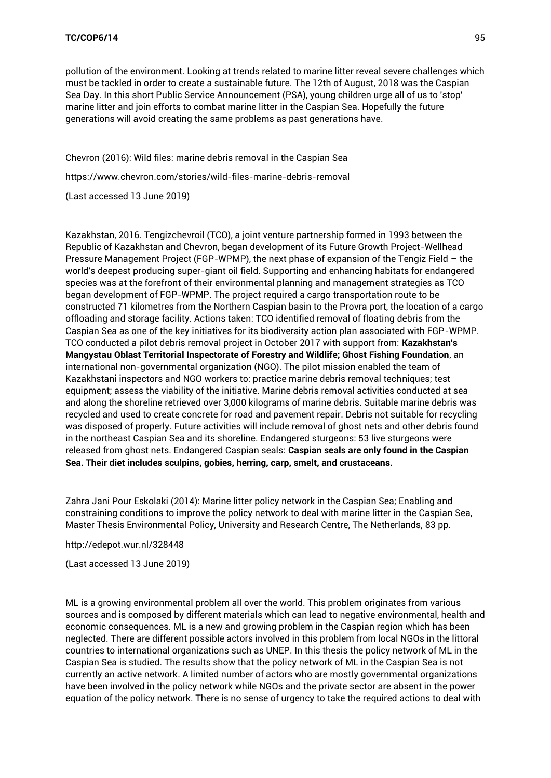pollution of the environment. Looking at trends related to marine litter reveal severe challenges which must be tackled in order to create a sustainable future. The 12th of August, 2018 was the Caspian Sea Day. In this short Public Service Announcement (PSA), young children urge all of us to 'stop' marine litter and join efforts to combat marine litter in the Caspian Sea. Hopefully the future generations will avoid creating the same problems as past generations have.

Chevron (2016): Wild files: marine debris removal in the Caspian Sea <https://www.chevron.com/stories/wild-files-marine-debris-removal> (Last accessed 13 June 2019)

Kazakhstan, 2016. Tengizchevroil (TCO), a joint venture partnership formed in 1993 between the Republic of Kazakhstan and Chevron, began development of its Future Growth Project-Wellhead Pressure Management Project (FGP-WPMP), the next phase of expansion of the Tengiz Field – the world's deepest producing super-giant oil field. Supporting and enhancing habitats for endangered species was at the forefront of their environmental planning and management strategies as TCO began development of FGP-WPMP. The project required a cargo transportation route to be constructed 71 kilometres from the Northern Caspian basin to the Provra port, the location of a cargo offloading and storage facility. Actions taken: TCO identified removal of floating debris from the Caspian Sea as one of the key initiatives for its biodiversity action plan associated with FGP-WPMP. TCO conducted a pilot debris removal project in October 2017 with support from: **Kazakhstan's Mangystau Oblast Territorial Inspectorate of Forestry and Wildlife; Ghost Fishing Foundation**, an international non-governmental organization (NGO). The pilot mission enabled the team of Kazakhstani inspectors and NGO workers to: practice marine debris removal techniques; test equipment; assess the viability of the initiative. Marine debris removal activities conducted at sea and along the shoreline retrieved over 3,000 kilograms of marine debris. Suitable marine debris was recycled and used to create concrete for road and pavement repair. Debris not suitable for recycling was disposed of properly. Future activities will include removal of ghost nets and other debris found in the northeast Caspian Sea and its shoreline. Endangered sturgeons: 53 live sturgeons were released from ghost nets. Endangered Caspian seals: **Caspian seals are only found in the Caspian Sea. Their diet includes sculpins, gobies, herring, carp, smelt, and crustaceans.** 

Zahra Jani Pour Eskolaki (2014): Marine litter policy network in the Caspian Sea; Enabling and constraining conditions to improve the policy network to deal with marine litter in the Caspian Sea, Master Thesis Environmental Policy, University and Research Centre, The Netherlands, 83 pp.

<http://edepot.wur.nl/328448>

(Last accessed 13 June 2019)

ML is a growing environmental problem all over the world. This problem originates from various sources and is composed by different materials which can lead to negative environmental, health and economic consequences. ML is a new and growing problem in the Caspian region which has been neglected. There are different possible actors involved in this problem from local NGOs in the littoral countries to international organizations such as UNEP. In this thesis the policy network of ML in the Caspian Sea is studied. The results show that the policy network of ML in the Caspian Sea is not currently an active network. A limited number of actors who are mostly governmental organizations have been involved in the policy network while NGOs and the private sector are absent in the power equation of the policy network. There is no sense of urgency to take the required actions to deal with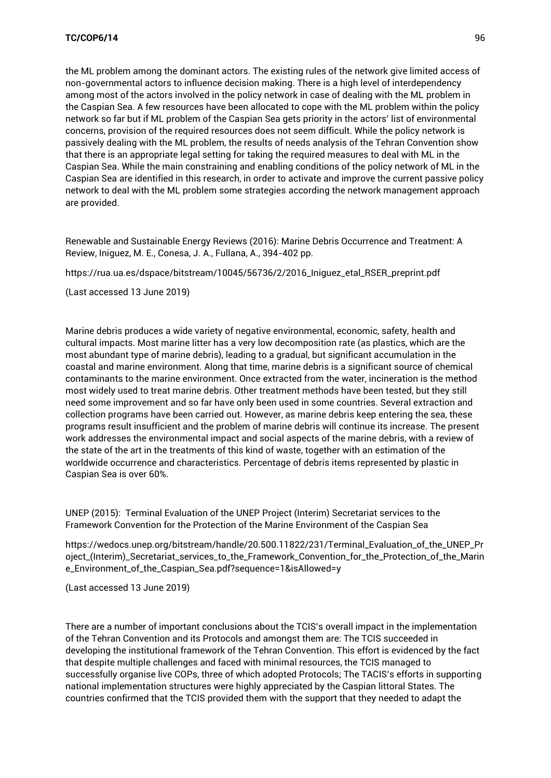the ML problem among the dominant actors. The existing rules of the network give limited access of non-governmental actors to influence decision making. There is a high level of interdependency among most of the actors involved in the policy network in case of dealing with the ML problem in the Caspian Sea. A few resources have been allocated to cope with the ML problem within the policy network so far but if ML problem of the Caspian Sea gets priority in the actors' list of environmental concerns, provision of the required resources does not seem difficult. While the policy network is passively dealing with the ML problem, the results of needs analysis of the Tehran Convention show that there is an appropriate legal setting for taking the required measures to deal with ML in the Caspian Sea. While the main constraining and enabling conditions of the policy network of ML in the Caspian Sea are identified in this research, in order to activate and improve the current passive policy network to deal with the ML problem some strategies according the network management approach are provided.

Renewable and Sustainable Energy Reviews (2016): Marine Debris Occurrence and Treatment: A Review, Iniguez, M. E., Conesa, J. A., Fullana, A., 394-402 pp.

[https://rua.ua.es/dspace/bitstream/10045/56736/2/2016\\_Iniguez\\_etal\\_RSER\\_preprint.pdf](https://rua.ua.es/dspace/bitstream/10045/56736/2/2016_Iniguez_etal_RSER_preprint.pdf)

(Last accessed 13 June 2019)

Marine debris produces a wide variety of negative environmental, economic, safety, health and cultural impacts. Most marine litter has a very low decomposition rate (as plastics, which are the most abundant type of marine debris), leading to a gradual, but significant accumulation in the coastal and marine environment. Along that time, marine debris is a significant source of chemical contaminants to the marine environment. Once extracted from the water, incineration is the method most widely used to treat marine debris. Other treatment methods have been tested, but they still need some improvement and so far have only been used in some countries. Several extraction and collection programs have been carried out. However, as marine debris keep entering the sea, these programs result insufficient and the problem of marine debris will continue its increase. The present work addresses the environmental impact and social aspects of the marine debris, with a review of the state of the art in the treatments of this kind of waste, together with an estimation of the worldwide occurrence and characteristics. Percentage of debris items represented by plastic in Caspian Sea is over 60%.

UNEP (2015): Terminal Evaluation of the UNEP Project (Interim) Secretariat services to the Framework Convention for the Protection of the Marine Environment of the Caspian Sea

[https://wedocs.unep.org/bitstream/handle/20.500.11822/231/Terminal\\_Evaluation\\_of\\_the\\_UNEP\\_Pr](https://wedocs.unep.org/bitstream/handle/20.500.11822/231/Terminal_Evaluation_of_the_UNEP_Project_(Interim)_Secretariat_services_to_the_Framework_Convention_for_the_Protection_of_the_Marine_Environment_of_the_Caspian_Sea.pdf?sequence=1&isAllowed=y) [oject\\_\(Interim\)\\_Secretariat\\_services\\_to\\_the\\_Framework\\_Convention\\_for\\_the\\_Protection\\_of\\_the\\_Marin](https://wedocs.unep.org/bitstream/handle/20.500.11822/231/Terminal_Evaluation_of_the_UNEP_Project_(Interim)_Secretariat_services_to_the_Framework_Convention_for_the_Protection_of_the_Marine_Environment_of_the_Caspian_Sea.pdf?sequence=1&isAllowed=y) [e\\_Environment\\_of\\_the\\_Caspian\\_Sea.pdf?sequence=1&isAllowed=y](https://wedocs.unep.org/bitstream/handle/20.500.11822/231/Terminal_Evaluation_of_the_UNEP_Project_(Interim)_Secretariat_services_to_the_Framework_Convention_for_the_Protection_of_the_Marine_Environment_of_the_Caspian_Sea.pdf?sequence=1&isAllowed=y)

(Last accessed 13 June 2019)

There are a number of important conclusions about the TCIS's overall impact in the implementation of the Tehran Convention and its Protocols and amongst them are: The TCIS succeeded in developing the institutional framework of the Tehran Convention. This effort is evidenced by the fact that despite multiple challenges and faced with minimal resources, the TCIS managed to successfully organise live COPs, three of which adopted Protocols; The TACIS's efforts in supporting national implementation structures were highly appreciated by the Caspian littoral States. The countries confirmed that the TCIS provided them with the support that they needed to adapt the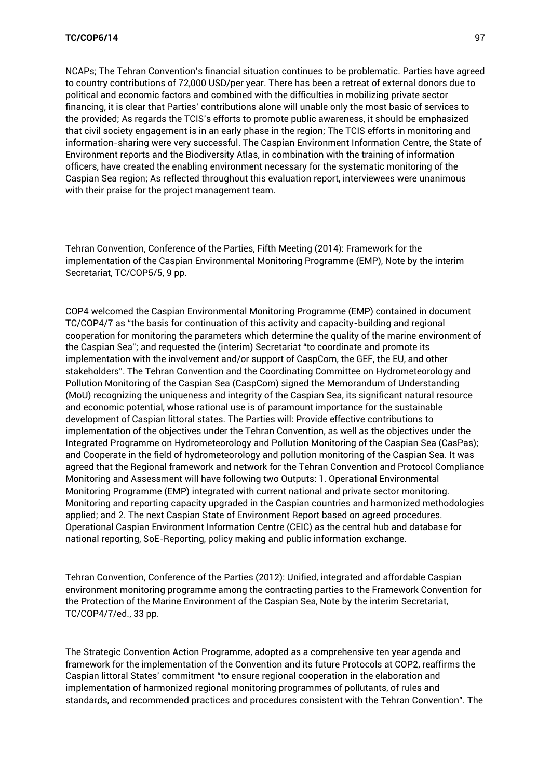NCAPs; The Tehran Convention's financial situation continues to be problematic. Parties have agreed to country contributions of 72,000 USD/per year. There has been a retreat of external donors due to political and economic factors and combined with the difficulties in mobilizing private sector financing, it is clear that Parties' contributions alone will unable only the most basic of services to the provided; As regards the TCIS's efforts to promote public awareness, it should be emphasized that civil society engagement is in an early phase in the region; The TCIS efforts in monitoring and information-sharing were very successful. The Caspian Environment Information Centre, the State of Environment reports and the Biodiversity Atlas, in combination with the training of information officers, have created the enabling environment necessary for the systematic monitoring of the Caspian Sea region; As reflected throughout this evaluation report, interviewees were unanimous with their praise for the project management team.

Tehran Convention, Conference of the Parties, Fifth Meeting (2014): Framework for the implementation of the Caspian Environmental Monitoring Programme (EMP), Note by the interim Secretariat, TC/COP5/5, 9 pp.

COP4 welcomed the Caspian Environmental Monitoring Programme (EMP) contained in document TC/COP4/7 as "the basis for continuation of this activity and capacity-building and regional cooperation for monitoring the parameters which determine the quality of the marine environment of the Caspian Sea"; and requested the (interim) Secretariat "to coordinate and promote its implementation with the involvement and/or support of CaspCom, the GEF, the EU, and other stakeholders". The Tehran Convention and the Coordinating Committee on Hydrometeorology and Pollution Monitoring of the Caspian Sea (CaspCom) signed the Memorandum of Understanding (MoU) recognizing the uniqueness and integrity of the Caspian Sea, its significant natural resource and economic potential, whose rational use is of paramount importance for the sustainable development of Caspian littoral states. The Parties will: Provide effective contributions to implementation of the objectives under the Tehran Convention, as well as the objectives under the Integrated Programme on Hydrometeorology and Pollution Monitoring of the Caspian Sea (CasPas); and Cooperate in the field of hydrometeorology and pollution monitoring of the Caspian Sea. It was agreed that the Regional framework and network for the Tehran Convention and Protocol Compliance Monitoring and Assessment will have following two Outputs: 1. Operational Environmental Monitoring Programme (EMP) integrated with current national and private sector monitoring. Monitoring and reporting capacity upgraded in the Caspian countries and harmonized methodologies applied; and 2. The next Caspian State of Environment Report based on agreed procedures. Operational Caspian Environment Information Centre (CEIC) as the central hub and database for national reporting, SoE-Reporting, policy making and public information exchange.

Tehran Convention, Conference of the Parties (2012): Unified, integrated and affordable Caspian environment monitoring programme among the contracting parties to the Framework Convention for the Protection of the Marine Environment of the Caspian Sea, Note by the interim Secretariat, TC/COP4/7/ed., 33 pp.

The Strategic Convention Action Programme, adopted as a comprehensive ten year agenda and framework for the implementation of the Convention and its future Protocols at COP2, reaffirms the Caspian littoral States' commitment "to ensure regional cooperation in the elaboration and implementation of harmonized regional monitoring programmes of pollutants, of rules and standards, and recommended practices and procedures consistent with the Tehran Convention". The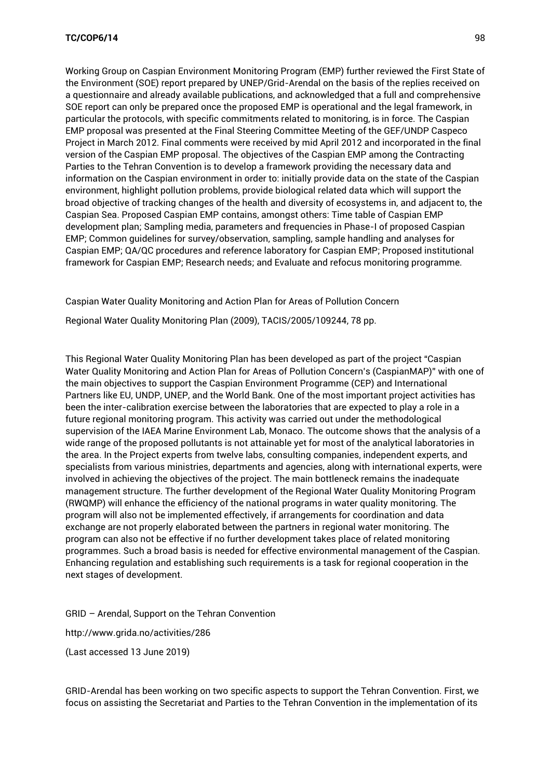Working Group on Caspian Environment Monitoring Program (EMP) further reviewed the First State of the Environment (SOE) report prepared by UNEP/Grid-Arendal on the basis of the replies received on a questionnaire and already available publications, and acknowledged that a full and comprehensive SOE report can only be prepared once the proposed EMP is operational and the legal framework, in particular the protocols, with specific commitments related to monitoring, is in force. The Caspian EMP proposal was presented at the Final Steering Committee Meeting of the GEF/UNDP Caspeco Project in March 2012. Final comments were received by mid April 2012 and incorporated in the final version of the Caspian EMP proposal. The objectives of the Caspian EMP among the Contracting Parties to the Tehran Convention is to develop a framework providing the necessary data and information on the Caspian environment in order to: initially provide data on the state of the Caspian environment, highlight pollution problems, provide biological related data which will support the broad objective of tracking changes of the health and diversity of ecosystems in, and adjacent to, the Caspian Sea. Proposed Caspian EMP contains, amongst others: Time table of Caspian EMP development plan; Sampling media, parameters and frequencies in Phase-I of proposed Caspian EMP; Common guidelines for survey/observation, sampling, sample handling and analyses for Caspian EMP; QA/QC procedures and reference laboratory for Caspian EMP; Proposed institutional framework for Caspian EMP; Research needs; and Evaluate and refocus monitoring programme.

Caspian Water Quality Monitoring and Action Plan for Areas of Pollution Concern

Regional Water Quality Monitoring Plan (2009), TACIS/2005/109244, 78 pp.

This Regional Water Quality Monitoring Plan has been developed as part of the project "Caspian Water Quality Monitoring and Action Plan for Areas of Pollution Concern's (CaspianMAP)" with one of the main objectives to support the Caspian Environment Programme (CEP) and International Partners like EU, UNDP, UNEP, and the World Bank. One of the most important project activities has been the inter-calibration exercise between the laboratories that are expected to play a role in a future regional monitoring program. This activity was carried out under the methodological supervision of the IAEA Marine Environment Lab, Monaco. The outcome shows that the analysis of a wide range of the proposed pollutants is not attainable yet for most of the analytical laboratories in the area. In the Project experts from twelve labs, consulting companies, independent experts, and specialists from various ministries, departments and agencies, along with international experts, were involved in achieving the objectives of the project. The main bottleneck remains the inadequate management structure. The further development of the Regional Water Quality Monitoring Program (RWQMP) will enhance the efficiency of the national programs in water quality monitoring. The program will also not be implemented effectively, if arrangements for coordination and data exchange are not properly elaborated between the partners in regional water monitoring. The program can also not be effective if no further development takes place of related monitoring programmes. Such a broad basis is needed for effective environmental management of the Caspian. Enhancing regulation and establishing such requirements is a task for regional cooperation in the next stages of development.

GRID – Arendal, Support on the Tehran Convention

<http://www.grida.no/activities/286>

(Last accessed 13 June 2019)

GRID-Arendal has been working on two specific aspects to support the Tehran Convention. First, we focus on assisting the Secretariat and Parties to the Tehran Convention in the implementation of its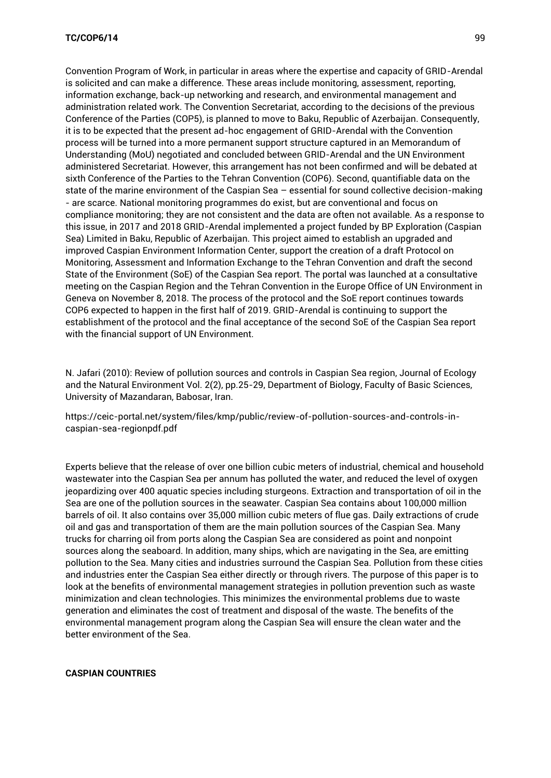Convention Program of Work, in particular in areas where the expertise and capacity of GRID-Arendal is solicited and can make a difference. These areas include monitoring, assessment, reporting, information exchange, back-up networking and research, and environmental management and administration related work. The Convention Secretariat, according to the decisions of the previous Conference of the Parties (COP5), is planned to move to Baku, Republic of Azerbaijan. Consequently, it is to be expected that the present ad-hoc engagement of GRID-Arendal with the Convention process will be turned into a more permanent support structure captured in an Memorandum of Understanding (MoU) negotiated and concluded between GRID-Arendal and the UN Environment administered Secretariat. However, this arrangement has not been confirmed and will be debated at sixth Conference of the Parties to the Tehran Convention (COP6). Second, quantifiable data on the state of the marine environment of the Caspian Sea – essential for sound collective decision-making - are scarce. National monitoring programmes do exist, but are conventional and focus on compliance monitoring; they are not consistent and the data are often not available. As a response to this issue, in 2017 and 2018 GRID-Arendal implemented a project funded by BP Exploration (Caspian Sea) Limited in Baku, Republic of Azerbaijan. This project aimed to establish an upgraded and improved Caspian Environment Information Center, support the creation of a draft Protocol on Monitoring, Assessment and Information Exchange to the Tehran Convention and draft the second State of the Environment (SoE) of the Caspian Sea report. The portal was launched at a consultative meeting on the Caspian Region and the Tehran Convention in the Europe Office of UN Environment in Geneva on November 8, 2018. The process of the protocol and the SoE report continues towards COP6 expected to happen in the first half of 2019. GRID-Arendal is continuing to support the establishment of the protocol and the final acceptance of the second SoE of the Caspian Sea report with the financial support of UN Environment.

N. Jafari (2010): Review of pollution sources and controls in Caspian Sea region, Journal of Ecology and the Natural Environment Vol. 2(2), pp.25-29, Department of Biology, Faculty of Basic Sciences, University of Mazandaran, Babosar, Iran.

[https://ceic-portal.net/system/files/kmp/public/review-of-pollution-sources-and-controls-in](https://ceic-portal.net/system/files/kmp/public/review-of-pollution-sources-and-controls-in-caspian-sea-regionpdf.pdf)[caspian-sea-regionpdf.pdf](https://ceic-portal.net/system/files/kmp/public/review-of-pollution-sources-and-controls-in-caspian-sea-regionpdf.pdf)

Experts believe that the release of over one billion cubic meters of industrial, chemical and household wastewater into the Caspian Sea per annum has polluted the water, and reduced the level of oxygen jeopardizing over 400 aquatic species including sturgeons. Extraction and transportation of oil in the Sea are one of the pollution sources in the seawater. Caspian Sea contains about 100,000 million barrels of oil. It also contains over 35,000 million cubic meters of flue gas. Daily extractions of crude oil and gas and transportation of them are the main pollution sources of the Caspian Sea. Many trucks for charring oil from ports along the Caspian Sea are considered as point and nonpoint sources along the seaboard. In addition, many ships, which are navigating in the Sea, are emitting pollution to the Sea. Many cities and industries surround the Caspian Sea. Pollution from these cities and industries enter the Caspian Sea either directly or through rivers. The purpose of this paper is to look at the benefits of environmental management strategies in pollution prevention such as waste minimization and clean technologies. This minimizes the environmental problems due to waste generation and eliminates the cost of treatment and disposal of the waste. The benefits of the environmental management program along the Caspian Sea will ensure the clean water and the better environment of the Sea.

#### **CASPIAN COUNTRIES**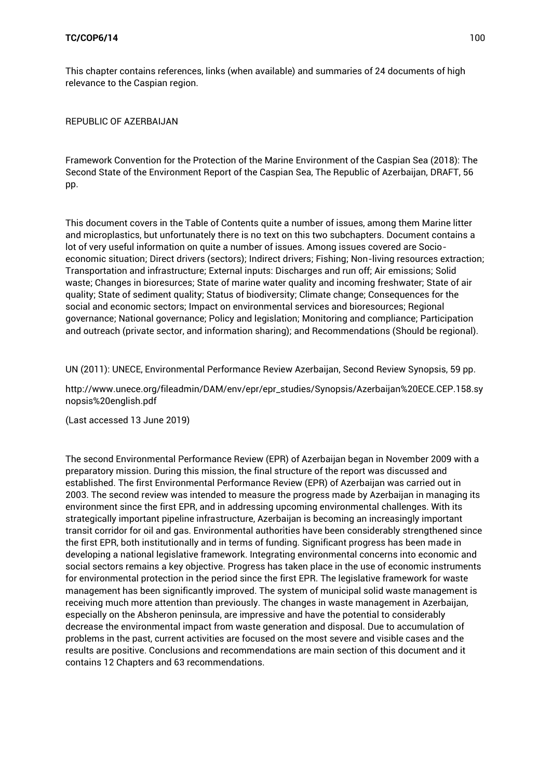This chapter contains references, links (when available) and summaries of 24 documents of high relevance to the Caspian region.

REPUBLIC OF AZERBAIJAN

Framework Convention for the Protection of the Marine Environment of the Caspian Sea (2018): The Second State of the Environment Report of the Caspian Sea, The Republic of Azerbaijan, DRAFT, 56 pp.

This document covers in the Table of Contents quite a number of issues, among them Marine litter and microplastics, but unfortunately there is no text on this two subchapters. Document contains a lot of very useful information on quite a number of issues. Among issues covered are Socioeconomic situation; Direct drivers (sectors); Indirect drivers; Fishing; Non-living resources extraction; Transportation and infrastructure; External inputs: Discharges and run off; Air emissions; Solid waste; Changes in bioresurces; State of marine water quality and incoming freshwater; State of air quality; State of sediment quality; Status of biodiversity; Climate change; Consequences for the social and economic sectors; Impact on environmental services and bioresources; Regional governance; National governance; Policy and legislation; Monitoring and compliance; Participation and outreach (private sector, and information sharing); and Recommendations (Should be regional).

UN (2011): UNECE, Environmental Performance Review Azerbaijan, Second Review Synopsis, 59 pp.

[http://www.unece.org/fileadmin/DAM/env/epr/epr\\_studies/Synopsis/Azerbaijan%20ECE.CEP.158.sy](http://www.unece.org/fileadmin/DAM/env/epr/epr_studies/Synopsis/Azerbaijan%20ECE.CEP.158.synopsis%20english.pdf) [nopsis%20english.pdf](http://www.unece.org/fileadmin/DAM/env/epr/epr_studies/Synopsis/Azerbaijan%20ECE.CEP.158.synopsis%20english.pdf)

(Last accessed 13 June 2019)

The second Environmental Performance Review (EPR) of Azerbaijan began in November 2009 with a preparatory mission. During this mission, the final structure of the report was discussed and established. The first Environmental Performance Review (EPR) of Azerbaijan was carried out in 2003. The second review was intended to measure the progress made by Azerbaijan in managing its environment since the first EPR, and in addressing upcoming environmental challenges. With its strategically important pipeline infrastructure, Azerbaijan is becoming an increasingly important transit corridor for oil and gas. Environmental authorities have been considerably strengthened since the first EPR, both institutionally and in terms of funding. Significant progress has been made in developing a national legislative framework. Integrating environmental concerns into economic and social sectors remains a key objective. Progress has taken place in the use of economic instruments for environmental protection in the period since the first EPR. The legislative framework for waste management has been significantly improved. The system of municipal solid waste management is receiving much more attention than previously. The changes in waste management in Azerbaijan, especially on the Absheron peninsula, are impressive and have the potential to considerably decrease the environmental impact from waste generation and disposal. Due to accumulation of problems in the past, current activities are focused on the most severe and visible cases and the results are positive. Conclusions and recommendations are main section of this document and it contains 12 Chapters and 63 recommendations.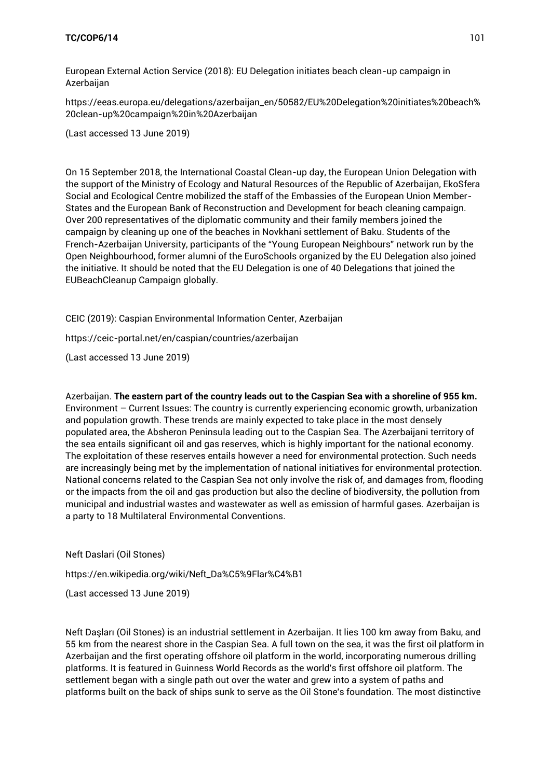European External Action Service (2018): EU Delegation initiates beach clean-up campaign in Azerbaijan

[https://eeas.europa.eu/delegations/azerbaijan\\_en/50582/EU%20Delegation%20initiates%20beach%](https://eeas.europa.eu/delegations/azerbaijan_en/50582/EU%20Delegation%20initiates%20beach%20clean-up%20campaign%20in%20Azerbaijan) [20clean-up%20campaign%20in%20Azerbaijan](https://eeas.europa.eu/delegations/azerbaijan_en/50582/EU%20Delegation%20initiates%20beach%20clean-up%20campaign%20in%20Azerbaijan)

(Last accessed 13 June 2019)

On 15 September 2018, the International Coastal Clean-up day, the European Union Delegation with the support of the Ministry of Ecology and Natural Resources of the Republic of Azerbaijan, EkoSfera Social and Ecological Centre mobilized the staff of the Embassies of the European Union Member-States and the European Bank of Reconstruction and Development for beach cleaning campaign. Over 200 representatives of the diplomatic community and their family members joined the campaign by cleaning up one of the beaches in Novkhani settlement of Baku. Students of the French-Azerbaijan University, participants of the "Young European Neighbours" network run by the Open Neighbourhood, former alumni of the EuroSchools organized by the EU Delegation also joined the initiative. It should be noted that the EU Delegation is one of 40 Delegations that joined the EUBeachCleanup Campaign globally.

CEIC (2019): Caspian Environmental Information Center, Azerbaijan

<https://ceic-portal.net/en/caspian/countries/azerbaijan>

(Last accessed 13 June 2019)

Azerbaijan. **The eastern part of the country leads out to the Caspian Sea with a shoreline of 955 km.**  Environment – Current Issues: The country is currently experiencing economic growth, urbanization and population growth. These trends are mainly expected to take place in the most densely populated area, the Absheron Peninsula leading out to the Caspian Sea. The Azerbaijani territory of the sea entails significant oil and gas reserves, which is highly important for the national economy. The exploitation of these reserves entails however a need for environmental protection. Such needs are increasingly being met by the implementation of national initiatives for environmental protection. National concerns related to the Caspian Sea not only involve the risk of, and damages from, flooding or the impacts from the oil and gas production but also the decline of biodiversity, the pollution from municipal and industrial wastes and wastewater as well as emission of harmful gases. Azerbaijan is a party to 18 Multilateral Environmental Conventions.

Neft Daslari (Oil Stones)

[https://en.wikipedia.org/wiki/Neft\\_Da%C5%9Flar%C4%B1](https://en.wikipedia.org/wiki/Neft_Da%C5%9Flar%C4%B1)

(Last accessed 13 June 2019)

Neft Daşları (Oil Stones) is an industrial settlement in Azerbaijan. It lies 100 km away from Baku, and 55 km from the nearest shore in the Caspian Sea. A full town on the sea, it was the first oil platform in Azerbaijan and the first operating offshore oil platform in the world, incorporating numerous drilling platforms. It is featured in Guinness World Records as the world's first offshore oil platform. The settlement began with a single path out over the water and grew into a system of paths and platforms built on the back of ships sunk to serve as the Oil Stone's foundation. The most distinctive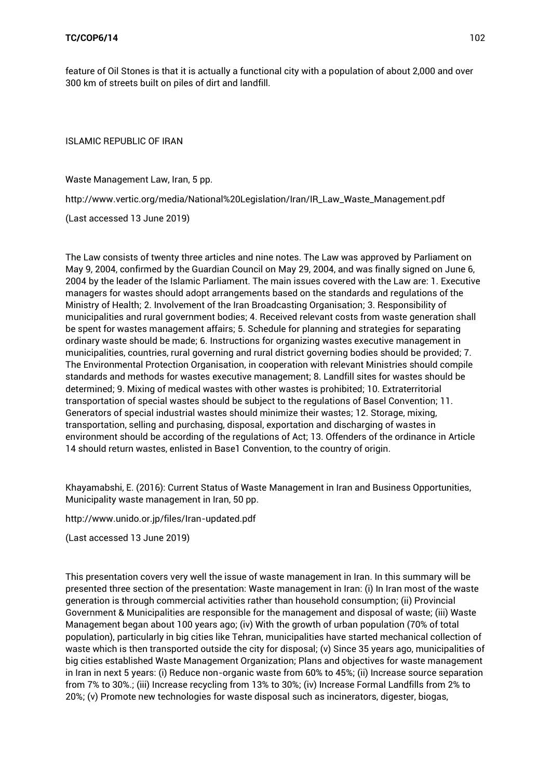feature of Oil Stones is that it is actually a functional city with a population of about 2,000 and over 300 km of streets built on piles of dirt and landfill.

ISLAMIC REPUBLIC OF IRAN

Waste Management Law, Iran, 5 pp.

[http://www.vertic.org/media/National%20Legislation/Iran/IR\\_Law\\_Waste\\_Management.pdf](http://www.vertic.org/media/National%20Legislation/Iran/IR_Law_Waste_Management.pdf)

(Last accessed 13 June 2019)

The Law consists of twenty three articles and nine notes. The Law was approved by Parliament on May 9, 2004, confirmed by the Guardian Council on May 29, 2004, and was finally signed on June 6, 2004 by the leader of the Islamic Parliament. The main issues covered with the Law are: 1. Executive managers for wastes should adopt arrangements based on the standards and regulations of the Ministry of Health; 2. Involvement of the Iran Broadcasting Organisation; 3. Responsibility of municipalities and rural government bodies; 4. Received relevant costs from waste generation shall be spent for wastes management affairs; 5. Schedule for planning and strategies for separating ordinary waste should be made; 6. Instructions for organizing wastes executive management in municipalities, countries, rural governing and rural district governing bodies should be provided; 7. The Environmental Protection Organisation, in cooperation with relevant Ministries should compile standards and methods for wastes executive management; 8. Landfill sites for wastes should be determined; 9. Mixing of medical wastes with other wastes is prohibited; 10. Extraterritorial transportation of special wastes should be subject to the regulations of Basel Convention; 11. Generators of special industrial wastes should minimize their wastes; 12. Storage, mixing, transportation, selling and purchasing, disposal, exportation and discharging of wastes in environment should be according of the regulations of Act; 13. Offenders of the ordinance in Article 14 should return wastes, enlisted in Base1 Convention, to the country of origin.

Khayamabshi, E. (2016): Current Status of Waste Management in Iran and Business Opportunities, Municipality waste management in Iran, 50 pp.

<http://www.unido.or.jp/files/Iran-updated.pdf>

(Last accessed 13 June 2019)

This presentation covers very well the issue of waste management in Iran. In this summary will be presented three section of the presentation: Waste management in Iran: (i) In Iran most of the waste generation is through commercial activities rather than household consumption; (ii) Provincial Government & Municipalities are responsible for the management and disposal of waste; (iii) Waste Management began about 100 years ago; (iv) With the growth of urban population (70% of total population), particularly in big cities like Tehran, municipalities have started mechanical collection of waste which is then transported outside the city for disposal; (v) Since 35 years ago, municipalities of big cities established Waste Management Organization; Plans and objectives for waste management in Iran in next 5 years: (i) Reduce non-organic waste from 60% to 45%; (ii) Increase source separation from 7% to 30%.; (iii) Increase recycling from 13% to 30%; (iv) Increase Formal Landfills from 2% to 20%; (v) Promote new technologies for waste disposal such as incinerators, digester, biogas,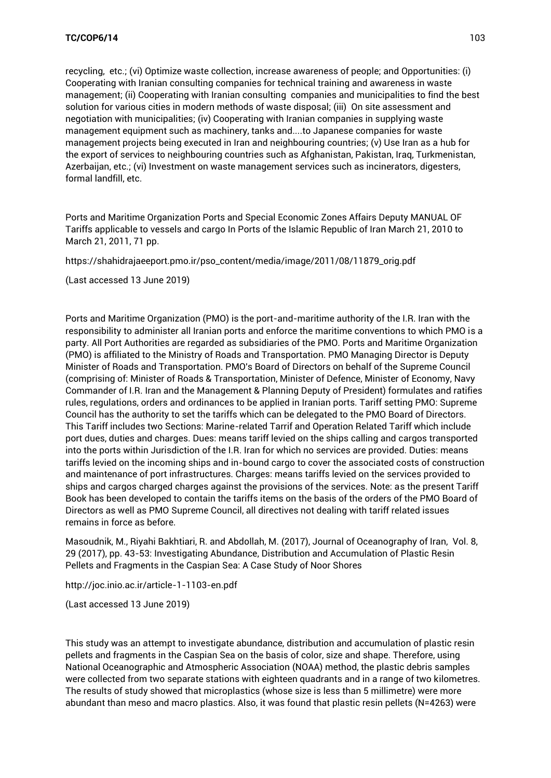recycling, etc.; (vi) Optimize waste collection, increase awareness of people; and Opportunities: (i) Cooperating with Iranian consulting companies for technical training and awareness in waste management; (ii) Cooperating with Iranian consulting companies and municipalities to find the best solution for various cities in modern methods of waste disposal; (iii) On site assessment and negotiation with municipalities; (iv) Cooperating with Iranian companies in supplying waste management equipment such as machinery, tanks and....to Japanese companies for waste management projects being executed in Iran and neighbouring countries; (v) Use Iran as a hub for the export of services to neighbouring countries such as Afghanistan, Pakistan, Iraq, Turkmenistan, Azerbaijan, etc.; (vi) Investment on waste management services such as incinerators, digesters, formal landfill, etc.

Ports and Maritime Organization Ports and Special Economic Zones Affairs Deputy MANUAL OF Tariffs applicable to vessels and cargo In Ports of the Islamic Republic of Iran March 21, 2010 to March 21, 2011, 71 pp.

[https://shahidrajaeeport.pmo.ir/pso\\_content/media/image/2011/08/11879\\_orig.pdf](https://shahidrajaeeport.pmo.ir/pso_content/media/image/2011/08/11879_orig.pdf)

(Last accessed 13 June 2019)

Ports and Maritime Organization (PMO) is the port-and-maritime authority of the I.R. Iran with the responsibility to administer all Iranian ports and enforce the maritime conventions to which PMO is a party. All Port Authorities are regarded as subsidiaries of the PMO. Ports and Maritime Organization (PMO) is affiliated to the Ministry of Roads and Transportation. PMO Managing Director is Deputy Minister of Roads and Transportation. PMO's Board of Directors on behalf of the Supreme Council (comprising of: Minister of Roads & Transportation, Minister of Defence, Minister of Economy, Navy Commander of I.R. Iran and the Management & Planning Deputy of President) formulates and ratifies rules, regulations, orders and ordinances to be applied in Iranian ports. Tariff setting PMO: Supreme Council has the authority to set the tariffs which can be delegated to the PMO Board of Directors. This Tariff includes two Sections: Marine-related Tarrif and Operation Related Tariff which include port dues, duties and charges. Dues: means tariff levied on the ships calling and cargos transported into the ports within Jurisdiction of the I.R. Iran for which no services are provided. Duties: means tariffs levied on the incoming ships and in-bound cargo to cover the associated costs of construction and maintenance of port infrastructures. Charges: means tariffs levied on the services provided to ships and cargos charged charges against the provisions of the services. Note: as the present Tariff Book has been developed to contain the tariffs items on the basis of the orders of the PMO Board of Directors as well as PMO Supreme Council, all directives not dealing with tariff related issues remains in force as before.

Masoudnik, M., Riyahi Bakhtiari, R. and Abdollah, M. (2017), Journal of Oceanography of Iran, Vol. 8, 29 (2017), pp. 43-53: Investigating Abundance, Distribution and Accumulation of Plastic Resin Pellets and Fragments in the Caspian Sea: A Case Study of Noor Shores

<http://joc.inio.ac.ir/article-1-1103-en.pdf>

(Last accessed 13 June 2019)

This study was an attempt to investigate abundance, distribution and accumulation of plastic resin pellets and fragments in the Caspian Sea on the basis of color, size and shape. Therefore, using National Oceanographic and Atmospheric Association (NOAA) method, the plastic debris samples were collected from two separate stations with eighteen quadrants and in a range of two kilometres. The results of study showed that microplastics (whose size is less than 5 millimetre) were more abundant than meso and macro plastics. Also, it was found that plastic resin pellets (N=4263) were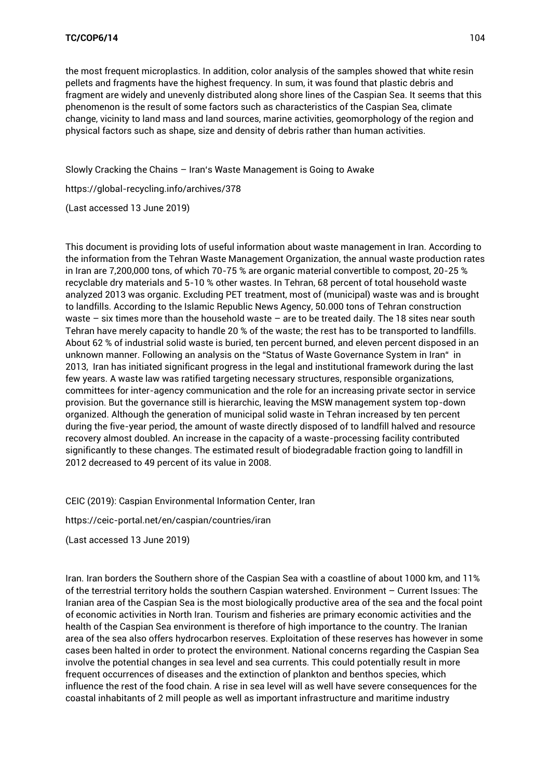the most frequent microplastics. In addition, color analysis of the samples showed that white resin pellets and fragments have the highest frequency. In sum, it was found that plastic debris and fragment are widely and unevenly distributed along shore lines of the Caspian Sea. It seems that this phenomenon is the result of some factors such as characteristics of the Caspian Sea, climate change, vicinity to land mass and land sources, marine activities, geomorphology of the region and physical factors such as shape, size and density of debris rather than human activities.

Slowly Cracking the Chains – [Iran's Waste Management is Going to Awake](https://global-recycling.info/archives/378) 

<https://global-recycling.info/archives/378>

(Last accessed 13 June 2019)

This document is providing lots of useful information about waste management in Iran. According to the information from the Tehran Waste Management Organization, the annual waste production rates in Iran are 7,200,000 tons, of which 70-75 % are organic material convertible to compost, 20-25 % recyclable dry materials and 5-10 % other wastes. In Tehran, 68 percent of total household waste analyzed 2013 was organic. Excluding PET treatment, most of (municipal) waste was and is brought to landfills. According to the Islamic Republic News Agency, 50.000 tons of Tehran construction waste – six times more than the household waste – are to be treated daily. The 18 sites near south Tehran have merely capacity to handle 20 % of the waste; the rest has to be transported to landfills. About 62 % of industrial solid waste is buried, ten percent burned, and eleven percent disposed in an unknown manner. Following an analysis on the "Status of Waste Governance System in Iran" in 2013, Iran has initiated significant progress in the legal and institutional framework during the last few years. A waste law was ratified targeting necessary structures, responsible organizations, committees for inter-agency communication and the role for an increasing private sector in service provision. But the governance still is hierarchic, leaving the MSW management system top-down organized. Although the generation of municipal solid waste in Tehran increased by ten percent during the five-year period, the amount of waste directly disposed of to landfill halved and resource recovery almost doubled. An increase in the capacity of a waste-processing facility contributed significantly to these changes. The estimated result of biodegradable fraction going to landfill in 2012 decreased to 49 percent of its value in 2008.

CEIC (2019): Caspian Environmental Information Center, Iran

<https://ceic-portal.net/en/caspian/countries/iran>

(Last accessed 13 June 2019)

Iran. Iran borders the Southern shore of the Caspian Sea with a coastline of about 1000 km, and 11% of the terrestrial territory holds the southern Caspian watershed. Environment – Current Issues: The Iranian area of the Caspian Sea is the most biologically productive area of the sea and the focal point of economic activities in North Iran. Tourism and fisheries are primary economic activities and the health of the Caspian Sea environment is therefore of high importance to the country. The Iranian area of the sea also offers hydrocarbon reserves. Exploitation of these reserves has however in some cases been halted in order to protect the environment. National concerns regarding the Caspian Sea involve the potential changes in sea level and sea currents. This could potentially result in more frequent occurrences of diseases and the extinction of plankton and benthos species, which influence the rest of the food chain. A rise in sea level will as well have severe consequences for the coastal inhabitants of 2 mill people as well as important infrastructure and maritime industry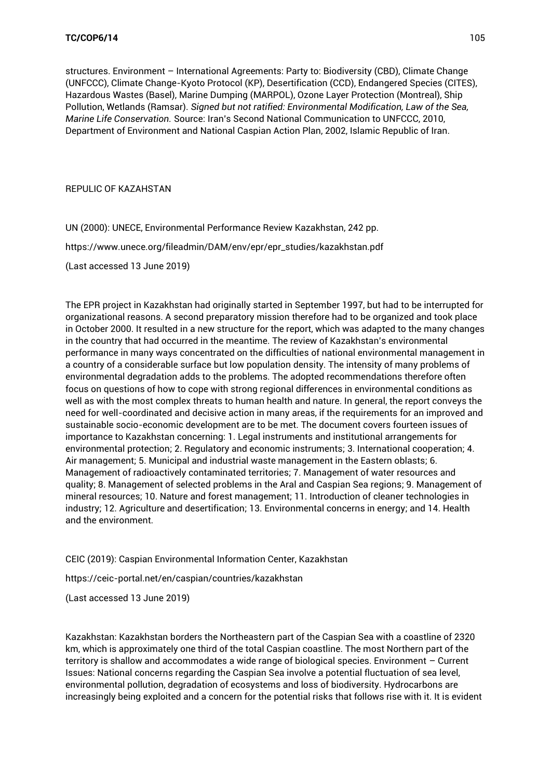structures. Environment – International Agreements: Party to: Biodiversity (CBD), Climate Change (UNFCCC), Climate Change-Kyoto Protocol (KP), Desertification (CCD), Endangered Species (CITES), Hazardous Wastes (Basel), Marine Dumping (MARPOL), Ozone Layer Protection (Montreal), Ship Pollution, Wetlands (Ramsar). *Signed but not ratified: Environmental Modification, Law of the Sea, Marine Life Conservation.* Source: Iran's Second National Communication to UNFCCC, 2010, Department of Environment and National Caspian Action Plan, 2002, Islamic Republic of Iran.

REPULIC OF KAZAHSTAN

UN (2000): UNECE, Environmental Performance Review Kazakhstan, 242 pp.

[https://www.unece.org/fileadmin/DAM/env/epr/epr\\_studies/kazakhstan.pdf](https://www.unece.org/fileadmin/DAM/env/epr/epr_studies/kazakhstan.pdf)

(Last accessed 13 June 2019)

The EPR project in Kazakhstan had originally started in September 1997, but had to be interrupted for organizational reasons. A second preparatory mission therefore had to be organized and took place in October 2000. It resulted in a new structure for the report, which was adapted to the many changes in the country that had occurred in the meantime. The review of Kazakhstan's environmental performance in many ways concentrated on the difficulties of national environmental management in a country of a considerable surface but low population density. The intensity of many problems of environmental degradation adds to the problems. The adopted recommendations therefore often focus on questions of how to cope with strong regional differences in environmental conditions as well as with the most complex threats to human health and nature. In general, the report conveys the need for well-coordinated and decisive action in many areas, if the requirements for an improved and sustainable socio-economic development are to be met. The document covers fourteen issues of importance to Kazakhstan concerning: 1. Legal instruments and institutional arrangements for environmental protection; 2. Regulatory and economic instruments; 3. International cooperation; 4. Air management; 5. Municipal and industrial waste management in the Eastern oblasts; 6. Management of radioactively contaminated territories; 7. Management of water resources and quality; 8. Management of selected problems in the Aral and Caspian Sea regions; 9. Management of mineral resources; 10. Nature and forest management; 11. Introduction of cleaner technologies in industry; 12. Agriculture and desertification; 13. Environmental concerns in energy; and 14. Health and the environment.

CEIC (2019): Caspian Environmental Information Center, Kazakhstan

<https://ceic-portal.net/en/caspian/countries/kazakhstan>

(Last accessed 13 June 2019)

Kazakhstan: Kazakhstan borders the Northeastern part of the Caspian Sea with a coastline of 2320 km, which is approximately one third of the total Caspian coastline. The most Northern part of the territory is shallow and accommodates a wide range of biological species. Environment – Current Issues: National concerns regarding the Caspian Sea involve a potential fluctuation of sea level, environmental pollution, degradation of ecosystems and loss of biodiversity. Hydrocarbons are increasingly being exploited and a concern for the potential risks that follows rise with it. It is evident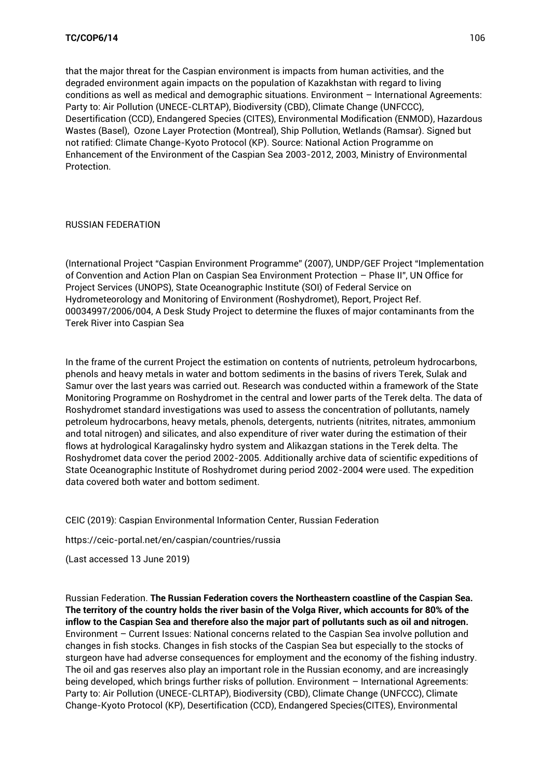that the major threat for the Caspian environment is impacts from human activities, and the degraded environment again impacts on the population of Kazakhstan with regard to living conditions as well as medical and demographic situations. Environment – International Agreements: Party to: Air Pollution (UNECE-CLRTAP), Biodiversity (CBD), Climate Change (UNFCCC), Desertification (CCD), Endangered Species (CITES), Environmental Modification (ENMOD), Hazardous Wastes (Basel), Ozone Layer Protection (Montreal), Ship Pollution, Wetlands (Ramsar). Signed but not ratified: Climate Change-Kyoto Protocol (KP). Source: National Action Programme on Enhancement of the Environment of the Caspian Sea 2003-2012, 2003, Ministry of Environmental Protection.

## RUSSIAN FEDERATION

(International Project "Caspian Environment Programme" (2007), UNDP/GEF Project "Implementation of Convention and Action Plan on Caspian Sea Environment Protection – Phase II", UN Office for Project Services (UNOPS), State Oceanographic Institute (SOI) of Federal Service on Hydrometeorology and Monitoring of Environment (Roshydromet), Report, Project Ref. 00034997/2006/004, A Desk Study Project to determine the fluxes of major contaminants from the Terek River into Caspian Sea

In the frame of the current Project the estimation on contents of nutrients, petroleum hydrocarbons, phenols and heavy metals in water and bottom sediments in the basins of rivers Terek, Sulak and Samur over the last years was carried out. Research was conducted within a framework of the State Monitoring Programme on Roshydromet in the central and lower parts of the Terek delta. The data of Roshydromet standard investigations was used to assess the concentration of pollutants, namely petroleum hydrocarbons, heavy metals, phenols, detergents, nutrients (nitrites, nitrates, ammonium and total nitrogen) and silicates, and also expenditure of river water during the estimation of their flows at hydrological Karagalinsky hydro system and Alikazgan stations in the Terek delta. The Roshydromet data cover the period 2002-2005. Additionally archive data of scientific expeditions of State Oceanographic Institute of Roshydromet during period 2002-2004 were used. The expedition data covered both water and bottom sediment.

CEIC (2019): Caspian Environmental Information Center, Russian Federation

<https://ceic-portal.net/en/caspian/countries/russia>

(Last accessed 13 June 2019)

Russian Federation. **The Russian Federation covers the Northeastern coastline of the Caspian Sea. The territory of the country holds the river basin of the Volga River, which accounts for 80% of the inflow to the Caspian Sea and therefore also the major part of pollutants such as oil and nitrogen.**  Environment – Current Issues: National concerns related to the Caspian Sea involve pollution and changes in fish stocks. Changes in fish stocks of the Caspian Sea but especially to the stocks of sturgeon have had adverse consequences for employment and the economy of the fishing industry. The oil and gas reserves also play an important role in the Russian economy, and are increasingly being developed, which brings further risks of pollution. Environment – International Agreements: Party to: Air Pollution (UNECE-CLRTAP), Biodiversity (CBD), Climate Change (UNFCCC), Climate Change-Kyoto Protocol (KP), Desertification (CCD), Endangered Species(CITES), Environmental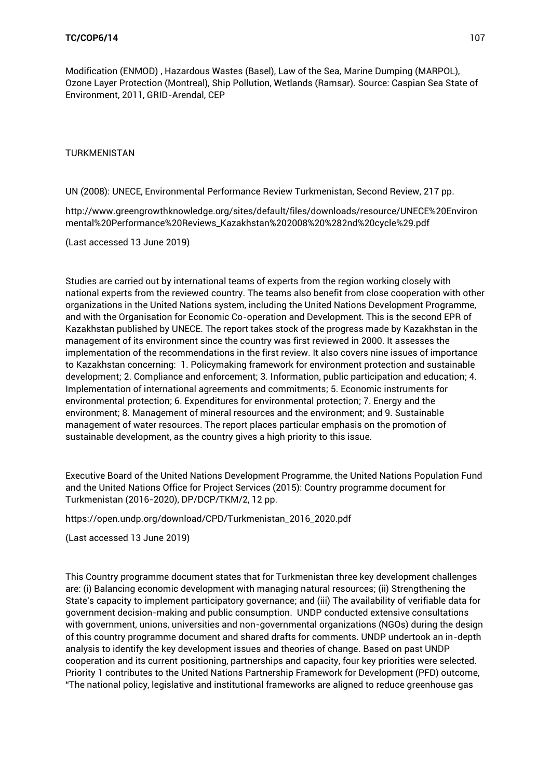Modification (ENMOD) , Hazardous Wastes (Basel), Law of the Sea, Marine Dumping (MARPOL), Ozone Layer Protection (Montreal), Ship Pollution, Wetlands (Ramsar). Source: Caspian Sea State of Environment, 2011, GRID-Arendal, CEP

TURKMENISTAN

UN (2008): UNECE, Environmental Performance Review Turkmenistan, Second Review, 217 pp.

[http://www.greengrowthknowledge.org/sites/default/files/downloads/resource/UNECE%20Environ](http://www.greengrowthknowledge.org/sites/default/files/downloads/resource/UNECE%20Environmental%20Performance%20Reviews_Kazakhstan%202008%20%282nd%20cycle%29.pdf) [mental%20Performance%20Reviews\\_Kazakhstan%202008%20%282nd%20cycle%29.pdf](http://www.greengrowthknowledge.org/sites/default/files/downloads/resource/UNECE%20Environmental%20Performance%20Reviews_Kazakhstan%202008%20%282nd%20cycle%29.pdf)

(Last accessed 13 June 2019)

Studies are carried out by international teams of experts from the region working closely with national experts from the reviewed country. The teams also benefit from close cooperation with other organizations in the United Nations system, including the United Nations Development Programme, and with the Organisation for Economic Co-operation and Development. This is the second EPR of Kazakhstan published by UNECE. The report takes stock of the progress made by Kazakhstan in the management of its environment since the country was first reviewed in 2000. It assesses the implementation of the recommendations in the first review. It also covers nine issues of importance to Kazakhstan concerning: 1. Policymaking framework for environment protection and sustainable development; 2. Compliance and enforcement; 3. Information, public participation and education; 4. Implementation of international agreements and commitments; 5. Economic instruments for environmental protection; 6. Expenditures for environmental protection; 7. Energy and the environment; 8. Management of mineral resources and the environment; and 9. Sustainable management of water resources. The report places particular emphasis on the promotion of sustainable development, as the country gives a high priority to this issue.

Executive Board of the United Nations Development Programme, the United Nations Population Fund and the United Nations Office for Project Services (2015): Country programme document for Turkmenistan (2016-2020), DP/DCP/TKM/2, 12 pp.

[https://open.undp.org/download/CPD/Turkmenistan\\_2016\\_2020.pdf](https://open.undp.org/download/CPD/Turkmenistan_2016_2020.pdf)

(Last accessed 13 June 2019)

This Country programme document states that for Turkmenistan three key development challenges are: (i) Balancing economic development with managing natural resources; (ii) Strengthening the State's capacity to implement participatory governance; and (iii) The availability of verifiable data for government decision-making and public consumption. UNDP conducted extensive consultations with government, unions, universities and non-governmental organizations (NGOs) during the design of this country programme document and shared drafts for comments. UNDP undertook an in-depth analysis to identify the key development issues and theories of change. Based on past UNDP cooperation and its current positioning, partnerships and capacity, four key priorities were selected. Priority 1 contributes to the United Nations Partnership Framework for Development (PFD) outcome, "The national policy, legislative and institutional frameworks are aligned to reduce greenhouse gas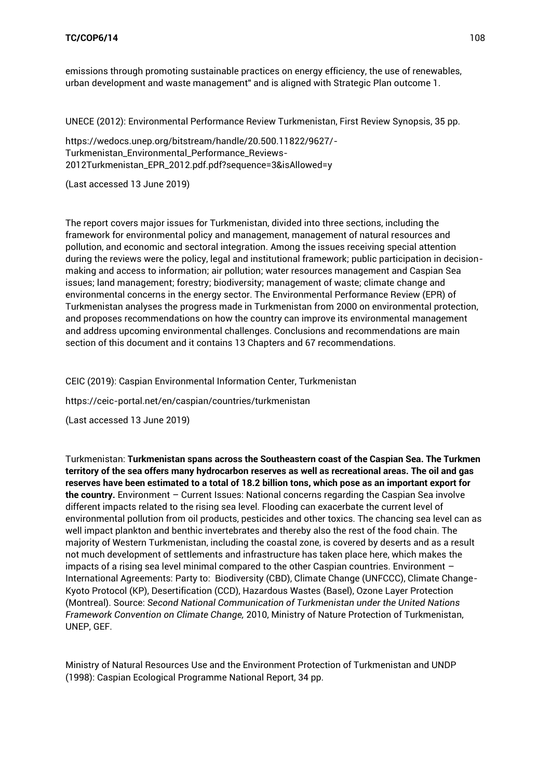emissions through promoting sustainable practices on energy efficiency, the use of renewables, urban development and waste management" and is aligned with Strategic Plan outcome 1.

UNECE (2012): Environmental Performance Review Turkmenistan, First Review Synopsis, 35 pp.

[https://wedocs.unep.org/bitstream/handle/20.500.11822/9627/-](https://wedocs.unep.org/bitstream/handle/20.500.11822/9627/-Turkmenistan_Environmental_Performance_Reviews-2012Turkmenistan_EPR_2012.pdf.pdf?sequence=3&isAllowed=y) [Turkmenistan\\_Environmental\\_Performance\\_Reviews-](https://wedocs.unep.org/bitstream/handle/20.500.11822/9627/-Turkmenistan_Environmental_Performance_Reviews-2012Turkmenistan_EPR_2012.pdf.pdf?sequence=3&isAllowed=y)[2012Turkmenistan\\_EPR\\_2012.pdf.pdf?sequence=3&isAllowed=y](https://wedocs.unep.org/bitstream/handle/20.500.11822/9627/-Turkmenistan_Environmental_Performance_Reviews-2012Turkmenistan_EPR_2012.pdf.pdf?sequence=3&isAllowed=y)

(Last accessed 13 June 2019)

The report covers major issues for Turkmenistan, divided into three sections, including the framework for environmental policy and management, management of natural resources and pollution, and economic and sectoral integration. Among the issues receiving special attention during the reviews were the policy, legal and institutional framework; public participation in decisionmaking and access to information; air pollution; water resources management and Caspian Sea issues; land management; forestry; biodiversity; management of waste; climate change and environmental concerns in the energy sector. The Environmental Performance Review (EPR) of Turkmenistan analyses the progress made in Turkmenistan from 2000 on environmental protection, and proposes recommendations on how the country can improve its environmental management and address upcoming environmental challenges. Conclusions and recommendations are main section of this document and it contains 13 Chapters and 67 recommendations.

CEIC (2019): Caspian Environmental Information Center, Turkmenistan

<https://ceic-portal.net/en/caspian/countries/turkmenistan>

(Last accessed 13 June 2019)

Turkmenistan: **Turkmenistan spans across the Southeastern coast of the Caspian Sea. The Turkmen territory of the sea offers many hydrocarbon reserves as well as recreational areas. The oil and gas reserves have been estimated to a total of 18.2 billion tons, which pose as an important export for the country.** Environment – Current Issues: National concerns regarding the Caspian Sea involve different impacts related to the rising sea level. Flooding can exacerbate the current level of environmental pollution from oil products, pesticides and other toxics. The chancing sea level can as well impact plankton and benthic invertebrates and thereby also the rest of the food chain. The majority of Western Turkmenistan, including the coastal zone, is covered by deserts and as a result not much development of settlements and infrastructure has taken place here, which makes the impacts of a rising sea level minimal compared to the other Caspian countries. Environment – International Agreements: Party to: Biodiversity (CBD), Climate Change (UNFCCC), Climate Change-Kyoto Protocol (KP), Desertification (CCD), Hazardous Wastes (Basel), Ozone Layer Protection (Montreal). Source: *Second National Communication of Turkmenistan under the United Nations Framework Convention on Climate Change,* 2010, Ministry of Nature Protection of Turkmenistan, UNEP, GEF.

Ministry of Natural Resources Use and the Environment Protection of Turkmenistan and UNDP (1998): Caspian Ecological Programme National Report, 34 pp.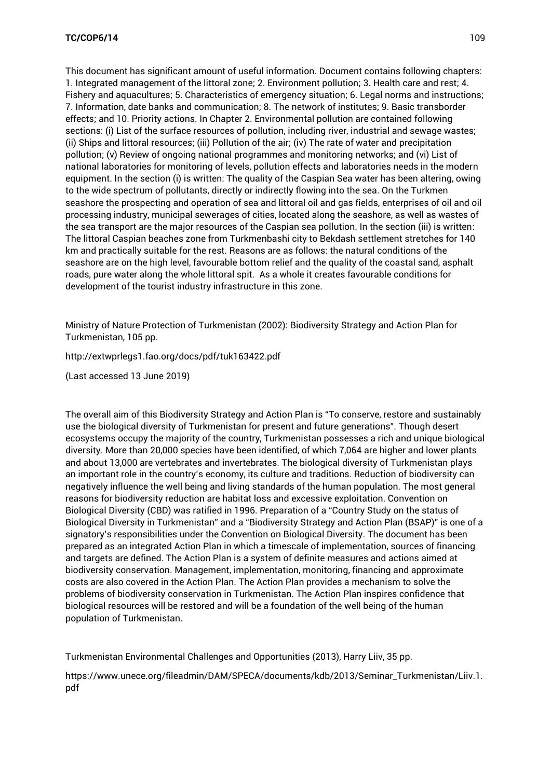This document has significant amount of useful information. Document contains following chapters: 1. Integrated management of the littoral zone; 2. Environment pollution; 3. Health care and rest; 4. Fishery and aquacultures; 5. Characteristics of emergency situation; 6. Legal norms and instructions; 7. Information, date banks and communication; 8. The network of institutes; 9. Basic transborder effects; and 10. Priority actions. In Chapter 2. Environmental pollution are contained following sections: (i) List of the surface resources of pollution, including river, industrial and sewage wastes; (ii) Ships and littoral resources; (iii) Pollution of the air; (iv) The rate of water and precipitation pollution; (v) Review of ongoing national programmes and monitoring networks; and (vi) List of national laboratories for monitoring of levels, pollution effects and laboratories needs in the modern equipment. In the section (i) is written: The quality of the Caspian Sea water has been altering, owing to the wide spectrum of pollutants, directly or indirectly flowing into the sea. On the Turkmen seashore the prospecting and operation of sea and littoral oil and gas fields, enterprises of oil and oil processing industry, municipal sewerages of cities, located along the seashore, as well as wastes of the sea transport are the major resources of the Caspian sea pollution. In the section (iii) is written: The littoral Caspian beaches zone from Turkmenbashi city to Bekdash settlement stretches for 140 km and practically suitable for the rest. Reasons are as follows: the natural conditions of the seashore are on the high level, favourable bottom relief and the quality of the coastal sand, asphalt roads, pure water along the whole littoral spit. As a whole it creates favourable conditions for development of the tourist industry infrastructure in this zone.

Ministry of Nature Protection of Turkmenistan (2002): Biodiversity Strategy and Action Plan for Turkmenistan, 105 pp.

<http://extwprlegs1.fao.org/docs/pdf/tuk163422.pdf>

(Last accessed 13 June 2019)

The overall aim of this Biodiversity Strategy and Action Plan is "To conserve, restore and sustainably use the biological diversity of Turkmenistan for present and future generations". Though desert ecosystems occupy the majority of the country, Turkmenistan possesses a rich and unique biological diversity. More than 20,000 species have been identified, of which 7,064 are higher and lower plants and about 13,000 are vertebrates and invertebrates. The biological diversity of Turkmenistan plays an important role in the country's economy, its culture and traditions. Reduction of biodiversity can negatively influence the well being and living standards of the human population. The most general reasons for biodiversity reduction are habitat loss and excessive exploitation. Convention on Biological Diversity (CBD) was ratified in 1996. Preparation of a "Country Study on the status of Biological Diversity in Turkmenistan" and a "Biodiversity Strategy and Action Plan (BSAP)" is one of a signatory's responsibilities under the Convention on Biological Diversity. The document has been prepared as an integrated Action Plan in which a timescale of implementation, sources of financing and targets are defined. The Action Plan is a system of definite measures and actions aimed at biodiversity conservation. Management, implementation, monitoring, financing and approximate costs are also covered in the Action Plan. The Action Plan provides a mechanism to solve the problems of biodiversity conservation in Turkmenistan. The Action Plan inspires confidence that biological resources will be restored and will be a foundation of the well being of the human population of Turkmenistan.

Turkmenistan Environmental Challenges and Opportunities (2013), Harry Liiv, 35 pp.

[https://www.unece.org/fileadmin/DAM/SPECA/documents/kdb/2013/Seminar\\_Turkmenistan/Liiv.1.](https://www.unece.org/fileadmin/DAM/SPECA/documents/kdb/2013/Seminar_Turkmenistan/Liiv.1.pdf) [pdf](https://www.unece.org/fileadmin/DAM/SPECA/documents/kdb/2013/Seminar_Turkmenistan/Liiv.1.pdf)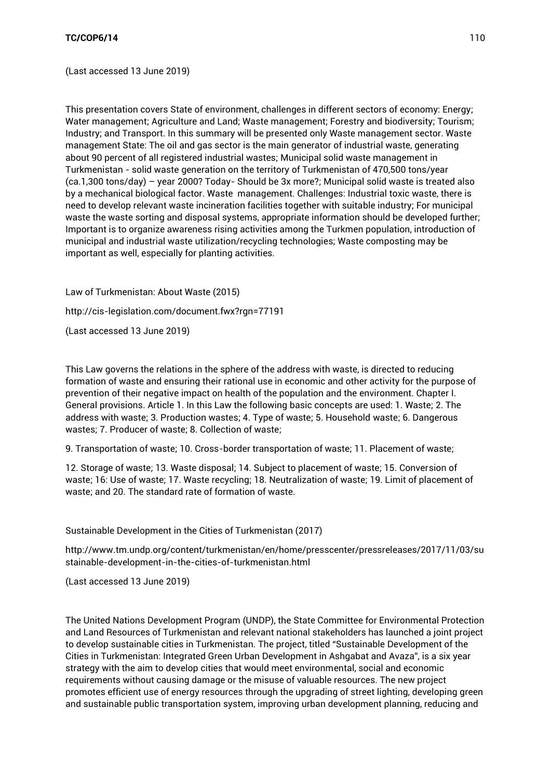(Last accessed 13 June 2019)

This presentation covers State of environment, challenges in different sectors of economy: Energy; Water management; Agriculture and Land; Waste management; Forestry and biodiversity; Tourism; Industry; and Transport. In this summary will be presented only Waste management sector. Waste management State: The oil and gas sector is the main generator of industrial waste, generating about 90 percent of all registered industrial wastes; Municipal solid waste management in Turkmenistan - solid waste generation on the territory of Turkmenistan of 470,500 tons/year (ca.1,300 tons/day) – year 2000? Today- Should be 3x more?; Municipal solid waste is treated also by a mechanical biological factor. Waste management. Challenges: Industrial toxic waste, there is need to develop relevant waste incineration facilities together with suitable industry; For municipal waste the waste sorting and disposal systems, appropriate information should be developed further; Important is to organize awareness rising activities among the Turkmen population, introduction of municipal and industrial waste utilization/recycling technologies; Waste composting may be important as well, especially for planting activities.

Law of Turkmenistan: About Waste (2015) <http://cis-legislation.com/document.fwx?rgn=77191>

(Last accessed 13 June 2019)

This Law governs the relations in the sphere of the address with waste, is directed to reducing formation of waste and ensuring their rational use in economic and other activity for the purpose of prevention of their negative impact on health of the population and the environment. Chapter I. General provisions. Article 1. In this Law the following basic concepts are used: 1. Waste; 2. The address with waste; 3. Production wastes; 4. Type of waste; 5. Household waste; 6. Dangerous wastes; 7. Producer of waste; 8. Collection of waste;

9. Transportation of waste; 10. Cross-border transportation of waste; 11. Placement of waste;

12. Storage of waste; 13. Waste disposal; 14. Subject to placement of waste; 15. Conversion of waste; 16: Use of waste; 17. Waste recycling; 18. Neutralization of waste; 19. Limit of placement of waste; and 20. The standard rate of formation of waste.

Sustainable Development in the Cities of Turkmenistan (2017)

[http://www.tm.undp.org/content/turkmenistan/en/home/presscenter/pressreleases/2017/11/03/su](http://www.tm.undp.org/content/turkmenistan/en/home/presscenter/pressreleases/2017/11/03/sustainable-development-in-the-cities-of-turkmenistan.html) [stainable-development-in-the-cities-of-turkmenistan.html](http://www.tm.undp.org/content/turkmenistan/en/home/presscenter/pressreleases/2017/11/03/sustainable-development-in-the-cities-of-turkmenistan.html)

(Last accessed 13 June 2019)

The United Nations Development Program (UNDP), the State Committee for Environmental Protection and Land Resources of Turkmenistan and relevant national stakeholders has launched a joint project to develop sustainable cities in Turkmenistan. The project, titled "Sustainable Development of the Cities in Turkmenistan: Integrated Green Urban Development in Ashgabat and Avaza", is a six year strategy with the aim to develop cities that would meet environmental, social and economic requirements without causing damage or the misuse of valuable resources. The new project promotes efficient use of energy resources through the upgrading of street lighting, developing green and sustainable public transportation system, improving urban development planning, reducing and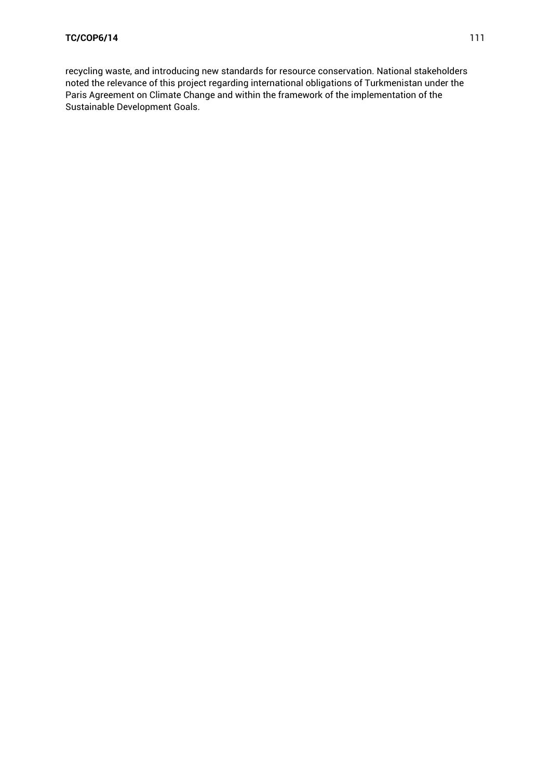recycling waste, and introducing new standards for resource conservation. National stakeholders noted the relevance of this project regarding international obligations of Turkmenistan under the Paris Agreement on Climate Change and within the framework of the implementation of the Sustainable Development Goals.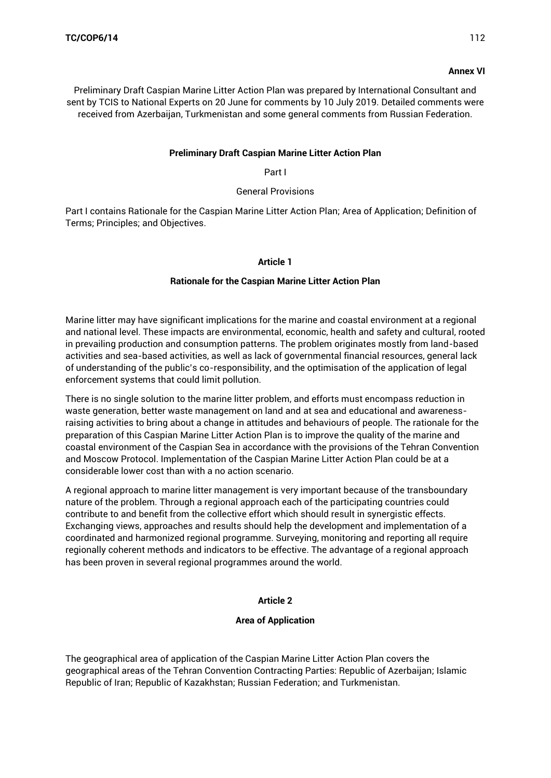## **Annex VI**

Preliminary Draft Caspian Marine Litter Action Plan was prepared by International Consultant and sent by TCIS to National Experts on 20 June for comments by 10 July 2019. Detailed comments were received from Azerbaijan, Turkmenistan and some general comments from Russian Federation.

### **Preliminary Draft Caspian Marine Litter Action Plan**

#### Part I

### General Provisions

Part I contains Rationale for the Caspian Marine Litter Action Plan; Area of Application; Definition of Terms; Principles; and Objectives.

### **Article 1**

### **Rationale for the Caspian Marine Litter Action Plan**

Marine litter may have significant implications for the marine and coastal environment at a regional and national level. These impacts are environmental, economic, health and safety and cultural, rooted in prevailing production and consumption patterns. The problem originates mostly from land-based activities and sea-based activities, as well as lack of governmental financial resources, general lack of understanding of the public's co-responsibility, and the optimisation of the application of legal enforcement systems that could limit pollution.

There is no single solution to the marine litter problem, and efforts must encompass reduction in waste generation, better waste management on land and at sea and educational and awarenessraising activities to bring about a change in attitudes and behaviours of people. The rationale for the preparation of this Caspian Marine Litter Action Plan is to improve the quality of the marine and coastal environment of the Caspian Sea in accordance with the provisions of the Tehran Convention and Moscow Protocol. Implementation of the Caspian Marine Litter Action Plan could be at a considerable lower cost than with a no action scenario.

A regional approach to marine litter management is very important because of the transboundary nature of the problem. Through a regional approach each of the participating countries could contribute to and benefit from the collective effort which should result in synergistic effects. Exchanging views, approaches and results should help the development and implementation of a coordinated and harmonized regional programme. Surveying, monitoring and reporting all require regionally coherent methods and indicators to be effective. The advantage of a regional approach has been proven in several regional programmes around the world.

## **Article 2**

## **Area of Application**

The geographical area of application of the Caspian Marine Litter Action Plan covers the geographical areas of the Tehran Convention Contracting Parties: Republic of Azerbaijan; Islamic Republic of Iran; Republic of Kazakhstan; Russian Federation; and Turkmenistan.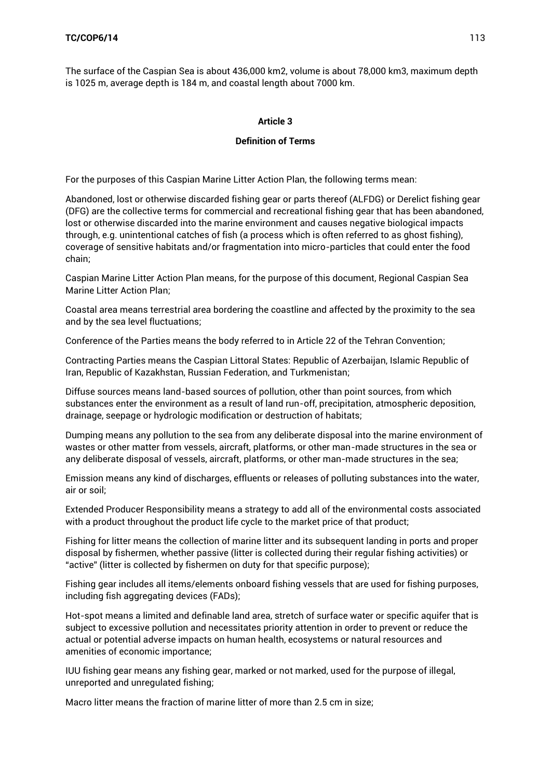The surface of the Caspian Sea is about 436,000 km2, volume is about 78,000 km3, maximum depth is 1025 m, average depth is 184 m, and coastal length about 7000 km.

### **Article 3**

### **Definition of Terms**

For the purposes of this Caspian Marine Litter Action Plan, the following terms mean:

Abandoned, lost or otherwise discarded fishing gear or parts thereof (ALFDG) or Derelict fishing gear (DFG) are the collective terms for commercial and recreational fishing gear that has been abandoned, lost or otherwise discarded into the marine environment and causes negative biological impacts through, e.g. unintentional catches of fish (a process which is often referred to as ghost fishing), coverage of sensitive habitats and/or fragmentation into micro-particles that could enter the food chain;

Caspian Marine Litter Action Plan means, for the purpose of this document, Regional Caspian Sea Marine Litter Action Plan;

Coastal area means terrestrial area bordering the coastline and affected by the proximity to the sea and by the sea level fluctuations;

Conference of the Parties means the body referred to in Article 22 of the Tehran Convention;

Contracting Parties means the Caspian Littoral States: Republic of Azerbaijan, Islamic Republic of Iran, Republic of Kazakhstan, Russian Federation, and Turkmenistan;

Diffuse sources means land-based sources of pollution, other than point sources, from which substances enter the environment as a result of land run-off, precipitation, atmospheric deposition, drainage, seepage or hydrologic modification or destruction of habitats;

Dumping means any pollution to the sea from any deliberate disposal into the marine environment of wastes or other matter from vessels, aircraft, platforms, or other man-made structures in the sea or any deliberate disposal of vessels, aircraft, platforms, or other man-made structures in the sea;

Emission means any kind of discharges, effluents or releases of polluting substances into the water, air or soil;

Extended Producer Responsibility means a strategy to add all of the environmental costs associated with a product throughout the product life cycle to the market price of that product;

Fishing for litter means the collection of marine litter and its subsequent landing in ports and proper disposal by fishermen, whether passive (litter is collected during their regular fishing activities) or "active" (litter is collected by fishermen on duty for that specific purpose);

Fishing gear includes all items/elements onboard fishing vessels that are used for fishing purposes, including fish aggregating devices (FADs);

Hot-spot means a limited and definable land area, stretch of surface water or specific aquifer that is subject to excessive pollution and necessitates priority attention in order to prevent or reduce the actual or potential adverse impacts on human health, ecosystems or natural resources and amenities of economic importance;

IUU fishing gear means any fishing gear, marked or not marked, used for the purpose of illegal, unreported and unregulated fishing;

Macro litter means the fraction of marine litter of more than 2.5 cm in size;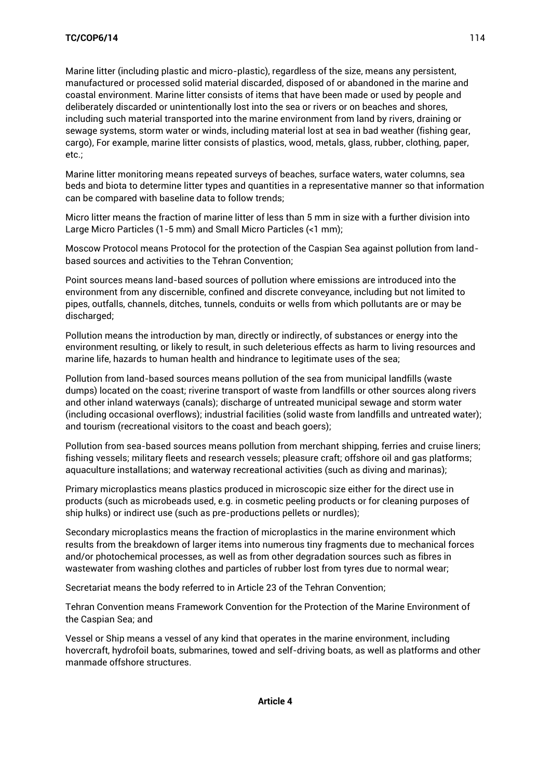Marine litter (including plastic and micro-plastic), regardless of the size, means any persistent, manufactured or processed solid material discarded, disposed of or abandoned in the marine and coastal environment. Marine litter consists of items that have been made or used by people and deliberately discarded or unintentionally lost into the sea or rivers or on beaches and shores, including such material transported into the marine environment from land by rivers, draining or sewage systems, storm water or winds, including material lost at sea in bad weather (fishing gear, cargo), For example, marine litter consists of plastics, wood, metals, glass, rubber, clothing, paper, etc.;

Marine litter monitoring means repeated surveys of beaches, surface waters, water columns, sea beds and biota to determine litter types and quantities in a representative manner so that information can be compared with baseline data to follow trends;

Micro litter means the fraction of marine litter of less than 5 mm in size with a further division into Large Micro Particles (1-5 mm) and Small Micro Particles (<1 mm);

Moscow Protocol means Protocol for the protection of the Caspian Sea against pollution from landbased sources and activities to the Tehran Convention;

Point sources means land-based sources of pollution where emissions are introduced into the environment from any discernible, confined and discrete conveyance, including but not limited to pipes, outfalls, channels, ditches, tunnels, conduits or wells from which pollutants are or may be discharged;

Pollution means the introduction by man, directly or indirectly, of substances or energy into the environment resulting, or likely to result, in such deleterious effects as harm to living resources and marine life, hazards to human health and hindrance to legitimate uses of the sea;

Pollution from land-based sources means pollution of the sea from municipal landfills (waste dumps) located on the coast; riverine transport of waste from landfills or other sources along rivers and other inland waterways (canals); discharge of untreated municipal sewage and storm water (including occasional overflows); industrial facilities (solid waste from landfills and untreated water); and tourism (recreational visitors to the coast and beach goers);

Pollution from sea-based sources means pollution from merchant shipping, ferries and cruise liners; fishing vessels; military fleets and research vessels; pleasure craft; offshore oil and gas platforms; aquaculture installations; and waterway recreational activities (such as diving and marinas);

Primary microplastics means plastics produced in microscopic size either for the direct use in products (such as microbeads used, e.g. in cosmetic peeling products or for cleaning purposes of ship hulks) or indirect use (such as pre-productions pellets or nurdles);

Secondary microplastics means the fraction of microplastics in the marine environment which results from the breakdown of larger items into numerous tiny fragments due to mechanical forces and/or photochemical processes, as well as from other degradation sources such as fibres in wastewater from washing clothes and particles of rubber lost from tyres due to normal wear;

Secretariat means the body referred to in Article 23 of the Tehran Convention;

Tehran Convention means Framework Convention for the Protection of the Marine Environment of the Caspian Sea; and

Vessel or Ship means a vessel of any kind that operates in the marine environment, including hovercraft, hydrofoil boats, submarines, towed and self-driving boats, as well as platforms and other manmade offshore structures.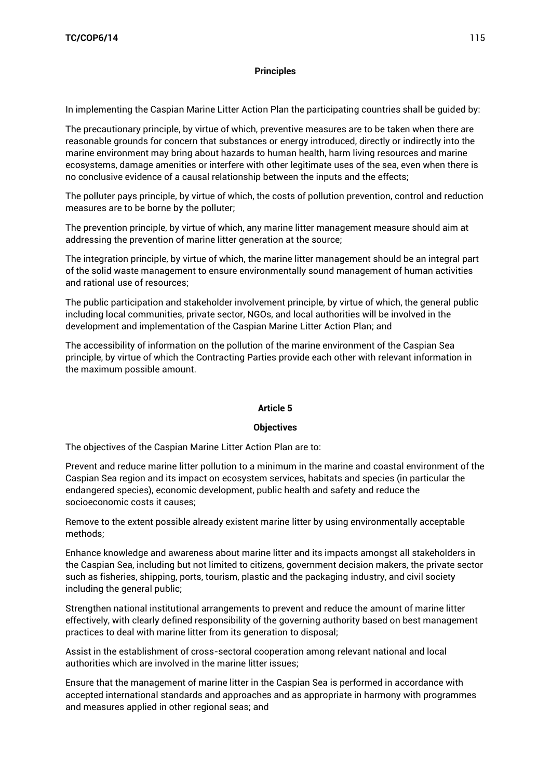### **Principles**

In implementing the Caspian Marine Litter Action Plan the participating countries shall be guided by:

The precautionary principle, by virtue of which, preventive measures are to be taken when there are reasonable grounds for concern that substances or energy introduced, directly or indirectly into the marine environment may bring about hazards to human health, harm living resources and marine ecosystems, damage amenities or interfere with other legitimate uses of the sea, even when there is no conclusive evidence of a causal relationship between the inputs and the effects;

The polluter pays principle, by virtue of which, the costs of pollution prevention, control and reduction measures are to be borne by the polluter;

The prevention principle, by virtue of which, any marine litter management measure should aim at addressing the prevention of marine litter generation at the source;

The integration principle, by virtue of which, the marine litter management should be an integral part of the solid waste management to ensure environmentally sound management of human activities and rational use of resources;

The public participation and stakeholder involvement principle, by virtue of which, the general public including local communities, private sector, NGOs, and local authorities will be involved in the development and implementation of the Caspian Marine Litter Action Plan; and

The accessibility of information on the pollution of the marine environment of the Caspian Sea principle, by virtue of which the Contracting Parties provide each other with relevant information in the maximum possible amount.

#### **Article 5**

#### **Objectives**

The objectives of the Caspian Marine Litter Action Plan are to:

Prevent and reduce marine litter pollution to a minimum in the marine and coastal environment of the Caspian Sea region and its impact on ecosystem services, habitats and species (in particular the endangered species), economic development, public health and safety and reduce the socioeconomic costs it causes;

Remove to the extent possible already existent marine litter by using environmentally acceptable methods;

Enhance knowledge and awareness about marine litter and its impacts amongst all stakeholders in the Caspian Sea, including but not limited to citizens, government decision makers, the private sector such as fisheries, shipping, ports, tourism, plastic and the packaging industry, and civil society including the general public;

Strengthen national institutional arrangements to prevent and reduce the amount of marine litter effectively, with clearly defined responsibility of the governing authority based on best management practices to deal with marine litter from its generation to disposal;

Assist in the establishment of cross-sectoral cooperation among relevant national and local authorities which are involved in the marine litter issues;

Ensure that the management of marine litter in the Caspian Sea is performed in accordance with accepted international standards and approaches and as appropriate in harmony with programmes and measures applied in other regional seas; and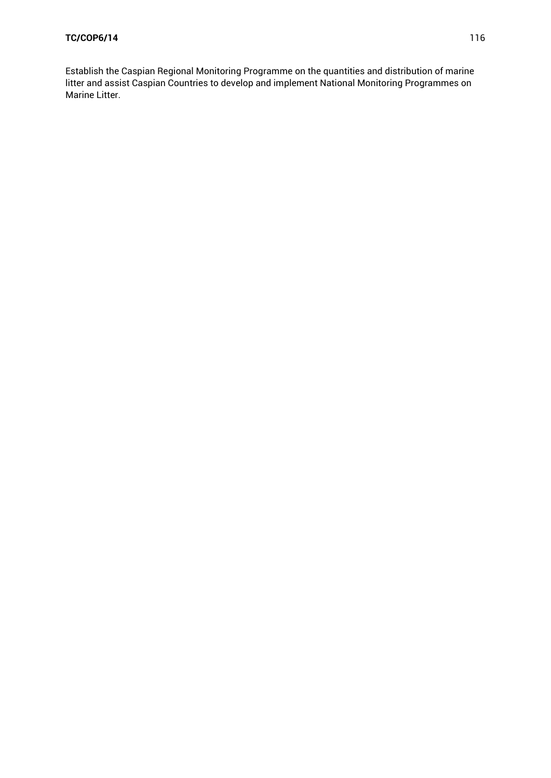Establish the Caspian Regional Monitoring Programme on the quantities and distribution of marine litter and assist Caspian Countries to develop and implement National Monitoring Programmes on Marine Litter.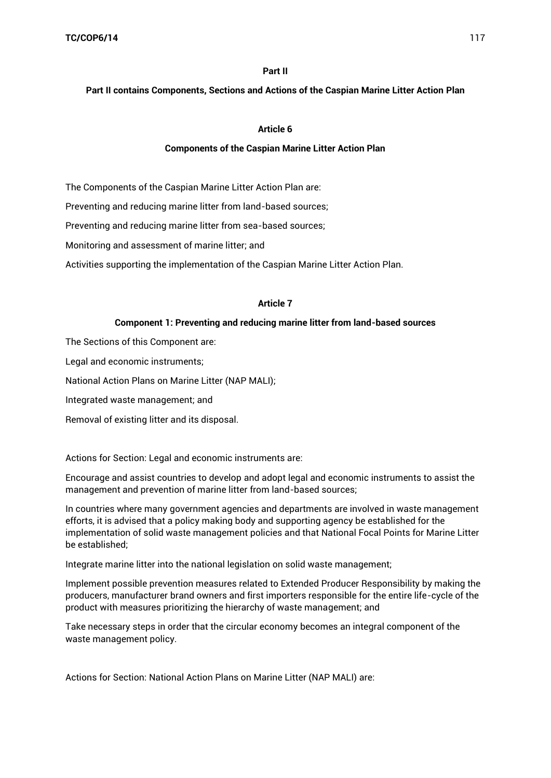#### **Part II**

#### **Part II contains Components, Sections and Actions of the Caspian Marine Litter Action Plan**

### **Article 6**

#### **Components of the Caspian Marine Litter Action Plan**

The Components of the Caspian Marine Litter Action Plan are:

Preventing and reducing marine litter from land-based sources;

Preventing and reducing marine litter from sea-based sources;

Monitoring and assessment of marine litter; and

Activities supporting the implementation of the Caspian Marine Litter Action Plan.

#### **Article 7**

#### **Component 1: Preventing and reducing marine litter from land-based sources**

The Sections of this Component are:

Legal and economic instruments;

National Action Plans on Marine Litter (NAP MALI);

Integrated waste management; and

Removal of existing litter and its disposal.

Actions for Section: Legal and economic instruments are:

Encourage and assist countries to develop and adopt legal and economic instruments to assist the management and prevention of marine litter from land-based sources;

In countries where many government agencies and departments are involved in waste management efforts, it is advised that a policy making body and supporting agency be established for the implementation of solid waste management policies and that National Focal Points for Marine Litter be established;

Integrate marine litter into the national legislation on solid waste management;

Implement possible prevention measures related to Extended Producer Responsibility by making the producers, manufacturer brand owners and first importers responsible for the entire life-cycle of the product with measures prioritizing the hierarchy of waste management; and

Take necessary steps in order that the circular economy becomes an integral component of the waste management policy.

Actions for Section: National Action Plans on Marine Litter (NAP MALI) are: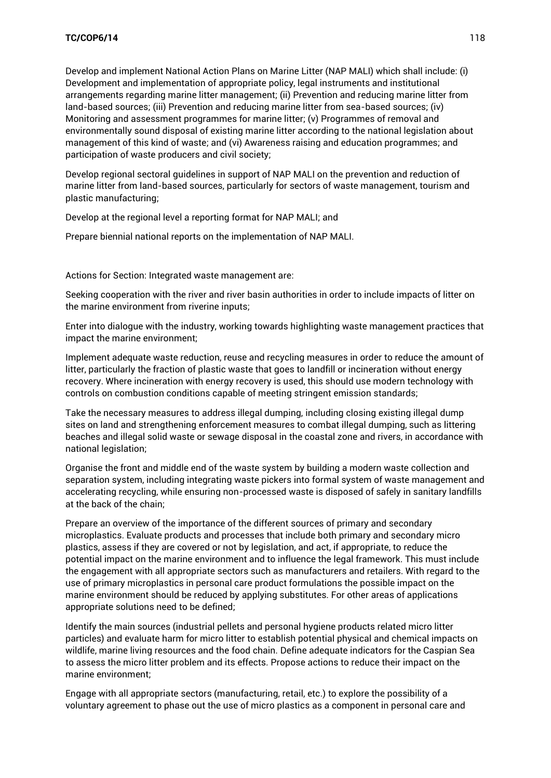Develop and implement National Action Plans on Marine Litter (NAP MALI) which shall include: (i) Development and implementation of appropriate policy, legal instruments and institutional arrangements regarding marine litter management; (ii) Prevention and reducing marine litter from land-based sources; (iii) Prevention and reducing marine litter from sea-based sources; (iv) Monitoring and assessment programmes for marine litter; (v) Programmes of removal and environmentally sound disposal of existing marine litter according to the national legislation about management of this kind of waste; and (vi) Awareness raising and education programmes; and participation of waste producers and civil society;

Develop regional sectoral guidelines in support of NAP MALI on the prevention and reduction of marine litter from land-based sources, particularly for sectors of waste management, tourism and plastic manufacturing;

Develop at the regional level a reporting format for NAP MALI; and

Prepare biennial national reports on the implementation of NAP MALI.

Actions for Section: Integrated waste management are:

Seeking cooperation with the river and river basin authorities in order to include impacts of litter on the marine environment from riverine inputs;

Enter into dialogue with the industry, working towards highlighting waste management practices that impact the marine environment;

Implement adequate waste reduction, reuse and recycling measures in order to reduce the amount of litter, particularly the fraction of plastic waste that goes to landfill or incineration without energy recovery. Where incineration with energy recovery is used, this should use modern technology with controls on combustion conditions capable of meeting stringent emission standards;

Take the necessary measures to address illegal dumping, including closing existing illegal dump sites on land and strengthening enforcement measures to combat illegal dumping, such as littering beaches and illegal solid waste or sewage disposal in the coastal zone and rivers, in accordance with national legislation;

Organise the front and middle end of the waste system by building a modern waste collection and separation system, including integrating waste pickers into formal system of waste management and accelerating recycling, while ensuring non-processed waste is disposed of safely in sanitary landfills at the back of the chain;

Prepare an overview of the importance of the different sources of primary and secondary microplastics. Evaluate products and processes that include both primary and secondary micro plastics, assess if they are covered or not by legislation, and act, if appropriate, to reduce the potential impact on the marine environment and to influence the legal framework. This must include the engagement with all appropriate sectors such as manufacturers and retailers. With regard to the use of primary microplastics in personal care product formulations the possible impact on the marine environment should be reduced by applying substitutes. For other areas of applications appropriate solutions need to be defined;

Identify the main sources (industrial pellets and personal hygiene products related micro litter particles) and evaluate harm for micro litter to establish potential physical and chemical impacts on wildlife, marine living resources and the food chain. Define adequate indicators for the Caspian Sea to assess the micro litter problem and its effects. Propose actions to reduce their impact on the marine environment;

Engage with all appropriate sectors (manufacturing, retail, etc.) to explore the possibility of a voluntary agreement to phase out the use of micro plastics as a component in personal care and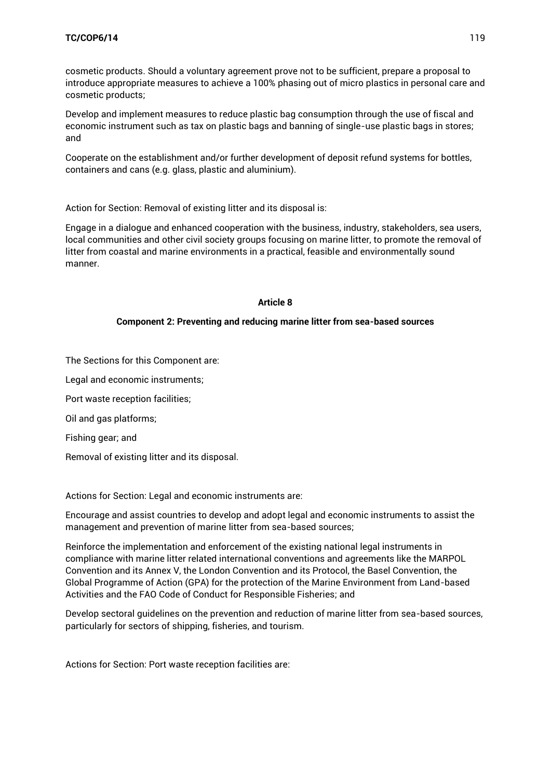cosmetic products. Should a voluntary agreement prove not to be sufficient, prepare a proposal to introduce appropriate measures to achieve a 100% phasing out of micro plastics in personal care and cosmetic products;

Develop and implement measures to reduce plastic bag consumption through the use of fiscal and economic instrument such as tax on plastic bags and banning of single-use plastic bags in stores; and

Cooperate on the establishment and/or further development of deposit refund systems for bottles, containers and cans (e.g. glass, plastic and aluminium).

Action for Section: Removal of existing litter and its disposal is:

Engage in a dialogue and enhanced cooperation with the business, industry, stakeholders, sea users, local communities and other civil society groups focusing on marine litter, to promote the removal of litter from coastal and marine environments in a practical, feasible and environmentally sound manner.

### **Article 8**

### **Component 2: Preventing and reducing marine litter from sea-based sources**

The Sections for this Component are:

Legal and economic instruments;

Port waste reception facilities;

Oil and gas platforms;

Fishing gear; and

Removal of existing litter and its disposal.

Actions for Section: Legal and economic instruments are:

Encourage and assist countries to develop and adopt legal and economic instruments to assist the management and prevention of marine litter from sea-based sources;

Reinforce the implementation and enforcement of the existing national legal instruments in compliance with marine litter related international conventions and agreements like the MARPOL Convention and its Annex V, the London Convention and its Protocol, the Basel Convention, the Global Programme of Action (GPA) for the protection of the Marine Environment from Land-based Activities and the FAO Code of Conduct for Responsible Fisheries; and

Develop sectoral guidelines on the prevention and reduction of marine litter from sea-based sources, particularly for sectors of shipping, fisheries, and tourism.

Actions for Section: Port waste reception facilities are: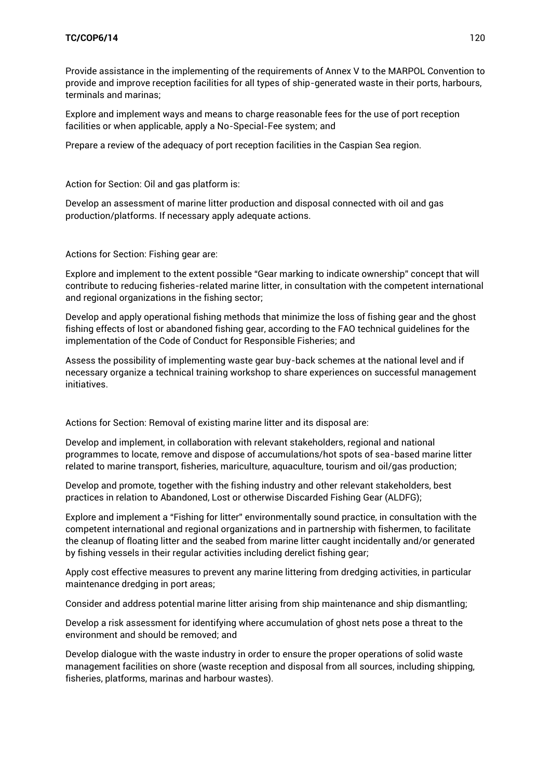Provide assistance in the implementing of the requirements of Annex V to the MARPOL Convention to provide and improve reception facilities for all types of ship-generated waste in their ports, harbours, terminals and marinas;

Explore and implement ways and means to charge reasonable fees for the use of port reception facilities or when applicable, apply a No-Special-Fee system; and

Prepare a review of the adequacy of port reception facilities in the Caspian Sea region.

Action for Section: Oil and gas platform is:

Develop an assessment of marine litter production and disposal connected with oil and gas production/platforms. If necessary apply adequate actions.

Actions for Section: Fishing gear are:

Explore and implement to the extent possible "Gear marking to indicate ownership" concept that will contribute to reducing fisheries-related marine litter, in consultation with the competent international and regional organizations in the fishing sector;

Develop and apply operational fishing methods that minimize the loss of fishing gear and the ghost fishing effects of lost or abandoned fishing gear, according to the FAO technical guidelines for the implementation of the Code of Conduct for Responsible Fisheries; and

Assess the possibility of implementing waste gear buy-back schemes at the national level and if necessary organize a technical training workshop to share experiences on successful management initiatives.

Actions for Section: Removal of existing marine litter and its disposal are:

Develop and implement, in collaboration with relevant stakeholders, regional and national programmes to locate, remove and dispose of accumulations/hot spots of sea-based marine litter related to marine transport, fisheries, mariculture, aquaculture, tourism and oil/gas production;

Develop and promote, together with the fishing industry and other relevant stakeholders, best practices in relation to Abandoned, Lost or otherwise Discarded Fishing Gear (ALDFG);

Explore and implement a "Fishing for litter" environmentally sound practice, in consultation with the competent international and regional organizations and in partnership with fishermen, to facilitate the cleanup of floating litter and the seabed from marine litter caught incidentally and/or generated by fishing vessels in their regular activities including derelict fishing gear;

Apply cost effective measures to prevent any marine littering from dredging activities, in particular maintenance dredging in port areas;

Consider and address potential marine litter arising from ship maintenance and ship dismantling;

Develop a risk assessment for identifying where accumulation of ghost nets pose a threat to the environment and should be removed; and

Develop dialogue with the waste industry in order to ensure the proper operations of solid waste management facilities on shore (waste reception and disposal from all sources, including shipping, fisheries, platforms, marinas and harbour wastes).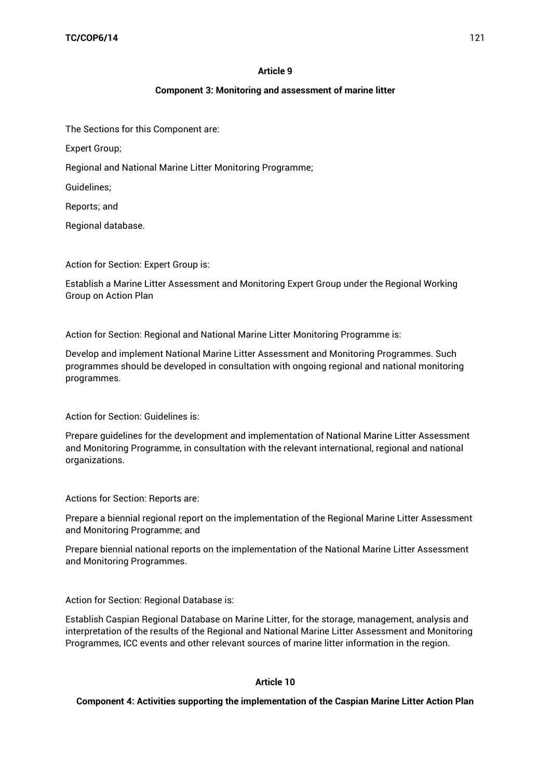### **Article 9**

### **Component 3: Monitoring and assessment of marine litter**

The Sections for this Component are:

Expert Group;

Regional and National Marine Litter Monitoring Programme;

Guidelines;

Reports; and

Regional database.

Action for Section: Expert Group is:

Establish a Marine Litter Assessment and Monitoring Expert Group under the Regional Working Group on Action Plan

Action for Section: Regional and National Marine Litter Monitoring Programme is:

Develop and implement National Marine Litter Assessment and Monitoring Programmes. Such programmes should be developed in consultation with ongoing regional and national monitoring programmes.

Action for Section: Guidelines is:

Prepare guidelines for the development and implementation of National Marine Litter Assessment and Monitoring Programme, in consultation with the relevant international, regional and national organizations.

Actions for Section: Reports are:

Prepare a biennial regional report on the implementation of the Regional Marine Litter Assessment and Monitoring Programme; and

Prepare biennial national reports on the implementation of the National Marine Litter Assessment and Monitoring Programmes.

Action for Section: Regional Database is:

Establish Caspian Regional Database on Marine Litter, for the storage, management, analysis and interpretation of the results of the Regional and National Marine Litter Assessment and Monitoring Programmes, ICC events and other relevant sources of marine litter information in the region.

#### **Article 10**

#### **Component 4: Activities supporting the implementation of the Caspian Marine Litter Action Plan**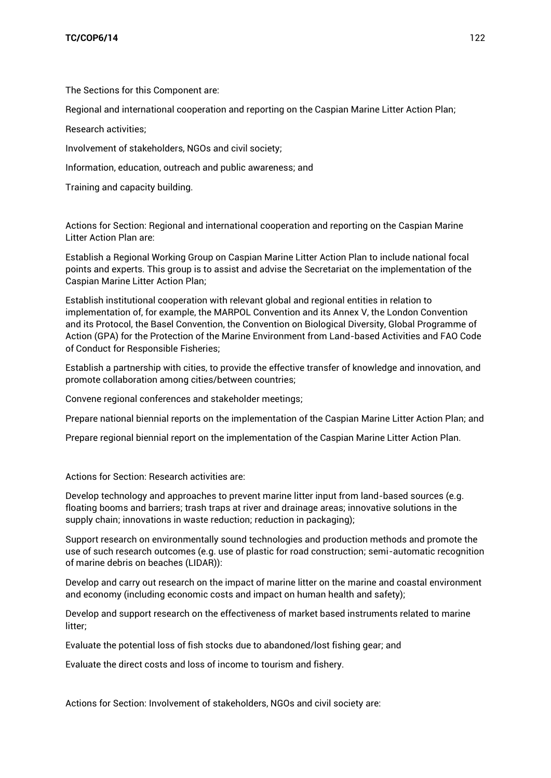The Sections for this Component are:

Regional and international cooperation and reporting on the Caspian Marine Litter Action Plan;

Research activities;

Involvement of stakeholders, NGOs and civil society;

Information, education, outreach and public awareness; and

Training and capacity building.

Actions for Section: Regional and international cooperation and reporting on the Caspian Marine Litter Action Plan are:

Establish a Regional Working Group on Caspian Marine Litter Action Plan to include national focal points and experts. This group is to assist and advise the Secretariat on the implementation of the Caspian Marine Litter Action Plan;

Establish institutional cooperation with relevant global and regional entities in relation to implementation of, for example, the MARPOL Convention and its Annex V, the London Convention and its Protocol, the Basel Convention, the Convention on Biological Diversity, Global Programme of Action (GPA) for the Protection of the Marine Environment from Land-based Activities and FAO Code of Conduct for Responsible Fisheries;

Establish a partnership with cities, to provide the effective transfer of knowledge and innovation, and promote collaboration among cities/between countries;

Convene regional conferences and stakeholder meetings;

Prepare national biennial reports on the implementation of the Caspian Marine Litter Action Plan; and

Prepare regional biennial report on the implementation of the Caspian Marine Litter Action Plan.

Actions for Section: Research activities are:

Develop technology and approaches to prevent marine litter input from land-based sources (e.g. floating booms and barriers; trash traps at river and drainage areas; innovative solutions in the supply chain; innovations in waste reduction; reduction in packaging);

Support research on environmentally sound technologies and production methods and promote the use of such research outcomes (e.g. use of plastic for road construction; semi-automatic recognition of marine debris on beaches (LIDAR)):

Develop and carry out research on the impact of marine litter on the marine and coastal environment and economy (including economic costs and impact on human health and safety);

Develop and support research on the effectiveness of market based instruments related to marine litter;

Evaluate the potential loss of fish stocks due to abandoned/lost fishing gear; and

Evaluate the direct costs and loss of income to tourism and fishery.

Actions for Section: Involvement of stakeholders, NGOs and civil society are: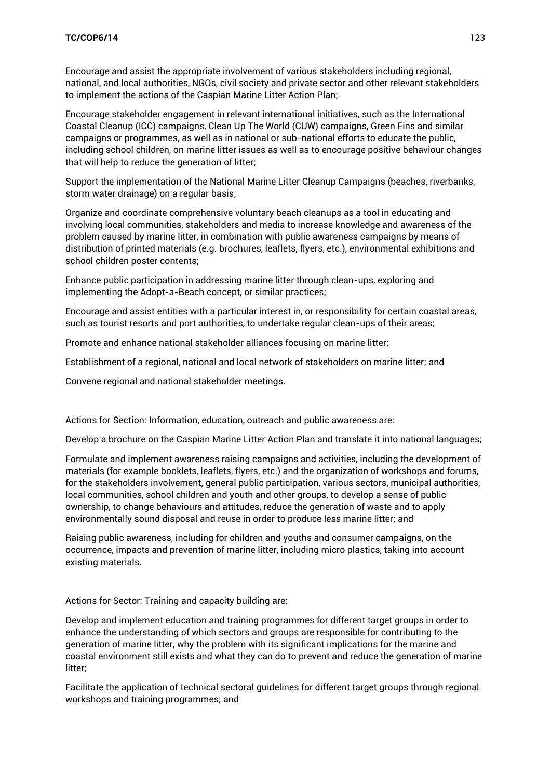### **TC/COP6/14** 123

Encourage and assist the appropriate involvement of various stakeholders including regional, national, and local authorities, NGOs, civil society and private sector and other relevant stakeholders to implement the actions of the Caspian Marine Litter Action Plan;

Encourage stakeholder engagement in relevant international initiatives, such as the International Coastal Cleanup (ICC) campaigns, Clean Up The World (CUW) campaigns, Green Fins and similar campaigns or programmes, as well as in national or sub-national efforts to educate the public, including school children, on marine litter issues as well as to encourage positive behaviour changes that will help to reduce the generation of litter;

Support the implementation of the National Marine Litter Cleanup Campaigns (beaches, riverbanks, storm water drainage) on a regular basis;

Organize and coordinate comprehensive voluntary beach cleanups as a tool in educating and involving local communities, stakeholders and media to increase knowledge and awareness of the problem caused by marine litter, in combination with public awareness campaigns by means of distribution of printed materials (e.g. brochures, leaflets, flyers, etc.), environmental exhibitions and school children poster contents;

Enhance public participation in addressing marine litter through clean-ups, exploring and implementing the Adopt-a-Beach concept, or similar practices;

Encourage and assist entities with a particular interest in, or responsibility for certain coastal areas, such as tourist resorts and port authorities, to undertake regular clean-ups of their areas;

Promote and enhance national stakeholder alliances focusing on marine litter;

Establishment of a regional, national and local network of stakeholders on marine litter; and

Convene regional and national stakeholder meetings.

Actions for Section: Information, education, outreach and public awareness are:

Develop a brochure on the Caspian Marine Litter Action Plan and translate it into national languages;

Formulate and implement awareness raising campaigns and activities, including the development of materials (for example booklets, leaflets, flyers, etc.) and the organization of workshops and forums, for the stakeholders involvement, general public participation, various sectors, municipal authorities, local communities, school children and youth and other groups, to develop a sense of public ownership, to change behaviours and attitudes, reduce the generation of waste and to apply environmentally sound disposal and reuse in order to produce less marine litter; and

Raising public awareness, including for children and youths and consumer campaigns, on the occurrence, impacts and prevention of marine litter, including micro plastics, taking into account existing materials.

Actions for Sector: Training and capacity building are:

Develop and implement education and training programmes for different target groups in order to enhance the understanding of which sectors and groups are responsible for contributing to the generation of marine litter, why the problem with its significant implications for the marine and coastal environment still exists and what they can do to prevent and reduce the generation of marine litter;

Facilitate the application of technical sectoral guidelines for different target groups through regional workshops and training programmes; and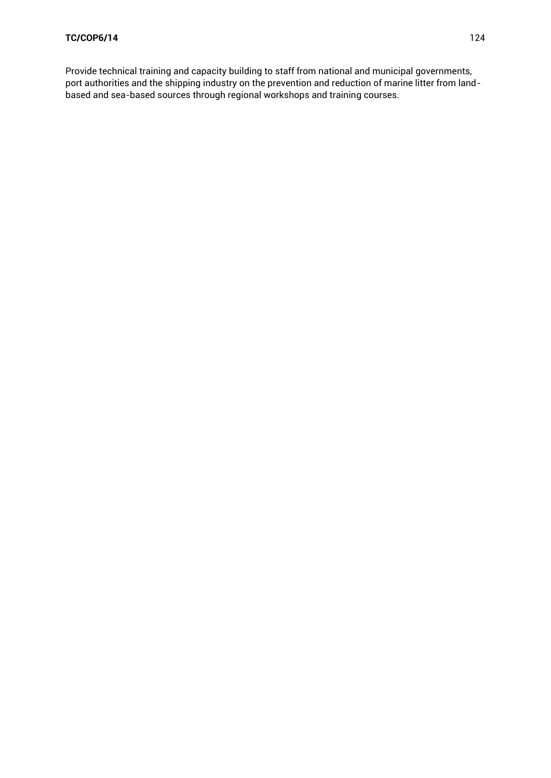Provide technical training and capacity building to staff from national and municipal governments, port authorities and the shipping industry on the prevention and reduction of marine litter from landbased and sea-based sources through regional workshops and training courses.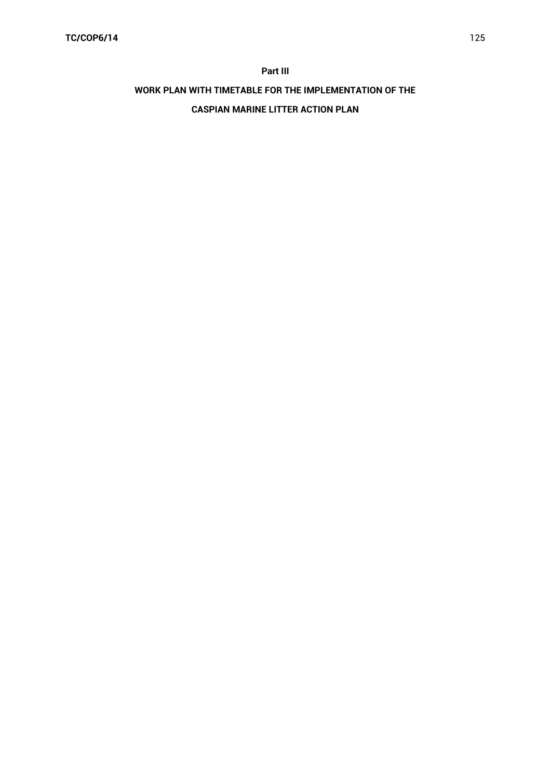#### **Part III**

# **WORK PLAN WITH TIMETABLE FOR THE IMPLEMENTATION OF THE**

### **CASPIAN MARINE LITTER ACTION PLAN**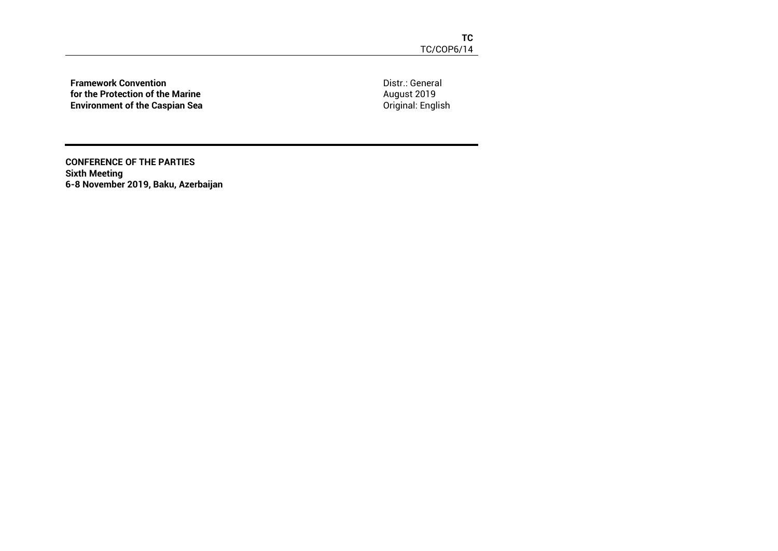**Framework Convention for the Protection of the Marine Environment of the Caspian Sea** Distr.: General August 2019 Original: English

**CONFERENCE OF THE PARTIES Sixth Meeting 6-8 November 2019, Baku, Azerbaijan**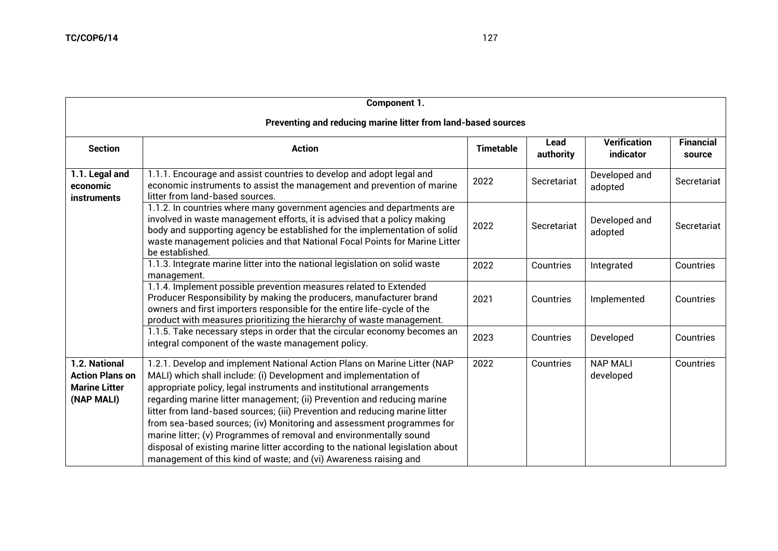| Component 1.                                                                  |                                                                                                                                                                                                                                                                                                                                                                                                                                                                                                                                                                                                                                                                                     |                  |                   |                                  |                            |  |  |  |  |
|-------------------------------------------------------------------------------|-------------------------------------------------------------------------------------------------------------------------------------------------------------------------------------------------------------------------------------------------------------------------------------------------------------------------------------------------------------------------------------------------------------------------------------------------------------------------------------------------------------------------------------------------------------------------------------------------------------------------------------------------------------------------------------|------------------|-------------------|----------------------------------|----------------------------|--|--|--|--|
| Preventing and reducing marine litter from land-based sources                 |                                                                                                                                                                                                                                                                                                                                                                                                                                                                                                                                                                                                                                                                                     |                  |                   |                                  |                            |  |  |  |  |
| <b>Section</b>                                                                | <b>Action</b>                                                                                                                                                                                                                                                                                                                                                                                                                                                                                                                                                                                                                                                                       | <b>Timetable</b> | Lead<br>authority | <b>Verification</b><br>indicator | <b>Financial</b><br>source |  |  |  |  |
| 1.1. Legal and<br>economic<br><i>instruments</i>                              | 1.1.1. Encourage and assist countries to develop and adopt legal and<br>economic instruments to assist the management and prevention of marine<br>litter from land-based sources.                                                                                                                                                                                                                                                                                                                                                                                                                                                                                                   | 2022             | Secretariat       | Developed and<br>adopted         | Secretariat                |  |  |  |  |
|                                                                               | 1.1.2. In countries where many government agencies and departments are<br>involved in waste management efforts, it is advised that a policy making<br>body and supporting agency be established for the implementation of solid<br>waste management policies and that National Focal Points for Marine Litter<br>be established.                                                                                                                                                                                                                                                                                                                                                    | 2022             | Secretariat       | Developed and<br>adopted         | Secretariat                |  |  |  |  |
|                                                                               | 1.1.3. Integrate marine litter into the national legislation on solid waste<br>management.                                                                                                                                                                                                                                                                                                                                                                                                                                                                                                                                                                                          | 2022             | Countries         | Integrated                       | Countries                  |  |  |  |  |
|                                                                               | 1.1.4. Implement possible prevention measures related to Extended<br>Producer Responsibility by making the producers, manufacturer brand<br>owners and first importers responsible for the entire life-cycle of the<br>product with measures prioritizing the hierarchy of waste management.                                                                                                                                                                                                                                                                                                                                                                                        | 2021             | Countries         | Implemented                      | Countries                  |  |  |  |  |
|                                                                               | 1.1.5. Take necessary steps in order that the circular economy becomes an<br>integral component of the waste management policy.                                                                                                                                                                                                                                                                                                                                                                                                                                                                                                                                                     | 2023             | Countries         | Developed                        | Countries                  |  |  |  |  |
| 1.2. National<br><b>Action Plans on</b><br><b>Marine Litter</b><br>(NAP MALI) | 1.2.1. Develop and implement National Action Plans on Marine Litter (NAP<br>MALI) which shall include: (i) Development and implementation of<br>appropriate policy, legal instruments and institutional arrangements<br>regarding marine litter management; (ii) Prevention and reducing marine<br>litter from land-based sources; (iii) Prevention and reducing marine litter<br>from sea-based sources; (iv) Monitoring and assessment programmes for<br>marine litter; (v) Programmes of removal and environmentally sound<br>disposal of existing marine litter according to the national legislation about<br>management of this kind of waste; and (vi) Awareness raising and | 2022             | Countries         | <b>NAP MALI</b><br>developed     | Countries                  |  |  |  |  |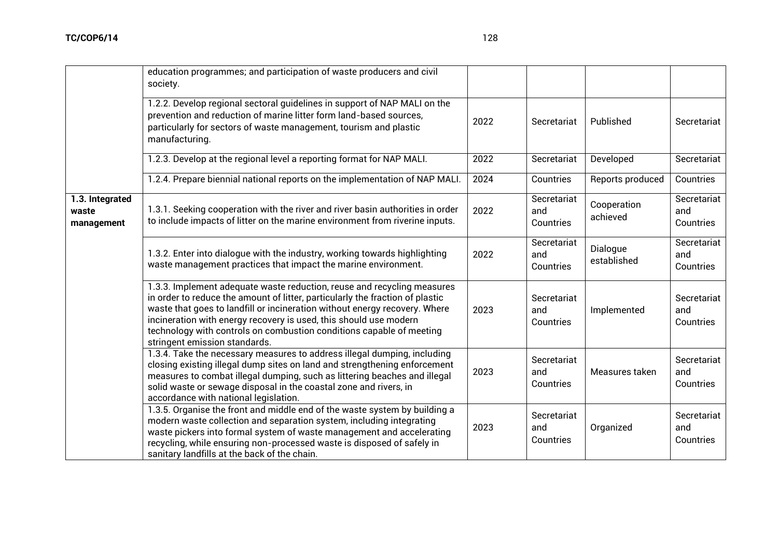|                                        | education programmes; and participation of waste producers and civil<br>society.                                                                                                                                                                                                                                                                                                                                     |      |                                 |                         |                                 |
|----------------------------------------|----------------------------------------------------------------------------------------------------------------------------------------------------------------------------------------------------------------------------------------------------------------------------------------------------------------------------------------------------------------------------------------------------------------------|------|---------------------------------|-------------------------|---------------------------------|
|                                        | 1.2.2. Develop regional sectoral guidelines in support of NAP MALI on the<br>prevention and reduction of marine litter form land-based sources,<br>particularly for sectors of waste management, tourism and plastic<br>manufacturing.                                                                                                                                                                               | 2022 | Secretariat                     | Published               | Secretariat                     |
|                                        | 1.2.3. Develop at the regional level a reporting format for NAP MALI.                                                                                                                                                                                                                                                                                                                                                | 2022 | Secretariat                     | Developed               | Secretariat                     |
|                                        | 1.2.4. Prepare biennial national reports on the implementation of NAP MALI.                                                                                                                                                                                                                                                                                                                                          | 2024 | Countries                       | Reports produced        | Countries                       |
| 1.3. Integrated<br>waste<br>management | 1.3.1. Seeking cooperation with the river and river basin authorities in order<br>to include impacts of litter on the marine environment from riverine inputs.                                                                                                                                                                                                                                                       | 2022 | Secretariat<br>and<br>Countries | Cooperation<br>achieved | Secretariat<br>and<br>Countries |
|                                        | 1.3.2. Enter into dialogue with the industry, working towards highlighting<br>waste management practices that impact the marine environment.                                                                                                                                                                                                                                                                         | 2022 | Secretariat<br>and<br>Countries | Dialogue<br>established | Secretariat<br>and<br>Countries |
|                                        | 1.3.3. Implement adequate waste reduction, reuse and recycling measures<br>in order to reduce the amount of litter, particularly the fraction of plastic<br>waste that goes to landfill or incineration without energy recovery. Where<br>incineration with energy recovery is used, this should use modern<br>technology with controls on combustion conditions capable of meeting<br>stringent emission standards. | 2023 | Secretariat<br>and<br>Countries | Implemented             | Secretariat<br>and<br>Countries |
|                                        | 1.3.4. Take the necessary measures to address illegal dumping, including<br>closing existing illegal dump sites on land and strengthening enforcement<br>measures to combat illegal dumping, such as littering beaches and illegal<br>solid waste or sewage disposal in the coastal zone and rivers, in<br>accordance with national legislation.                                                                     | 2023 | Secretariat<br>and<br>Countries | Measures taken          | Secretariat<br>and<br>Countries |
|                                        | 1.3.5. Organise the front and middle end of the waste system by building a<br>modern waste collection and separation system, including integrating<br>waste pickers into formal system of waste management and accelerating                                                                                                                                                                                          | 2023 | Secretariat<br>and              | Organized               | Secretariat<br>and              |

recycling, while ensuring non-processed waste is disposed of safely in

sanitary landfills at the back of the chain.

Countries

Countries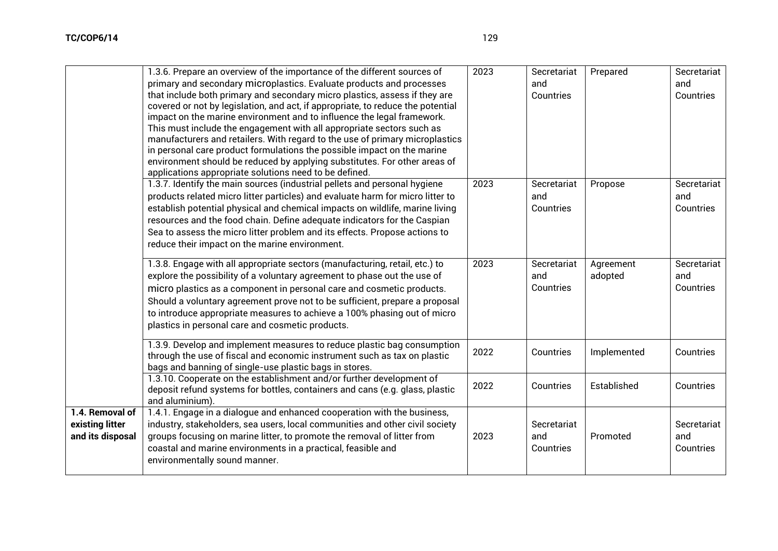|                                                        | 1.3.6. Prepare an overview of the importance of the different sources of<br>primary and secondary microplastics. Evaluate products and processes<br>that include both primary and secondary micro plastics, assess if they are<br>covered or not by legislation, and act, if appropriate, to reduce the potential<br>impact on the marine environment and to influence the legal framework.<br>This must include the engagement with all appropriate sectors such as<br>manufacturers and retailers. With regard to the use of primary microplastics<br>in personal care product formulations the possible impact on the marine<br>environment should be reduced by applying substitutes. For other areas of<br>applications appropriate solutions need to be defined.<br>1.3.7. Identify the main sources (industrial pellets and personal hygiene<br>products related micro litter particles) and evaluate harm for micro litter to<br>establish potential physical and chemical impacts on wildlife, marine living | 2023<br>2023 | Secretariat<br>and<br>Countries<br>Secretariat<br>and<br>Countries | Prepared<br>Propose  | Secretariat<br>and<br>Countries<br>Secretariat<br>and<br>Countries |
|--------------------------------------------------------|-----------------------------------------------------------------------------------------------------------------------------------------------------------------------------------------------------------------------------------------------------------------------------------------------------------------------------------------------------------------------------------------------------------------------------------------------------------------------------------------------------------------------------------------------------------------------------------------------------------------------------------------------------------------------------------------------------------------------------------------------------------------------------------------------------------------------------------------------------------------------------------------------------------------------------------------------------------------------------------------------------------------------|--------------|--------------------------------------------------------------------|----------------------|--------------------------------------------------------------------|
|                                                        | resources and the food chain. Define adequate indicators for the Caspian<br>Sea to assess the micro litter problem and its effects. Propose actions to<br>reduce their impact on the marine environment.                                                                                                                                                                                                                                                                                                                                                                                                                                                                                                                                                                                                                                                                                                                                                                                                              |              |                                                                    |                      |                                                                    |
|                                                        | 1.3.8. Engage with all appropriate sectors (manufacturing, retail, etc.) to<br>explore the possibility of a voluntary agreement to phase out the use of<br>micro plastics as a component in personal care and cosmetic products.<br>Should a voluntary agreement prove not to be sufficient, prepare a proposal<br>to introduce appropriate measures to achieve a 100% phasing out of micro<br>plastics in personal care and cosmetic products.                                                                                                                                                                                                                                                                                                                                                                                                                                                                                                                                                                       | 2023         | Secretariat<br>and<br>Countries                                    | Agreement<br>adopted | Secretariat<br>and<br>Countries                                    |
|                                                        | 1.3.9. Develop and implement measures to reduce plastic bag consumption<br>through the use of fiscal and economic instrument such as tax on plastic<br>bags and banning of single-use plastic bags in stores.                                                                                                                                                                                                                                                                                                                                                                                                                                                                                                                                                                                                                                                                                                                                                                                                         | 2022         | Countries                                                          | Implemented          | Countries                                                          |
|                                                        | 1.3.10. Cooperate on the establishment and/or further development of<br>deposit refund systems for bottles, containers and cans (e.g. glass, plastic<br>and aluminium).                                                                                                                                                                                                                                                                                                                                                                                                                                                                                                                                                                                                                                                                                                                                                                                                                                               | 2022         | Countries                                                          | Established          | Countries                                                          |
| 1.4. Removal of<br>existing litter<br>and its disposal | 1.4.1. Engage in a dialogue and enhanced cooperation with the business,<br>industry, stakeholders, sea users, local communities and other civil society<br>groups focusing on marine litter, to promote the removal of litter from<br>coastal and marine environments in a practical, feasible and<br>environmentally sound manner.                                                                                                                                                                                                                                                                                                                                                                                                                                                                                                                                                                                                                                                                                   | 2023         | Secretariat<br>and<br>Countries                                    | Promoted             | Secretariat<br>and<br>Countries                                    |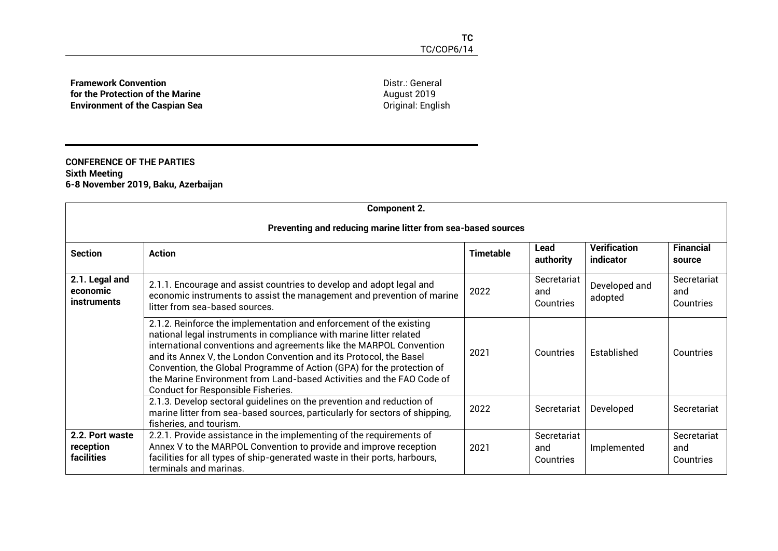**Framework Convention for the Protection of the Marine Environment of the Caspian Sea** Distr.: General August 2019 Original: English

### **CONFERENCE OF THE PARTIES Sixth Meeting 6-8 November 2019, Baku, Azerbaijan**

| <b>Component 2.</b>                              |                                                                                                                                                                                                                                                                                                                                                                                                                                                                                         |                  |                                 |                                  |                                 |  |  |  |  |
|--------------------------------------------------|-----------------------------------------------------------------------------------------------------------------------------------------------------------------------------------------------------------------------------------------------------------------------------------------------------------------------------------------------------------------------------------------------------------------------------------------------------------------------------------------|------------------|---------------------------------|----------------------------------|---------------------------------|--|--|--|--|
|                                                  | Preventing and reducing marine litter from sea-based sources                                                                                                                                                                                                                                                                                                                                                                                                                            |                  |                                 |                                  |                                 |  |  |  |  |
| <b>Section</b>                                   | <b>Action</b>                                                                                                                                                                                                                                                                                                                                                                                                                                                                           | <b>Timetable</b> | Lead<br>authority               | <b>Verification</b><br>indicator | <b>Financial</b><br>source      |  |  |  |  |
| 2.1. Legal and<br>economic<br><i>instruments</i> | 2.1.1. Encourage and assist countries to develop and adopt legal and<br>economic instruments to assist the management and prevention of marine<br>litter from sea-based sources.                                                                                                                                                                                                                                                                                                        | 2022             | Secretariat<br>and<br>Countries | Developed and<br>adopted         | Secretariat<br>and<br>Countries |  |  |  |  |
|                                                  | 2.1.2. Reinforce the implementation and enforcement of the existing<br>national legal instruments in compliance with marine litter related<br>international conventions and agreements like the MARPOL Convention<br>and its Annex V, the London Convention and its Protocol, the Basel<br>Convention, the Global Programme of Action (GPA) for the protection of<br>the Marine Environment from Land-based Activities and the FAO Code of<br><b>Conduct for Responsible Fisheries.</b> | 2021             | Countries                       | Established                      | Countries                       |  |  |  |  |
|                                                  | 2.1.3. Develop sectoral guidelines on the prevention and reduction of<br>marine litter from sea-based sources, particularly for sectors of shipping,<br>fisheries, and tourism.                                                                                                                                                                                                                                                                                                         | 2022             | Secretariat                     | Developed                        | Secretariat                     |  |  |  |  |
| 2.2. Port waste<br>reception<br>facilities       | 2.2.1. Provide assistance in the implementing of the requirements of<br>Annex V to the MARPOL Convention to provide and improve reception<br>facilities for all types of ship-generated waste in their ports, harbours,<br>terminals and marinas.                                                                                                                                                                                                                                       | 2021             | Secretariat<br>and<br>Countries | Implemented                      | Secretariat<br>and<br>Countries |  |  |  |  |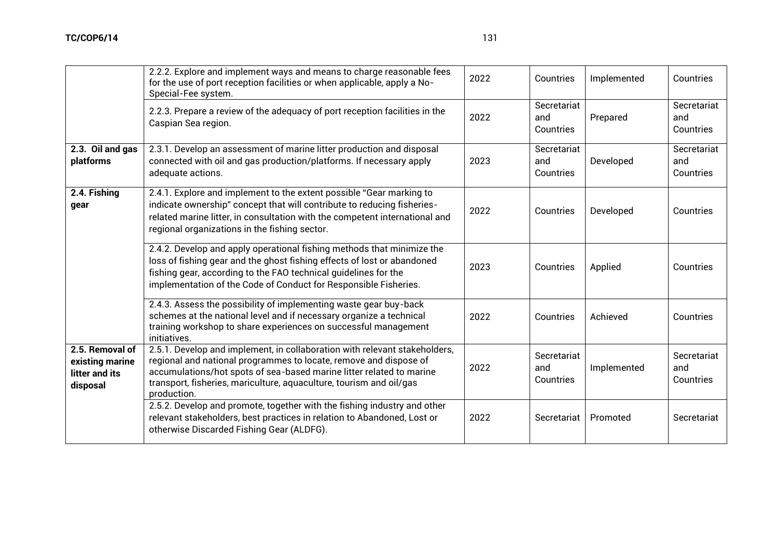|                                                                  | 2.2.2. Explore and implement ways and means to charge reasonable fees<br>for the use of port reception facilities or when applicable, apply a No-<br>Special-Fee system.                                                                                                                                      | 2022 | Countries                       | Implemented | Countries                       |
|------------------------------------------------------------------|---------------------------------------------------------------------------------------------------------------------------------------------------------------------------------------------------------------------------------------------------------------------------------------------------------------|------|---------------------------------|-------------|---------------------------------|
|                                                                  | 2.2.3. Prepare a review of the adequacy of port reception facilities in the<br>Caspian Sea region.                                                                                                                                                                                                            | 2022 | Secretariat<br>and<br>Countries | Prepared    | Secretariat<br>and<br>Countries |
| 2.3. Oil and gas<br>platforms                                    | 2.3.1. Develop an assessment of marine litter production and disposal<br>connected with oil and gas production/platforms. If necessary apply<br>adequate actions.                                                                                                                                             | 2023 | Secretariat<br>and<br>Countries | Developed   | Secretariat<br>and<br>Countries |
| 2.4. Fishing<br>qear                                             | 2.4.1. Explore and implement to the extent possible "Gear marking to<br>indicate ownership" concept that will contribute to reducing fisheries-<br>related marine litter, in consultation with the competent international and<br>regional organizations in the fishing sector.                               | 2022 | Countries                       | Developed   | Countries                       |
|                                                                  | 2.4.2. Develop and apply operational fishing methods that minimize the<br>loss of fishing gear and the ghost fishing effects of lost or abandoned<br>fishing gear, according to the FAO technical guidelines for the<br>implementation of the Code of Conduct for Responsible Fisheries.                      | 2023 | Countries                       | Applied     | Countries                       |
|                                                                  | 2.4.3. Assess the possibility of implementing waste gear buy-back<br>schemes at the national level and if necessary organize a technical<br>training workshop to share experiences on successful management<br>initiatives.                                                                                   | 2022 | Countries                       | Achieved    | Countries                       |
| 2.5. Removal of<br>existing marine<br>litter and its<br>disposal | 2.5.1. Develop and implement, in collaboration with relevant stakeholders,<br>regional and national programmes to locate, remove and dispose of<br>accumulations/hot spots of sea-based marine litter related to marine<br>transport, fisheries, mariculture, aquaculture, tourism and oil/gas<br>production. | 2022 | Secretariat<br>and<br>Countries | Implemented | Secretariat<br>and<br>Countries |
|                                                                  | 2.5.2. Develop and promote, together with the fishing industry and other<br>relevant stakeholders, best practices in relation to Abandoned, Lost or<br>otherwise Discarded Fishing Gear (ALDFG).                                                                                                              | 2022 | Secretariat                     | Promoted    | Secretariat                     |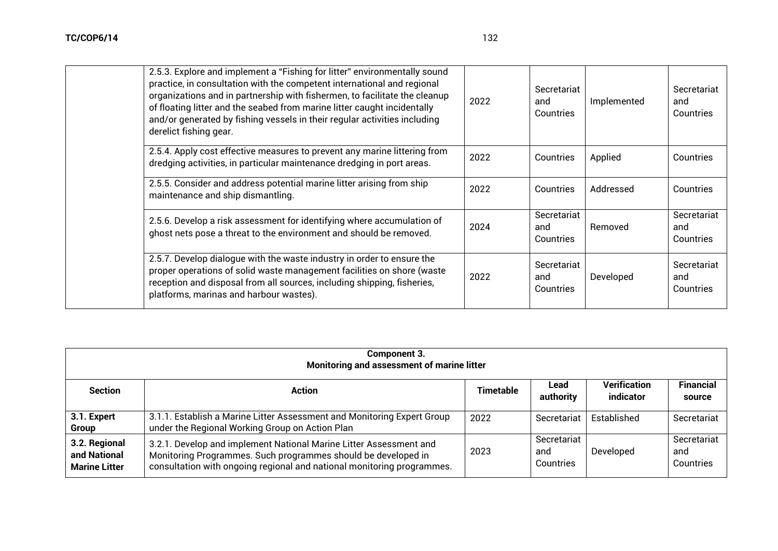| 2.5.3. Explore and implement a "Fishing for litter" environmentally sound<br>practice, in consultation with the competent international and regional<br>organizations and in partnership with fishermen, to facilitate the cleanup<br>of floating litter and the seabed from marine litter caught incidentally<br>and/or generated by fishing vessels in their regular activities including<br>derelict fishing gear. | 2022 | Secretariat<br>and<br>Countries | Implemented | Secretariat<br>and<br>Countries |
|-----------------------------------------------------------------------------------------------------------------------------------------------------------------------------------------------------------------------------------------------------------------------------------------------------------------------------------------------------------------------------------------------------------------------|------|---------------------------------|-------------|---------------------------------|
| 2.5.4. Apply cost effective measures to prevent any marine littering from<br>dredging activities, in particular maintenance dredging in port areas.                                                                                                                                                                                                                                                                   | 2022 | Countries                       | Applied     | Countries                       |
| 2.5.5. Consider and address potential marine litter arising from ship<br>maintenance and ship dismantling.                                                                                                                                                                                                                                                                                                            | 2022 | Countries                       | Addressed   | Countries                       |
| 2.5.6. Develop a risk assessment for identifying where accumulation of<br>ghost nets pose a threat to the environment and should be removed.                                                                                                                                                                                                                                                                          | 2024 | Secretariat<br>and<br>Countries | Removed     | Secretariat<br>and<br>Countries |
| 2.5.7. Develop dialogue with the waste industry in order to ensure the<br>proper operations of solid waste management facilities on shore (waste<br>reception and disposal from all sources, including shipping, fisheries,<br>platforms, marinas and harbour wastes).                                                                                                                                                | 2022 | Secretariat<br>and<br>Countries | Developed   | Secretariat<br>and<br>Countries |

| Component 3.<br>Monitoring and assessment of marine litter |                                                                                                                                                                                                               |           |                                 |                           |                                 |  |  |
|------------------------------------------------------------|---------------------------------------------------------------------------------------------------------------------------------------------------------------------------------------------------------------|-----------|---------------------------------|---------------------------|---------------------------------|--|--|
| <b>Section</b>                                             | <b>Action</b>                                                                                                                                                                                                 | Timetable | Lead<br>authority               | Verification<br>indicator | <b>Financial</b><br>source      |  |  |
| 3.1. Expert<br>Group                                       | 3.1.1. Establish a Marine Litter Assessment and Monitoring Expert Group<br>under the Regional Working Group on Action Plan                                                                                    | 2022      | Secretariat                     | Established               | Secretariat                     |  |  |
| 3.2. Regional<br>and National<br><b>Marine Litter</b>      | 3.2.1. Develop and implement National Marine Litter Assessment and<br>Monitoring Programmes. Such programmes should be developed in<br>consultation with ongoing regional and national monitoring programmes. | 2023      | Secretariat<br>and<br>Countries | Developed                 | Secretariat<br>and<br>Countries |  |  |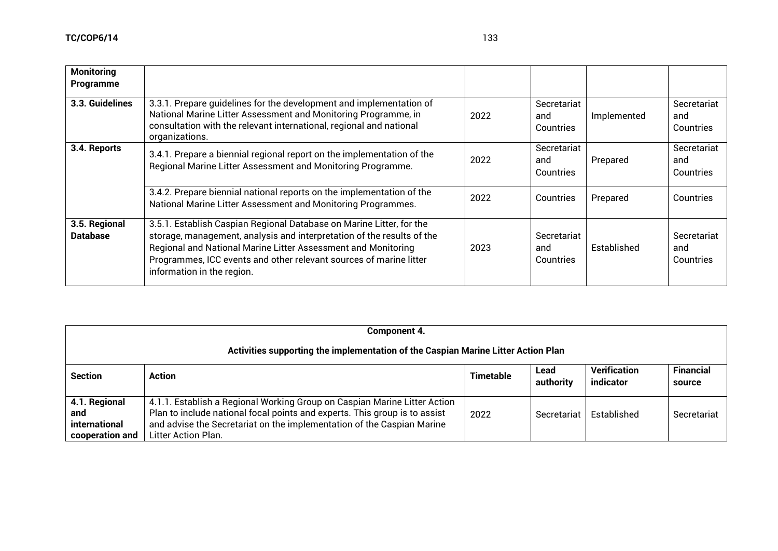| <b>Monitoring</b><br>Programme   |                                                                                                                                                                                                                                                                                                                     |      |                                 |             |                                 |
|----------------------------------|---------------------------------------------------------------------------------------------------------------------------------------------------------------------------------------------------------------------------------------------------------------------------------------------------------------------|------|---------------------------------|-------------|---------------------------------|
| 3.3. Guidelines                  | 3.3.1. Prepare quidelines for the development and implementation of<br>National Marine Litter Assessment and Monitoring Programme, in<br>consultation with the relevant international, regional and national<br>organizations.                                                                                      | 2022 | Secretariat<br>and<br>Countries | Implemented | Secretariat<br>and<br>Countries |
| 3.4. Reports                     | 3.4.1. Prepare a biennial regional report on the implementation of the<br>Regional Marine Litter Assessment and Monitoring Programme.                                                                                                                                                                               | 2022 | Secretariat<br>and<br>Countries | Prepared    | Secretariat<br>and<br>Countries |
|                                  | 3.4.2. Prepare biennial national reports on the implementation of the<br>National Marine Litter Assessment and Monitoring Programmes.                                                                                                                                                                               | 2022 | Countries                       | Prepared    | Countries                       |
| 3.5. Regional<br><b>Database</b> | 3.5.1. Establish Caspian Regional Database on Marine Litter, for the<br>storage, management, analysis and interpretation of the results of the<br>Regional and National Marine Litter Assessment and Monitoring<br>Programmes, ICC events and other relevant sources of marine litter<br>information in the region. | 2023 | Secretariat<br>and<br>Countries | Established | Secretariat<br>and<br>Countries |

| Component 4.                                                                      |                                                                                                                                                                                                                                                          |                  |                   |                                  |                            |  |  |
|-----------------------------------------------------------------------------------|----------------------------------------------------------------------------------------------------------------------------------------------------------------------------------------------------------------------------------------------------------|------------------|-------------------|----------------------------------|----------------------------|--|--|
| Activities supporting the implementation of the Caspian Marine Litter Action Plan |                                                                                                                                                                                                                                                          |                  |                   |                                  |                            |  |  |
| <b>Section</b>                                                                    | <b>Action</b>                                                                                                                                                                                                                                            | <b>Timetable</b> | Lead<br>authority | <b>Verification</b><br>indicator | <b>Financial</b><br>source |  |  |
| 4.1. Regional<br>and<br>international<br>cooperation and                          | 4.1.1. Establish a Regional Working Group on Caspian Marine Litter Action<br>Plan to include national focal points and experts. This group is to assist<br>and advise the Secretariat on the implementation of the Caspian Marine<br>Litter Action Plan. | 2022             | Secretariat       | Established                      | Secretariat                |  |  |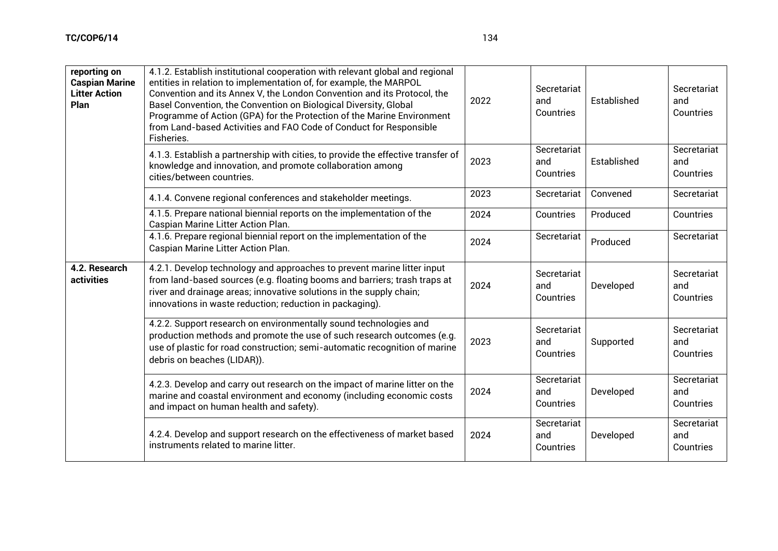| reporting on<br><b>Caspian Marine</b><br><b>Litter Action</b><br>Plan | 4.1.2. Establish institutional cooperation with relevant global and regional<br>entities in relation to implementation of, for example, the MARPOL<br>Convention and its Annex V, the London Convention and its Protocol, the<br>Basel Convention, the Convention on Biological Diversity, Global<br>Programme of Action (GPA) for the Protection of the Marine Environment<br>from Land-based Activities and FAO Code of Conduct for Responsible<br>Fisheries. | 2022 | Secretariat<br>and<br>Countries | Established | Secretariat<br>and<br>Countries |
|-----------------------------------------------------------------------|-----------------------------------------------------------------------------------------------------------------------------------------------------------------------------------------------------------------------------------------------------------------------------------------------------------------------------------------------------------------------------------------------------------------------------------------------------------------|------|---------------------------------|-------------|---------------------------------|
|                                                                       | 4.1.3. Establish a partnership with cities, to provide the effective transfer of<br>knowledge and innovation, and promote collaboration among<br>cities/between countries.                                                                                                                                                                                                                                                                                      | 2023 | Secretariat<br>and<br>Countries | Established | Secretariat<br>and<br>Countries |
|                                                                       | 4.1.4. Convene regional conferences and stakeholder meetings.                                                                                                                                                                                                                                                                                                                                                                                                   | 2023 | Secretariat                     | Convened    | Secretariat                     |
|                                                                       | 4.1.5. Prepare national biennial reports on the implementation of the<br>Caspian Marine Litter Action Plan.                                                                                                                                                                                                                                                                                                                                                     | 2024 | Countries                       | Produced    | Countries                       |
|                                                                       | 4.1.6. Prepare regional biennial report on the implementation of the<br>Caspian Marine Litter Action Plan.                                                                                                                                                                                                                                                                                                                                                      | 2024 | Secretariat                     | Produced    | Secretariat                     |
| 4.2. Research<br>activities                                           | 4.2.1. Develop technology and approaches to prevent marine litter input<br>from land-based sources (e.g. floating booms and barriers; trash traps at<br>river and drainage areas; innovative solutions in the supply chain;<br>innovations in waste reduction; reduction in packaging).                                                                                                                                                                         | 2024 | Secretariat<br>and<br>Countries | Developed   | Secretariat<br>and<br>Countries |
|                                                                       | 4.2.2. Support research on environmentally sound technologies and<br>production methods and promote the use of such research outcomes (e.g.<br>use of plastic for road construction; semi-automatic recognition of marine<br>debris on beaches (LIDAR)).                                                                                                                                                                                                        | 2023 | Secretariat<br>and<br>Countries | Supported   | Secretariat<br>and<br>Countries |
|                                                                       | 4.2.3. Develop and carry out research on the impact of marine litter on the<br>marine and coastal environment and economy (including economic costs<br>and impact on human health and safety).                                                                                                                                                                                                                                                                  | 2024 | Secretariat<br>and<br>Countries | Developed   | Secretariat<br>and<br>Countries |
|                                                                       |                                                                                                                                                                                                                                                                                                                                                                                                                                                                 |      | Secretariat                     |             | Secretariat                     |

4.2.4. Develop and support research on the effectiveness of market based

instruments related to marine litter.

2024

and Countries Developed

and Countries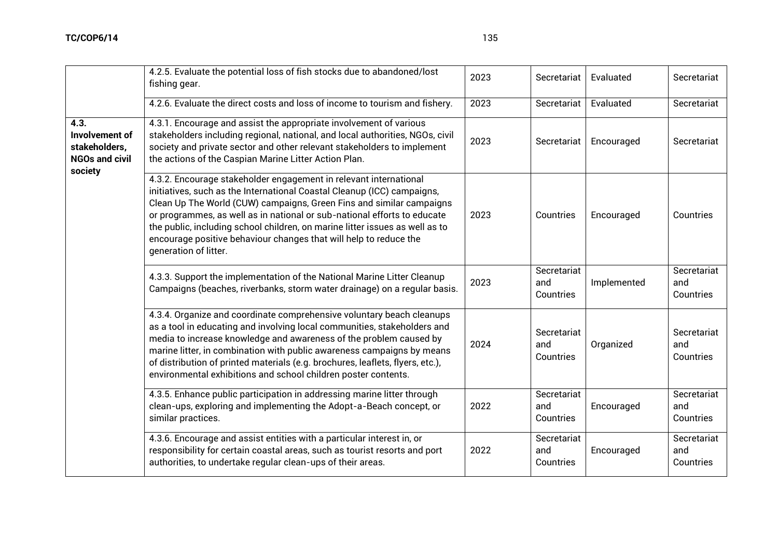$\overline{a}$ 

|                                                                                    | 4.2.5. Evaluate the potential loss of fish stocks due to abandoned/lost<br>fishing gear.                                                                                                                                                                                                                                                                                                                                                                                       | 2023 | Secretariat                     | Evaluated   | Secretariat                     |
|------------------------------------------------------------------------------------|--------------------------------------------------------------------------------------------------------------------------------------------------------------------------------------------------------------------------------------------------------------------------------------------------------------------------------------------------------------------------------------------------------------------------------------------------------------------------------|------|---------------------------------|-------------|---------------------------------|
|                                                                                    | 4.2.6. Evaluate the direct costs and loss of income to tourism and fishery.                                                                                                                                                                                                                                                                                                                                                                                                    | 2023 | Secretariat                     | Evaluated   | Secretariat                     |
| 4.3.<br><b>Involvement of</b><br>stakeholders,<br><b>NGOs and civil</b><br>society | 4.3.1. Encourage and assist the appropriate involvement of various<br>stakeholders including regional, national, and local authorities, NGOs, civil<br>society and private sector and other relevant stakeholders to implement<br>the actions of the Caspian Marine Litter Action Plan.                                                                                                                                                                                        | 2023 | Secretariat                     | Encouraged  | Secretariat                     |
|                                                                                    | 4.3.2. Encourage stakeholder engagement in relevant international<br>initiatives, such as the International Coastal Cleanup (ICC) campaigns,<br>Clean Up The World (CUW) campaigns, Green Fins and similar campaigns<br>or programmes, as well as in national or sub-national efforts to educate<br>the public, including school children, on marine litter issues as well as to<br>encourage positive behaviour changes that will help to reduce the<br>generation of litter. | 2023 | Countries                       | Encouraged  | Countries                       |
|                                                                                    | 4.3.3. Support the implementation of the National Marine Litter Cleanup<br>Campaigns (beaches, riverbanks, storm water drainage) on a regular basis.                                                                                                                                                                                                                                                                                                                           | 2023 | Secretariat<br>and<br>Countries | Implemented | Secretariat<br>and<br>Countries |
|                                                                                    | 4.3.4. Organize and coordinate comprehensive voluntary beach cleanups<br>as a tool in educating and involving local communities, stakeholders and<br>media to increase knowledge and awareness of the problem caused by<br>marine litter, in combination with public awareness campaigns by means<br>of distribution of printed materials (e.g. brochures, leaflets, flyers, etc.),<br>environmental exhibitions and school children poster contents.                          | 2024 | Secretariat<br>and<br>Countries | Organized   | Secretariat<br>and<br>Countries |
|                                                                                    | 4.3.5. Enhance public participation in addressing marine litter through<br>clean-ups, exploring and implementing the Adopt-a-Beach concept, or<br>similar practices.                                                                                                                                                                                                                                                                                                           | 2022 | Secretariat<br>and<br>Countries | Encouraged  | Secretariat<br>and<br>Countries |
|                                                                                    | 4.3.6. Encourage and assist entities with a particular interest in, or<br>responsibility for certain coastal areas, such as tourist resorts and port<br>authorities, to undertake regular clean-ups of their areas.                                                                                                                                                                                                                                                            | 2022 | Secretariat<br>and<br>Countries | Encouraged  | Secretariat<br>and<br>Countries |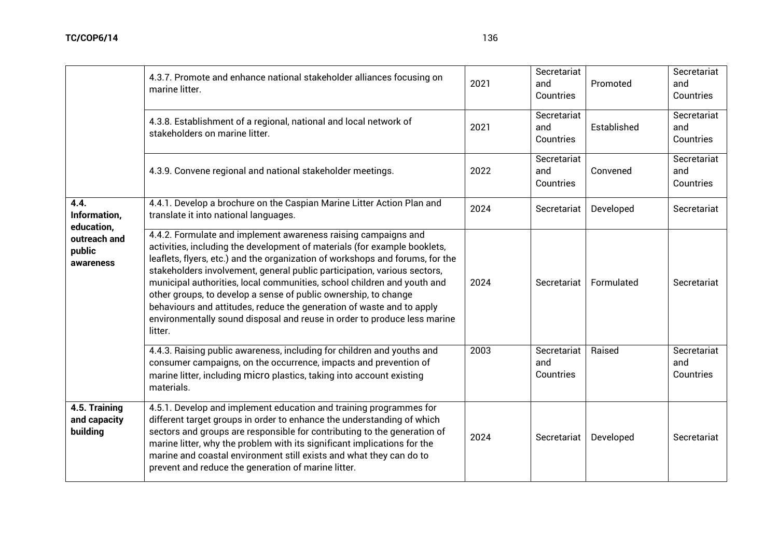|                                                                           | 4.3.7. Promote and enhance national stakeholder alliances focusing on<br>marine litter.                                                                                                                                                                                                                                                                                                                                                                                                                                                                                                                                | 2021 | Secretariat<br>and<br>Countries | Promoted    | Secretariat<br>and<br>Countries |
|---------------------------------------------------------------------------|------------------------------------------------------------------------------------------------------------------------------------------------------------------------------------------------------------------------------------------------------------------------------------------------------------------------------------------------------------------------------------------------------------------------------------------------------------------------------------------------------------------------------------------------------------------------------------------------------------------------|------|---------------------------------|-------------|---------------------------------|
|                                                                           | 4.3.8. Establishment of a regional, national and local network of<br>stakeholders on marine litter.                                                                                                                                                                                                                                                                                                                                                                                                                                                                                                                    | 2021 | Secretariat<br>and<br>Countries | Established | Secretariat<br>and<br>Countries |
|                                                                           | 4.3.9. Convene regional and national stakeholder meetings.                                                                                                                                                                                                                                                                                                                                                                                                                                                                                                                                                             | 2022 | Secretariat<br>and<br>Countries | Convened    | Secretariat<br>and<br>Countries |
| 4.4.<br>Information,<br>education,<br>outreach and<br>public<br>awareness | 4.4.1. Develop a brochure on the Caspian Marine Litter Action Plan and<br>translate it into national languages.                                                                                                                                                                                                                                                                                                                                                                                                                                                                                                        | 2024 | Secretariat                     | Developed   | Secretariat                     |
|                                                                           | 4.4.2. Formulate and implement awareness raising campaigns and<br>activities, including the development of materials (for example booklets,<br>leaflets, flyers, etc.) and the organization of workshops and forums, for the<br>stakeholders involvement, general public participation, various sectors,<br>municipal authorities, local communities, school children and youth and<br>other groups, to develop a sense of public ownership, to change<br>behaviours and attitudes, reduce the generation of waste and to apply<br>environmentally sound disposal and reuse in order to produce less marine<br>litter. | 2024 | Secretariat                     | Formulated  | Secretariat                     |
|                                                                           | 4.4.3. Raising public awareness, including for children and youths and<br>consumer campaigns, on the occurrence, impacts and prevention of<br>marine litter, including micro plastics, taking into account existing<br>materials.                                                                                                                                                                                                                                                                                                                                                                                      | 2003 | Secretariat<br>and<br>Countries | Raised      | Secretariat<br>and<br>Countries |
| 4.5. Training<br>and capacity<br>building                                 | 4.5.1. Develop and implement education and training programmes for<br>different target groups in order to enhance the understanding of which<br>sectors and groups are responsible for contributing to the generation of<br>marine litter, why the problem with its significant implications for the<br>marine and coastal environment still exists and what they can do to<br>prevent and reduce the generation of marine litter.                                                                                                                                                                                     | 2024 | Secretariat                     | Developed   | Secretariat                     |